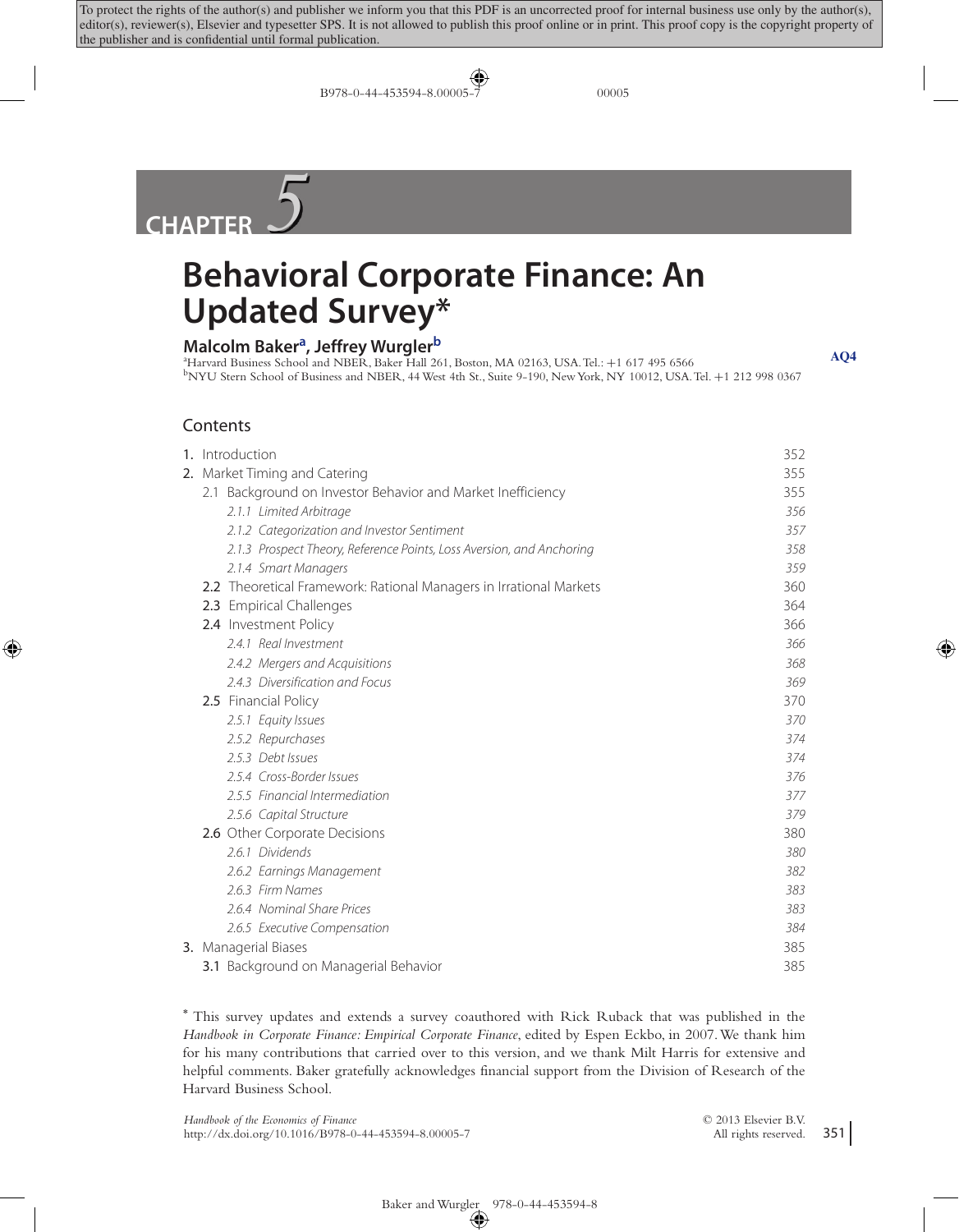B978-0-44-453594-8.00005-7 00005



# **Behavioral Corporate Finance: An Updated Survey\***

# **Malcolm Baker<sup>a</sup>, Jeffrey Wurgler<sup>b</sup>**<br><sup>a</sup> Harrard Business School and NBER Baker Hall 26

<span id="page-0-0"></span><sup>b</sup>NYU Stern School of Business and NBER, 44 West 4th St., Suite 9-190, New York, NY 10012, USA. Tel. +1 212 998 0367

# Contents

◈

| 1. Introduction                                                       | 352 |
|-----------------------------------------------------------------------|-----|
| 2. Market Timing and Catering                                         | 355 |
| 2.1 Background on Investor Behavior and Market Inefficiency           | 355 |
| 2.1.1 Limited Arbitrage                                               | 356 |
| 2.1.2 Categorization and Investor Sentiment                           | 357 |
| 2.1.3 Prospect Theory, Reference Points, Loss Aversion, and Anchoring | 358 |
| 2.1.4 Smart Managers                                                  | 359 |
| 2.2 Theoretical Framework: Rational Managers in Irrational Markets    | 360 |
| 2.3 Empirical Challenges                                              | 364 |
| 2.4 Investment Policy                                                 | 366 |
| 2.4.1 Real Investment                                                 | 366 |
| 2.4.2 Mergers and Acquisitions                                        | 368 |
| 2.4.3 Diversification and Focus                                       | 369 |
| 2.5 Financial Policy                                                  | 370 |
| 2.5.1 Equity Issues                                                   | 370 |
| 2.5.2 Repurchases                                                     | 374 |
| 2.5.3 Debt Issues                                                     | 374 |
| 2.5.4 Cross-Border Issues                                             | 376 |
| 2.5.5 Financial Intermediation                                        | 377 |
| 2.5.6 Capital Structure                                               | 379 |
| 2.6 Other Corporate Decisions                                         | 380 |
| 2.6.1 Dividends                                                       | 380 |
| 2.6.2 Earnings Management                                             | 382 |
| 2.6.3 Firm Names                                                      | 383 |
| 2.6.4 Nominal Share Prices                                            | 383 |
| 2.6.5 Executive Compensation                                          | 384 |
| 3. Managerial Biases                                                  | 385 |
| 3.1 Background on Managerial Behavior                                 | 385 |

\* This survey updates and extends a survey coauthored with Rick Ruback that was published in the *Handbook in Corporate Finance: Empirical Corporate Finance*, edited by Espen Eckbo, in 2007. We thank him for his many contributions that carried over to this version, and we thank Milt Harris for extensive and helpful comments. Baker gratefully acknowledges financial support from the Division of Research of the Harvard Business School.

*Handbook of the Economics of Finance* © 2013 Elsevier B.V. http://dx.doi.org/10.1016/B978-0-44-453594-8.00005-7 All rights reserved. 351

**[AQ4](#page-68-0)**

◈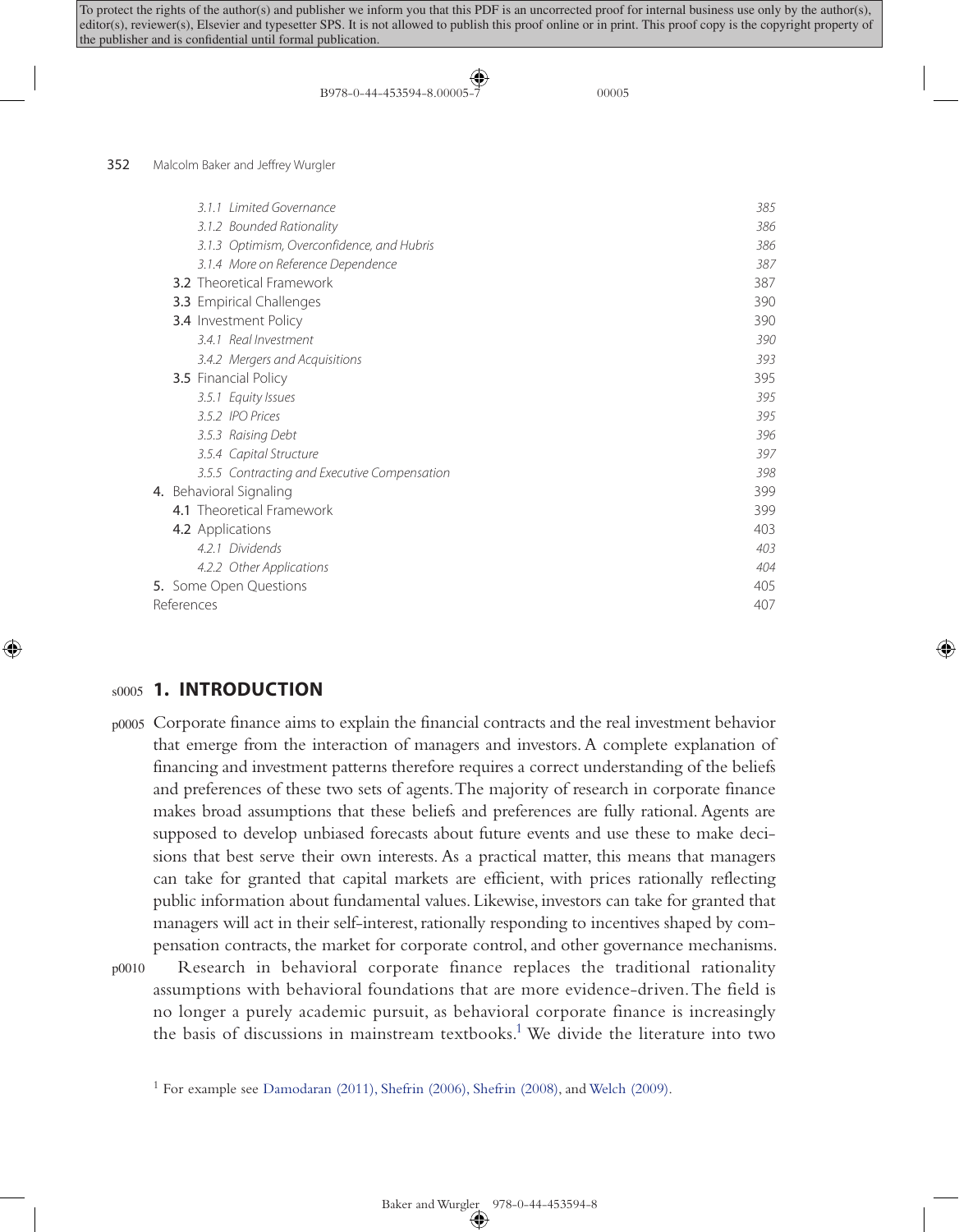B978-0-44-453594-8.00005-7

00005

<span id="page-1-0"></span>352 Malcolm Baker and Jeffrey Wurgler

| 3.1.1 Limited Governance                     | 385 |
|----------------------------------------------|-----|
| 3.1.2 Bounded Rationality                    | 386 |
| 3.1.3 Optimism, Overconfidence, and Hubris   | 386 |
| 3.1.4 More on Reference Dependence           | 387 |
| <b>3.2</b> Theoretical Framework             | 387 |
| 3.3 Empirical Challenges                     | 390 |
| <b>3.4</b> Investment Policy                 | 390 |
| 3.4.1 Real Investment                        | 390 |
| 3.4.2 Mergers and Acquisitions               | 393 |
| 3.5 Financial Policy                         | 395 |
| 3.5.1 Equity Issues                          | 395 |
| 3.5.2 IPO Prices                             | 395 |
| 3.5.3 Raising Debt                           | 396 |
| 3.5.4 Capital Structure                      | 397 |
| 3.5.5 Contracting and Executive Compensation | 398 |
| 4. Behavioral Signaling                      | 399 |
| 4.1 Theoretical Framework                    | 399 |
| 4.2 Applications                             | 403 |
| 4.2.1 Dividends                              | 403 |
| 4.2.2 Other Applications                     | 404 |
| 5. Some Open Questions                       | 405 |
| References                                   | 407 |
|                                              |     |

# **1. INTRODUCTION** s0005

◈

- p0005 Corporate finance aims to explain the financial contracts and the real investment behavior that emerge from the interaction of managers and investors. A complete explanation of financing and investment patterns therefore requires a correct understanding of the beliefs and preferences of these two sets of agents. The majority of research in corporate finance makes broad assumptions that these beliefs and preferences are fully rational. Agents are supposed to develop unbiased forecasts about future events and use these to make decisions that best serve their own interests. As a practical matter, this means that managers can take for granted that capital markets are efficient, with prices rationally reflecting public information about fundamental values. Likewise, investors can take for granted that managers will act in their self-interest, rationally responding to incentives shaped by compensation contracts, the market for corporate control, and other governance mechanisms.
- Research in behavioral corporate finance replaces the traditional rationality assumptions with behavioral foundations that are more evidence-driven. The field is no longer a purely academic pursuit, as behavioral corporate finance is increasingly the basis of discussions in mainstream textbooks.1 We divide the literature into two p0010

 $1$  For example see [Damodaran \(2011\), Shefrin \(2006\), Shefrin \(2008\)](#page-59-0), and [Welch \(2009\)](#page-66-0).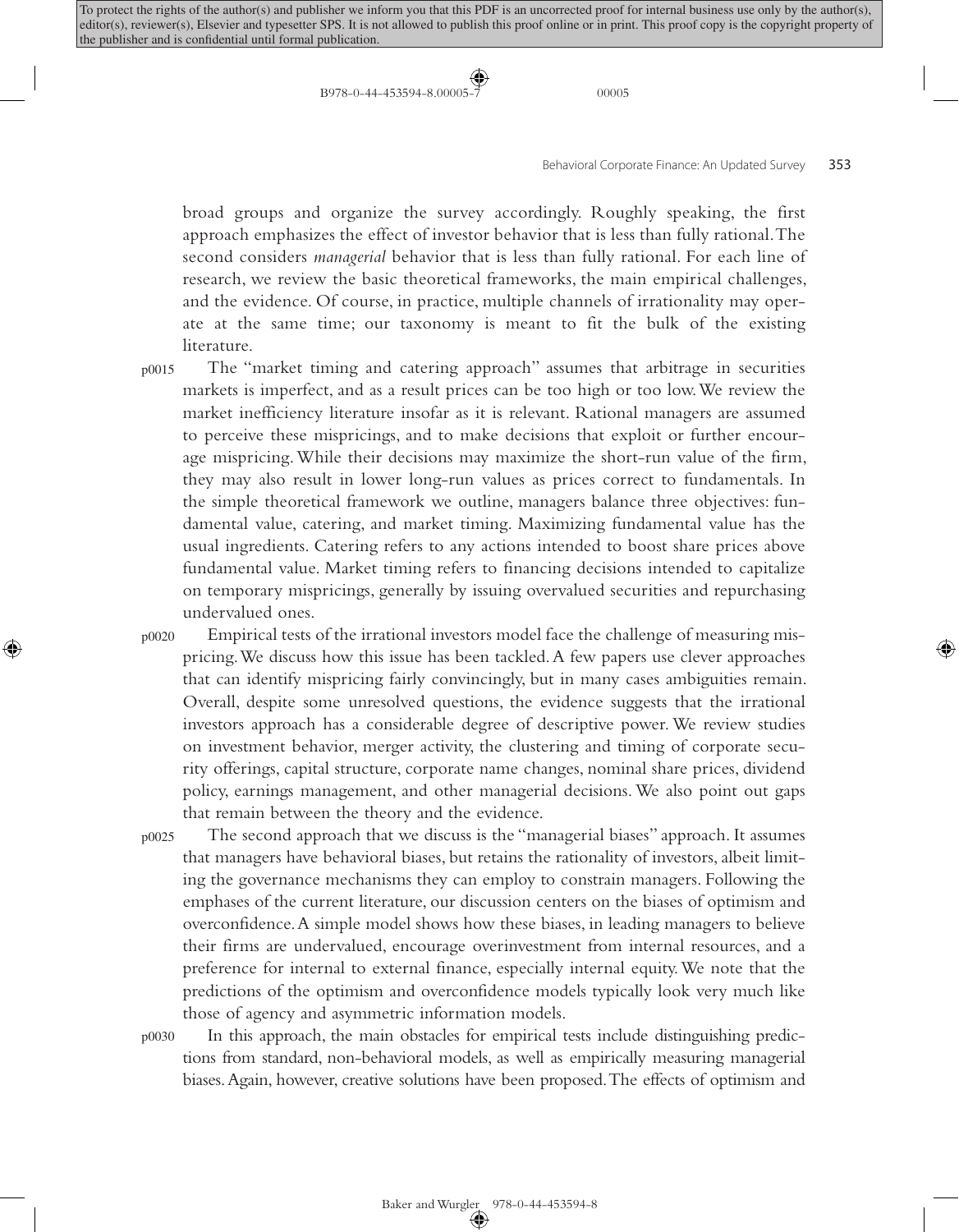B978-0-44-453594-8.00005-7

00005

Behavioral Corporate Finance: An Updated Survey 353

broad groups and organize the survey accordingly. Roughly speaking, the first approach emphasizes the effect of investor behavior that is less than fully rational. The second considers *managerial* behavior that is less than fully rational. For each line of research, we review the basic theoretical frameworks, the main empirical challenges, and the evidence. Of course, in practice, multiple channels of irrationality may operate at the same time; our taxonomy is meant to fit the bulk of the existing literature.

p0015

The "market timing and catering approach" assumes that arbitrage in securities markets is imperfect, and as a result prices can be too high or too low. We review the market inefficiency literature insofar as it is relevant. Rational managers are assumed to perceive these mispricings, and to make decisions that exploit or further encourage mispricing. While their decisions may maximize the short-run value of the firm, they may also result in lower long-run values as prices correct to fundamentals. In the simple theoretical framework we outline, managers balance three objectives: fundamental value, catering, and market timing. Maximizing fundamental value has the usual ingredients. Catering refers to any actions intended to boost share prices above fundamental value. Market timing refers to financing decisions intended to capitalize on temporary mispricings, generally by issuing overvalued securities and repurchasing undervalued ones.

p0020

⊕

Empirical tests of the irrational investors model face the challenge of measuring mispricing. We discuss how this issue has been tackled. A few papers use clever approaches that can identify mispricing fairly convincingly, but in many cases ambiguities remain. Overall, despite some unresolved questions, the evidence suggests that the irrational investors approach has a considerable degree of descriptive power. We review studies on investment behavior, merger activity, the clustering and timing of corporate security offerings, capital structure, corporate name changes, nominal share prices, dividend policy, earnings management, and other managerial decisions. We also point out gaps that remain between the theory and the evidence.

- The second approach that we discuss is the "managerial biases" approach. It assumes that managers have behavioral biases, but retains the rationality of investors, albeit limiting the governance mechanisms they can employ to constrain managers. Following the emphases of the current literature, our discussion centers on the biases of optimism and overconfidence. A simple model shows how these biases, in leading managers to believe their firms are undervalued, encourage overinvestment from internal resources, and a preference for internal to external finance, especially internal equity. We note that the predictions of the optimism and overconfidence models typically look very much like those of agency and asymmetric information models. p0025
- In this approach, the main obstacles for empirical tests include distinguishing predictions from standard, non-behavioral models, as well as empirically measuring managerial biases. Again, however, creative solutions have been proposed. The effects of optimism and p0030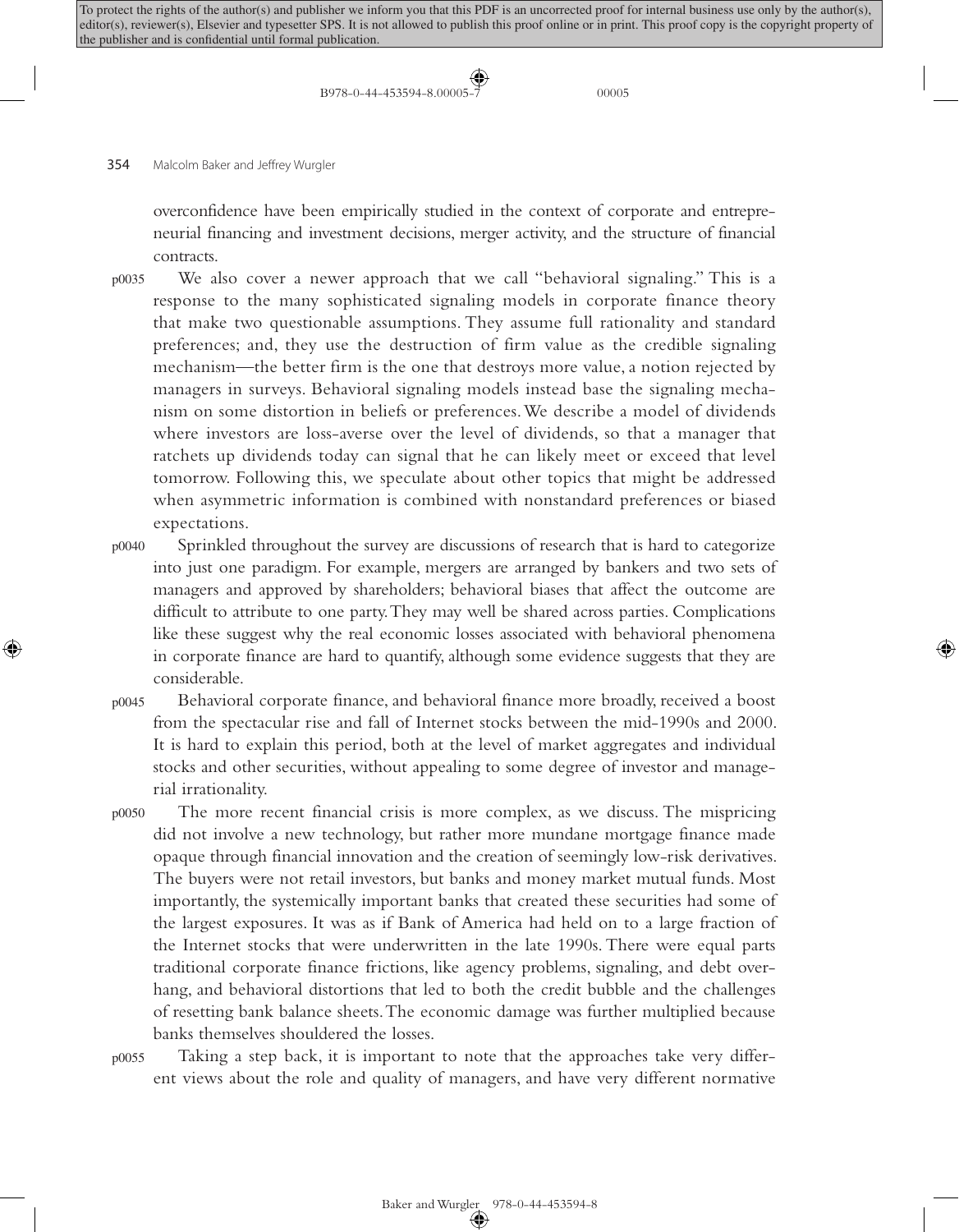B978-0-44-453594-8.00005-7

00005

354 Malcolm Baker and Jeffrey Wurgler

⊕

overconfidence have been empirically studied in the context of corporate and entrepreneurial financing and investment decisions, merger activity, and the structure of financial contracts.

- We also cover a newer approach that we call "behavioral signaling." This is a response to the many sophisticated signaling models in corporate finance theory that make two questionable assumptions. They assume full rationality and standard preferences; and, they use the destruction of firm value as the credible signaling mechanism—the better firm is the one that destroys more value, a notion rejected by managers in surveys. Behavioral signaling models instead base the signaling mechanism on some distortion in beliefs or preferences. We describe a model of dividends where investors are loss-averse over the level of dividends, so that a manager that ratchets up dividends today can signal that he can likely meet or exceed that level tomorrow. Following this, we speculate about other topics that might be addressed when asymmetric information is combined with nonstandard preferences or biased expectations. p0035
- Sprinkled throughout the survey are discussions of research that is hard to categorize into just one paradigm. For example, mergers are arranged by bankers and two sets of managers and approved by shareholders; behavioral biases that affect the outcome are difficult to attribute to one party. They may well be shared across parties. Complications like these suggest why the real economic losses associated with behavioral phenomena in corporate finance are hard to quantify, although some evidence suggests that they are considerable. p0040
- Behavioral corporate finance, and behavioral finance more broadly, received a boost from the spectacular rise and fall of Internet stocks between the mid-1990s and 2000. It is hard to explain this period, both at the level of market aggregates and individual stocks and other securities, without appealing to some degree of investor and managerial irrationality. p0045
- The more recent financial crisis is more complex, as we discuss. The mispricing did not involve a new technology, but rather more mundane mortgage finance made opaque through financial innovation and the creation of seemingly low-risk derivatives. The buyers were not retail investors, but banks and money market mutual funds. Most importantly, the systemically important banks that created these securities had some of the largest exposures. It was as if Bank of America had held on to a large fraction of the Internet stocks that were underwritten in the late 1990s. There were equal parts traditional corporate finance frictions, like agency problems, signaling, and debt overhang, and behavioral distortions that led to both the credit bubble and the challenges of resetting bank balance sheets. The economic damage was further multiplied because banks themselves shouldered the losses. p0050
- Taking a step back, it is important to note that the approaches take very different views about the role and quality of managers, and have very different normative p0055

Baker and Wurgler 978-0-44-453594-8 ⊕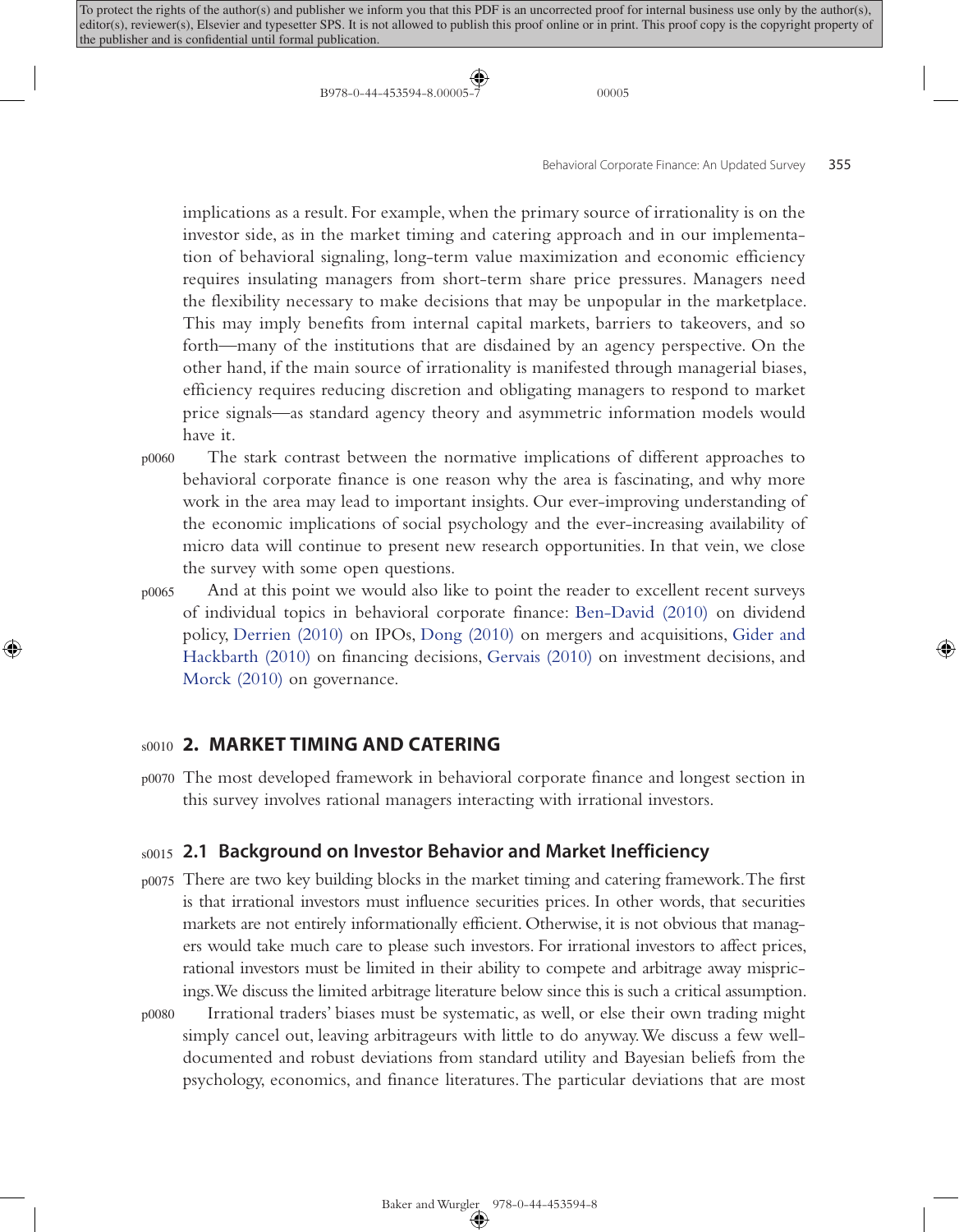B978-0-44-453594-8.00005-7

00005

Behavioral Corporate Finance: An Updated Survey 355

<span id="page-4-0"></span>implications as a result. For example, when the primary source of irrationality is on the investor side, as in the market timing and catering approach and in our implementation of behavioral signaling, long-term value maximization and economic efficiency requires insulating managers from short-term share price pressures. Managers need the flexibility necessary to make decisions that may be unpopular in the marketplace. This may imply benefits from internal capital markets, barriers to takeovers, and so forth—many of the institutions that are disdained by an agency perspective. On the other hand, if the main source of irrationality is manifested through managerial biases, efficiency requires reducing discretion and obligating managers to respond to market price signals—as standard agency theory and asymmetric information models would have it.

The stark contrast between the normative implications of different approaches to behavioral corporate finance is one reason why the area is fascinating, and why more work in the area may lead to important insights. Our ever-improving understanding of the economic implications of social psychology and the ever-increasing availability of micro data will continue to present new research opportunities. In that vein, we close the survey with some open questions. p0060

And at this point we would also like to point the reader to excellent recent surveys of individual topics in behavioral corporate finance: [Ben-David \(2010\)](#page-57-0) on dividend policy, [Derrien \(2010\)](#page-59-1) on IPOs, [Dong \(2010\)](#page-59-2) on mergers and acquisitions, [Gider and](#page-60-0) [Hackbarth \(2010\)](#page-60-0) on financing decisions, [Gervais \(2010\)](#page-60-1) on investment decisions, and [Morck \(2010\)](#page-64-0) on governance. p0065

# **2. MARKET TIMING AND CATERING** s0010

⊕

The most developed framework in behavioral corporate finance and longest section in p0070 this survey involves rational managers interacting with irrational investors.

# <span id="page-4-1"></span>**2.1 Background on Investor Behavior and Market Inefficiency** s0015

- p0075 There are two key building blocks in the market timing and catering framework. The first is that irrational investors must influence securities prices. In other words, that securities markets are not entirely informationally efficient. Otherwise, it is not obvious that managers would take much care to please such investors. For irrational investors to affect prices, rational investors must be limited in their ability to compete and arbitrage away mispricings. We discuss the limited arbitrage literature below since this is such a critical assumption.
- Irrational traders' biases must be systematic, as well, or else their own trading might simply cancel out, leaving arbitrageurs with little to do anyway. We discuss a few welldocumented and robust deviations from standard utility and Bayesian beliefs from the psychology, economics, and finance literatures. The particular deviations that are most p0080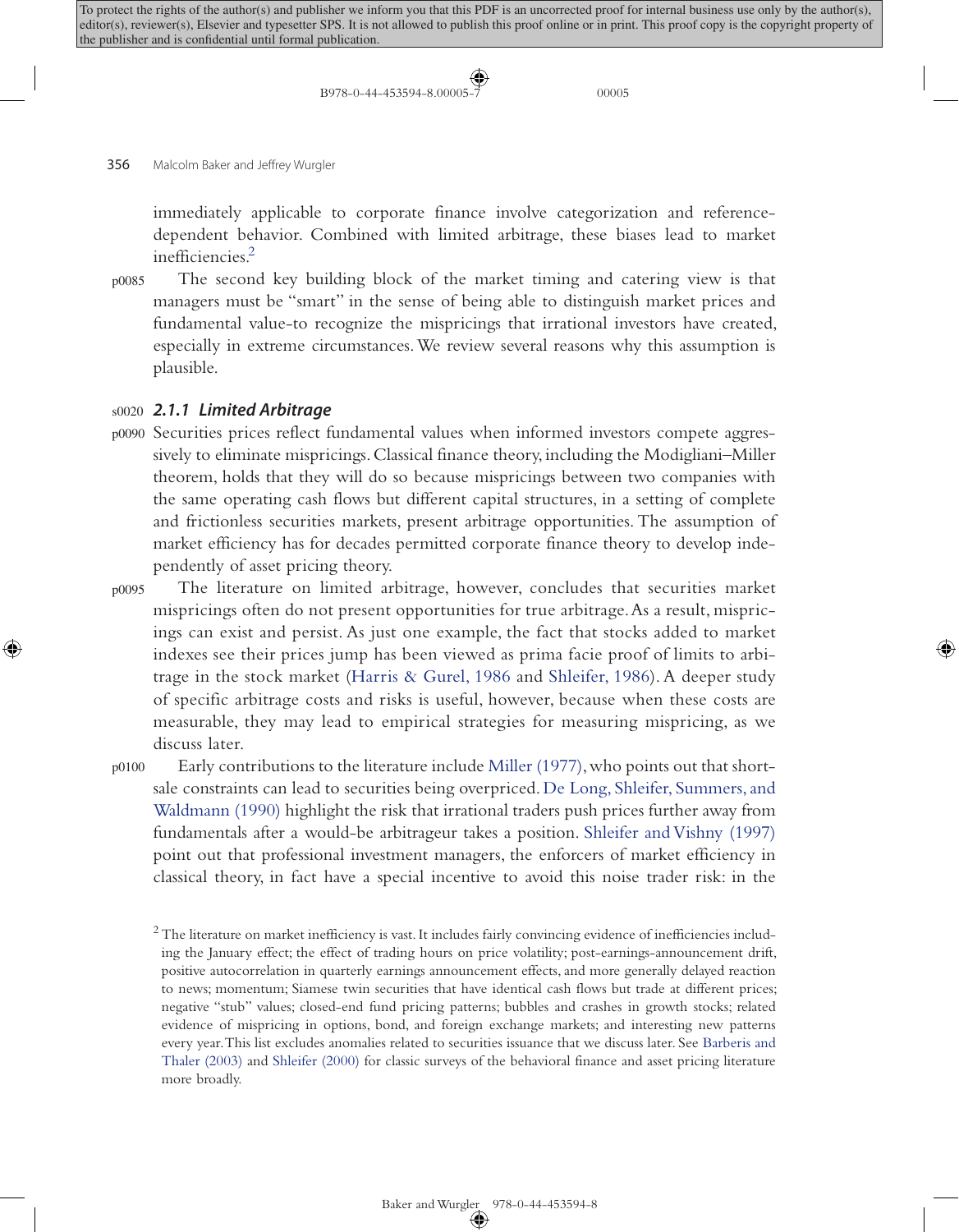B978-0-44-453594-8.0000

00005

<span id="page-5-0"></span>356 Malcolm Baker and Jeffrey Wurgler

immediately applicable to corporate finance involve categorization and referencedependent behavior. Combined with limited arbitrage, these biases lead to market inefficiencies.2

The second key building block of the market timing and catering view is that managers must be "smart" in the sense of being able to distinguish market prices and fundamental value-to recognize the mispricings that irrational investors have created, especially in extreme circumstances. We review several reasons why this assumption is plausible. p0085

# *2.1.1 Limited Arbitrage* s0020

⊕

- p0090 Securities prices reflect fundamental values when informed investors compete aggressively to eliminate mispricings. Classical finance theory, including the Modigliani–Miller theorem, holds that they will do so because mispricings between two companies with the same operating cash flows but different capital structures, in a setting of complete and frictionless securities markets, present arbitrage opportunities. The assumption of market efficiency has for decades permitted corporate finance theory to develop independently of asset pricing theory.
- The literature on limited arbitrage, however, concludes that securities market mispricings often do not present opportunities for true arbitrage. As a result, mispricings can exist and persist. As just one example, the fact that stocks added to market indexes see their prices jump has been viewed as prima facie proof of limits to arbitrage in the stock market [\(Harris & Gurel, 1986](#page-65-0) and [Shleifer, 1986\)](#page-61-0). A deeper study of specific arbitrage costs and risks is useful, however, because when these costs are measurable, they may lead to empirical strategies for measuring mispricing, as we discuss later. p0095
- Early contributions to the literature include [Miller \(1977\),](#page-64-1) who points out that shortsale constraints can lead to securities being overpriced. [De Long, Shleifer, Summers, and](#page-59-3) [Waldmann \(1990\)](#page-59-3) highlight the risk that irrational traders push prices further away from fundamentals after a would-be arbitrageur takes a position. [Shleifer and Vishny \(1997\)](#page-65-1) point out that professional investment managers, the enforcers of market efficiency in classical theory, in fact have a special incentive to avoid this noise trader risk: in the p0100

<sup>&</sup>lt;sup>2</sup> The literature on market inefficiency is vast. It includes fairly convincing evidence of inefficiencies including the January effect; the effect of trading hours on price volatility; post-earnings-announcement drift, positive autocorrelation in quarterly earnings announcement effects, and more generally delayed reaction to news; momentum; Siamese twin securities that have identical cash flows but trade at different prices; negative "stub" values; closed-end fund pricing patterns; bubbles and crashes in growth stocks; related evidence of mispricing in options, bond, and foreign exchange markets; and interesting new patterns every year. This list excludes anomalies related to securities issuance that we discuss later. See [Barberis and](#page-57-1) [Thaler \(2003\)](#page-57-1) and [Shleifer \(2000\)](#page-65-2) for classic surveys of the behavioral finance and asset pricing literature more broadly.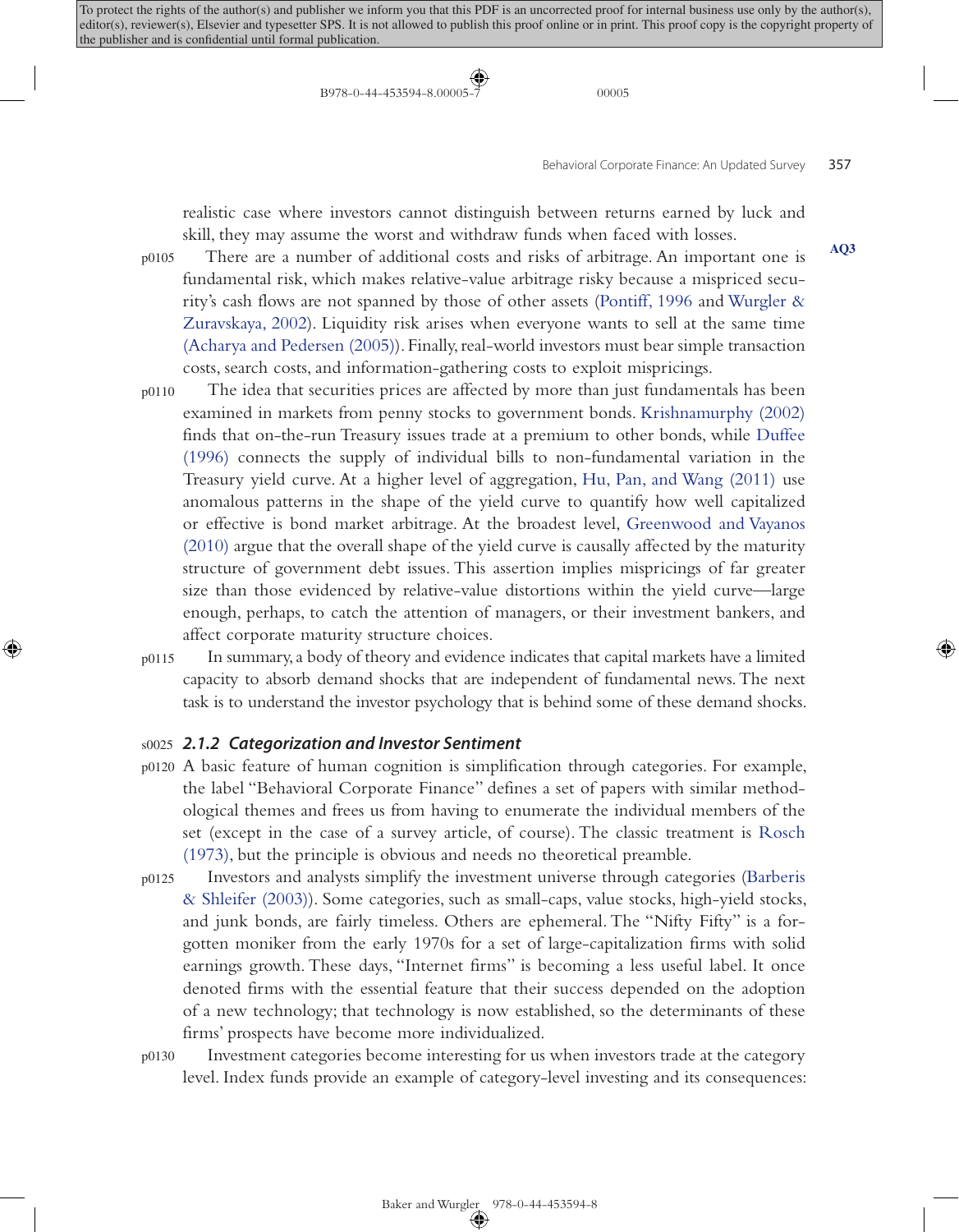B978-0-44-453594-8.00005-7

00005

Behavioral Corporate Finance: An Updated Survey 357

<span id="page-6-1"></span><span id="page-6-0"></span>realistic case where investors cannot distinguish between returns earned by luck and skill, they may assume the worst and withdraw funds when faced with losses.

- There are a number of additional costs and risks of arbitrage. An important one is **[AQ3](#page-68-1)** p0105 fundamental risk, which makes relative-value arbitrage risky because a mispriced security's cash flows are not spanned by those of other assets [\(Pontiff, 1996](#page-64-2) and [Wurgler &](#page-66-1)  [Zuravskaya, 2002](#page-66-1)). Liquidity risk arises when everyone wants to sell at the same time [\(Acharya and Pedersen \(2005\)\)](#page-56-1). Finally, real-world investors must bear simple transaction costs, search costs, and information-gathering costs to exploit mispricings.
- The idea that securities prices are affected by more than just fundamentals has been examined in markets from penny stocks to government bonds. [Krishnamurphy \(2002\)](#page-62-0) finds that on-the-run Treasury issues trade at a premium to other bonds, while [Duffee](#page-59-4) [\(1996\)](#page-59-4) connects the supply of individual bills to non-fundamental variation in the Treasury yield curve. At a higher level of aggregation, [Hu, Pan, and Wang \(2011\)](#page-61-1) use anomalous patterns in the shape of the yield curve to quantify how well capitalized or effective is bond market arbitrage. At the broadest level, [Greenwood and Vayanos](#page-61-2) [\(2010\)](#page-61-2) argue that the overall shape of the yield curve is causally affected by the maturity structure of government debt issues. This assertion implies mispricings of far greater size than those evidenced by relative-value distortions within the yield curve—large enough, perhaps, to catch the attention of managers, or their investment bankers, and affect corporate maturity structure choices. p0110
- 

⊕

In summary, a body of theory and evidence indicates that capital markets have a limited capacity to absorb demand shocks that are independent of fundamental news. The next task is to understand the investor psychology that is behind some of these demand shocks. p0115

# *2.1.2 Categorization and Investor Sentiment* s0025

- A basic feature of human cognition is simplification through categories. For example, p0120 the label "Behavioral Corporate Finance" defines a set of papers with similar methodological themes and frees us from having to enumerate the individual members of the set (except in the case of a survey article, of course). The classic treatment is [Rosch](#page-65-3) [\(1973\)](#page-65-3), but the principle is obvious and needs no theoretical preamble.
- Investors and analysts simplify the investment universe through categories [\(Barberis](#page-57-2) [& Shleifer \(2003\)](#page-57-2)). Some categories, such as small-caps, value stocks, high-yield stocks, and junk bonds, are fairly timeless. Others are ephemeral. The "Nifty Fifty" is a forgotten moniker from the early 1970s for a set of large-capitalization firms with solid earnings growth. These days, "Internet firms" is becoming a less useful label. It once denoted firms with the essential feature that their success depended on the adoption of a new technology; that technology is now established, so the determinants of these firms' prospects have become more individualized. p0125
- Investment categories become interesting for us when investors trade at the category level. Index funds provide an example of category-level investing and its consequences: p0130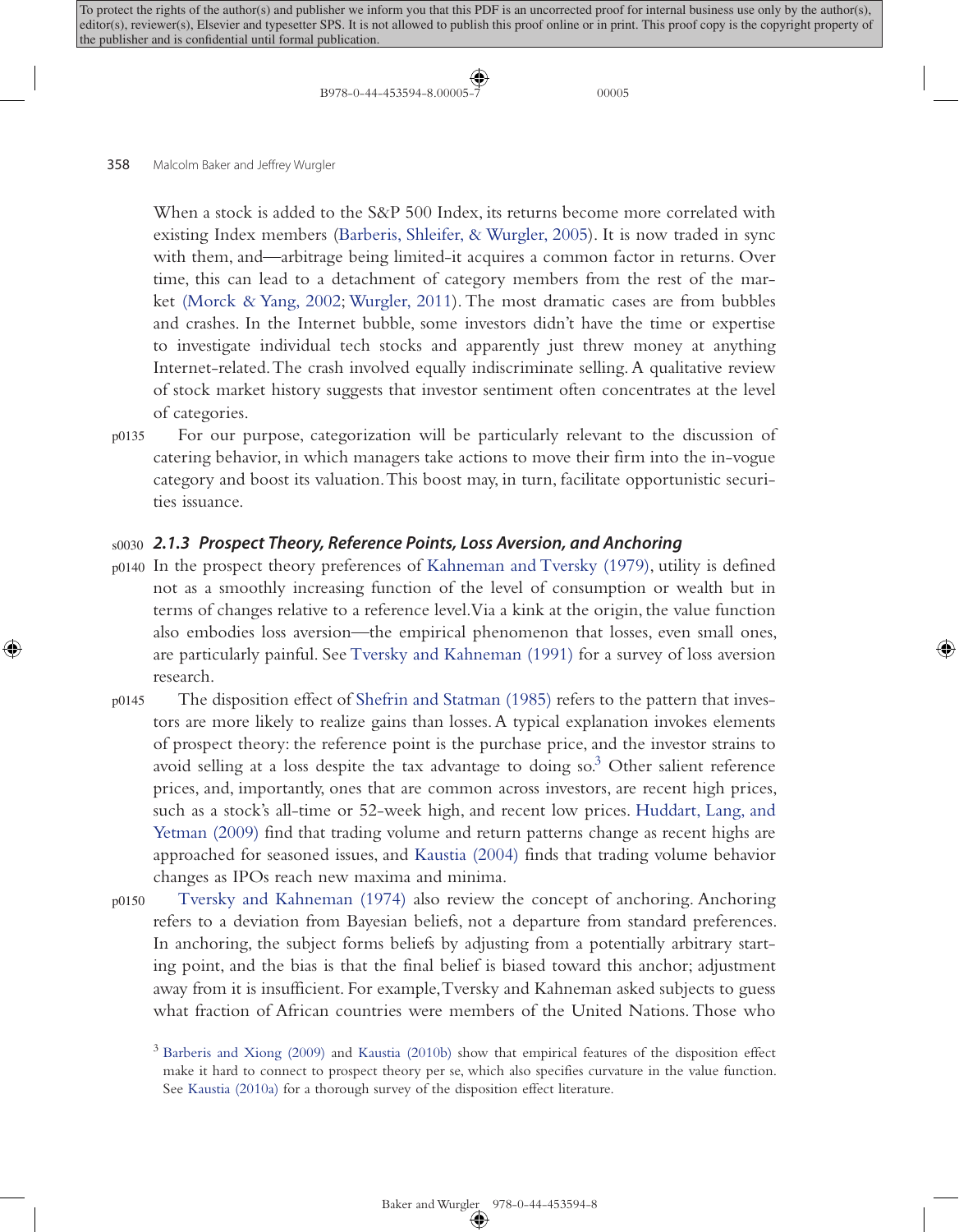B978-0-44-453594-8.00005-7

00005

<span id="page-7-0"></span>358 Malcolm Baker and Jeffrey Wurgler

⊕

When a stock is added to the S&P 500 Index, its returns become more correlated with existing Index members ([Barberis, Shleifer, & Wurgler, 2005](#page-57-3)). It is now traded in sync with them, and—arbitrage being limited-it acquires a common factor in returns. Over time, this can lead to a detachment of category members from the rest of the market [\(Morck & Yang, 2002](#page-64-3); [Wurgler, 2011\)](#page-66-2). The most dramatic cases are from bubbles and crashes. In the Internet bubble, some investors didn't have the time or expertise to investigate individual tech stocks and apparently just threw money at anything Internet-related. The crash involved equally indiscriminate selling. A qualitative review of stock market history suggests that investor sentiment often concentrates at the level of categories.

For our purpose, categorization will be particularly relevant to the discussion of catering behavior, in which managers take actions to move their firm into the in-vogue category and boost its valuation. This boost may, in turn, facilitate opportunistic securities issuance. p0135

# *2.1.3 Prospect Theory, Reference Points, Loss Aversion, and Anchoring* s0030

- p0140 In the prospect theory preferences of [Kahneman and Tversky \(1979\),](#page-62-1) utility is defined not as a smoothly increasing function of the level of consumption or wealth but in terms of changes relative to a reference level. Via a kink at the origin, the value function also embodies loss aversion—the empirical phenomenon that losses, even small ones, are particularly painful. See [Tversky and Kahneman \(1991\)](#page-66-3) for a survey of loss aversion research.
- The disposition effect of [Shefrin and Statman \(1985\)](#page-65-4) refers to the pattern that investors are more likely to realize gains than losses. A typical explanation invokes elements of prospect theory: the reference point is the purchase price, and the investor strains to avoid selling at a loss despite the tax advantage to doing  $so<sup>3</sup>$  Other salient reference prices, and, importantly, ones that are common across investors, are recent high prices, such as a stock's all-time or 52-week high, and recent low prices. [Huddart, Lang, and](#page-62-2) [Yetman \(2009\)](#page-62-2) find that trading volume and return patterns change as recent highs are approached for seasoned issues, and [Kaustia \(2004\)](#page-62-3) finds that trading volume behavior changes as IPOs reach new maxima and minima. p0145
- [Tversky and Kahneman \(1974\)](#page-66-4) also review the concept of anchoring. Anchoring refers to a deviation from Bayesian beliefs, not a departure from standard preferences. In anchoring, the subject forms beliefs by adjusting from a potentially arbitrary starting point, and the bias is that the final belief is biased toward this anchor; adjustment away from it is insufficient. For example, Tversky and Kahneman asked subjects to guess what fraction of African countries were members of the United Nations. Those who p0150

<sup>3</sup> [Barberis and Xiong \(2009\)](#page-57-4) and [Kaustia \(2010b\)](#page-62-4) show that empirical features of the disposition effect make it hard to connect to prospect theory per se, which also specifies curvature in the value function. See [Kaustia \(2010a\)](#page-62-5) for a thorough survey of the disposition effect literature.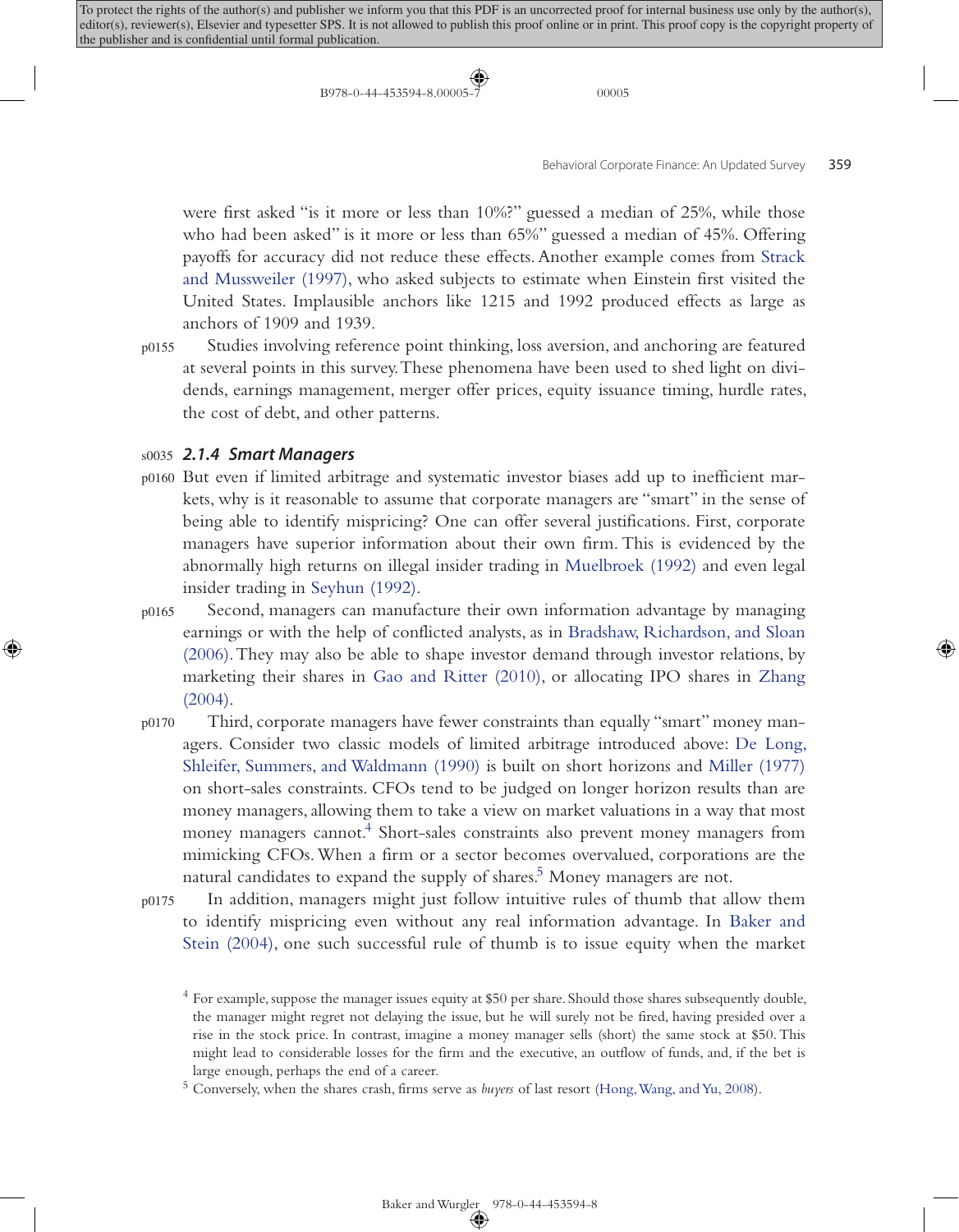B978-0-44-453594-8.00005-7

00005

Behavioral Corporate Finance: An Updated Survey 359

<span id="page-8-0"></span>were first asked "is it more or less than 10%?" guessed a median of 25%, while those who had been asked" is it more or less than 65%" guessed a median of 45%. Offering payoffs for accuracy did not reduce these effects. Another example comes from [Strack](#page-66-5) [and Mussweiler \(1997\)](#page-66-5), who asked subjects to estimate when Einstein first visited the United States. Implausible anchors like 1215 and 1992 produced effects as large as anchors of 1909 and 1939.

Studies involving reference point thinking, loss aversion, and anchoring are featured at several points in this survey. These phenomena have been used to shed light on dividends, earnings management, merger offer prices, equity issuance timing, hurdle rates, the cost of debt, and other patterns. p0155

# *2.1.4 Smart Managers* s0035

◈

- p0160 But even if limited arbitrage and systematic investor biases add up to inefficient markets, why is it reasonable to assume that corporate managers are "smart" in the sense of being able to identify mispricing? One can offer several justifications. First, corporate managers have superior information about their own firm. This is evidenced by the abnormally high returns on illegal insider trading in [Muelbroek \(1992\)](#page-64-4) and even legal insider trading in [Seyhun \(1992\).](#page-65-5)
- Second, managers can manufacture their own information advantage by managing earnings or with the help of conflicted analysts, as in [Bradshaw, Richardson, and Sloan](#page-58-0) [\(2006\)](#page-58-0). They may also be able to shape investor demand through investor relations, by marketing their shares in [Gao and Ritter \(2010\),](#page-60-2) or allocating IPO shares in [Zhang](#page-66-6) [\(2004\)](#page-66-6). p0165
- Third, corporate managers have fewer constraints than equally "smart" money managers. Consider two classic models of limited arbitrage introduced above: [De Long,](#page-59-3) [Shleifer, Summers, and Waldmann \(1990\)](#page-59-3) is built on short horizons and [Miller \(1977\)](#page-64-1) on short-sales constraints. CFOs tend to be judged on longer horizon results than are money managers, allowing them to take a view on market valuations in a way that most money managers cannot.<sup>4</sup> Short-sales constraints also prevent money managers from mimicking CFOs. When a firm or a sector becomes overvalued, corporations are the natural candidates to expand the supply of shares.<sup>5</sup> Money managers are not. p0170
- In addition, managers might just follow intuitive rules of thumb that allow them to identify mispricing even without any real information advantage. In [Baker and](#page-57-5)  [Stein \(2004\)](#page-57-5), one such successful rule of thumb is to issue equity when the market p0175

<sup>4</sup> For example, suppose the manager issues equity at \$50 per share. Should those shares subsequently double, the manager might regret not delaying the issue, but he will surely not be fired, having presided over a rise in the stock price. In contrast, imagine a money manager sells (short) the same stock at \$50. This might lead to considerable losses for the firm and the executive, an outflow of funds, and, if the bet is large enough, perhaps the end of a career.

<sup>5</sup> Conversely, when the shares crash, firms serve as *buyers* of last resort ([Hong, Wang, and Yu, 2008\)](#page-61-3).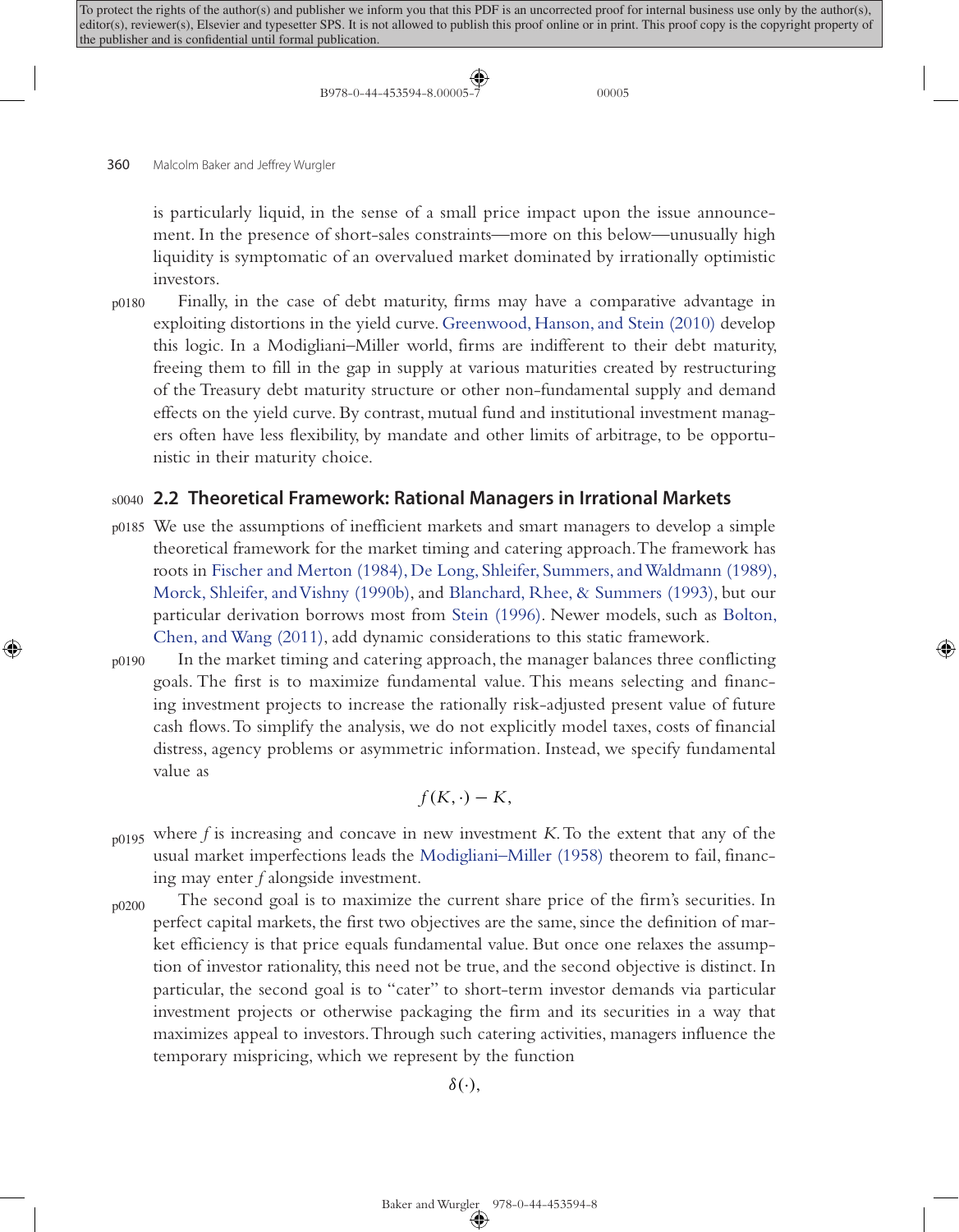B978-0-44-453594-8.00005-7

00005

⊕

<span id="page-9-0"></span>360 Malcolm Baker and Jeffrey Wurgler

⊕

is particularly liquid, in the sense of a small price impact upon the issue announcement. In the presence of short-sales constraints—more on this below—unusually high liquidity is symptomatic of an overvalued market dominated by irrationally optimistic investors.

Finally, in the case of debt maturity, firms may have a comparative advantage in exploiting distortions in the yield curve. [Greenwood, Hanson, and Stein \(2010\)](#page-61-4) develop this logic. In a Modigliani–Miller world, firms are indifferent to their debt maturity, freeing them to fill in the gap in supply at various maturities created by restructuring of the Treasury debt maturity structure or other non-fundamental supply and demand effects on the yield curve. By contrast, mutual fund and institutional investment managers often have less flexibility, by mandate and other limits of arbitrage, to be opportunistic in their maturity choice. p0180

# <span id="page-9-1"></span>**2.2 Theoretical Framework: Rational Managers in Irrational Markets** s0040

- We use the assumptions of inefficient markets and smart managers to develop a simple p0185 theoretical framework for the market timing and catering approach. The framework has roots in [Fischer and Merton \(1984\), De Long, Shleifer, Summers, and Waldmann \(1989\),](#page-60-3)  [Morck, Shleifer, and Vishny \(1990b\),](#page-60-3) and [Blanchard, Rhee, & Summers \(1993\)](#page-58-1), but our particular derivation borrows most from [Stein \(1996\).](#page-65-6) Newer models, such as [Bolton,](#page-58-2) [Chen, and Wang \(2011\)](#page-58-2), add dynamic considerations to this static framework.
- In the market timing and catering approach, the manager balances three conflicting goals. The first is to maximize fundamental value. This means selecting and financing investment projects to increase the rationally risk-adjusted present value of future cash flows. To simplify the analysis, we do not explicitly model taxes, costs of financial distress, agency problems or asymmetric information. Instead, we specify fundamental value as p0190

$$
f(K,\cdot)-K,
$$

- $_{p0195}$  where  $f$  is increasing and concave in new investment  $K$ . To the extent that any of the usual market imperfections leads the [Modigliani–Miller \(1958\)](#page-64-5) theorem to fail, financing may enter *f* alongside investment.
- The second goal is to maximize the current share price of the firm's securities. In perfect capital markets, the first two objectives are the same, since the definition of market efficiency is that price equals fundamental value. But once one relaxes the assumption of investor rationality, this need not be true, and the second objective is distinct. In particular, the second goal is to "cater" to short-term investor demands via particular investment projects or otherwise packaging the firm and its securities in a way that maximizes appeal to investors. Through such catering activities, managers influence the temporary mispricing, which we represent by the function p0200

 $\delta(\cdot),$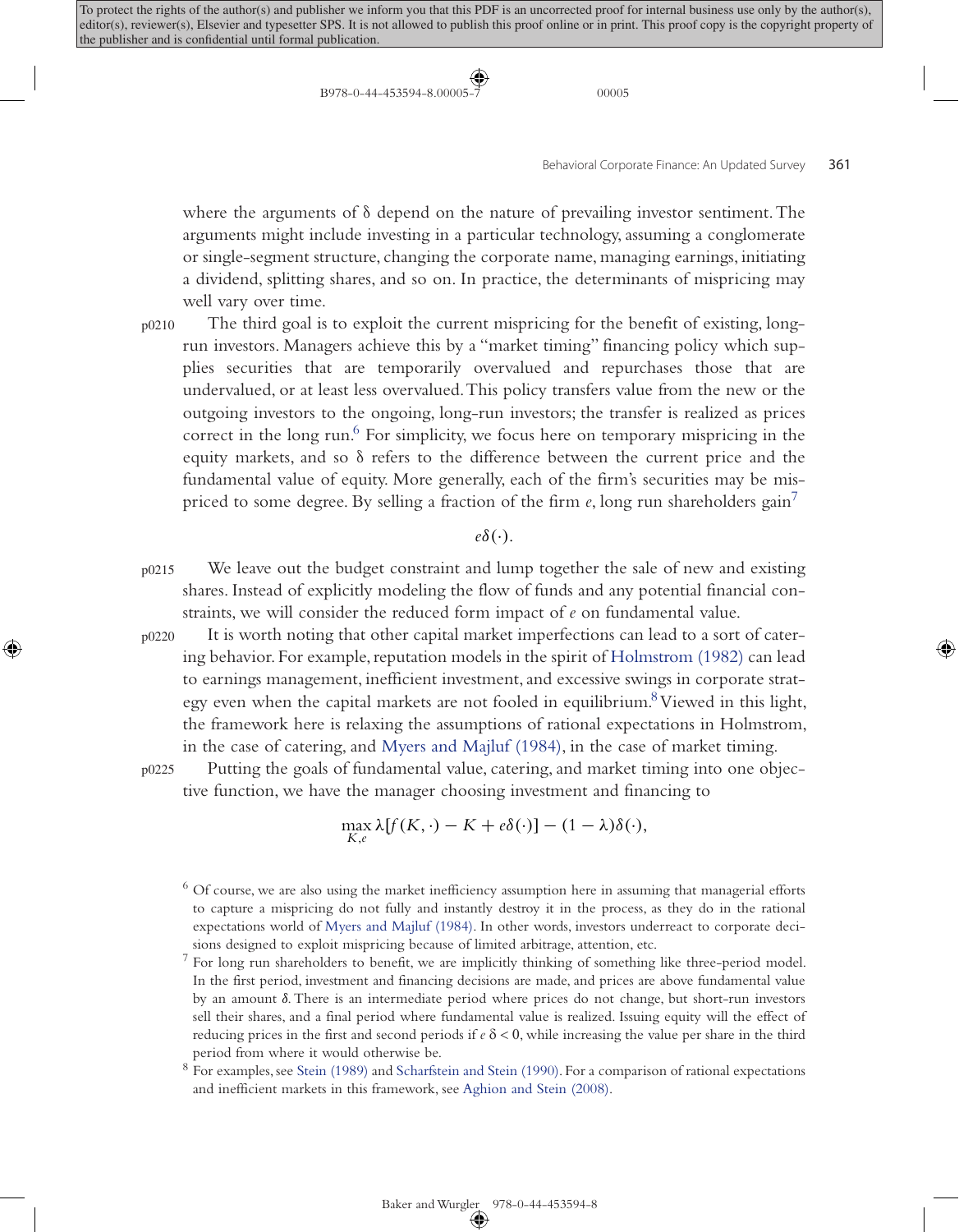B978-0-44-453594-8.00005-7

00005

Behavioral Corporate Finance: An Updated Survey 361

where the arguments of  $\delta$  depend on the nature of prevailing investor sentiment. The arguments might include investing in a particular technology, assuming a conglomerate or single-segment structure, changing the corporate name, managing earnings, initiating a dividend, splitting shares, and so on. In practice, the determinants of mispricing may well vary over time.

The third goal is to exploit the current mispricing for the benefit of existing, longrun investors. Managers achieve this by a "market timing" financing policy which supplies securities that are temporarily overvalued and repurchases those that are undervalued, or at least less overvalued. This policy transfers value from the new or the outgoing investors to the ongoing, long-run investors; the transfer is realized as prices correct in the long run.<sup>6</sup> For simplicity, we focus here on temporary mispricing in the equity markets, and so δ refers to the difference between the current price and the fundamental value of equity. More generally, each of the firm's securities may be mispriced to some degree. By selling a fraction of the firm *e*, long run shareholders gain7 p0210

*e*δ(·).

We leave out the budget constraint and lump together the sale of new and existing shares. Instead of explicitly modeling the flow of funds and any potential financial constraints, we will consider the reduced form impact of *e* on fundamental value. p0215

◈

It is worth noting that other capital market imperfections can lead to a sort of catering behavior. For example, reputation models in the spirit of [Holmstrom \(1982\)](#page-61-5) can lead to earnings management, inefficient investment, and excessive swings in corporate strategy even when the capital markets are not fooled in equilibrium.<sup>8</sup> Viewed in this light, the framework here is relaxing the assumptions of rational expectations in Holmstrom, in the case of catering, and [Myers and Majluf \(1984\)](#page-64-6), in the case of market timing. p0220

Putting the goals of fundamental value, catering, and market timing into one objective function, we have the manager choosing investment and financing to p0225

 $\max_{K,e} \lambda[f(K,\cdot) - K + e\delta(\cdot)] - (1 - \lambda)\delta(\cdot),$ 

<sup>6</sup> Of course, we are also using the market inefficiency assumption here in assuming that managerial efforts to capture a mispricing do not fully and instantly destroy it in the process, as they do in the rational expectations world of [Myers and Majluf \(1984\)](#page-64-6). In other words, investors underreact to corporate decisions designed to exploit mispricing because of limited arbitrage, attention, etc.

 $7$  For long run shareholders to benefit, we are implicitly thinking of something like three-period model. In the first period, investment and financing decisions are made, and prices are above fundamental value by an amount δ. There is an intermediate period where prices do not change, but short-run investors sell their shares, and a final period where fundamental value is realized. Issuing equity will the effect of reducing prices in the first and second periods if  $e \delta < 0$ , while increasing the value per share in the third period from where it would otherwise be.

<sup>8</sup> For examples, see [Stein \(1989\)](#page-65-7) and [Scharfstein and Stein \(1990\)](#page-65-8). For a comparison of rational expectations and inefficient markets in this framework, see [Aghion and Stein \(2008\).](#page-56-2)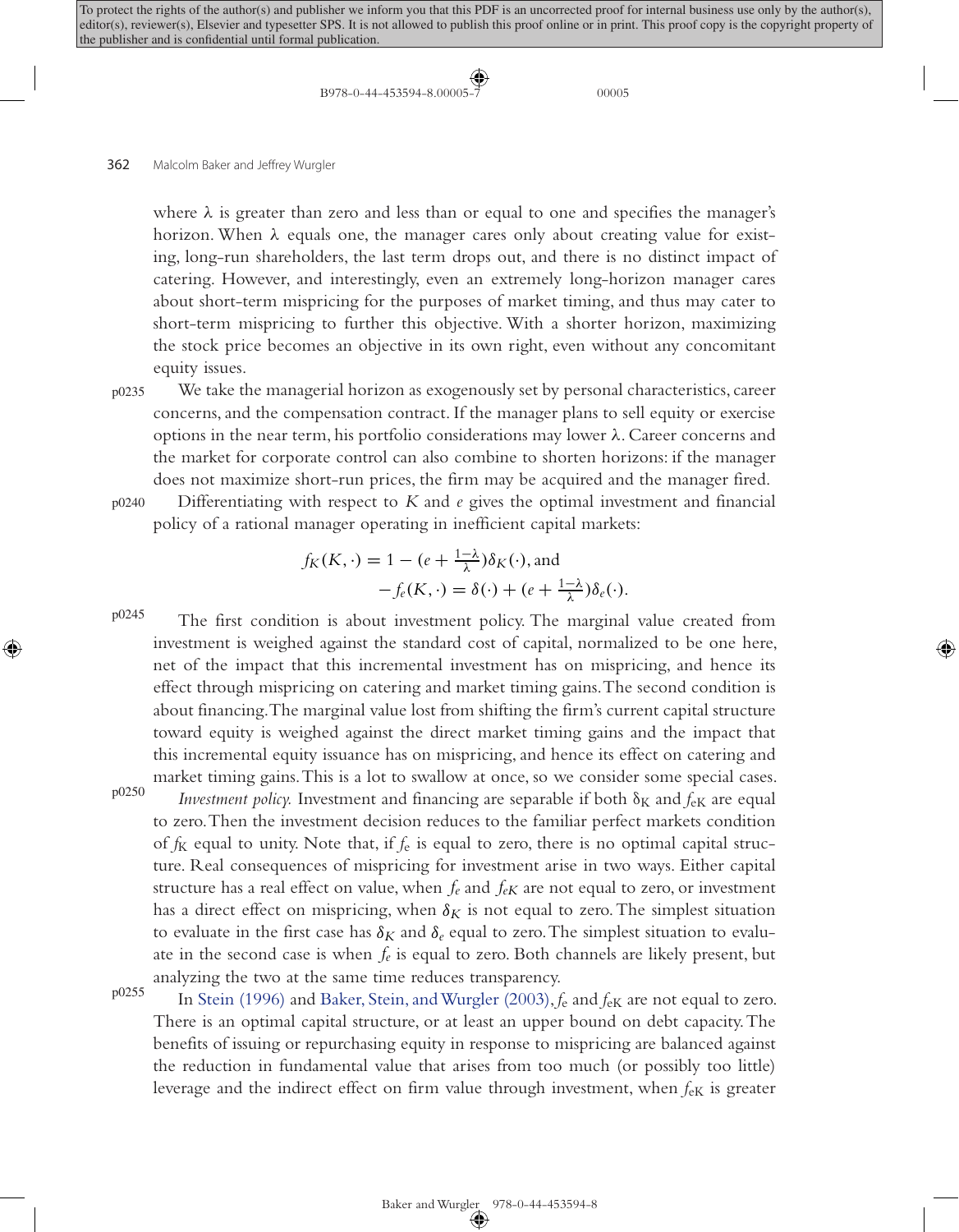B978-0-44-453594-8.00005-7

00005

#### 362 Malcolm Baker and Jeffrey Wurgler

where  $\lambda$  is greater than zero and less than or equal to one and specifies the manager's horizon. When *λ* equals one, the manager cares only about creating value for existing, long-run shareholders, the last term drops out, and there is no distinct impact of catering. However, and interestingly, even an extremely long-horizon manager cares about short-term mispricing for the purposes of market timing, and thus may cater to short-term mispricing to further this objective. With a shorter horizon, maximizing the stock price becomes an objective in its own right, even without any concomitant equity issues.

- We take the managerial horizon as exogenously set by personal characteristics, career concerns, and the compensation contract. If the manager plans to sell equity or exercise options in the near term, his portfolio considerations may lower *λ*. Career concerns and the market for corporate control can also combine to shorten horizons: if the manager does not maximize short-run prices, the firm may be acquired and the manager fired. p0235
- Differentiating with respect to *K* and *e* gives the optimal investment and financial policy of a rational manager operating in inefficient capital markets: p0240

$$
f_K(K, \cdot) = 1 - (e + \frac{1-\lambda}{\lambda})\delta_K(\cdot), \text{ and}
$$

$$
-f_e(K, \cdot) = \delta(\cdot) + (e + \frac{1-\lambda}{\lambda})\delta_e(\cdot).
$$

The first condition is about investment policy. The marginal value created from investment is weighed against the standard cost of capital, normalized to be one here, net of the impact that this incremental investment has on mispricing, and hence its effect through mispricing on catering and market timing gains. The second condition is about financing. The marginal value lost from shifting the firm's current capital structure toward equity is weighed against the direct market timing gains and the impact that this incremental equity issuance has on mispricing, and hence its effect on catering and market timing gains. This is a lot to swallow at once, so we consider some special cases. p0245 p0250

*Investment policy.* Investment and financing are separable if both  $\delta_K$  and  $f_{eK}$  are equal to zero. Then the investment decision reduces to the familiar perfect markets condition of  $f_K$  equal to unity. Note that, if  $f_e$  is equal to zero, there is no optimal capital structure. Real consequences of mispricing for investment arise in two ways. Either capital structure has a real effect on value, when  $f_e$  and  $f_{eK}$  are not equal to zero, or investment has a direct effect on mispricing, when  $\delta_K$  is not equal to zero. The simplest situation to evaluate in the first case has  $\delta_K$  and  $\delta_e$  equal to zero. The simplest situation to evaluate in the second case is when *fe* is equal to zero. Both channels are likely present, but analyzing the two at the same time reduces transparency.

p0255

In [Stein \(1996\)](#page-65-6) and [Baker, Stein, and Wurgler \(2003\),](#page-57-6)  $f_e$  and  $f_{eK}$  are not equal to zero. There is an optimal capital structure, or at least an upper bound on debt capacity. The benefits of issuing or repurchasing equity in response to mispricing are balanced against the reduction in fundamental value that arises from too much (or possibly too little) leverage and the indirect effect on firm value through investment, when  $f_{\rm eK}$  is greater

⊕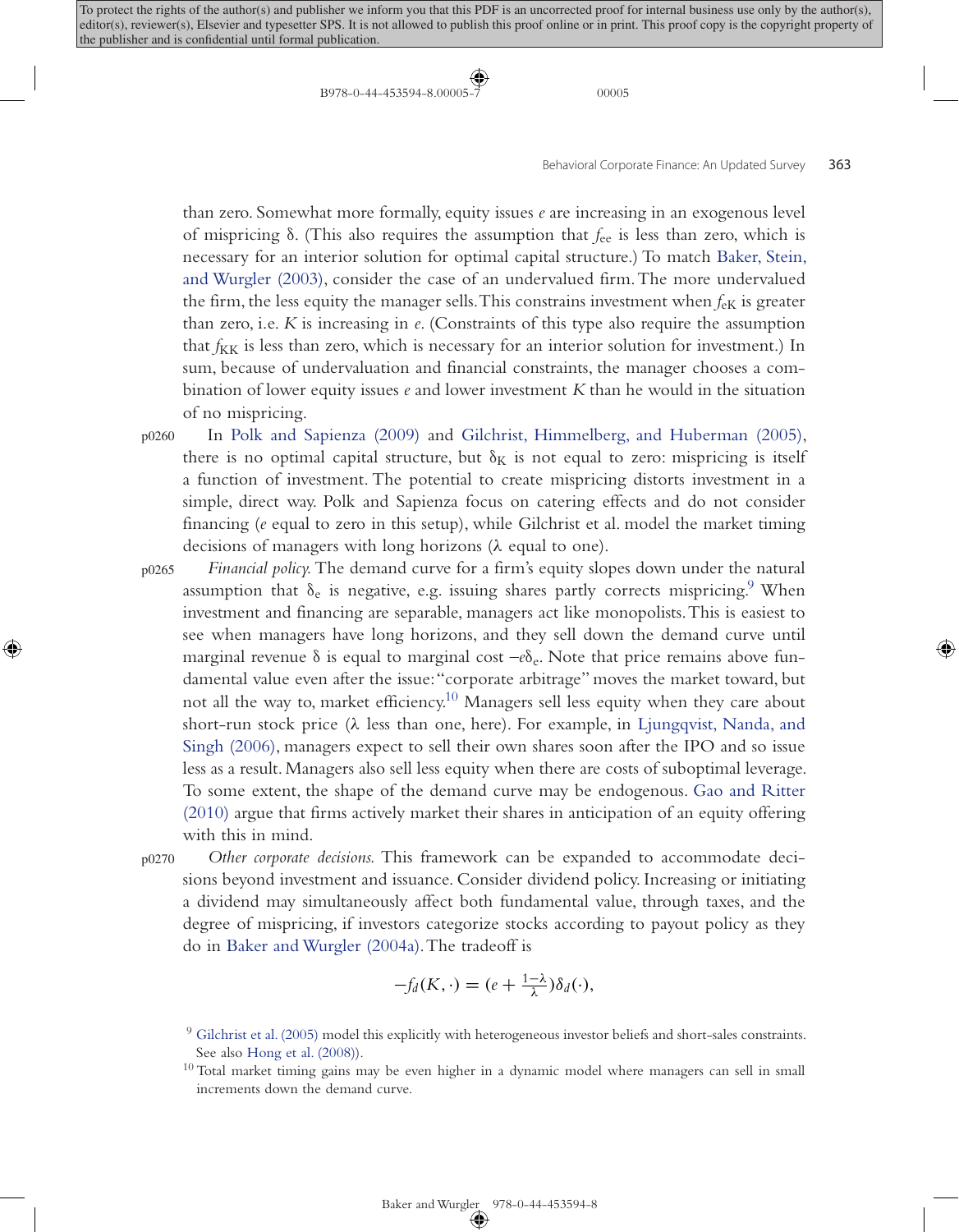B978-0-44-453594-8.00005

00005

#### Behavioral Corporate Finance: An Updated Survey 363

than zero. Somewhat more formally, equity issues *e* are increasing in an exogenous level of mispricing δ. (This also requires the assumption that *f*ee is less than zero, which is necessary for an interior solution for optimal capital structure.) To match [Baker, Stein,](#page-57-6) [and Wurgler \(2003\)](#page-57-6), consider the case of an undervalued firm. The more undervalued the firm, the less equity the manager sells. This constrains investment when  $f_{\rm eK}$  is greater than zero, i.e. *K* is increasing in *e*. (Constraints of this type also require the assumption that  $f_{KK}$  is less than zero, which is necessary for an interior solution for investment.) In sum, because of undervaluation and financial constraints, the manager chooses a combination of lower equity issues *e* and lower investment *K* than he would in the situation of no mispricing.

- In [Polk and Sapienza \(2009\)](#page-64-7) and [Gilchrist, Himmelberg, and Huberman \(2005\)](#page-60-4), there is no optimal capital structure, but  $\delta_K$  is not equal to zero: mispricing is itself a function of investment. The potential to create mispricing distorts investment in a simple, direct way. Polk and Sapienza focus on catering effects and do not consider financing (*e* equal to zero in this setup), while Gilchrist et al. model the market timing decisions of managers with long horizons (*λ* equal to one). p0260
- *Financial policy.* The demand curve for a firm's equity slopes down under the natural assumption that  $\delta_e$  is negative, e.g. issuing shares partly corrects mispricing.<sup>9</sup> When investment and financing are separable, managers act like monopolists. This is easiest to see when managers have long horizons, and they sell down the demand curve until marginal revenue  $\delta$  is equal to marginal cost  $-e\delta_e$ . Note that price remains above fundamental value even after the issue: "corporate arbitrage" moves the market toward, but not all the way to, market efficiency.<sup>10</sup> Managers sell less equity when they care about short-run stock price (*λ* less than one, here). For example, in [Ljungqvist, Nanda, and](#page-63-0) [Singh \(2006\)](#page-63-0), managers expect to sell their own shares soon after the IPO and so issue less as a result. Managers also sell less equity when there are costs of suboptimal leverage. To some extent, the shape of the demand curve may be endogenous. [Gao and Ritter](#page-60-2)  [\(2010\)](#page-60-2) argue that firms actively market their shares in anticipation of an equity offering with this in mind. p0265

p0270

◈

*Other corporate decisions.* This framework can be expanded to accommodate decisions beyond investment and issuance. Consider dividend policy. Increasing or initiating a dividend may simultaneously affect both fundamental value, through taxes, and the degree of mispricing, if investors categorize stocks according to payout policy as they do in [Baker and Wurgler \(2004a\).](#page-57-7) The tradeoff is

$$
-f_d(K,\cdot)=(e+\tfrac{1-\lambda}{\lambda})\delta_d(\cdot),
$$

 <sup>9</sup> [Gilchrist et al. \(2005\)](#page-60-4) model this explicitly with heterogeneous investor beliefs and short-sales constraints. See also [Hong et al. \(2008\)\)](#page-61-3).

 $10$  Total market timing gains may be even higher in a dynamic model where managers can sell in small increments down the demand curve.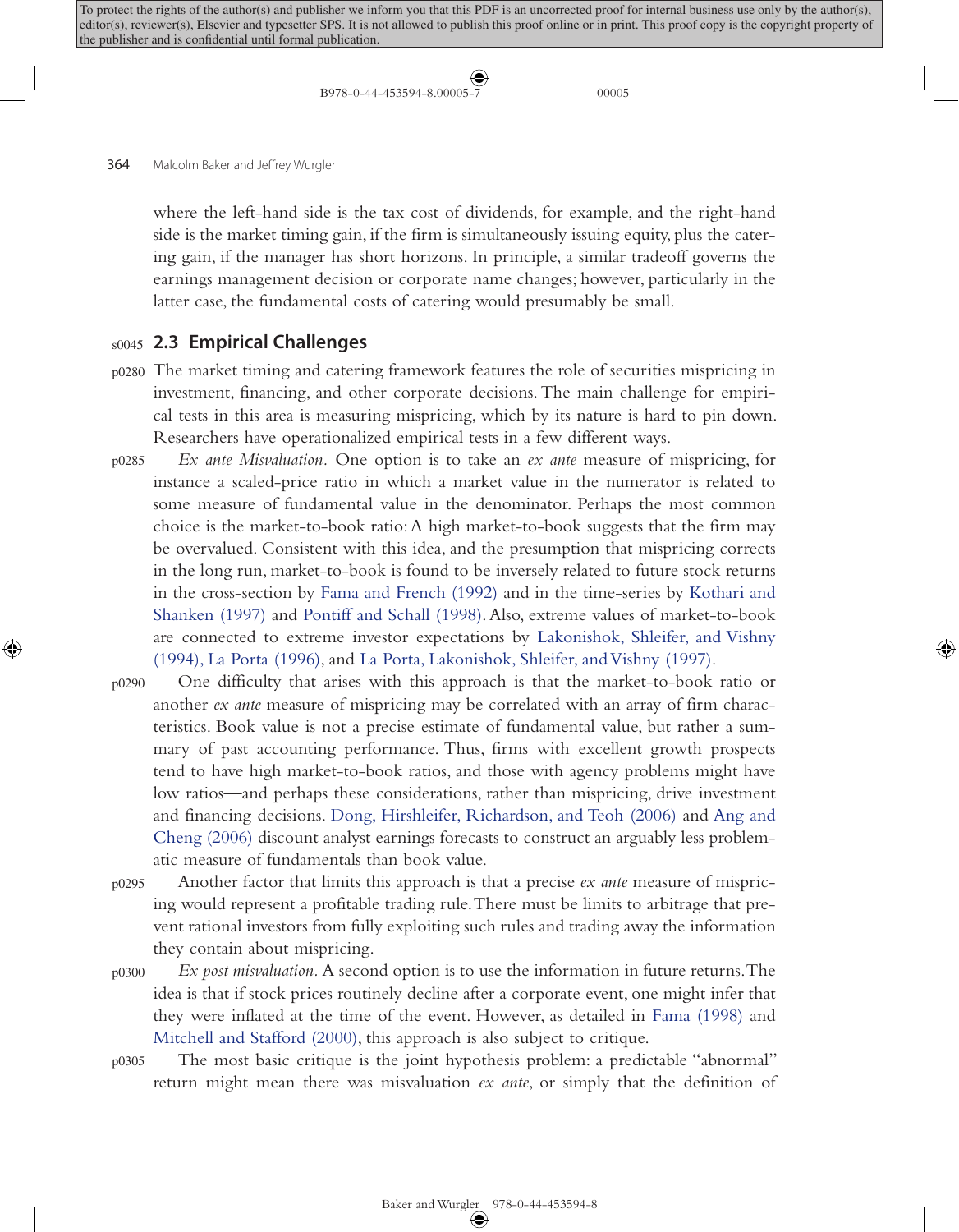B978-0-44-453594-8.00005-7

00005

<span id="page-13-0"></span>364 Malcolm Baker and Jeffrey Wurgler

where the left-hand side is the tax cost of dividends, for example, and the right-hand side is the market timing gain, if the firm is simultaneously issuing equity, plus the catering gain, if the manager has short horizons. In principle, a similar tradeoff governs the earnings management decision or corporate name changes; however, particularly in the latter case, the fundamental costs of catering would presumably be small.

# **2.3 Empirical Challenges** s0045

⊕

- The market timing and catering framework features the role of securities mispricing in p0280 investment, financing, and other corporate decisions. The main challenge for empirical tests in this area is measuring mispricing, which by its nature is hard to pin down. Researchers have operationalized empirical tests in a few different ways.
- *Ex ante Misvaluation.* One option is to take an *ex ante* measure of mispricing, for instance a scaled-price ratio in which a market value in the numerator is related to some measure of fundamental value in the denominator. Perhaps the most common choice is the market-to-book ratio: A high market-to-book suggests that the firm may be overvalued. Consistent with this idea, and the presumption that mispricing corrects in the long run, market-to-book is found to be inversely related to future stock returns in the cross-section by [Fama and French \(1992\)](#page-60-5) and in the time-series by [Kothari and](#page-62-6)  [Shanken \(1997\)](#page-62-6) and [Pontiff and Schall \(1998\).](#page-64-8) Also, extreme values of market-to-book are connected to extreme investor expectations by [Lakonishok, Shleifer, and Vishny](#page-62-7) [\(1994\), La Porta \(1996\),](#page-62-7) and [La Porta, Lakonishok, Shleifer, and Vishny \(1997\)](#page-62-8). p0285
- One difficulty that arises with this approach is that the market-to-book ratio or another *ex ante* measure of mispricing may be correlated with an array of firm characteristics. Book value is not a precise estimate of fundamental value, but rather a summary of past accounting performance. Thus, firms with excellent growth prospects tend to have high market-to-book ratios, and those with agency problems might have low ratios—and perhaps these considerations, rather than mispricing, drive investment and financing decisions. [Dong, Hirshleifer, Richardson, and Teoh \(2006\)](#page-59-5) and [Ang and](#page-56-3)  [Cheng \(2006\)](#page-56-3) discount analyst earnings forecasts to construct an arguably less problematic measure of fundamentals than book value. p0290
- Another factor that limits this approach is that a precise *ex ante* measure of mispricing would represent a profitable trading rule. There must be limits to arbitrage that prevent rational investors from fully exploiting such rules and trading away the information they contain about mispricing. p0295
- *Ex post misvaluation.* A second option is to use the information in future returns. The idea is that if stock prices routinely decline after a corporate event, one might infer that they were inflated at the time of the event. However, as detailed in [Fama \(1998\)](#page-60-6) and [Mitchell and Stafford \(2000\)](#page-64-9), this approach is also subject to critique. p0300
- The most basic critique is the joint hypothesis problem: a predictable "abnormal" return might mean there was misvaluation *ex ante*, or simply that the definition of p0305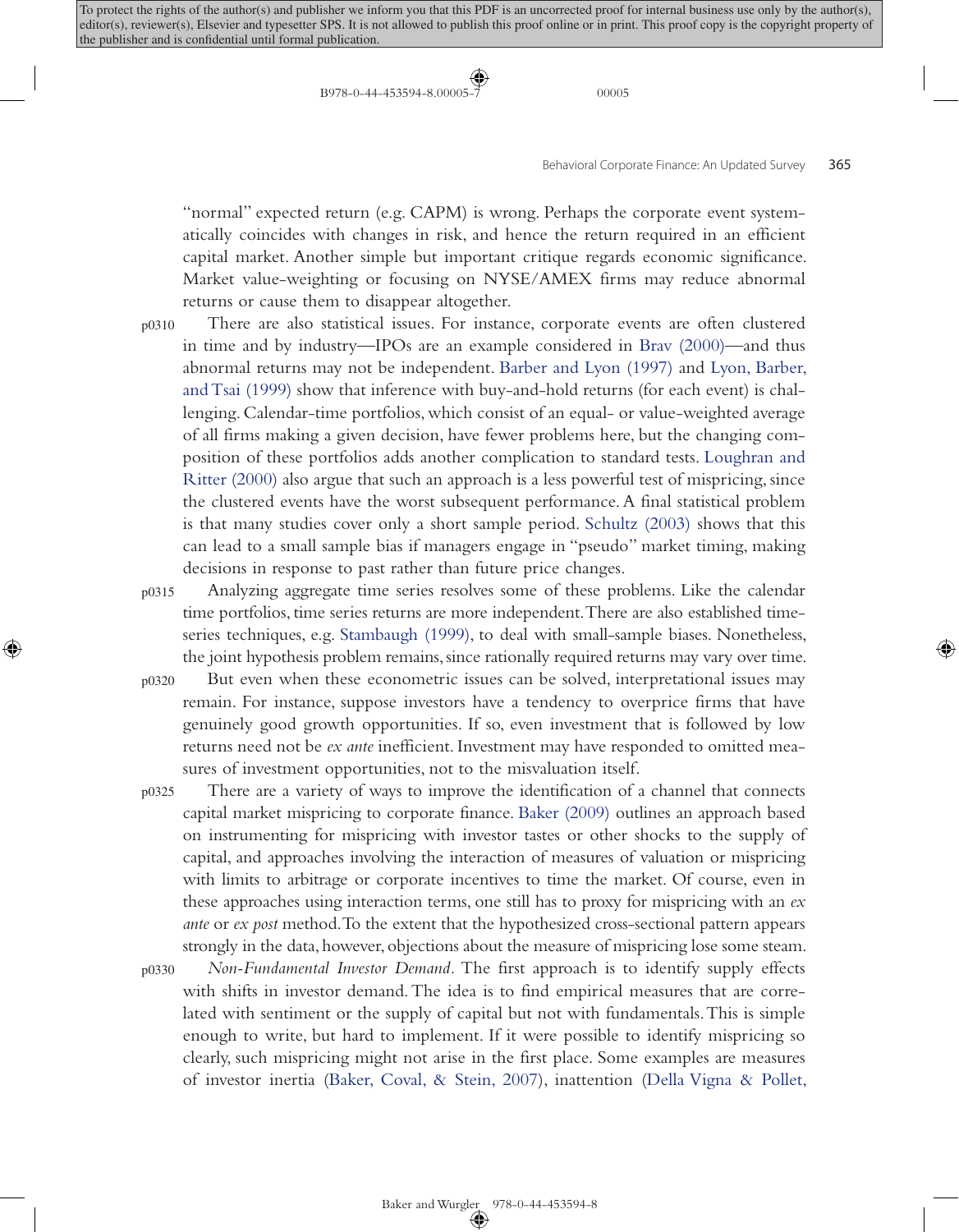B978-0-44-453594-8.00005-7

00005

Behavioral Corporate Finance: An Updated Survey 365

"normal" expected return (e.g. CAPM) is wrong. Perhaps the corporate event systematically coincides with changes in risk, and hence the return required in an efficient capital market. Another simple but important critique regards economic significance. Market value-weighting or focusing on NYSE/AMEX firms may reduce abnormal returns or cause them to disappear altogether.

There are also statistical issues. For instance, corporate events are often clustered in time and by industry—IPOs are an example considered in [Brav \(2000\)](#page-58-3)—and thus abnormal returns may not be independent. [Barber and Lyon \(1997\)](#page-57-8) and [Lyon, Barber,](#page-63-1) [and Tsai \(1999\)](#page-63-1) show that inference with buy-and-hold returns (for each event) is challenging. Calendar-time portfolios, which consist of an equal- or value-weighted average of all firms making a given decision, have fewer problems here, but the changing composition of these portfolios adds another complication to standard tests. [Loughran and](#page-63-2) [Ritter \(2000\)](#page-63-2) also argue that such an approach is a less powerful test of mispricing, since the clustered events have the worst subsequent performance. A final statistical problem is that many studies cover only a short sample period. [Schultz \(2003\)](#page-65-9) shows that this can lead to a small sample bias if managers engage in "pseudo" market timing, making decisions in response to past rather than future price changes. p0310

Analyzing aggregate time series resolves some of these problems. Like the calendar time portfolios, time series returns are more independent. There are also established timeseries techniques, e.g. [Stambaugh \(1999\)](#page-65-10), to deal with small-sample biases. Nonetheless, the joint hypothesis problem remains, since rationally required returns may vary over time. p0315

◈

But even when these econometric issues can be solved, interpretational issues may remain. For instance, suppose investors have a tendency to overprice firms that have genuinely good growth opportunities. If so, even investment that is followed by low returns need not be *ex ante* inefficient. Investment may have responded to omitted measures of investment opportunities, not to the misvaluation itself. p0320

There are a variety of ways to improve the identification of a channel that connects capital market mispricing to corporate finance. [Baker \(2009\)](#page-56-4) outlines an approach based on instrumenting for mispricing with investor tastes or other shocks to the supply of capital, and approaches involving the interaction of measures of valuation or mispricing with limits to arbitrage or corporate incentives to time the market. Of course, even in these approaches using interaction terms, one still has to proxy for mispricing with an *ex ante* or *ex post* method. To the extent that the hypothesized cross-sectional pattern appears strongly in the data, however, objections about the measure of mispricing lose some steam. p0325

*Non-Fundamental Investor Demand.* The first approach is to identify supply effects with shifts in investor demand. The idea is to find empirical measures that are correlated with sentiment or the supply of capital but not with fundamentals. This is simple enough to write, but hard to implement. If it were possible to identify mispricing so clearly, such mispricing might not arise in the first place. Some examples are measures of investor inertia ([Baker, Coval, & Stein, 2007\)](#page-56-5), inattention ([Della Vigna & Pollet,](#page-59-6)  p0330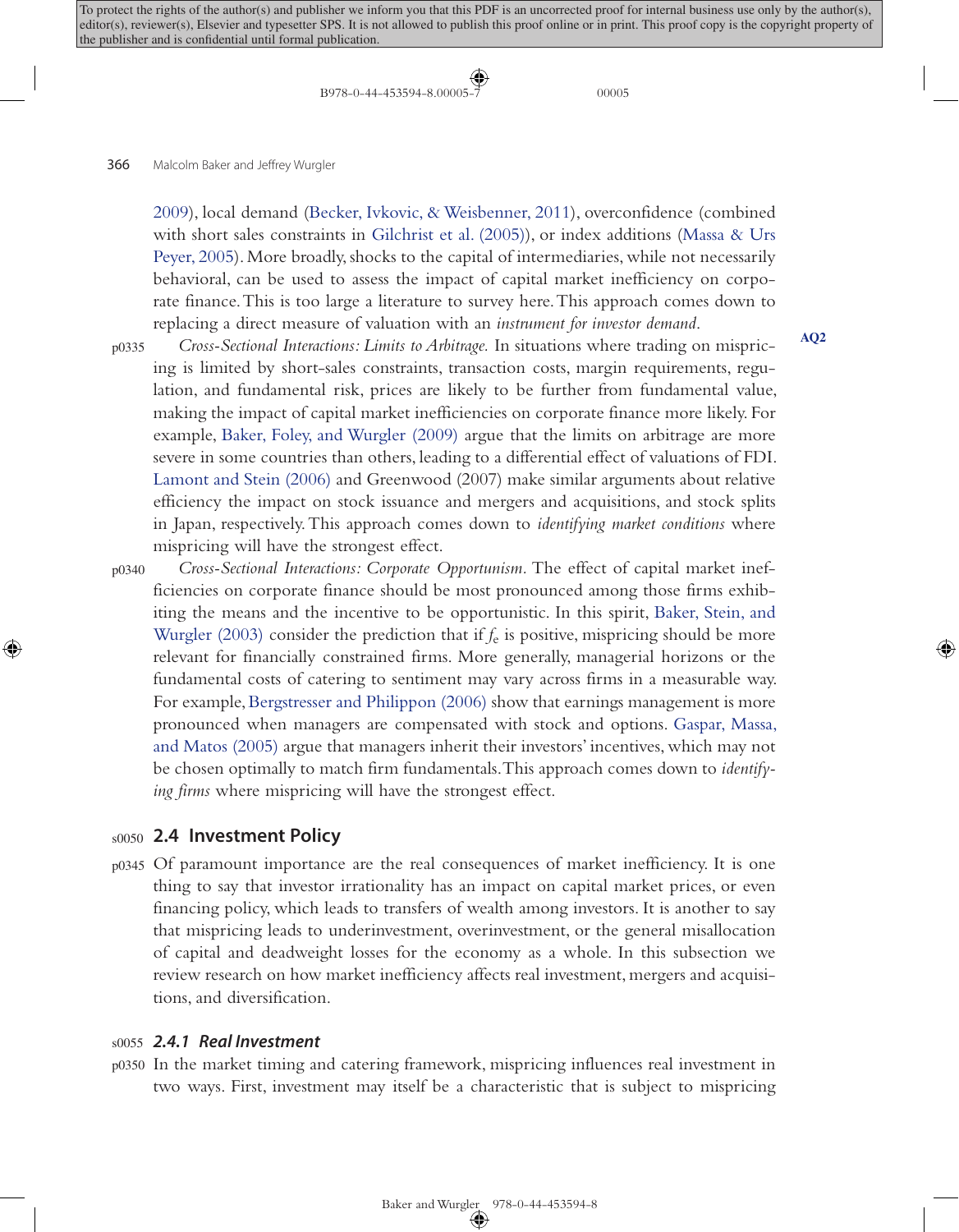B978-0-44-453594-8.00005-7

00005

#### <span id="page-15-0"></span>366 Malcolm Baker and Jeffrey Wurgler

[2009\)](#page-59-6), local demand ([Becker, Ivkovic, & Weisbenner, 2011](#page-57-9)), overconfidence (combined with short sales constraints in [Gilchrist et al. \(2005\)\)](#page-60-4), or index additions [\(Massa & Urs](#page-63-3)  [Peyer, 2005](#page-63-3)). More broadly, shocks to the capital of intermediaries, while not necessarily behavioral, can be used to assess the impact of capital market inefficiency on corporate finance. This is too large a literature to survey here. This approach comes down to replacing a direct measure of valuation with an *instrument for investor demand*.

- <span id="page-15-1"></span>*Cross-Sectional Interactions: Limits to Arbitrage.* In situations where trading on mispric-**[AQ2](#page-68-2)** p0335 ing is limited by short-sales constraints, transaction costs, margin requirements, regulation, and fundamental risk, prices are likely to be further from fundamental value, making the impact of capital market inefficiencies on corporate finance more likely. For example, [Baker, Foley, and Wurgler \(2009\)](#page-56-6) argue that the limits on arbitrage are more severe in some countries than others, leading to a differential effect of valuations of FDI. [Lamont and Stein \(2006\)](#page-63-4) and Greenwood (2007) make similar arguments about relative efficiency the impact on stock issuance and mergers and acquisitions, and stock splits in Japan, respectively. This approach comes down to *identifying market conditions* where mispricing will have the strongest effect.
- *Cross-Sectional Interactions: Corporate Opportunism.* The effect of capital market inefficiencies on corporate finance should be most pronounced among those firms exhibiting the means and the incentive to be opportunistic. In this spirit, [Baker, Stein, and](#page-57-6)  [Wurgler \(2003\)](#page-57-6) consider the prediction that if *f*e is positive, mispricing should be more relevant for financially constrained firms. More generally, managerial horizons or the fundamental costs of catering to sentiment may vary across firms in a measurable way. For example, [Bergstresser and Philippon \(2006\)](#page-57-10) show that earnings management is more pronounced when managers are compensated with stock and options. [Gaspar, Massa,](#page-60-7)  [and Matos \(2005\)](#page-60-7) argue that managers inherit their investors' incentives, which may not be chosen optimally to match firm fundamentals. This approach comes down to *identifying firms* where mispricing will have the strongest effect. p0340

# **2.4 Investment Policy** s0050

⊕

Of paramount importance are the real consequences of market inefficiency. It is one p0345 thing to say that investor irrationality has an impact on capital market prices, or even financing policy, which leads to transfers of wealth among investors. It is another to say that mispricing leads to underinvestment, overinvestment, or the general misallocation of capital and deadweight losses for the economy as a whole. In this subsection we review research on how market inefficiency affects real investment, mergers and acquisitions, and diversification.

# *2.4.1 Real Investment* s0055

p0350 In the market timing and catering framework, mispricing influences real investment in two ways. First, investment may itself be a characteristic that is subject to mispricing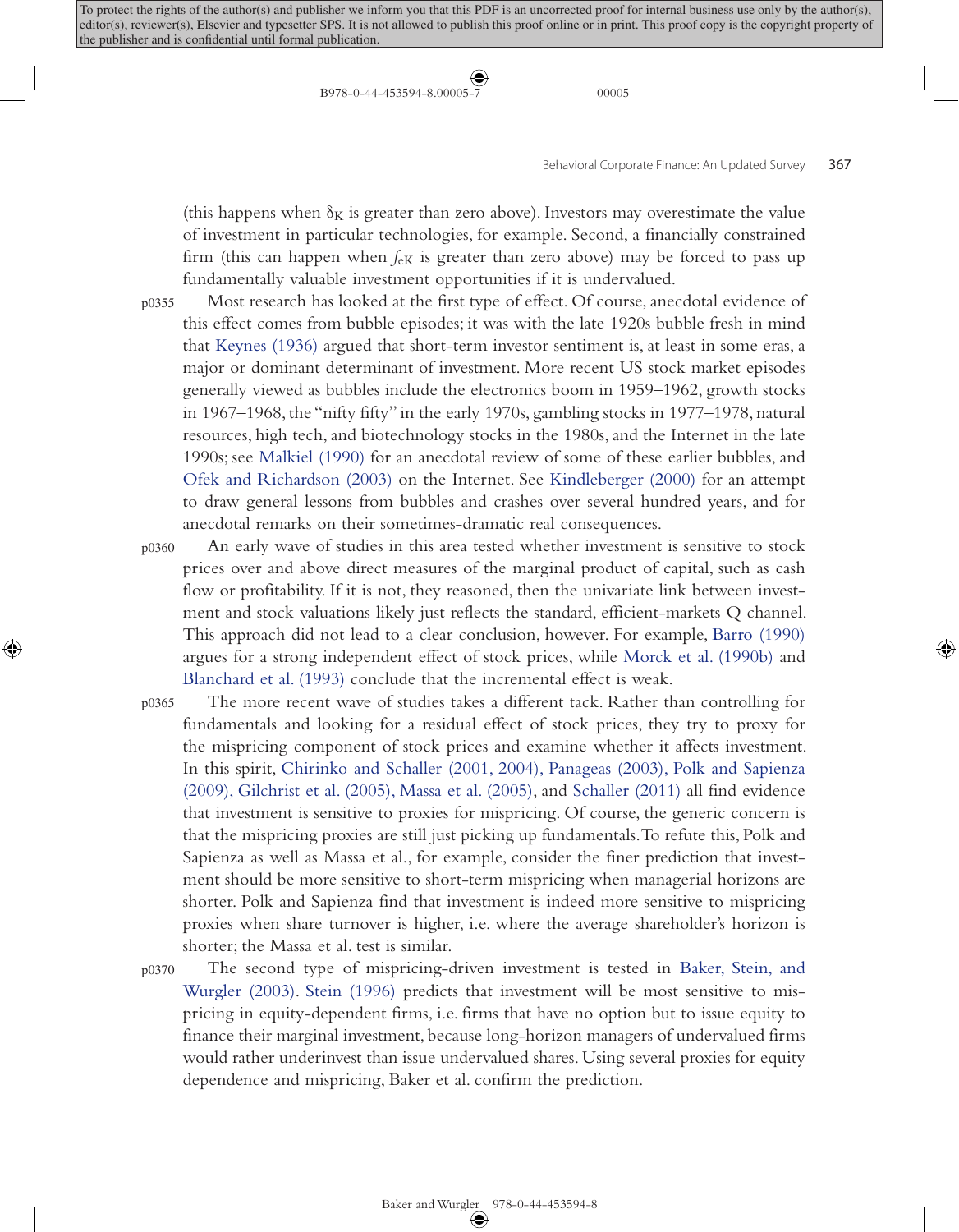B978-0-44-453594-8.00005-7

00005

Behavioral Corporate Finance: An Updated Survey 367

(this happens when  $\delta_K$  is greater than zero above). Investors may overestimate the value of investment in particular technologies, for example. Second, a financially constrained firm (this can happen when  $f_{\text{eK}}$  is greater than zero above) may be forced to pass up fundamentally valuable investment opportunities if it is undervalued.

- Most research has looked at the first type of effect. Of course, anecdotal evidence of this effect comes from bubble episodes; it was with the late 1920s bubble fresh in mind that [Keynes \(1936\)](#page-62-9) argued that short-term investor sentiment is, at least in some eras, a major or dominant determinant of investment. More recent US stock market episodes generally viewed as bubbles include the electronics boom in 1959–1962, growth stocks in 1967–1968, the "nifty fifty" in the early 1970s, gambling stocks in 1977–1978, natural resources, high tech, and biotechnology stocks in the 1980s, and the Internet in the late 1990s; see [Malkiel \(1990\)](#page-63-5) for an anecdotal review of some of these earlier bubbles, and [Ofek and Richardson \(2003\)](#page-64-10) on the Internet. See [Kindleberger \(2000\)](#page-62-10) for an attempt to draw general lessons from bubbles and crashes over several hundred years, and for anecdotal remarks on their sometimes-dramatic real consequences. p0355
- An early wave of studies in this area tested whether investment is sensitive to stock prices over and above direct measures of the marginal product of capital, such as cash flow or profitability. If it is not, they reasoned, then the univariate link between investment and stock valuations likely just reflects the standard, efficient-markets Q channel. This approach did not lead to a clear conclusion, however. For example, [Barro \(1990\)](#page-57-11) argues for a strong independent effect of stock prices, while [Morck et al. \(1990b\)](#page-64-11) and [Blanchard et al. \(1993\)](#page-58-1) conclude that the incremental effect is weak. p0360

◈

- The more recent wave of studies takes a different tack. Rather than controlling for fundamentals and looking for a residual effect of stock prices, they try to proxy for the mispricing component of stock prices and examine whether it affects investment. In this spirit, [Chirinko and Schaller \(2001, 2004\), Panageas \(2003\), Polk and Sapienza](#page-58-4) [\(2009\), Gilchrist et al. \(2005\), Massa et al. \(2005\),](#page-58-4) and [Schaller \(2011\)](#page-65-11) all find evidence that investment is sensitive to proxies for mispricing. Of course, the generic concern is that the mispricing proxies are still just picking up fundamentals. To refute this, Polk and Sapienza as well as Massa et al., for example, consider the finer prediction that investment should be more sensitive to short-term mispricing when managerial horizons are shorter. Polk and Sapienza find that investment is indeed more sensitive to mispricing proxies when share turnover is higher, i.e. where the average shareholder's horizon is shorter; the Massa et al. test is similar. p0365
- The second type of mispricing-driven investment is tested in [Baker, Stein, and](#page-57-6) [Wurgler \(2003\)](#page-57-6). [Stein \(1996\)](#page-65-6) predicts that investment will be most sensitive to mispricing in equity-dependent firms, i.e. firms that have no option but to issue equity to finance their marginal investment, because long-horizon managers of undervalued firms would rather underinvest than issue undervalued shares. Using several proxies for equity dependence and mispricing, Baker et al. confirm the prediction. p0370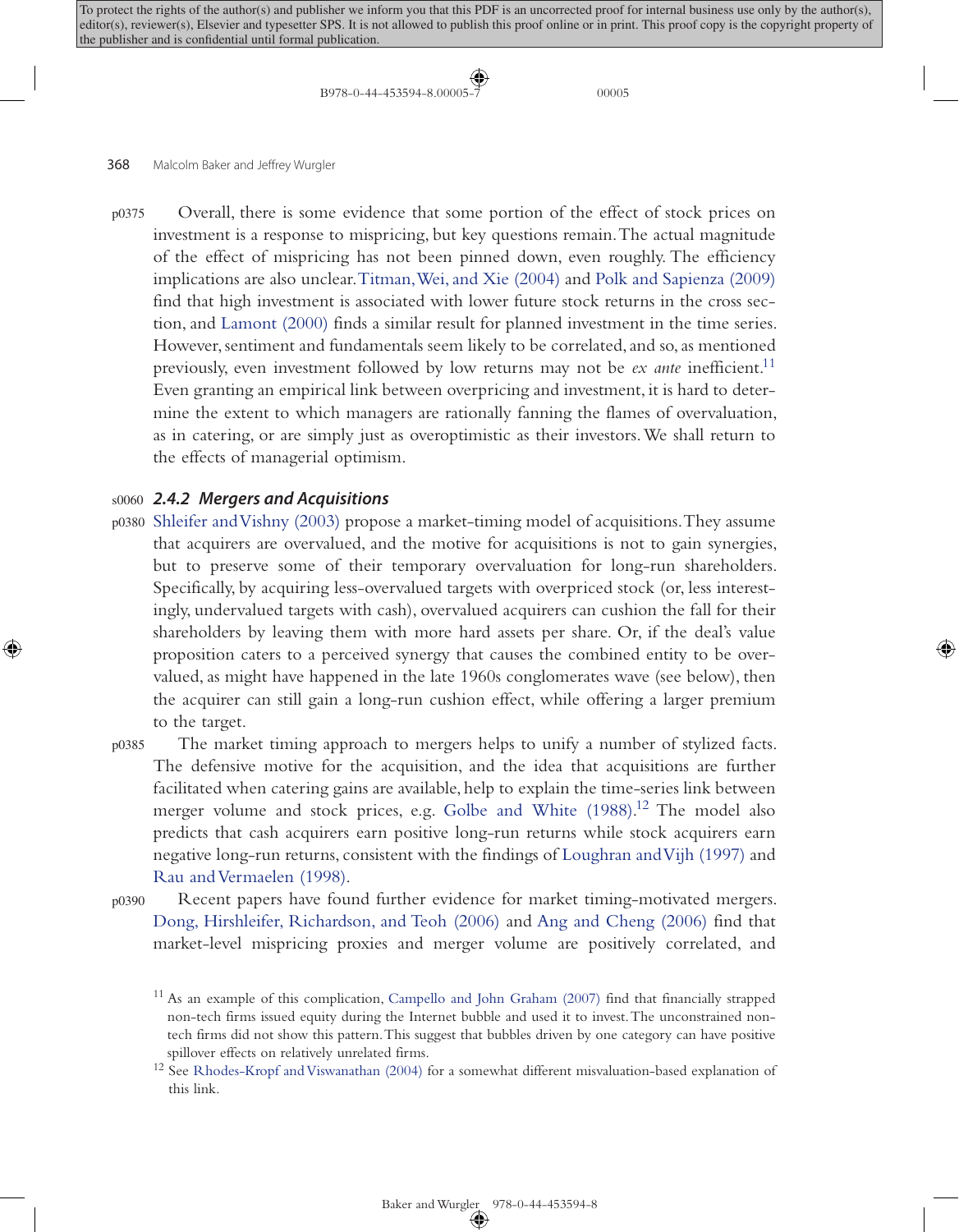B978-0-44-453594-8.00005-7

00005

<span id="page-17-0"></span>368 Malcolm Baker and Jeffrey Wurgler

Overall, there is some evidence that some portion of the effect of stock prices on investment is a response to mispricing, but key questions remain. The actual magnitude of the effect of mispricing has not been pinned down, even roughly. The efficiency implications are also unclear. [Titman, Wei, and Xie \(2004\)](#page-66-7) and [Polk and Sapienza \(2009\)](#page-64-7) find that high investment is associated with lower future stock returns in the cross section, and [Lamont \(2000\)](#page-62-11) finds a similar result for planned investment in the time series. However, sentiment and fundamentals seem likely to be correlated, and so, as mentioned previously, even investment followed by low returns may not be *ex ante* inefficient.<sup>11</sup> Even granting an empirical link between overpricing and investment, it is hard to determine the extent to which managers are rationally fanning the flames of overvaluation, as in catering, or are simply just as overoptimistic as their investors. We shall return to the effects of managerial optimism. p0375

# *2.4.2 Mergers and Acquisitions* s0060

◈

- p0380 [Shleifer and Vishny \(2003\)](#page-65-12) propose a market-timing model of acquisitions. They assume that acquirers are overvalued, and the motive for acquisitions is not to gain synergies, but to preserve some of their temporary overvaluation for long-run shareholders. Specifically, by acquiring less-overvalued targets with overpriced stock (or, less interestingly, undervalued targets with cash), overvalued acquirers can cushion the fall for their shareholders by leaving them with more hard assets per share. Or, if the deal's value proposition caters to a perceived synergy that causes the combined entity to be overvalued, as might have happened in the late 1960s conglomerates wave (see below), then the acquirer can still gain a long-run cushion effect, while offering a larger premium to the target.
- The market timing approach to mergers helps to unify a number of stylized facts. The defensive motive for the acquisition, and the idea that acquisitions are further facilitated when catering gains are available, help to explain the time-series link between merger volume and stock prices, e.g. [Golbe and White \(1988\)](#page-60-8). 12 The model also predicts that cash acquirers earn positive long-run returns while stock acquirers earn negative long-run returns, consistent with the findings of [Loughran and Vijh \(1997\)](#page-63-6) and [Rau and Vermaelen \(1998\)](#page-64-12). p0385
- Recent papers have found further evidence for market timing-motivated mergers. [Dong, Hirshleifer, Richardson, and Teoh \(2006\)](#page-59-5) and [Ang and Cheng \(2006\)](#page-56-3) find that market-level mispricing proxies and merger volume are positively correlated, and p0390

<sup>&</sup>lt;sup>11</sup> As an example of this complication, [Campello and John Graham \(2007\)](#page-58-5) find that financially strapped non-tech firms issued equity during the Internet bubble and used it to invest. The unconstrained nontech firms did not show this pattern. This suggest that bubbles driven by one category can have positive spillover effects on relatively unrelated firms.

<sup>&</sup>lt;sup>12</sup> See [Rhodes-Kropf and Viswanathan \(2004\)](#page-64-13) for a somewhat different misvaluation-based explanation of this link.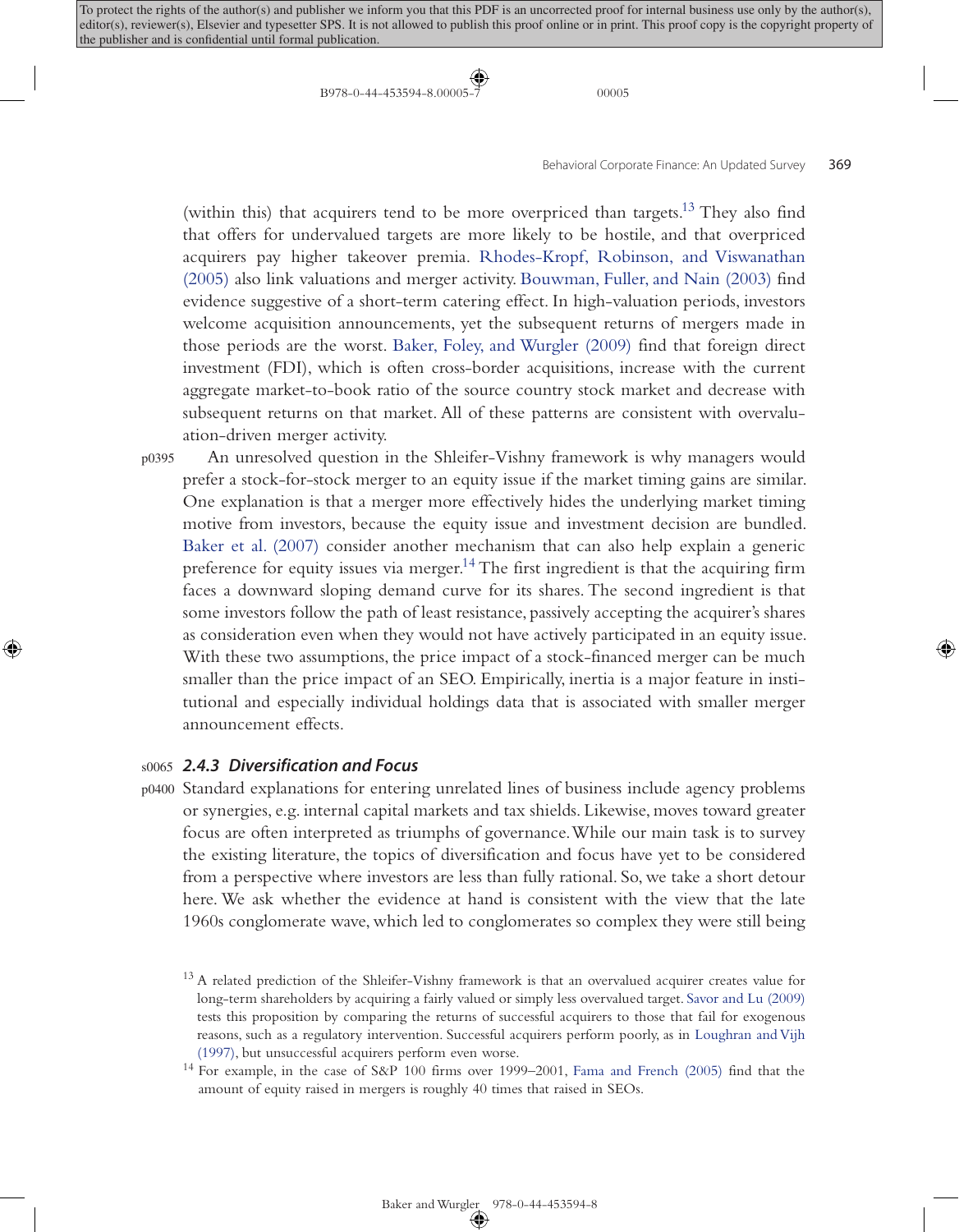B978-0-44-453594-8.00005-7

00005

#### Behavioral Corporate Finance: An Updated Survey 369

<span id="page-18-0"></span>(within this) that acquirers tend to be more overpriced than targets.<sup>13</sup> They also find that offers for undervalued targets are more likely to be hostile, and that overpriced acquirers pay higher takeover premia. [Rhodes-Kropf, Robinson, and Viswanathan](#page-64-14) [\(2005\)](#page-64-14) also link valuations and merger activity. [Bouwman, Fuller, and Nain \(2003\)](#page-58-6) find evidence suggestive of a short-term catering effect. In high-valuation periods, investors welcome acquisition announcements, yet the subsequent returns of mergers made in those periods are the worst. [Baker, Foley, and Wurgler \(2009\)](#page-56-6) find that foreign direct investment (FDI), which is often cross-border acquisitions, increase with the current aggregate market-to-book ratio of the source country stock market and decrease with subsequent returns on that market. All of these patterns are consistent with overvaluation-driven merger activity.

p0395

◈

An unresolved question in the Shleifer-Vishny framework is why managers would prefer a stock-for-stock merger to an equity issue if the market timing gains are similar. One explanation is that a merger more effectively hides the underlying market timing motive from investors, because the equity issue and investment decision are bundled. [Baker et al. \(2007\)](#page-56-5) consider another mechanism that can also help explain a generic preference for equity issues via merger.<sup>14</sup> The first ingredient is that the acquiring firm faces a downward sloping demand curve for its shares. The second ingredient is that some investors follow the path of least resistance, passively accepting the acquirer's shares as consideration even when they would not have actively participated in an equity issue. With these two assumptions, the price impact of a stock-financed merger can be much smaller than the price impact of an SEO. Empirically, inertia is a major feature in institutional and especially individual holdings data that is associated with smaller merger announcement effects.

# *2.4.3 Diversification and Focus* s0065

p0400 Standard explanations for entering unrelated lines of business include agency problems or synergies, e.g. internal capital markets and tax shields. Likewise, moves toward greater focus are often interpreted as triumphs of governance. While our main task is to survey the existing literature, the topics of diversification and focus have yet to be considered from a perspective where investors are less than fully rational. So, we take a short detour here. We ask whether the evidence at hand is consistent with the view that the late 1960s conglomerate wave, which led to conglomerates so complex they were still being

<sup>&</sup>lt;sup>13</sup> A related prediction of the Shleifer-Vishny framework is that an overvalued acquirer creates value for long-term shareholders by acquiring a fairly valued or simply less overvalued target. [Savor and Lu \(2009\)](#page-65-13) tests this proposition by comparing the returns of successful acquirers to those that fail for exogenous reasons, such as a regulatory intervention. Successful acquirers perform poorly, as in [Loughran and Vijh](#page-63-6)  [\(1997\),](#page-63-6) but unsuccessful acquirers perform even worse.

<sup>14</sup> For example, in the case of S&P 100 firms over 1999–2001, [Fama and French \(2005\)](#page-60-9) find that the amount of equity raised in mergers is roughly 40 times that raised in SEOs.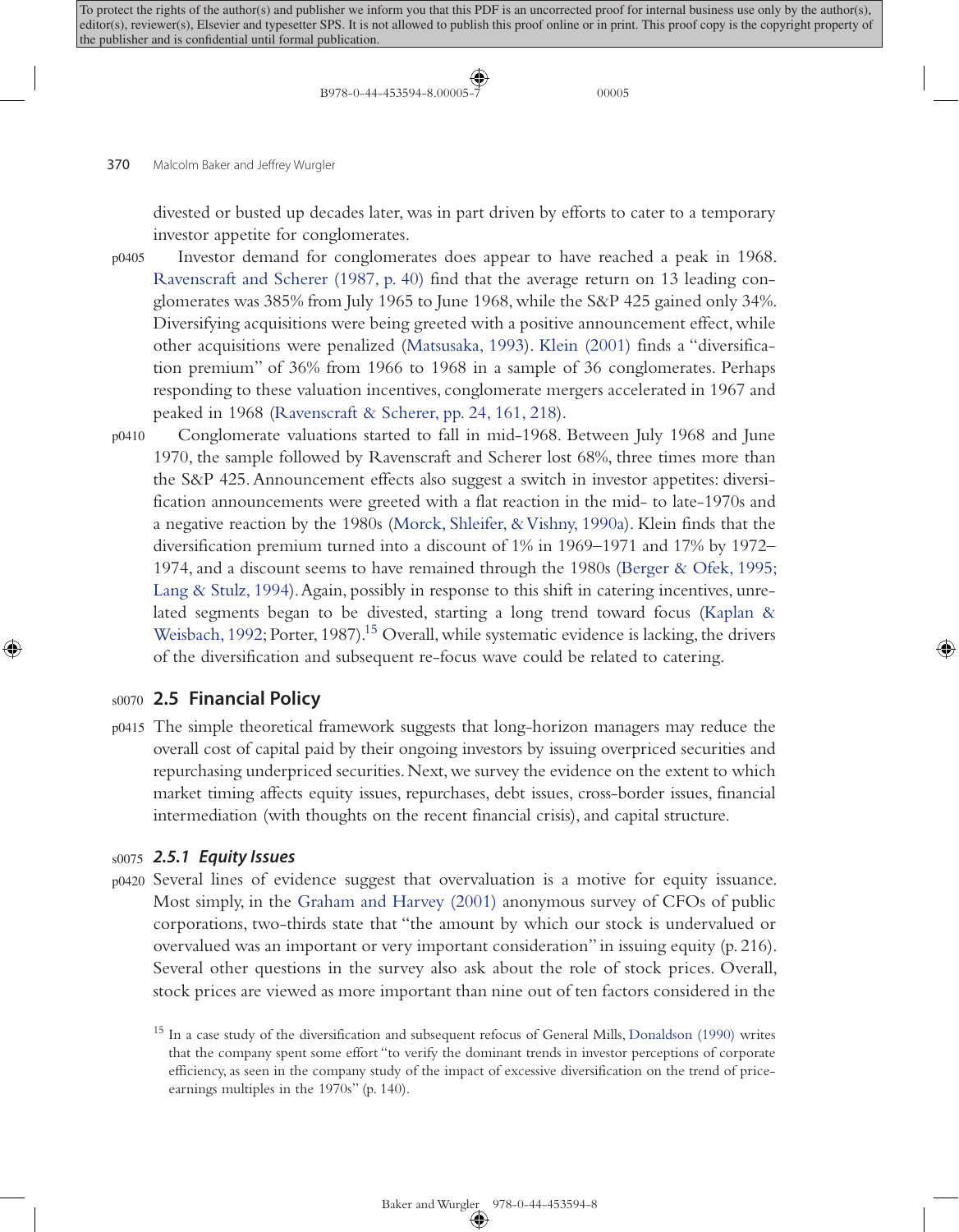B978-0-44-453594-8.00005

00005

<span id="page-19-0"></span>370 Malcolm Baker and Jeffrey Wurgler

divested or busted up decades later, was in part driven by efforts to cater to a temporary investor appetite for conglomerates.

- Investor demand for conglomerates does appear to have reached a peak in 1968. [Ravenscraft and Scherer \(1987, p. 40\)](#page-64-15) find that the average return on 13 leading conglomerates was 385% from July 1965 to June 1968, while the S&P 425 gained only 34%. Diversifying acquisitions were being greeted with a positive announcement effect, while other acquisitions were penalized ([Matsusaka, 1993](#page-63-7)). [Klein \(2001\)](#page-62-12) finds a "diversification premium" of 36% from 1966 to 1968 in a sample of 36 conglomerates. Perhaps responding to these valuation incentives, conglomerate mergers accelerated in 1967 and peaked in 1968 ([Ravenscraft & Scherer, pp. 24, 161, 218](#page-64-15)). p0405
- Conglomerate valuations started to fall in mid-1968. Between July 1968 and June 1970, the sample followed by Ravenscraft and Scherer lost 68%, three times more than the S&P 425. Announcement effects also suggest a switch in investor appetites: diversification announcements were greeted with a flat reaction in the mid- to late-1970s and a negative reaction by the 1980s ([Morck, Shleifer, & Vishny, 1990a](#page-64-16)). Klein finds that the diversification premium turned into a discount of 1% in 1969–1971 and 17% by 1972– 1974, and a discount seems to have remained through the 1980s [\(Berger & Ofek, 1995;](#page-63-8)  [Lang & Stulz, 1994\)](#page-63-8). Again, possibly in response to this shift in catering incentives, unrelated segments began to be divested, starting a long trend toward focus ([Kaplan &](#page-64-17) [Weisbach, 1992;](#page-64-17) Porter, 1987).<sup>15</sup> Overall, while systematic evidence is lacking, the drivers of the diversification and subsequent re-focus wave could be related to catering. p0410

# **2.5 Financial Policy** s0070

⊕

The simple theoretical framework suggests that long-horizon managers may reduce the p0415 overall cost of capital paid by their ongoing investors by issuing overpriced securities and repurchasing underpriced securities. Next, we survey the evidence on the extent to which market timing affects equity issues, repurchases, debt issues, cross-border issues, financial intermediation (with thoughts on the recent financial crisis), and capital structure.

# *2.5.1 Equity Issues* s0075

p0420 Several lines of evidence suggest that overvaluation is a motive for equity issuance. Most simply, in the [Graham and Harvey \(2001\)](#page-61-6) anonymous survey of CFOs of public corporations, two-thirds state that "the amount by which our stock is undervalued or overvalued was an important or very important consideration" in issuing equity (p. 216). Several other questions in the survey also ask about the role of stock prices. Overall, stock prices are viewed as more important than nine out of ten factors considered in the

<sup>&</sup>lt;sup>15</sup> In a case study of the diversification and subsequent refocus of General Mills, [Donaldson \(1990\)](#page-59-7) writes that the company spent some effort "to verify the dominant trends in investor perceptions of corporate efficiency, as seen in the company study of the impact of excessive diversification on the trend of priceearnings multiples in the 1970s" (p. 140).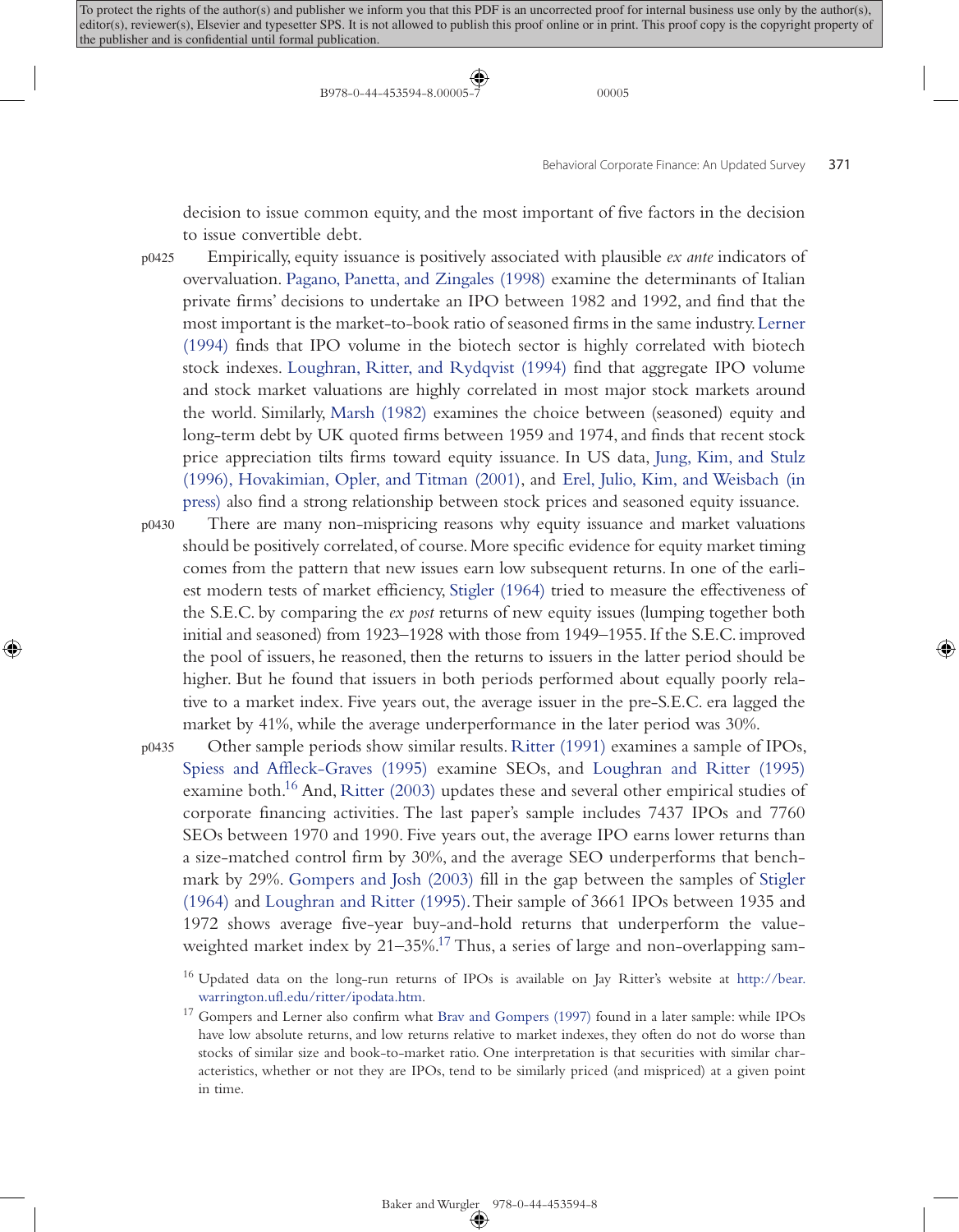B978-0-44-453594-8.00005-7

00005

Behavioral Corporate Finance: An Updated Survey 371

decision to issue common equity, and the most important of five factors in the decision to issue convertible debt.

p0425

◈

- Empirically, equity issuance is positively associated with plausible *ex ante* indicators of overvaluation. [Pagano, Panetta, and Zingales \(1998\)](#page-64-18) examine the determinants of Italian private firms' decisions to undertake an IPO between 1982 and 1992, and find that the most important is the market-to-book ratio of seasoned firms in the same industry. [Lerner](#page-63-9) [\(1994\)](#page-63-9) finds that IPO volume in the biotech sector is highly correlated with biotech stock indexes. [Loughran, Ritter, and Rydqvist \(1994\)](#page-63-10) find that aggregate IPO volume and stock market valuations are highly correlated in most major stock markets around the world. Similarly, [Marsh \(1982\)](#page-63-11) examines the choice between (seasoned) equity and long-term debt by UK quoted firms between 1959 and 1974, and finds that recent stock price appreciation tilts firms toward equity issuance. In US data, [Jung, Kim, and Stulz](#page-62-13) [\(1996\), Hovakimian, Opler, and Titman \(2001\)](#page-62-13), and [Erel, Julio, Kim, and Weisbach \(in](#page-59-8)  [press\)](#page-59-8) also find a strong relationship between stock prices and seasoned equity issuance.
- There are many non-mispricing reasons why equity issuance and market valuations should be positively correlated, of course. More specific evidence for equity market timing comes from the pattern that new issues earn low subsequent returns. In one of the earliest modern tests of market efficiency, [Stigler \(1964\)](#page-66-8) tried to measure the effectiveness of the S.E.C. by comparing the *ex post* returns of new equity issues (lumping together both initial and seasoned) from 1923–1928 with those from 1949–1955. If the S.E.C. improved the pool of issuers, he reasoned, then the returns to issuers in the latter period should be higher. But he found that issuers in both periods performed about equally poorly relative to a market index. Five years out, the average issuer in the pre-S.E.C. era lagged the market by 41%, while the average underperformance in the later period was 30%. p0430
- Other sample periods show similar results. [Ritter \(1991\)](#page-64-19) examines a sample of IPOs, [Spiess and Affleck-Graves \(1995\)](#page-65-14) examine SEOs, and [Loughran and Ritter \(1995\)](#page-63-12) examine both.<sup>16</sup> And, Ritter  $(2003)$  updates these and several other empirical studies of corporate financing activities. The last paper's sample includes 7437 IPOs and 7760 SEOs between 1970 and 1990. Five years out, the average IPO earns lower returns than a size-matched control firm by 30%, and the average SEO underperforms that benchmark by 29%. [Gompers and Josh \(2003\)](#page-60-10) fill in the gap between the samples of [Stigler](#page-66-8) [\(1964\)](#page-66-8) and [Loughran and Ritter \(1995\)](#page-63-12). Their sample of 3661 IPOs between 1935 and 1972 shows average five-year buy-and-hold returns that underperform the valueweighted market index by  $21-35\%$ .<sup>17</sup> Thus, a series of large and non-overlapping samp0435

<sup>16</sup> Updated data on the long-run returns of IPOs is available on Jay Ritter's website at [http://bear.](http://bear.warrington.ufl.edu/ritter/ipodata.htm) [warrington.ufl.edu/ritter/ipodata.htm](http://bear.warrington.ufl.edu/ritter/ipodata.htm).

<sup>&</sup>lt;sup>17</sup> Gompers and Lerner also confirm what [Brav and Gompers \(1997\)](#page-58-7) found in a later sample: while IPOs have low absolute returns, and low returns relative to market indexes, they often do not do worse than stocks of similar size and book-to-market ratio. One interpretation is that securities with similar characteristics, whether or not they are IPOs, tend to be similarly priced (and mispriced) at a given point in time.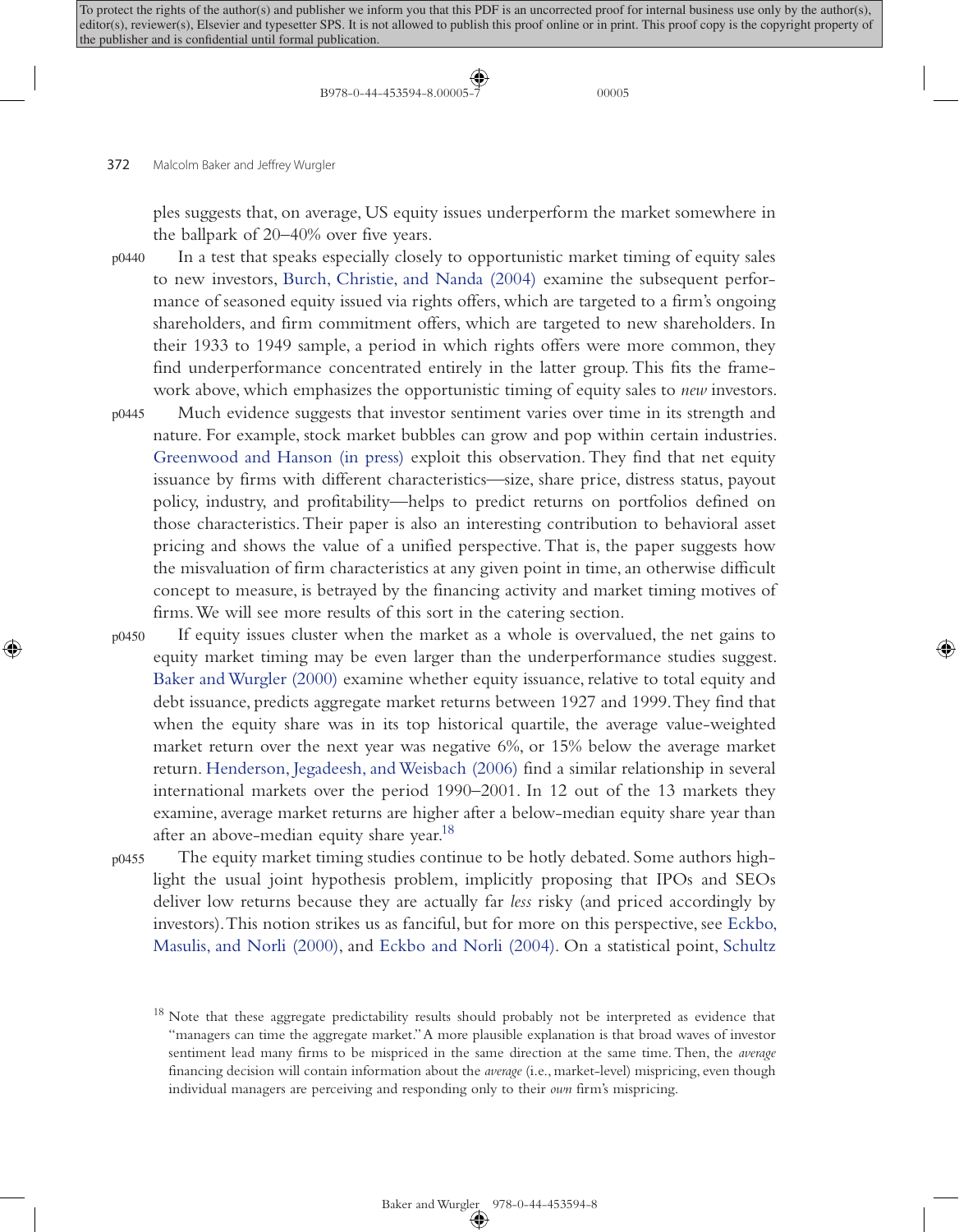B978-0-44-453594-8.00005

00005

372 Malcolm Baker and Jeffrey Wurgler

⊕

ples suggests that, on average, US equity issues underperform the market somewhere in the ballpark of 20–40% over five years.

- In a test that speaks especially closely to opportunistic market timing of equity sales to new investors, [Burch, Christie, and Nanda \(2004\)](#page-58-8) examine the subsequent performance of seasoned equity issued via rights offers, which are targeted to a firm's ongoing shareholders, and firm commitment offers, which are targeted to new shareholders. In their 1933 to 1949 sample, a period in which rights offers were more common, they find underperformance concentrated entirely in the latter group. This fits the framework above, which emphasizes the opportunistic timing of equity sales to *new* investors. p0440
- Much evidence suggests that investor sentiment varies over time in its strength and nature. For example, stock market bubbles can grow and pop within certain industries. [Greenwood and Hanson \(in press\)](#page-61-7) exploit this observation. They find that net equity issuance by firms with different characteristics—size, share price, distress status, payout policy, industry, and profitability—helps to predict returns on portfolios defined on those characteristics. Their paper is also an interesting contribution to behavioral asset pricing and shows the value of a unified perspective. That is, the paper suggests how the misvaluation of firm characteristics at any given point in time, an otherwise difficult concept to measure, is betrayed by the financing activity and market timing motives of firms. We will see more results of this sort in the catering section. p0445
- If equity issues cluster when the market as a whole is overvalued, the net gains to equity market timing may be even larger than the underperformance studies suggest. [Baker and Wurgler \(2000\)](#page-57-12) examine whether equity issuance, relative to total equity and debt issuance, predicts aggregate market returns between 1927 and 1999. They find that when the equity share was in its top historical quartile, the average value-weighted market return over the next year was negative 6%, or 15% below the average market return. [Henderson, Jegadeesh, and Weisbach \(2006\)](#page-61-8) find a similar relationship in several international markets over the period 1990–2001. In 12 out of the 13 markets they examine, average market returns are higher after a below-median equity share year than after an above-median equity share year.<sup>18</sup> p0450
- The equity market timing studies continue to be hotly debated. Some authors highlight the usual joint hypothesis problem, implicitly proposing that IPOs and SEOs deliver low returns because they are actually far *less* risky (and priced accordingly by investors). This notion strikes us as fanciful, but for more on this perspective, see [Eckbo,](#page-59-9) [Masulis, and Norli \(2000\),](#page-59-9) and [Eckbo and Norli \(2004\)](#page-59-10). On a statistical point, [Schultz](#page-65-9) p0455

<sup>&</sup>lt;sup>18</sup> Note that these aggregate predictability results should probably not be interpreted as evidence that "managers can time the aggregate market." A more plausible explanation is that broad waves of investor sentiment lead many firms to be mispriced in the same direction at the same time. Then, the *average* financing decision will contain information about the *average* (i.e., market-level) mispricing, even though individual managers are perceiving and responding only to their *own* firm's mispricing.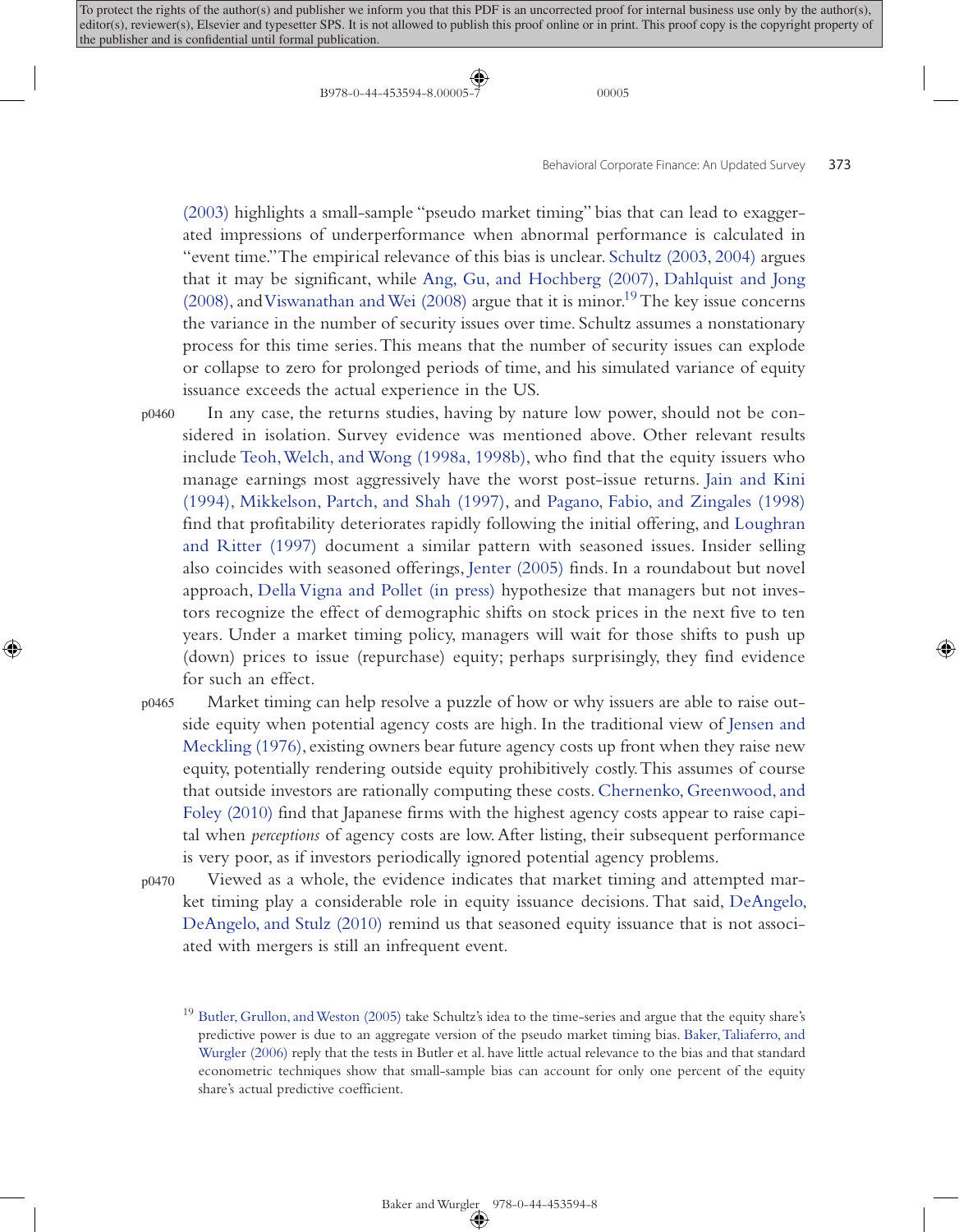B978-0-44-453594-8.00005-7

00005

Behavioral Corporate Finance: An Updated Survey 373

[\(2003\)](#page-65-9) highlights a small-sample "pseudo market timing" bias that can lead to exaggerated impressions of underperformance when abnormal performance is calculated in "event time." The empirical relevance of this bias is unclear. [Schultz \(2003, 2004\)](#page-65-9) argues that it may be significant, while [Ang, Gu, and Hochberg \(2007\)](#page-56-7), [Dahlquist and Jong](#page-59-11) [\(2008\)](#page-59-11), and [Viswanathan and Wei \(2008\)](#page-66-9) argue that it is minor.<sup>19</sup> The key issue concerns the variance in the number of security issues over time. Schultz assumes a nonstationary process for this time series. This means that the number of security issues can explode or collapse to zero for prolonged periods of time, and his simulated variance of equity issuance exceeds the actual experience in the US.

- p0460
- In any case, the returns studies, having by nature low power, should not be considered in isolation. Survey evidence was mentioned above. Other relevant results include [Teoh, Welch, and Wong \(1998a, 1998b\)](#page-66-10), who find that the equity issuers who manage earnings most aggressively have the worst post-issue returns. [Jain and Kini](#page-62-14) [\(1994\), Mikkelson, Partch, and Shah \(1997\),](#page-62-14) and [Pagano, Fabio, and Zingales \(1998\)](#page-64-18) find that profitability deteriorates rapidly following the initial offering, and [Loughran](#page-63-13) [and Ritter \(1997\)](#page-63-13) document a similar pattern with seasoned issues. Insider selling also coincides with seasoned offerings, [Jenter \(2005\)](#page-62-15) finds. In a roundabout but novel approach, [Della Vigna and Pollet \(in press\)](#page-59-12) hypothesize that managers but not investors recognize the effect of demographic shifts on stock prices in the next five to ten years. Under a market timing policy, managers will wait for those shifts to push up (down) prices to issue (repurchase) equity; perhaps surprisingly, they find evidence for such an effect.
- p0465

◈

Market timing can help resolve a puzzle of how or why issuers are able to raise outside equity when potential agency costs are high. In the traditional view of [Jensen and](#page-62-16)  [Meckling \(1976\)](#page-62-16), existing owners bear future agency costs up front when they raise new equity, potentially rendering outside equity prohibitively costly. This assumes of course that outside investors are rationally computing these costs. [Chernenko, Greenwood, and](#page-58-9)  [Foley \(2010\)](#page-58-9) find that Japanese firms with the highest agency costs appear to raise capital when *perceptions* of agency costs are low. After listing, their subsequent performance is very poor, as if investors periodically ignored potential agency problems.

Viewed as a whole, the evidence indicates that market timing and attempted market timing play a considerable role in equity issuance decisions. That said, [DeAngelo,](#page-59-13) [DeAngelo, and Stulz \(2010\)](#page-59-13) remind us that seasoned equity issuance that is not associated with mergers is still an infrequent event. p0470

<sup>&</sup>lt;sup>19</sup> [Butler, Grullon, and Weston \(2005\)](#page-58-10) take Schultz's idea to the time-series and argue that the equity share's predictive power is due to an aggregate version of the pseudo market timing bias. [Baker, Taliaferro, and](#page-57-13)  [Wurgler \(2006\)](#page-57-13) reply that the tests in Butler et al. have little actual relevance to the bias and that standard econometric techniques show that small-sample bias can account for only one percent of the equity share's actual predictive coefficient.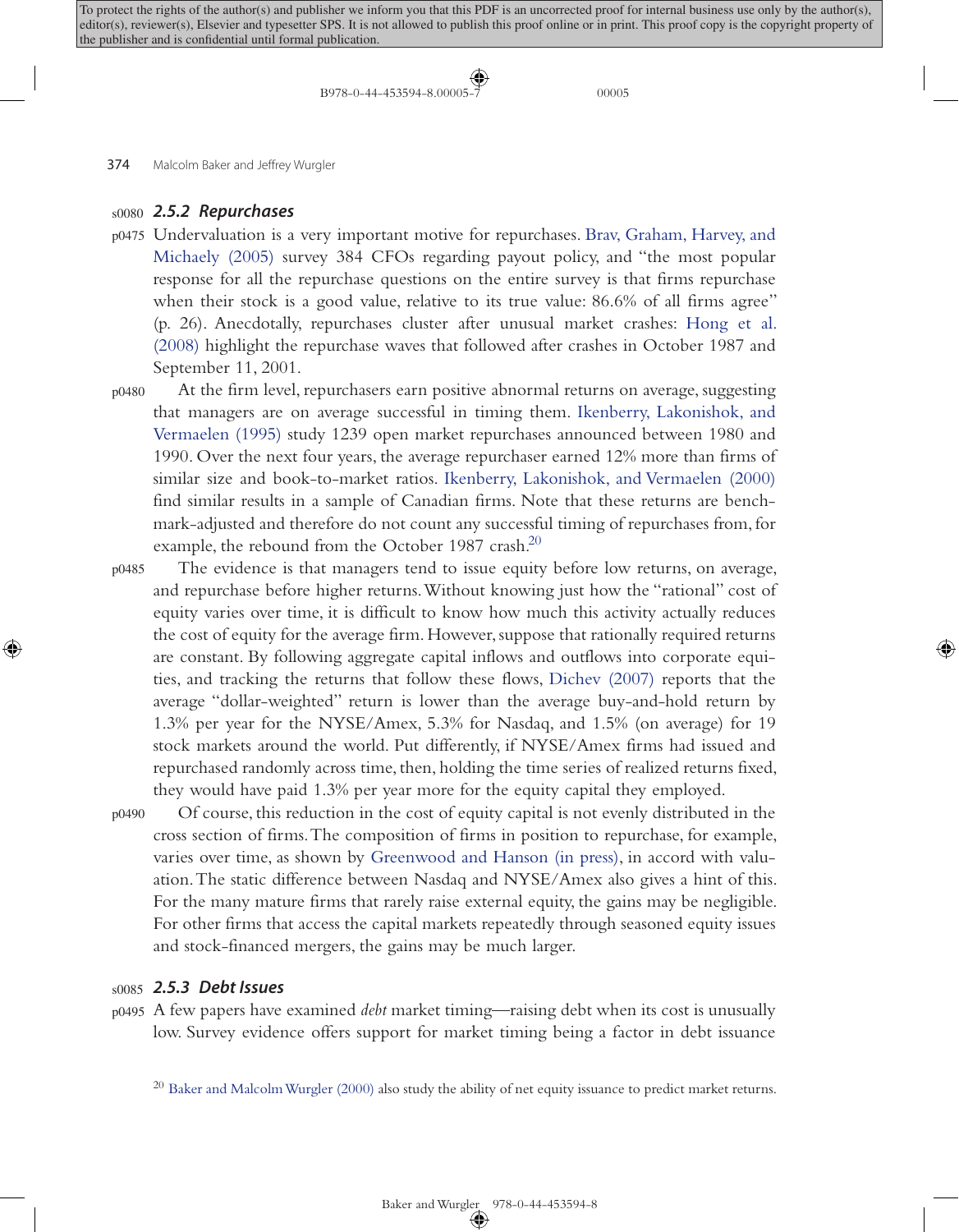B978-0-44-453594-8.00005-7

00005

<span id="page-23-0"></span>374 Malcolm Baker and Jeffrey Wurgler

# *2.5.2 Repurchases* s0080

- Undervaluation is a very important motive for repurchases. [Brav, Graham, Harvey, and](#page-58-11) p0475 [Michaely \(2005\)](#page-58-11) survey 384 CFOs regarding payout policy, and "the most popular response for all the repurchase questions on the entire survey is that firms repurchase when their stock is a good value, relative to its true value: 86.6% of all firms agree" (p. 26). Anecdotally, repurchases cluster after unusual market crashes: [Hong et al.](#page-61-3) [\(2008\)](#page-61-3) highlight the repurchase waves that followed after crashes in October 1987 and September 11, 2001.
- At the firm level, repurchasers earn positive abnormal returns on average, suggesting that managers are on average successful in timing them. [Ikenberry, Lakonishok, and](#page-62-17) [Vermaelen \(1995\)](#page-62-17) study 1239 open market repurchases announced between 1980 and 1990. Over the next four years, the average repurchaser earned 12% more than firms of similar size and book-to-market ratios. [Ikenberry, Lakonishok, and Vermaelen \(2000\)](#page-62-18) find similar results in a sample of Canadian firms. Note that these returns are benchmark-adjusted and therefore do not count any successful timing of repurchases from, for example, the rebound from the October 1987 crash.<sup>20</sup> p0480
- The evidence is that managers tend to issue equity before low returns, on average, and repurchase before higher returns. Without knowing just how the "rational" cost of equity varies over time, it is difficult to know how much this activity actually reduces the cost of equity for the average firm. However, suppose that rationally required returns are constant. By following aggregate capital inflows and outflows into corporate equities, and tracking the returns that follow these flows, [Dichev \(2007\)](#page-59-14) reports that the average "dollar-weighted" return is lower than the average buy-and-hold return by 1.3% per year for the NYSE/Amex, 5.3% for Nasdaq, and 1.5% (on average) for 19 stock markets around the world. Put differently, if NYSE/Amex firms had issued and repurchased randomly across time, then, holding the time series of realized returns fixed, they would have paid 1.3% per year more for the equity capital they employed. p0485
- Of course, this reduction in the cost of equity capital is not evenly distributed in the cross section of firms. The composition of firms in position to repurchase, for example, varies over time, as shown by [Greenwood and Hanson \(in press\),](#page-61-7) in accord with valuation. The static difference between Nasdaq and NYSE/Amex also gives a hint of this. For the many mature firms that rarely raise external equity, the gains may be negligible. For other firms that access the capital markets repeatedly through seasoned equity issues and stock-financed mergers, the gains may be much larger. p0490

# *2.5.3 Debt Issues* s0085

⊕

A few papers have examined *debt* market timing—raising debt when its cost is unusually p0495low. Survey evidence offers support for market timing being a factor in debt issuance

<sup>20</sup> [Baker and Malcolm Wurgler \(2000\)](#page-57-12) also study the ability of net equity issuance to predict market returns.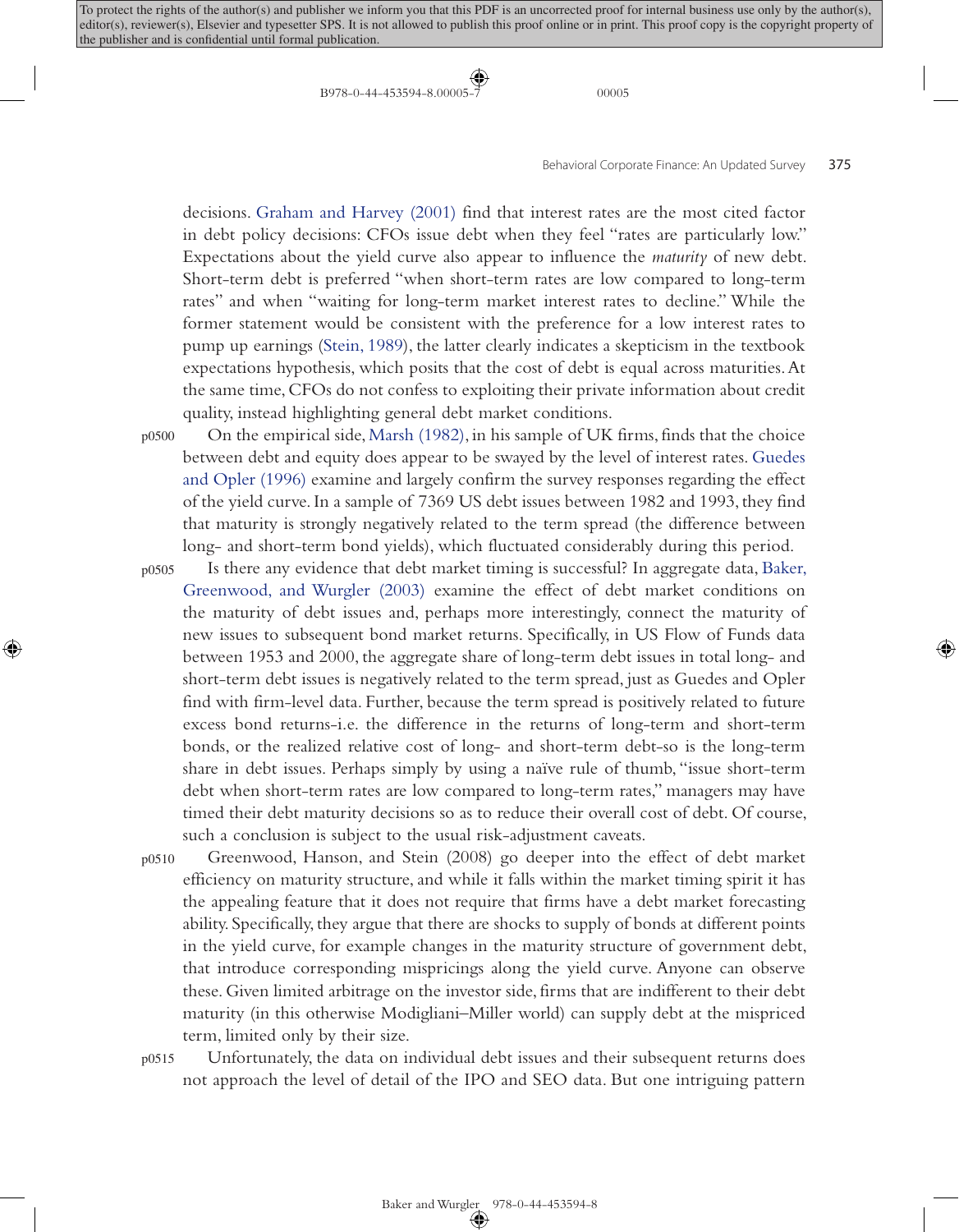B978-0-44-453594-8.00005-7

00005

#### Behavioral Corporate Finance: An Updated Survey 375

decisions. [Graham and Harvey \(2001\)](#page-61-6) find that interest rates are the most cited factor in debt policy decisions: CFOs issue debt when they feel "rates are particularly low." Expectations about the yield curve also appear to influence the *maturity* of new debt. Short-term debt is preferred "when short-term rates are low compared to long-term rates" and when "waiting for long-term market interest rates to decline." While the former statement would be consistent with the preference for a low interest rates to pump up earnings [\(Stein, 1989\)](#page-65-7), the latter clearly indicates a skepticism in the textbook expectations hypothesis, which posits that the cost of debt is equal across maturities. At the same time, CFOs do not confess to exploiting their private information about credit quality, instead highlighting general debt market conditions.

On the empirical side, [Marsh \(1982\)](#page-63-11), in his sample of UK firms, finds that the choice between debt and equity does appear to be swayed by the level of interest rates. [Guedes](#page-61-9) [and Opler \(1996\)](#page-61-9) examine and largely confirm the survey responses regarding the effect of the yield curve. In a sample of 7369 US debt issues between 1982 and 1993, they find that maturity is strongly negatively related to the term spread (the difference between long- and short-term bond yields), which fluctuated considerably during this period. p0500

Is there any evidence that debt market timing is successful? In aggregate data, [Baker,](#page-56-8) [Greenwood, and Wurgler \(2003\)](#page-56-8) examine the effect of debt market conditions on the maturity of debt issues and, perhaps more interestingly, connect the maturity of new issues to subsequent bond market returns. Specifically, in US Flow of Funds data between 1953 and 2000, the aggregate share of long-term debt issues in total long- and short-term debt issues is negatively related to the term spread, just as Guedes and Opler find with firm-level data. Further, because the term spread is positively related to future excess bond returns-i.e. the difference in the returns of long-term and short-term bonds, or the realized relative cost of long- and short-term debt-so is the long-term share in debt issues. Perhaps simply by using a naïve rule of thumb, "issue short-term debt when short-term rates are low compared to long-term rates," managers may have timed their debt maturity decisions so as to reduce their overall cost of debt. Of course, such a conclusion is subject to the usual risk-adjustment caveats. p0505

◈

- Greenwood, Hanson, and Stein (2008) go deeper into the effect of debt market efficiency on maturity structure, and while it falls within the market timing spirit it has the appealing feature that it does not require that firms have a debt market forecasting ability. Specifically, they argue that there are shocks to supply of bonds at different points in the yield curve, for example changes in the maturity structure of government debt, that introduce corresponding mispricings along the yield curve. Anyone can observe these. Given limited arbitrage on the investor side, firms that are indifferent to their debt maturity (in this otherwise Modigliani–Miller world) can supply debt at the mispriced term, limited only by their size. p0510
- Unfortunately, the data on individual debt issues and their subsequent returns does not approach the level of detail of the IPO and SEO data. But one intriguing pattern p0515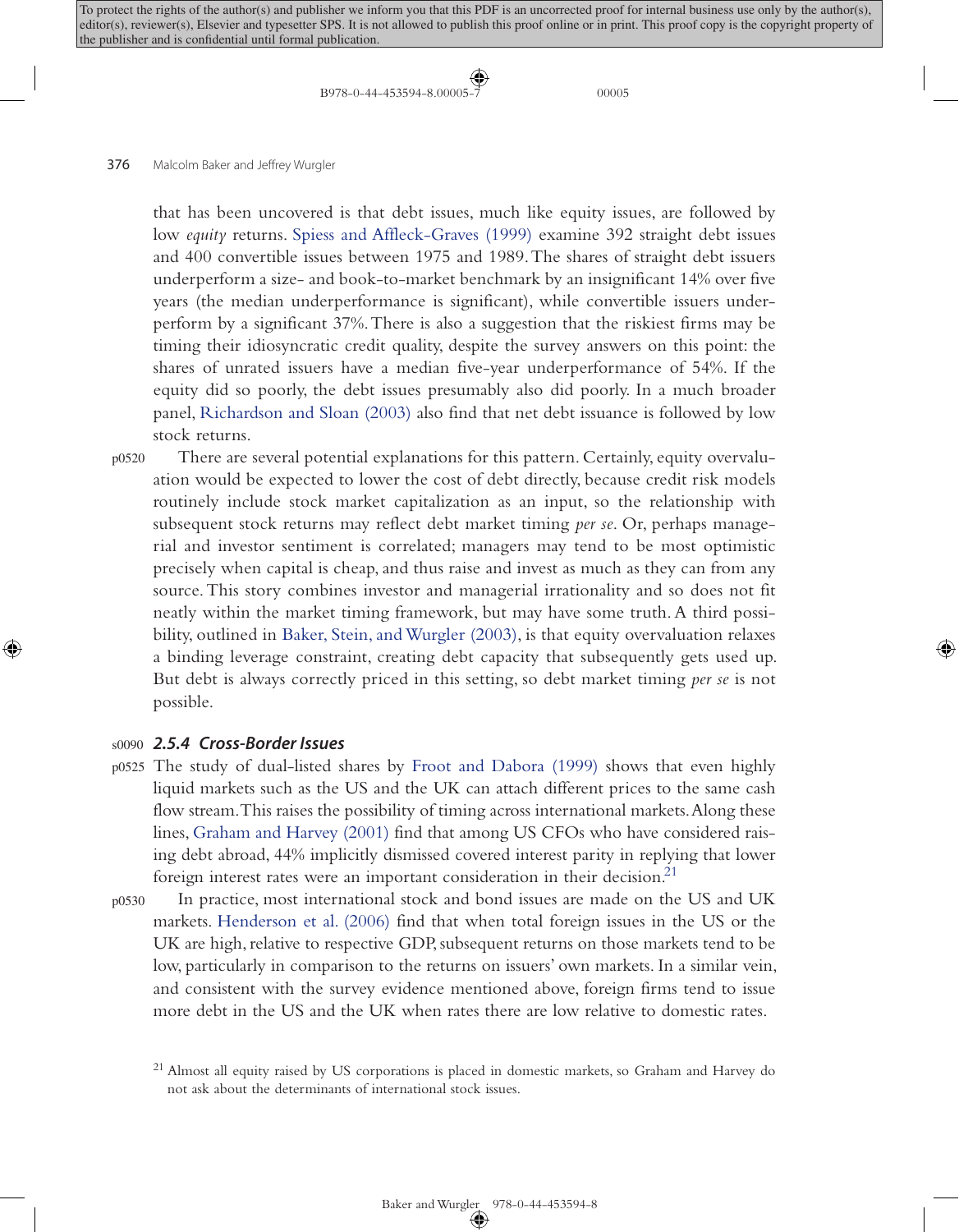B978-0-44-453594-8.00005-7

00005

#### <span id="page-25-0"></span>376 Malcolm Baker and Jeffrey Wurgler

that has been uncovered is that debt issues, much like equity issues, are followed by low *equity* returns. [Spiess and Affleck-Graves \(1999\)](#page-65-15) examine 392 straight debt issues and 400 convertible issues between 1975 and 1989. The shares of straight debt issuers underperform a size- and book-to-market benchmark by an insignificant 14% over five years (the median underperformance is significant), while convertible issuers underperform by a significant 37%. There is also a suggestion that the riskiest firms may be timing their idiosyncratic credit quality, despite the survey answers on this point: the shares of unrated issuers have a median five-year underperformance of 54%. If the equity did so poorly, the debt issues presumably also did poorly. In a much broader panel, [Richardson and Sloan \(2003\)](#page-64-21) also find that net debt issuance is followed by low stock returns.

There are several potential explanations for this pattern. Certainly, equity overvaluation would be expected to lower the cost of debt directly, because credit risk models routinely include stock market capitalization as an input, so the relationship with subsequent stock returns may reflect debt market timing *per se*. Or, perhaps managerial and investor sentiment is correlated; managers may tend to be most optimistic precisely when capital is cheap, and thus raise and invest as much as they can from any source. This story combines investor and managerial irrationality and so does not fit neatly within the market timing framework, but may have some truth. A third possibility, outlined in [Baker, Stein, and Wurgler \(2003\)](#page-57-6), is that equity overvaluation relaxes a binding leverage constraint, creating debt capacity that subsequently gets used up. But debt is always correctly priced in this setting, so debt market timing *per se* is not possible. p0520

# *2.5.4 Cross-Border Issues* s0090

◈

- The study of dual-listed shares by [Froot and Dabora \(1999\)](#page-60-11) shows that even highly p0525 liquid markets such as the US and the UK can attach different prices to the same cash flow stream. This raises the possibility of timing across international markets. Along these lines, [Graham and Harvey \(2001\)](#page-61-6) find that among US CFOs who have considered raising debt abroad, 44% implicitly dismissed covered interest parity in replying that lower foreign interest rates were an important consideration in their decision.<sup>21</sup>
- In practice, most international stock and bond issues are made on the US and UK markets. [Henderson et al. \(2006\)](#page-61-8) find that when total foreign issues in the US or the UK are high, relative to respective GDP, subsequent returns on those markets tend to be low, particularly in comparison to the returns on issuers' own markets. In a similar vein, and consistent with the survey evidence mentioned above, foreign firms tend to issue more debt in the US and the UK when rates there are low relative to domestic rates. p0530

<sup>&</sup>lt;sup>21</sup> Almost all equity raised by US corporations is placed in domestic markets, so Graham and Harvey do not ask about the determinants of international stock issues.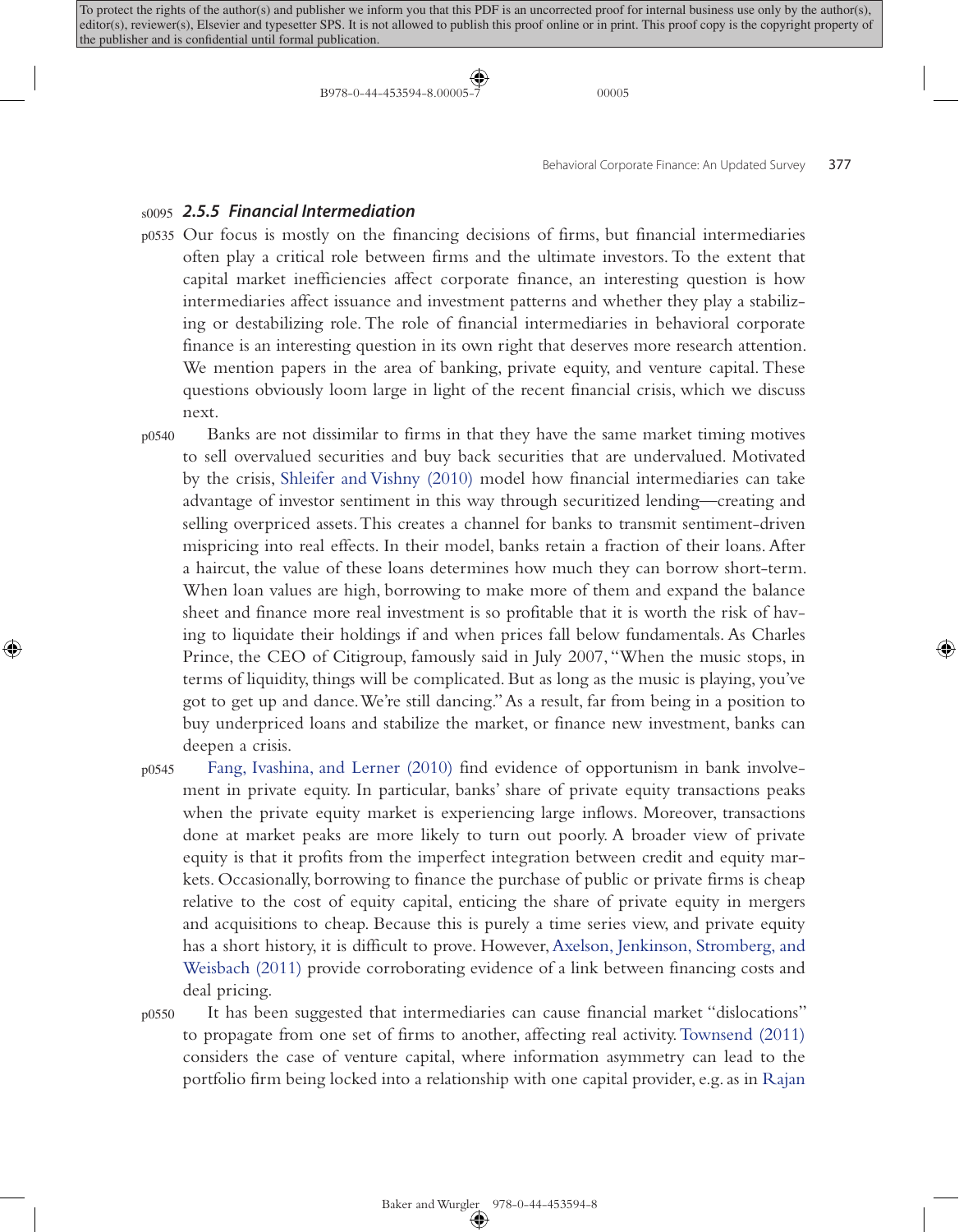B978-0-44-453594-8.00005-7

00005

Behavioral Corporate Finance: An Updated Survey 377

# <span id="page-26-0"></span>*2.5.5 Financial Intermediation* s0095

- p0535 Our focus is mostly on the financing decisions of firms, but financial intermediaries often play a critical role between firms and the ultimate investors. To the extent that capital market inefficiencies affect corporate finance, an interesting question is how intermediaries affect issuance and investment patterns and whether they play a stabilizing or destabilizing role. The role of financial intermediaries in behavioral corporate finance is an interesting question in its own right that deserves more research attention. We mention papers in the area of banking, private equity, and venture capital. These questions obviously loom large in light of the recent financial crisis, which we discuss next.
- Banks are not dissimilar to firms in that they have the same market timing motives to sell overvalued securities and buy back securities that are undervalued. Motivated by the crisis, [Shleifer and Vishny \(2010\)](#page-65-16) model how financial intermediaries can take advantage of investor sentiment in this way through securitized lending—creating and selling overpriced assets. This creates a channel for banks to transmit sentiment-driven mispricing into real effects. In their model, banks retain a fraction of their loans. After a haircut, the value of these loans determines how much they can borrow short-term. When loan values are high, borrowing to make more of them and expand the balance sheet and finance more real investment is so profitable that it is worth the risk of having to liquidate their holdings if and when prices fall below fundamentals. As Charles Prince, the CEO of Citigroup, famously said in July 2007, "When the music stops, in terms of liquidity, things will be complicated. But as long as the music is playing, you've got to get up and dance. We're still dancing." As a result, far from being in a position to buy underpriced loans and stabilize the market, or finance new investment, banks can deepen a crisis. p0540
- [Fang, Ivashina, and Lerner \(2010\)](#page-60-12) find evidence of opportunism in bank involvement in private equity. In particular, banks' share of private equity transactions peaks when the private equity market is experiencing large inflows. Moreover, transactions done at market peaks are more likely to turn out poorly. A broader view of private equity is that it profits from the imperfect integration between credit and equity markets. Occasionally, borrowing to finance the purchase of public or private firms is cheap relative to the cost of equity capital, enticing the share of private equity in mergers and acquisitions to cheap. Because this is purely a time series view, and private equity has a short history, it is difficult to prove. However, [Axelson, Jenkinson, Stromberg, and](#page-56-9)  [Weisbach \(2011\)](#page-56-9) provide corroborating evidence of a link between financing costs and deal pricing. p0545

p0550

◈

It has been suggested that intermediaries can cause financial market "dislocations" to propagate from one set of firms to another, affecting real activity. [Townsend \(2011\)](#page-66-11) considers the case of venture capital, where information asymmetry can lead to the portfolio firm being locked into a relationship with one capital provider, e.g. as in [Rajan](#page-64-22)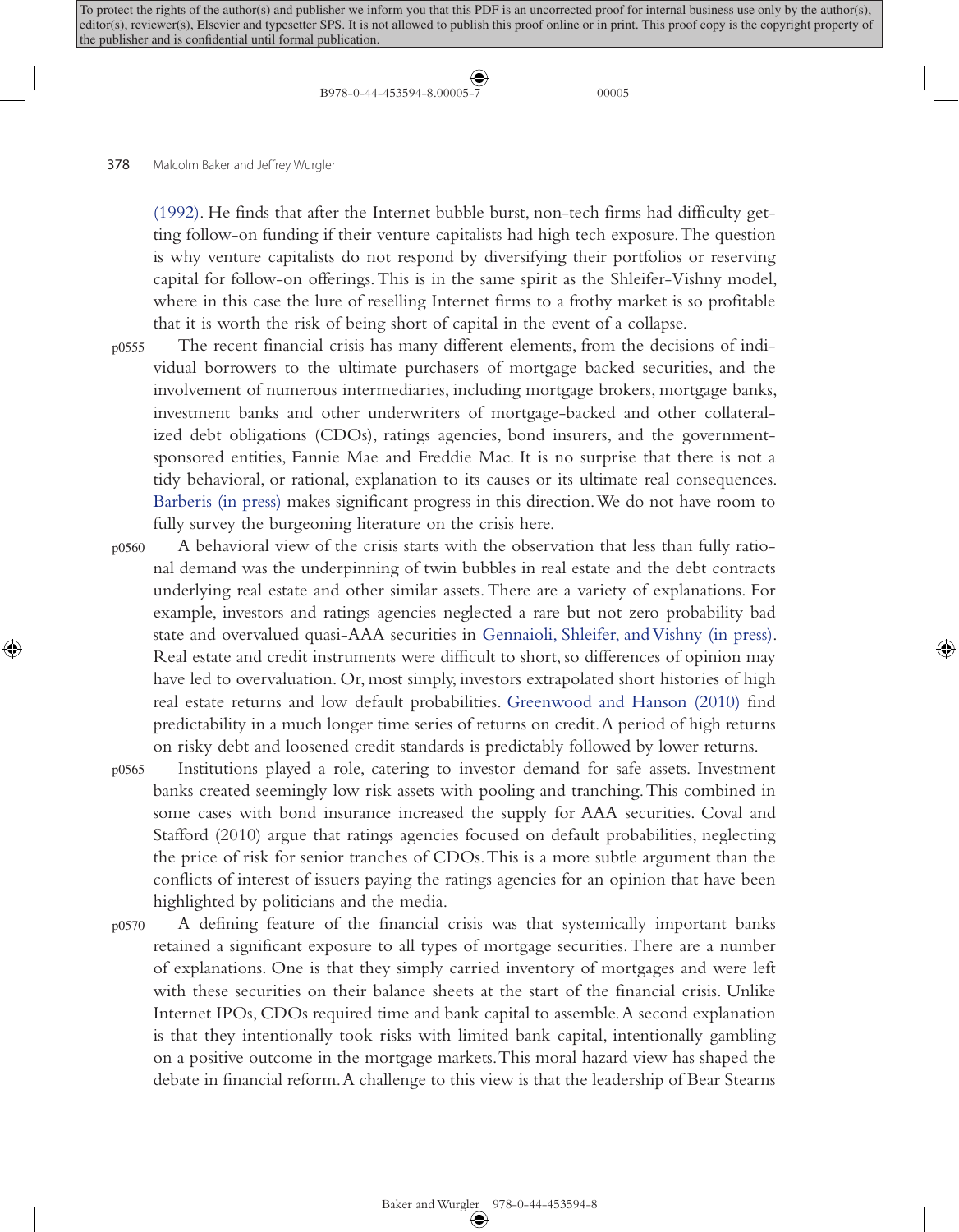B978-0-44-453594-8.00005

00005

#### 378 Malcolm Baker and Jeffrey Wurgler

◈

[\(1992\)](#page-64-22). He finds that after the Internet bubble burst, non-tech firms had difficulty getting follow-on funding if their venture capitalists had high tech exposure. The question is why venture capitalists do not respond by diversifying their portfolios or reserving capital for follow-on offerings. This is in the same spirit as the Shleifer-Vishny model, where in this case the lure of reselling Internet firms to a frothy market is so profitable that it is worth the risk of being short of capital in the event of a collapse.

- The recent financial crisis has many different elements, from the decisions of individual borrowers to the ultimate purchasers of mortgage backed securities, and the involvement of numerous intermediaries, including mortgage brokers, mortgage banks, investment banks and other underwriters of mortgage-backed and other collateralized debt obligations (CDOs), ratings agencies, bond insurers, and the governmentsponsored entities, Fannie Mae and Freddie Mac. It is no surprise that there is not a tidy behavioral, or rational, explanation to its causes or its ultimate real consequences. [Barberis \(in press\)](#page-57-14) makes significant progress in this direction. We do not have room to fully survey the burgeoning literature on the crisis here. p0555
- A behavioral view of the crisis starts with the observation that less than fully rational demand was the underpinning of twin bubbles in real estate and the debt contracts underlying real estate and other similar assets. There are a variety of explanations. For example, investors and ratings agencies neglected a rare but not zero probability bad state and overvalued quasi-AAA securities in [Gennaioli, Shleifer, and Vishny \(in press\)](#page-60-13). Real estate and credit instruments were difficult to short, so differences of opinion may have led to overvaluation. Or, most simply, investors extrapolated short histories of high real estate returns and low default probabilities. [Greenwood and Hanson \(2010\)](#page-61-10) find predictability in a much longer time series of returns on credit. A period of high returns on risky debt and loosened credit standards is predictably followed by lower returns. p0560
- Institutions played a role, catering to investor demand for safe assets. Investment banks created seemingly low risk assets with pooling and tranching. This combined in some cases with bond insurance increased the supply for AAA securities. Coval and Stafford (2010) argue that ratings agencies focused on default probabilities, neglecting the price of risk for senior tranches of CDOs. This is a more subtle argument than the conflicts of interest of issuers paying the ratings agencies for an opinion that have been highlighted by politicians and the media. p0565
- A defining feature of the financial crisis was that systemically important banks retained a significant exposure to all types of mortgage securities. There are a number of explanations. One is that they simply carried inventory of mortgages and were left with these securities on their balance sheets at the start of the financial crisis. Unlike Internet IPOs, CDOs required time and bank capital to assemble. A second explanation is that they intentionally took risks with limited bank capital, intentionally gambling on a positive outcome in the mortgage markets. This moral hazard view has shaped the debate in financial reform. A challenge to this view is that the leadership of Bear Stearns p0570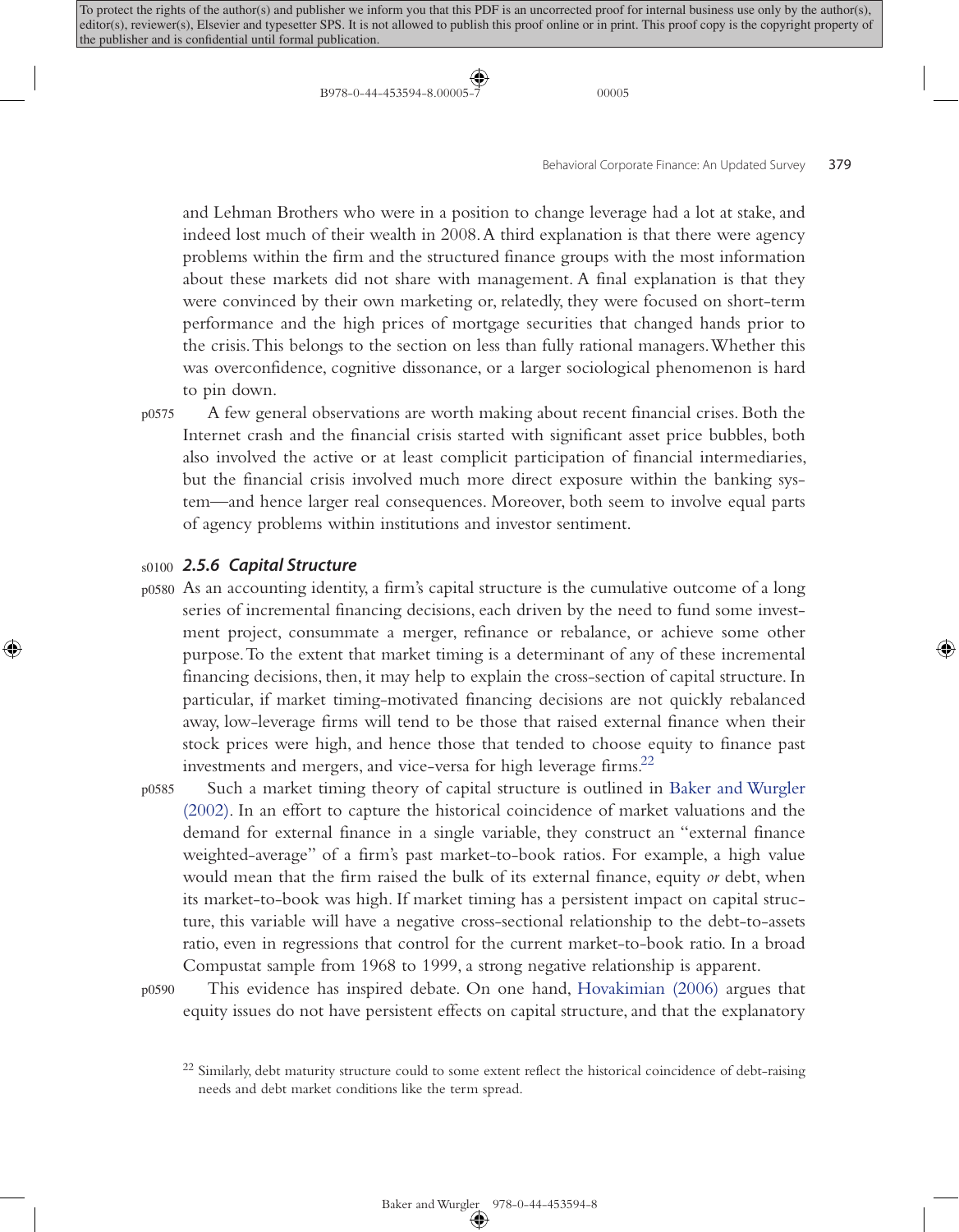B978-0-44-453594-8.00005-7

00005

Behavioral Corporate Finance: An Updated Survey 379

<span id="page-28-0"></span>and Lehman Brothers who were in a position to change leverage had a lot at stake, and indeed lost much of their wealth in 2008. A third explanation is that there were agency problems within the firm and the structured finance groups with the most information about these markets did not share with management. A final explanation is that they were convinced by their own marketing or, relatedly, they were focused on short-term performance and the high prices of mortgage securities that changed hands prior to the crisis. This belongs to the section on less than fully rational managers. Whether this was overconfidence, cognitive dissonance, or a larger sociological phenomenon is hard to pin down.

A few general observations are worth making about recent financial crises. Both the Internet crash and the financial crisis started with significant asset price bubbles, both also involved the active or at least complicit participation of financial intermediaries, but the financial crisis involved much more direct exposure within the banking system—and hence larger real consequences. Moreover, both seem to involve equal parts of agency problems within institutions and investor sentiment. p0575

# *2.5.6 Capital Structure* s0100

◈

As an accounting identity, a firm's capital structure is the cumulative outcome of a long p0580 series of incremental financing decisions, each driven by the need to fund some investment project, consummate a merger, refinance or rebalance, or achieve some other purpose. To the extent that market timing is a determinant of any of these incremental financing decisions, then, it may help to explain the cross-section of capital structure. In particular, if market timing-motivated financing decisions are not quickly rebalanced away, low-leverage firms will tend to be those that raised external finance when their stock prices were high, and hence those that tended to choose equity to finance past investments and mergers, and vice-versa for high leverage firms.<sup>22</sup>

Such a market timing theory of capital structure is outlined in [Baker and Wurgler](#page-57-15)  [\(2002\)](#page-57-15). In an effort to capture the historical coincidence of market valuations and the demand for external finance in a single variable, they construct an "external finance weighted-average" of a firm's past market-to-book ratios. For example, a high value would mean that the firm raised the bulk of its external finance, equity *or* debt, when its market-to-book was high. If market timing has a persistent impact on capital structure, this variable will have a negative cross-sectional relationship to the debt-to-assets ratio, even in regressions that control for the current market-to-book ratio. In a broad Compustat sample from 1968 to 1999, a strong negative relationship is apparent. p0585

This evidence has inspired debate. On one hand, [Hovakimian \(2006\)](#page-61-11) argues that equity issues do not have persistent effects on capital structure, and that the explanatory p0590

<sup>&</sup>lt;sup>22</sup> Similarly, debt maturity structure could to some extent reflect the historical coincidence of debt-raising needs and debt market conditions like the term spread.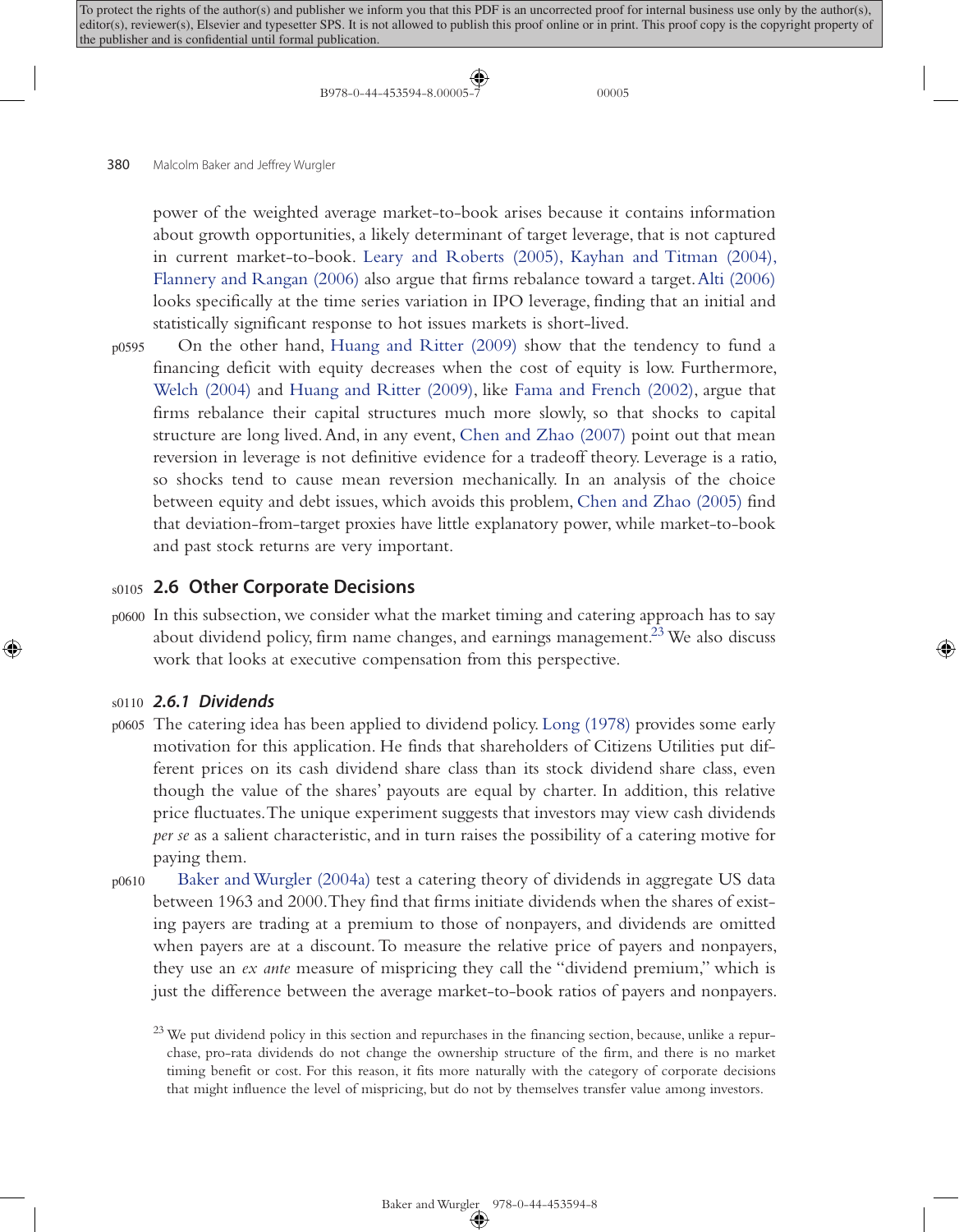B978-0-44-453594-8.00005

00005

<span id="page-29-0"></span>380 Malcolm Baker and Jeffrey Wurgler

power of the weighted average market-to-book arises because it contains information about growth opportunities, a likely determinant of target leverage, that is not captured in current market-to-book. [Leary and Roberts \(2005\), Kayhan and Titman \(2004\),](#page-63-14)  [Flannery and Rangan \(2006\)](#page-63-14) also argue that firms rebalance toward a target. [Alti \(2006\)](#page-56-10) looks specifically at the time series variation in IPO leverage, finding that an initial and statistically significant response to hot issues markets is short-lived.

On the other hand, [Huang and Ritter \(2009\)](#page-61-12) show that the tendency to fund a financing deficit with equity decreases when the cost of equity is low. Furthermore, [Welch \(2004\)](#page-66-12) and [Huang and Ritter \(2009\)](#page-61-12), like [Fama and French \(2002\)](#page-60-14), argue that firms rebalance their capital structures much more slowly, so that shocks to capital structure are long lived. And, in any event, [Chen and Zhao \(2007\)](#page-58-12) point out that mean reversion in leverage is not definitive evidence for a tradeoff theory. Leverage is a ratio, so shocks tend to cause mean reversion mechanically. In an analysis of the choice between equity and debt issues, which avoids this problem, [Chen and Zhao \(2005\)](#page-58-13) find that deviation-from-target proxies have little explanatory power, while market-to-book and past stock returns are very important. p0595

# **2.6 Other Corporate Decisions** s0105

p0600 In this subsection, we consider what the market timing and catering approach has to say about dividend policy, firm name changes, and earnings management.23 We also discuss work that looks at executive compensation from this perspective.

# *2.6.1 Dividends* s0110

⊕

- The catering idea has been applied to dividend policy. [Long \(1978\)](#page-63-15) provides some early p0605 motivation for this application. He finds that shareholders of Citizens Utilities put different prices on its cash dividend share class than its stock dividend share class, even though the value of the shares' payouts are equal by charter. In addition, this relative price fluctuates. The unique experiment suggests that investors may view cash dividends *per se* as a salient characteristic, and in turn raises the possibility of a catering motive for paying them.
- [Baker and Wurgler \(2004a\)](#page-57-7) test a catering theory of dividends in aggregate US data between 1963 and 2000. They find that firms initiate dividends when the shares of existing payers are trading at a premium to those of nonpayers, and dividends are omitted when payers are at a discount. To measure the relative price of payers and nonpayers, they use an *ex ante* measure of mispricing they call the "dividend premium," which is just the difference between the average market-to-book ratios of payers and nonpayers. p0610

 $23$  We put dividend policy in this section and repurchases in the financing section, because, unlike a repurchase, pro-rata dividends do not change the ownership structure of the firm, and there is no market timing benefit or cost. For this reason, it fits more naturally with the category of corporate decisions that might influence the level of mispricing, but do not by themselves transfer value among investors.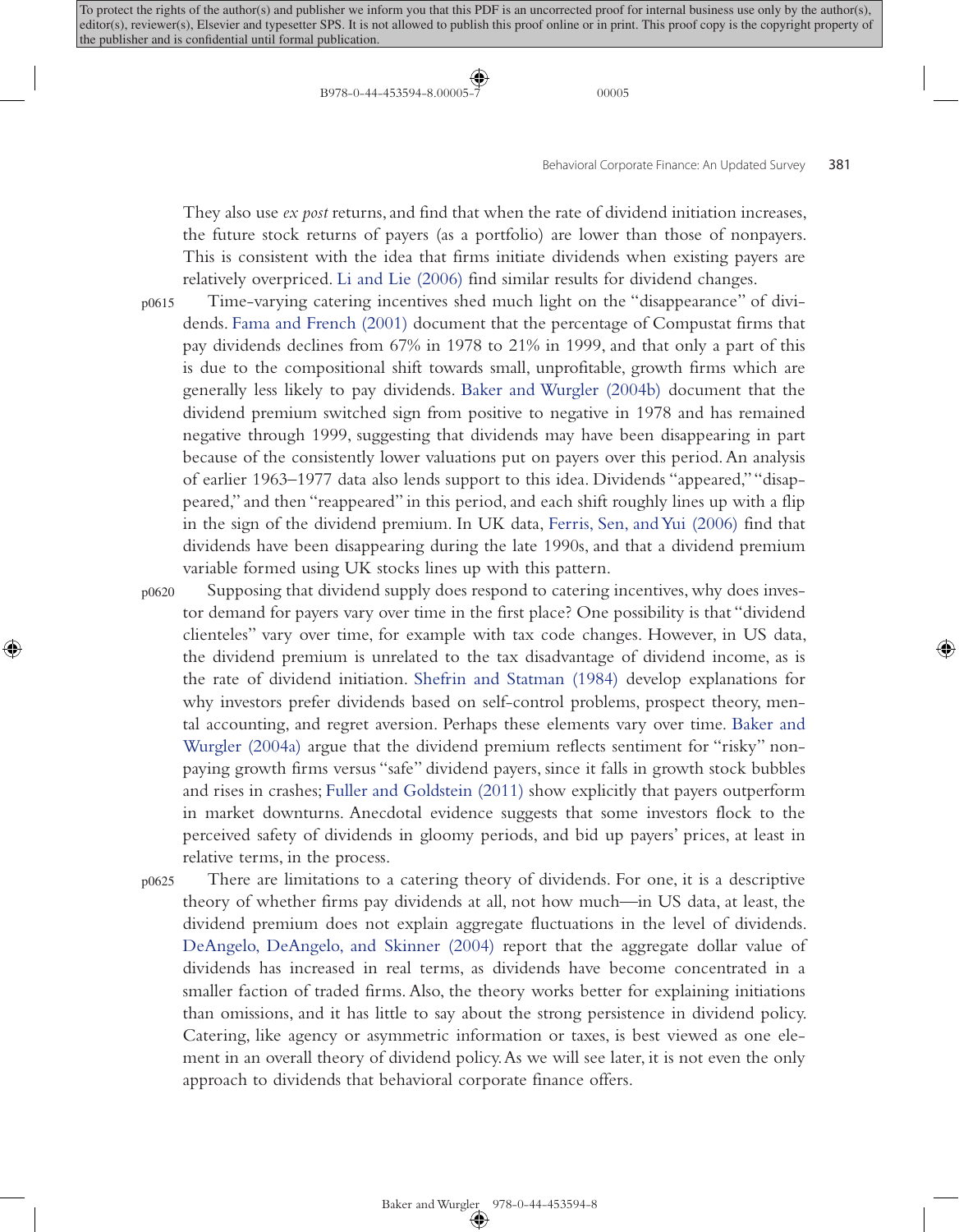B978-0-44-453594-8.00005-7

00005

Behavioral Corporate Finance: An Updated Survey 381

They also use *ex post* returns, and find that when the rate of dividend initiation increases, the future stock returns of payers (as a portfolio) are lower than those of nonpayers. This is consistent with the idea that firms initiate dividends when existing payers are relatively overpriced. [Li and Lie \(2006\)](#page-63-16) find similar results for dividend changes.

Time-varying catering incentives shed much light on the "disappearance" of dividends. [Fama and French \(2001\)](#page-60-15) document that the percentage of Compustat firms that pay dividends declines from 67% in 1978 to 21% in 1999, and that only a part of this is due to the compositional shift towards small, unprofitable, growth firms which are generally less likely to pay dividends. [Baker and Wurgler \(2004b\)](#page-57-16) document that the dividend premium switched sign from positive to negative in 1978 and has remained negative through 1999, suggesting that dividends may have been disappearing in part because of the consistently lower valuations put on payers over this period. An analysis of earlier 1963–1977 data also lends support to this idea. Dividends "appeared," "disappeared," and then "reappeared" in this period, and each shift roughly lines up with a flip in the sign of the dividend premium. In UK data, [Ferris, Sen, and Yui \(2006\)](#page-60-16) find that dividends have been disappearing during the late 1990s, and that a dividend premium variable formed using UK stocks lines up with this pattern. p0615

p0620

◈

Supposing that dividend supply does respond to catering incentives, why does investor demand for payers vary over time in the first place? One possibility is that "dividend clienteles" vary over time, for example with tax code changes. However, in US data, the dividend premium is unrelated to the tax disadvantage of dividend income, as is the rate of dividend initiation. [Shefrin and Statman \(1984\)](#page-65-17) develop explanations for why investors prefer dividends based on self-control problems, prospect theory, mental accounting, and regret aversion. Perhaps these elements vary over time. [Baker and](#page-57-7) [Wurgler \(2004a\)](#page-57-7) argue that the dividend premium reflects sentiment for "risky" nonpaying growth firms versus "safe" dividend payers, since it falls in growth stock bubbles and rises in crashes; [Fuller and Goldstein \(2011\)](#page-60-17) show explicitly that payers outperform in market downturns. Anecdotal evidence suggests that some investors flock to the perceived safety of dividends in gloomy periods, and bid up payers' prices, at least in relative terms, in the process.

There are limitations to a catering theory of dividends. For one, it is a descriptive theory of whether firms pay dividends at all, not how much—in US data, at least, the dividend premium does not explain aggregate fluctuations in the level of dividends. [DeAngelo, DeAngelo, and Skinner \(2004\)](#page-59-15) report that the aggregate dollar value of dividends has increased in real terms, as dividends have become concentrated in a smaller faction of traded firms. Also, the theory works better for explaining initiations than omissions, and it has little to say about the strong persistence in dividend policy. Catering, like agency or asymmetric information or taxes, is best viewed as one element in an overall theory of dividend policy. As we will see later, it is not even the only approach to dividends that behavioral corporate finance offers. p0625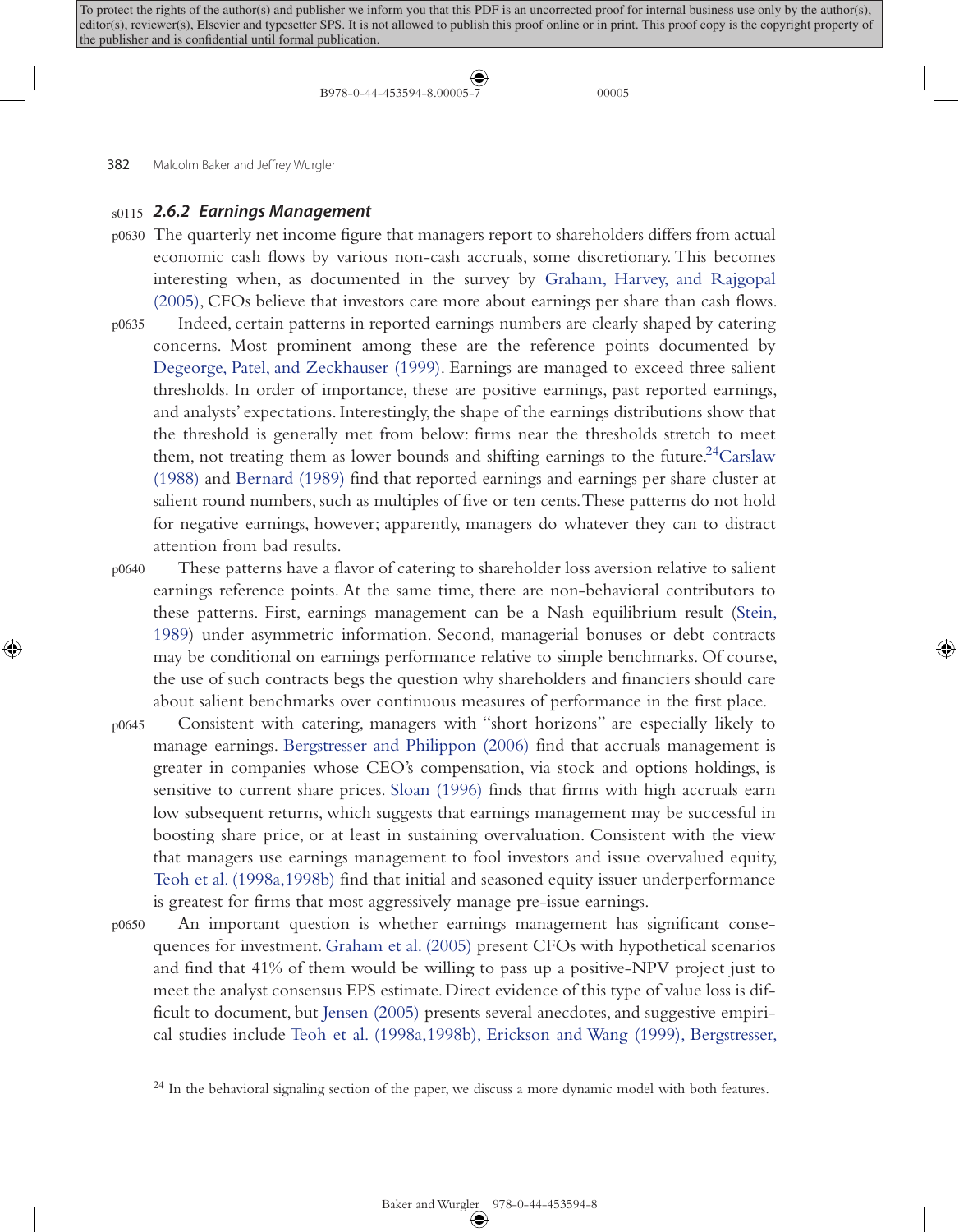B978-0-44-453594-8.00005-7

00005

<span id="page-31-0"></span>382 Malcolm Baker and Jeffrey Wurgler

◈

# *2.6.2 Earnings Management* s0115

- The quarterly net income figure that managers report to shareholders differs from actual p0630 economic cash flows by various non-cash accruals, some discretionary. This becomes interesting when, as documented in the survey by [Graham, Harvey, and Rajgopal](#page-61-13)  [\(2005\)](#page-61-13), CFOs believe that investors care more about earnings per share than cash flows.
- Indeed, certain patterns in reported earnings numbers are clearly shaped by catering concerns. Most prominent among these are the reference points documented by [Degeorge, Patel, and Zeckhauser \(1999\).](#page-59-16) Earnings are managed to exceed three salient thresholds. In order of importance, these are positive earnings, past reported earnings, and analysts' expectations. Interestingly, the shape of the earnings distributions show that the threshold is generally met from below: firms near the thresholds stretch to meet them, not treating them as lower bounds and shifting earnings to the future.<sup>24</sup>[Carslaw](#page-58-14) [\(1988\)](#page-58-14) and [Bernard \(1989\)](#page-57-17) find that reported earnings and earnings per share cluster at salient round numbers, such as multiples of five or ten cents. These patterns do not hold for negative earnings, however; apparently, managers do whatever they can to distract attention from bad results. p0635
- These patterns have a flavor of catering to shareholder loss aversion relative to salient earnings reference points. At the same time, there are non-behavioral contributors to these patterns. First, earnings management can be a Nash equilibrium result [\(Stein,](#page-65-7) [1989\)](#page-65-7) under asymmetric information. Second, managerial bonuses or debt contracts may be conditional on earnings performance relative to simple benchmarks. Of course, the use of such contracts begs the question why shareholders and financiers should care about salient benchmarks over continuous measures of performance in the first place. p0640
- Consistent with catering, managers with "short horizons" are especially likely to manage earnings. [Bergstresser and Philippon \(2006\)](#page-57-10) find that accruals management is greater in companies whose CEO's compensation, via stock and options holdings, is sensitive to current share prices. [Sloan \(1996\)](#page-65-18) finds that firms with high accruals earn low subsequent returns, which suggests that earnings management may be successful in boosting share price, or at least in sustaining overvaluation. Consistent with the view that managers use earnings management to fool investors and issue overvalued equity, [Teoh et al. \(1998a,1998b\)](#page-66-10) find that initial and seasoned equity issuer underperformance is greatest for firms that most aggressively manage pre-issue earnings. p0645
- An important question is whether earnings management has significant consequences for investment. [Graham et al. \(2005\)](#page-61-13) present CFOs with hypothetical scenarios and find that 41% of them would be willing to pass up a positive-NPV project just to meet the analyst consensus EPS estimate. Direct evidence of this type of value loss is difficult to document, but [Jensen \(2005\)](#page-62-19) presents several anecdotes, and suggestive empirical studies include [Teoh et al. \(1998a,1998b\), Erickson and Wang \(1999\), Bergstresser,](#page-66-10) p0650

<sup>24</sup> In the behavioral signaling section of the paper, we discuss a more dynamic model with both features.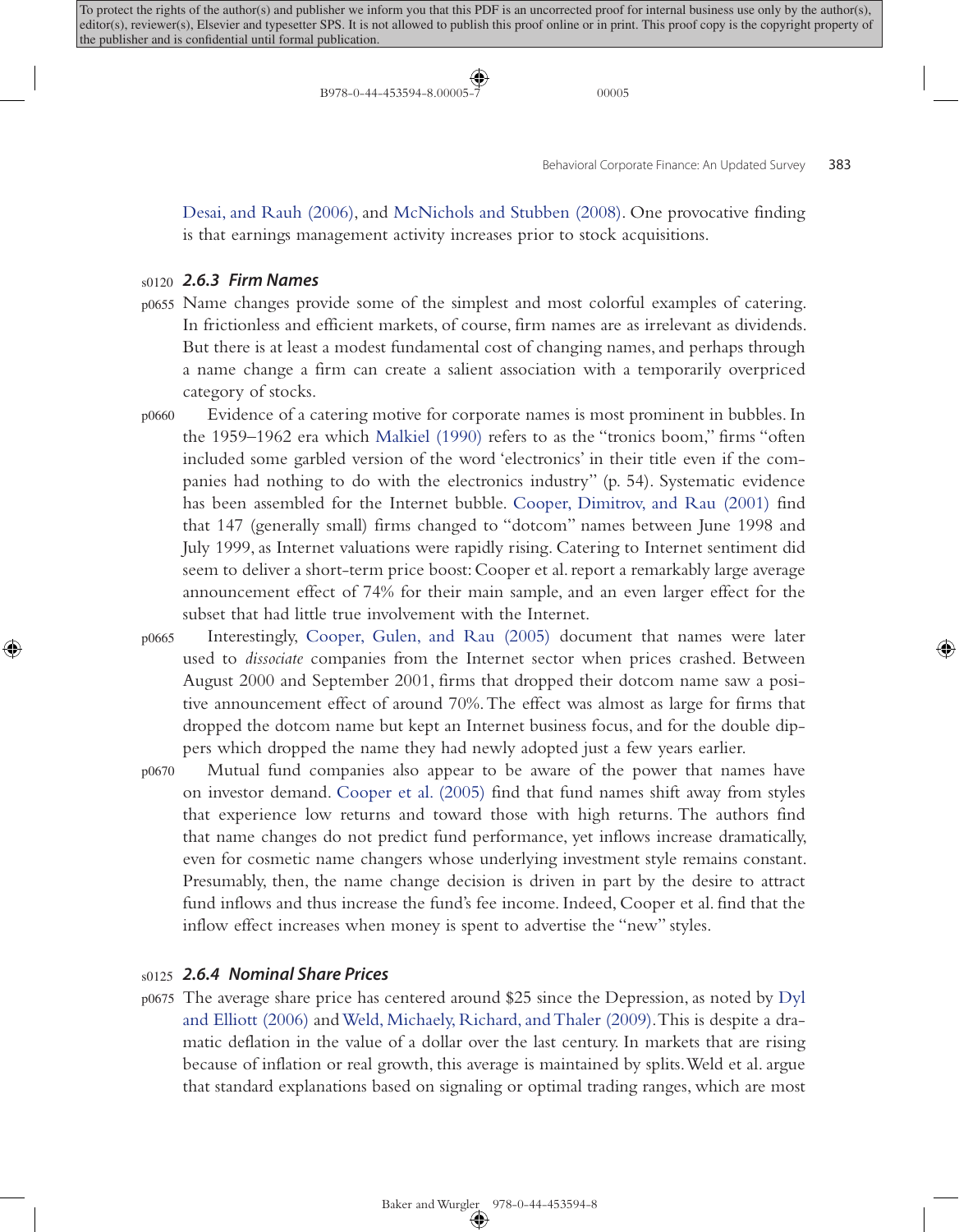B978-0-44-453594-8.00005-7

00005

Behavioral Corporate Finance: An Updated Survey 383

<span id="page-32-0"></span>[Desai, and Rauh \(2006\),](#page-66-10) and [McNichols and Stubben \(2008\).](#page-63-17) One provocative finding is that earnings management activity increases prior to stock acquisitions.

# *2.6.3 Firm Names* s0120

⊕

- p0655 Name changes provide some of the simplest and most colorful examples of catering. In frictionless and efficient markets, of course, firm names are as irrelevant as dividends. But there is at least a modest fundamental cost of changing names, and perhaps through a name change a firm can create a salient association with a temporarily overpriced category of stocks.
- Evidence of a catering motive for corporate names is most prominent in bubbles. In the 1959–1962 era which [Malkiel \(1990\)](#page-63-5) refers to as the "tronics boom," firms "often included some garbled version of the word 'electronics' in their title even if the companies had nothing to do with the electronics industry" (p. 54). Systematic evidence has been assembled for the Internet bubble. [Cooper, Dimitrov, and Rau \(2001\)](#page-58-15) find that 147 (generally small) firms changed to "dotcom" names between June 1998 and July 1999, as Internet valuations were rapidly rising. Catering to Internet sentiment did seem to deliver a short-term price boost: Cooper et al. report a remarkably large average announcement effect of 74% for their main sample, and an even larger effect for the subset that had little true involvement with the Internet. p0660
- Interestingly, [Cooper, Gulen, and Rau \(2005\)](#page-58-16) document that names were later used to *dissociate* companies from the Internet sector when prices crashed. Between August 2000 and September 2001, firms that dropped their dotcom name saw a positive announcement effect of around 70%. The effect was almost as large for firms that dropped the dotcom name but kept an Internet business focus, and for the double dippers which dropped the name they had newly adopted just a few years earlier. p0665
- Mutual fund companies also appear to be aware of the power that names have on investor demand. [Cooper et al. \(2005\)](#page-58-16) find that fund names shift away from styles that experience low returns and toward those with high returns. The authors find that name changes do not predict fund performance, yet inflows increase dramatically, even for cosmetic name changers whose underlying investment style remains constant. Presumably, then, the name change decision is driven in part by the desire to attract fund inflows and thus increase the fund's fee income. Indeed, Cooper et al. find that the inflow effect increases when money is spent to advertise the "new" styles. p0670

# *2.6.4 Nominal Share Prices* s0125

The average share price has centered around \$25 since the Depression, as noted by [Dyl](#page-59-17) p0675[and Elliott \(2006\)](#page-59-17) and [Weld, Michaely, Richard, and Thaler \(2009\).](#page-66-13) This is despite a dramatic deflation in the value of a dollar over the last century. In markets that are rising because of inflation or real growth, this average is maintained by splits. Weld et al. argue that standard explanations based on signaling or optimal trading ranges, which are most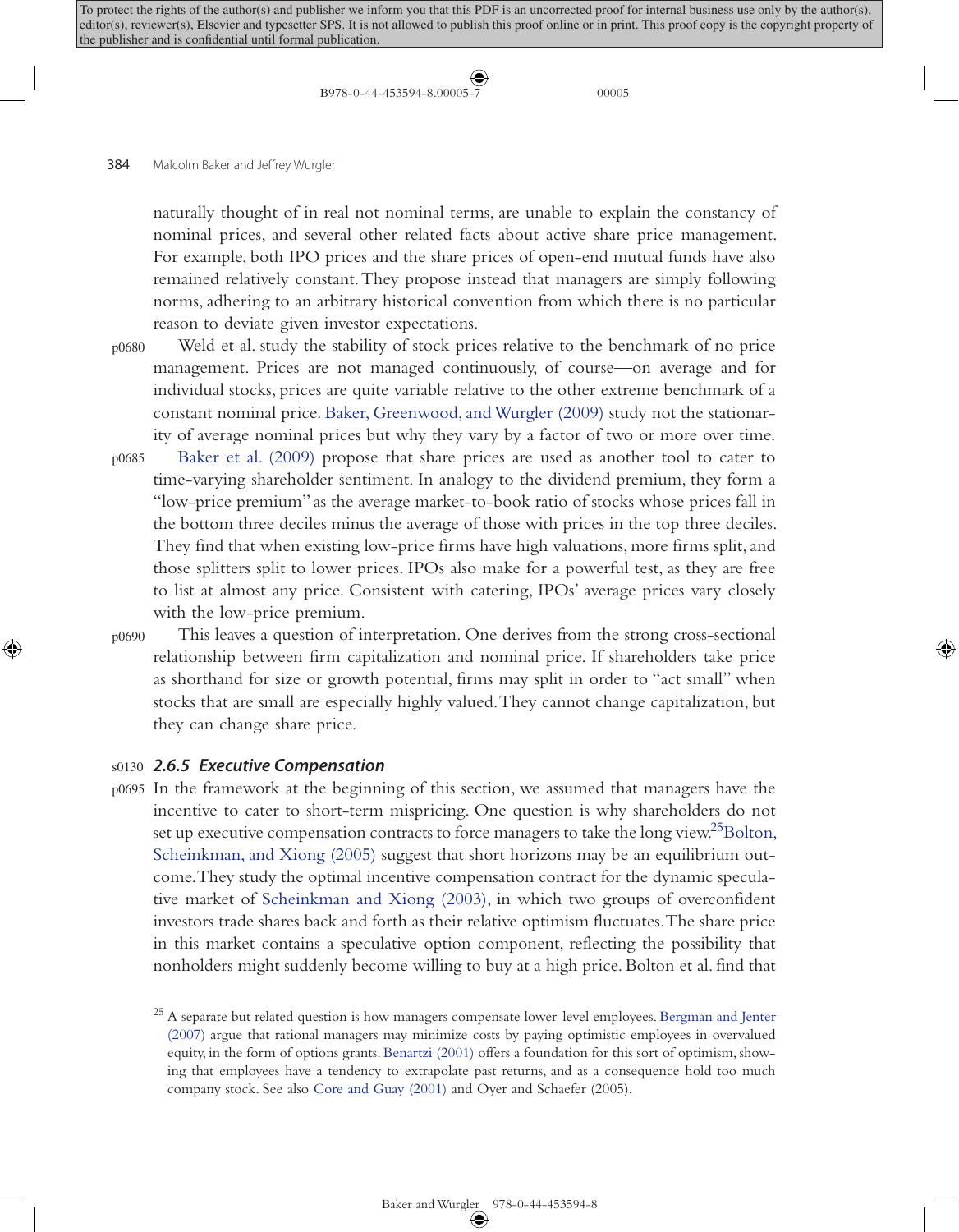B978-0-44-453594-8.00005-7

00005

#### <span id="page-33-0"></span>384 Malcolm Baker and Jeffrey Wurgler

naturally thought of in real not nominal terms, are unable to explain the constancy of nominal prices, and several other related facts about active share price management. For example, both IPO prices and the share prices of open-end mutual funds have also remained relatively constant. They propose instead that managers are simply following norms, adhering to an arbitrary historical convention from which there is no particular reason to deviate given investor expectations.

- Weld et al. study the stability of stock prices relative to the benchmark of no price management. Prices are not managed continuously, of course—on average and for individual stocks, prices are quite variable relative to the other extreme benchmark of a constant nominal price. [Baker, Greenwood, and Wurgler \(2009\)](#page-57-18) study not the stationarity of average nominal prices but why they vary by a factor of two or more over time. p0680
- [Baker et al. \(2009\)](#page-56-6) propose that share prices are used as another tool to cater to time-varying shareholder sentiment. In analogy to the dividend premium, they form a "low-price premium" as the average market-to-book ratio of stocks whose prices fall in the bottom three deciles minus the average of those with prices in the top three deciles. They find that when existing low-price firms have high valuations, more firms split, and those splitters split to lower prices. IPOs also make for a powerful test, as they are free to list at almost any price. Consistent with catering, IPOs' average prices vary closely with the low-price premium. p0685
- 

⊕

This leaves a question of interpretation. One derives from the strong cross-sectional relationship between firm capitalization and nominal price. If shareholders take price as shorthand for size or growth potential, firms may split in order to "act small" when stocks that are small are especially highly valued. They cannot change capitalization, but they can change share price. p0690

# *2.6.5 Executive Compensation* s0130

p0695 In the framework at the beginning of this section, we assumed that managers have the incentive to cater to short-term mispricing. One question is why shareholders do not set up executive compensation contracts to force managers to take the long view.<sup>25</sup>Bolton, [Scheinkman, and Xiong \(2005\)](#page-58-17) suggest that short horizons may be an equilibrium outcome. They study the optimal incentive compensation contract for the dynamic speculative market of [Scheinkman and Xiong \(2003\),](#page-65-19) in which two groups of overconfident investors trade shares back and forth as their relative optimism fluctuates. The share price in this market contains a speculative option component, reflecting the possibility that nonholders might suddenly become willing to buy at a high price. Bolton et al. find that

<sup>&</sup>lt;sup>25</sup> A separate but related question is how managers compensate lower-level employees. [Bergman and Jenter](#page-57-19) [\(2007\)](#page-57-19) argue that rational managers may minimize costs by paying optimistic employees in overvalued equity, in the form of options grants. [Benartzi \(2001\)](#page-57-20) offers a foundation for this sort of optimism, showing that employees have a tendency to extrapolate past returns, and as a consequence hold too much company stock. See also [Core and Guay \(2001\)](#page-59-18) and Oyer and Schaefer (2005).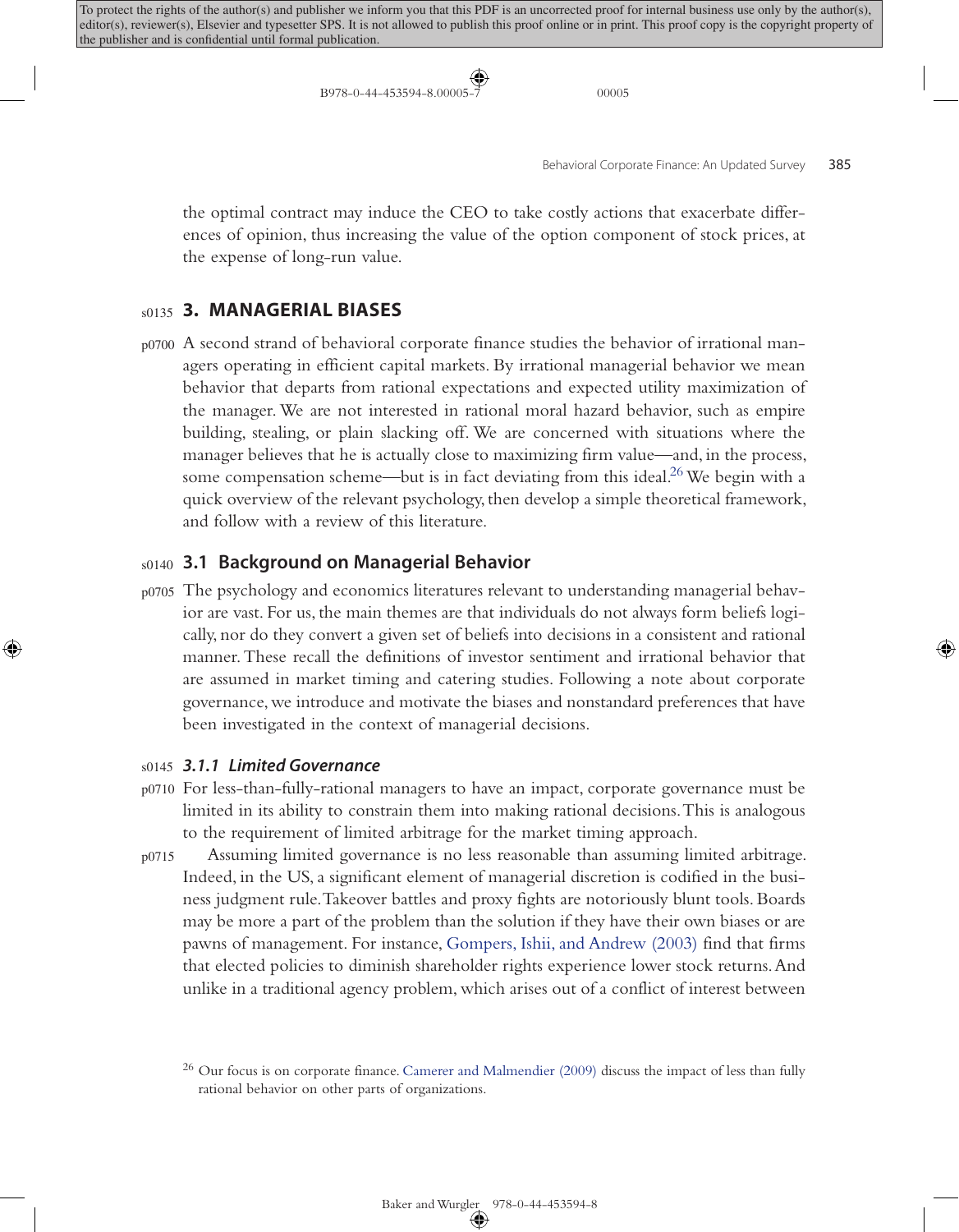B978-0-44-453594-8.00005-7

00005

Behavioral Corporate Finance: An Updated Survey 385

<span id="page-34-0"></span>the optimal contract may induce the CEO to take costly actions that exacerbate differences of opinion, thus increasing the value of the option component of stock prices, at the expense of long-run value.

# **3. MANAGERIAL BIASES** s0135

A second strand of behavioral corporate finance studies the behavior of irrational man-p0700 agers operating in efficient capital markets. By irrational managerial behavior we mean behavior that departs from rational expectations and expected utility maximization of the manager. We are not interested in rational moral hazard behavior, such as empire building, stealing, or plain slacking off. We are concerned with situations where the manager believes that he is actually close to maximizing firm value—and, in the process, some compensation scheme—but is in fact deviating from this ideal.<sup>26</sup> We begin with a quick overview of the relevant psychology, then develop a simple theoretical framework, and follow with a review of this literature.

# **3.1 Background on Managerial Behavior** s0140

The psychology and economics literatures relevant to understanding managerial behav-p0705 ior are vast. For us, the main themes are that individuals do not always form beliefs logically, nor do they convert a given set of beliefs into decisions in a consistent and rational manner. These recall the definitions of investor sentiment and irrational behavior that are assumed in market timing and catering studies. Following a note about corporate governance, we introduce and motivate the biases and nonstandard preferences that have been investigated in the context of managerial decisions.

# *3.1.1 Limited Governance* s0145

◈

- p0710 For less-than-fully-rational managers to have an impact, corporate governance must be limited in its ability to constrain them into making rational decisions. This is analogous to the requirement of limited arbitrage for the market timing approach.
- Assuming limited governance is no less reasonable than assuming limited arbitrage. Indeed, in the US, a significant element of managerial discretion is codified in the business judgment rule. Takeover battles and proxy fights are notoriously blunt tools. Boards may be more a part of the problem than the solution if they have their own biases or are pawns of management. For instance, [Gompers, Ishii, and Andrew \(2003\)](#page-60-18) find that firms that elected policies to diminish shareholder rights experience lower stock returns. And unlike in a traditional agency problem, which arises out of a conflict of interest between p0715

<sup>&</sup>lt;sup>26</sup> Our focus is on corporate finance. [Camerer and Malmendier \(2009\)](#page-58-18) discuss the impact of less than fully rational behavior on other parts of organizations.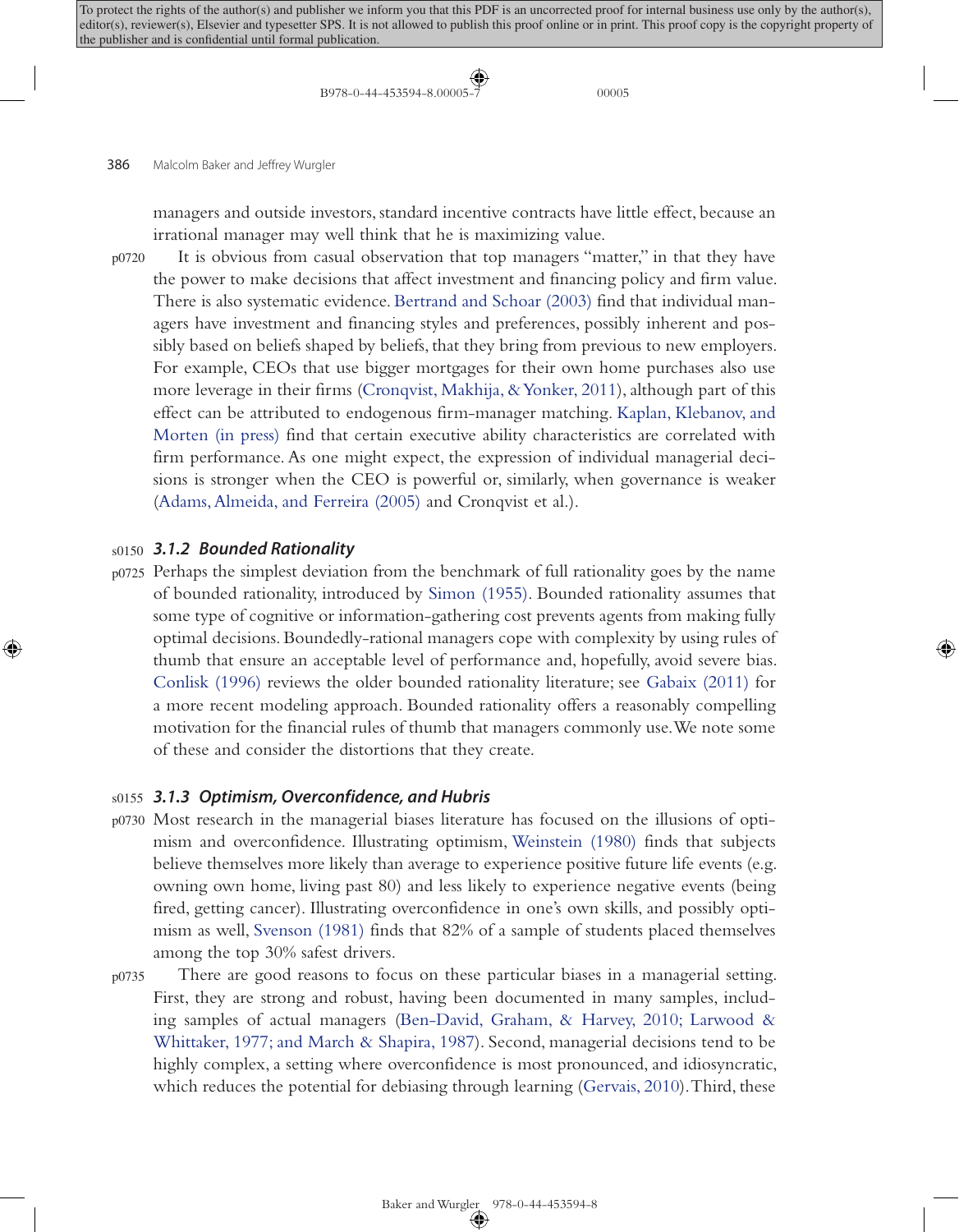B978-0-44-453594-8.00005-7

00005

<span id="page-35-0"></span>386 Malcolm Baker and Jeffrey Wurgler

managers and outside investors, standard incentive contracts have little effect, because an irrational manager may well think that he is maximizing value.

It is obvious from casual observation that top managers "matter," in that they have the power to make decisions that affect investment and financing policy and firm value. There is also systematic evidence. [Bertrand and Schoar \(2003\)](#page-57-21) find that individual managers have investment and financing styles and preferences, possibly inherent and possibly based on beliefs shaped by beliefs, that they bring from previous to new employers. For example, CEOs that use bigger mortgages for their own home purchases also use more leverage in their firms [\(Cronqvist, Makhija, & Yonker, 2011\)](#page-59-19), although part of this effect can be attributed to endogenous firm-manager matching. [Kaplan, Klebanov, and](#page-62-20)  [Morten \(in press\)](#page-62-20) find that certain executive ability characteristics are correlated with firm performance. As one might expect, the expression of individual managerial decisions is stronger when the CEO is powerful or, similarly, when governance is weaker [\(Adams, Almeida, and Ferreira \(2005\)](#page-56-11) and Cronqvist et al.). p0720

# *3.1.2 Bounded Rationality* s0150

⊕

p0725 Perhaps the simplest deviation from the benchmark of full rationality goes by the name of bounded rationality, introduced by [Simon \(1955\).](#page-65-20) Bounded rationality assumes that some type of cognitive or information-gathering cost prevents agents from making fully optimal decisions. Boundedly-rational managers cope with complexity by using rules of thumb that ensure an acceptable level of performance and, hopefully, avoid severe bias. [Conlisk \(1996\)](#page-58-19) reviews the older bounded rationality literature; see [Gabaix \(2011\)](#page-60-19) for a more recent modeling approach. Bounded rationality offers a reasonably compelling motivation for the financial rules of thumb that managers commonly use. We note some of these and consider the distortions that they create.

# *3.1.3 Optimism, Overconfidence, and Hubris* s0155

- p0730 Most research in the managerial biases literature has focused on the illusions of optimism and overconfidence. Illustrating optimism, [Weinstein \(1980\)](#page-66-14) finds that subjects believe themselves more likely than average to experience positive future life events (e.g. owning own home, living past 80) and less likely to experience negative events (being fired, getting cancer). Illustrating overconfidence in one's own skills, and possibly optimism as well, [Svenson \(1981\)](#page-66-15) finds that 82% of a sample of students placed themselves among the top 30% safest drivers.
- There are good reasons to focus on these particular biases in a managerial setting. First, they are strong and robust, having been documented in many samples, including samples of actual managers [\(Ben-David, Graham, & Harvey, 2010; Larwood &](#page-57-22) [Whittaker, 1977; and March & Shapira, 1987](#page-57-22)). Second, managerial decisions tend to be highly complex, a setting where overconfidence is most pronounced, and idiosyncratic, which reduces the potential for debiasing through learning ([Gervais, 2010\)](#page-60-1). Third, these p0735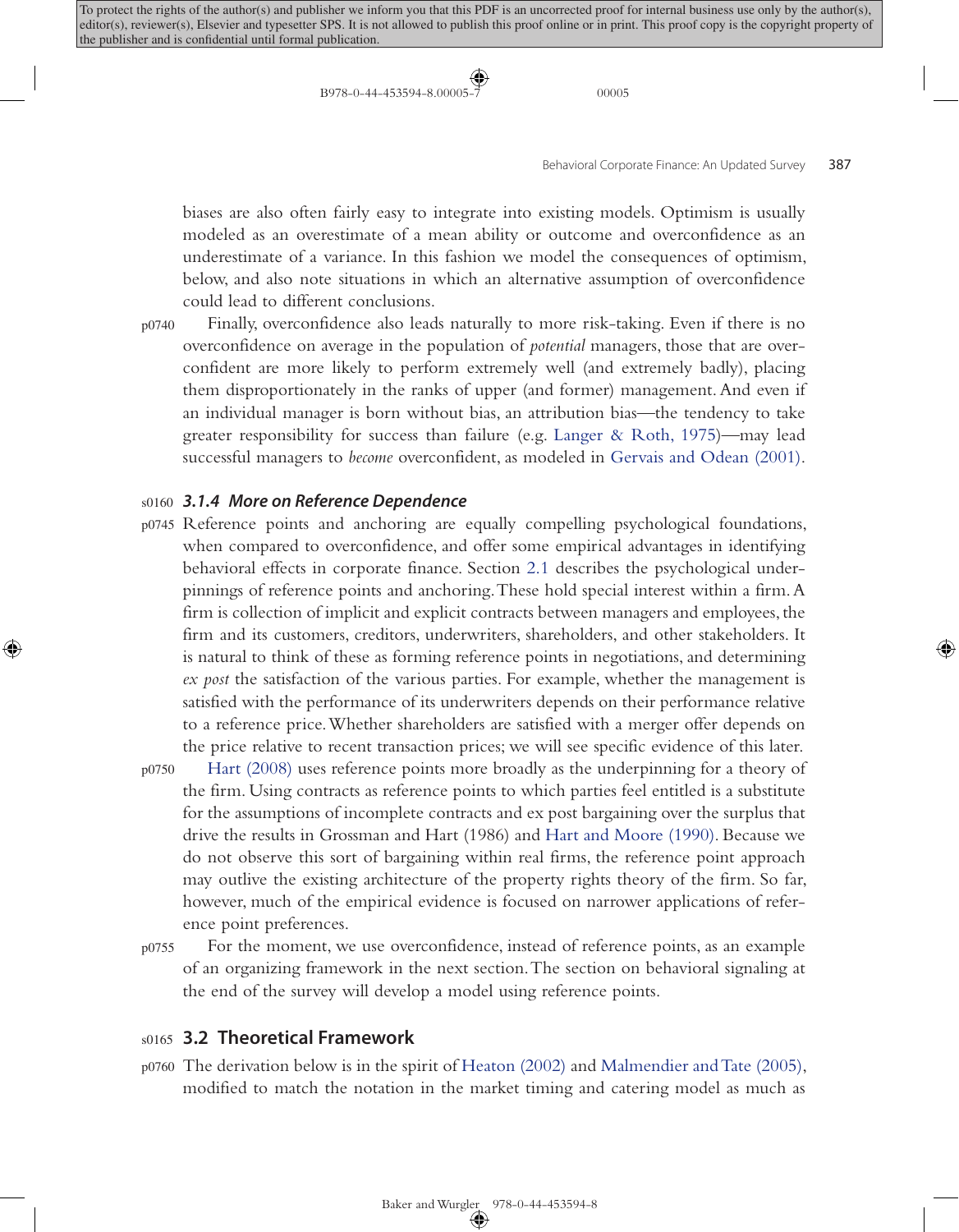B978-0-44-453594-8.00005-7

00005

Behavioral Corporate Finance: An Updated Survey 387

<span id="page-36-0"></span>biases are also often fairly easy to integrate into existing models. Optimism is usually modeled as an overestimate of a mean ability or outcome and overconfidence as an underestimate of a variance. In this fashion we model the consequences of optimism, below, and also note situations in which an alternative assumption of overconfidence could lead to different conclusions.

p0740

◈

Finally, overconfidence also leads naturally to more risk-taking. Even if there is no overconfidence on average in the population of *potential* managers, those that are overconfident are more likely to perform extremely well (and extremely badly), placing them disproportionately in the ranks of upper (and former) management. And even if an individual manager is born without bias, an attribution bias—the tendency to take greater responsibility for success than failure (e.g. [Langer & Roth, 1975\)](#page-63-18)—may lead successful managers to *become* overconfident, as modeled in [Gervais and Odean \(2001\)](#page-60-20).

# *3.1.4 More on Reference Dependence* s0160

Reference points and anchoring are equally compelling psychological foundations, p0745 when compared to overconfidence, and offer some empirical advantages in identifying behavioral effects in corporate finance. Section [2.1](#page-4-1) describes the psychological underpinnings of reference points and anchoring. These hold special interest within a firm. A firm is collection of implicit and explicit contracts between managers and employees, the firm and its customers, creditors, underwriters, shareholders, and other stakeholders. It is natural to think of these as forming reference points in negotiations, and determining *ex post* the satisfaction of the various parties. For example, whether the management is satisfied with the performance of its underwriters depends on their performance relative to a reference price. Whether shareholders are satisfied with a merger offer depends on the price relative to recent transaction prices; we will see specific evidence of this later.

[Hart \(2008\)](#page-61-14) uses reference points more broadly as the underpinning for a theory of the firm. Using contracts as reference points to which parties feel entitled is a substitute for the assumptions of incomplete contracts and ex post bargaining over the surplus that drive the results in Grossman and Hart (1986) and [Hart and Moore \(1990\).](#page-61-15) Because we do not observe this sort of bargaining within real firms, the reference point approach may outlive the existing architecture of the property rights theory of the firm. So far, however, much of the empirical evidence is focused on narrower applications of reference point preferences. p0750

For the moment, we use overconfidence, instead of reference points, as an example of an organizing framework in the next section. The section on behavioral signaling at the end of the survey will develop a model using reference points. p0755

# **3.2 Theoretical Framework** s0165

The derivation below is in the spirit of [Heaton \(2002\)](#page-61-16) and [Malmendier and Tate \(2005\)](#page-63-19), p0760modified to match the notation in the market timing and catering model as much as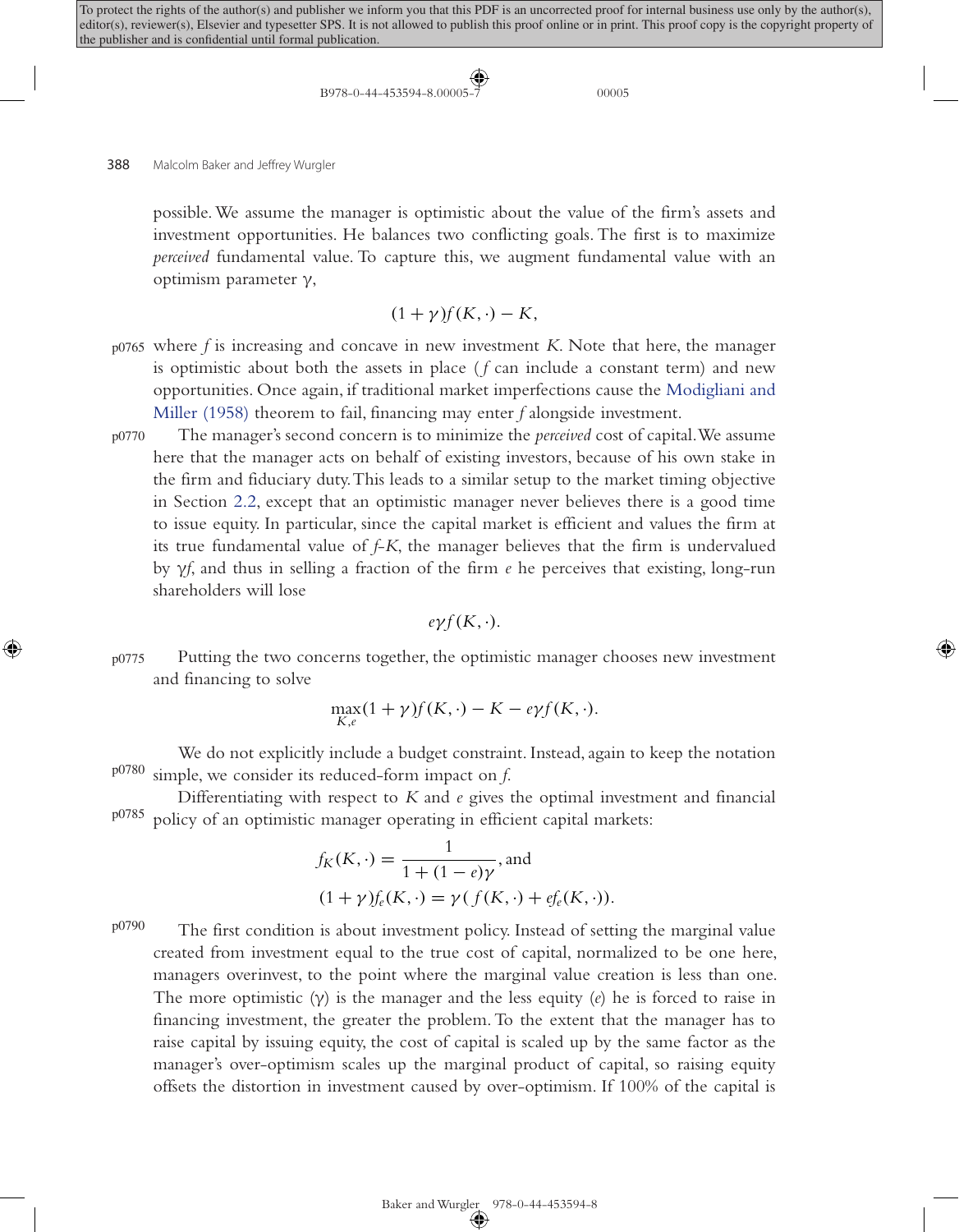B978-0-44-453594-8.00005-7

00005

⊕

#### 388 Malcolm Baker and Jeffrey Wurgler

⊕

possible. We assume the manager is optimistic about the value of the firm's assets and investment opportunities. He balances two conflicting goals. The first is to maximize *perceived* fundamental value. To capture this, we augment fundamental value with an optimism parameter γ,

 $(1 + \gamma)f(K, \cdot) - K$ 

- p0765 where  $f$  is increasing and concave in new investment  $K$ . Note that here, the manager is optimistic about both the assets in place  $(f \ncan$  include a constant term) and new opportunities. Once again, if traditional market imperfections cause the [Modigliani and](#page-64-5)  [Miller \(1958\)](#page-64-5) theorem to fail, financing may enter *f* alongside investment.
- The manager's second concern is to minimize the *perceived* cost of capital. We assume here that the manager acts on behalf of existing investors, because of his own stake in the firm and fiduciary duty. This leads to a similar setup to the market timing objective in Section [2.2,](#page-9-1) except that an optimistic manager never believes there is a good time to issue equity. In particular, since the capital market is efficient and values the firm at its true fundamental value of *f*-*K*, the manager believes that the firm is undervalued by γ*f*, and thus in selling a fraction of the firm *e* he perceives that existing, long-run shareholders will lose p0770

$$
e\gamma f(K,\cdot).
$$

Putting the two concerns together, the optimistic manager chooses new investment and financing to solve p0775

$$
\max_{K,e} (1+\gamma)f(K,\cdot) - K - e\gamma f(K,\cdot).
$$

We do not explicitly include a budget constraint. Instead, again to keep the notation simple, we consider its reduced-form impact on *f*. p0780

Differentiating with respect to *K* and *e* gives the optimal investment and financial p<sup>0785</sup> policy of an optimistic manager operating in efficient capital markets:

$$
f_K(K, \cdot) = \frac{1}{1 + (1 - e)\gamma}, \text{ and}
$$
  

$$
(1 + \gamma)f_e(K, \cdot) = \gamma(f(K, \cdot) + ef_e(K, \cdot)).
$$

The first condition is about investment policy. Instead of setting the marginal value created from investment equal to the true cost of capital, normalized to be one here, managers overinvest, to the point where the marginal value creation is less than one. The more optimistic  $(\gamma)$  is the manager and the less equity (*e*) he is forced to raise in financing investment, the greater the problem. To the extent that the manager has to raise capital by issuing equity, the cost of capital is scaled up by the same factor as the manager's over-optimism scales up the marginal product of capital, so raising equity offsets the distortion in investment caused by over-optimism. If 100% of the capital is p0790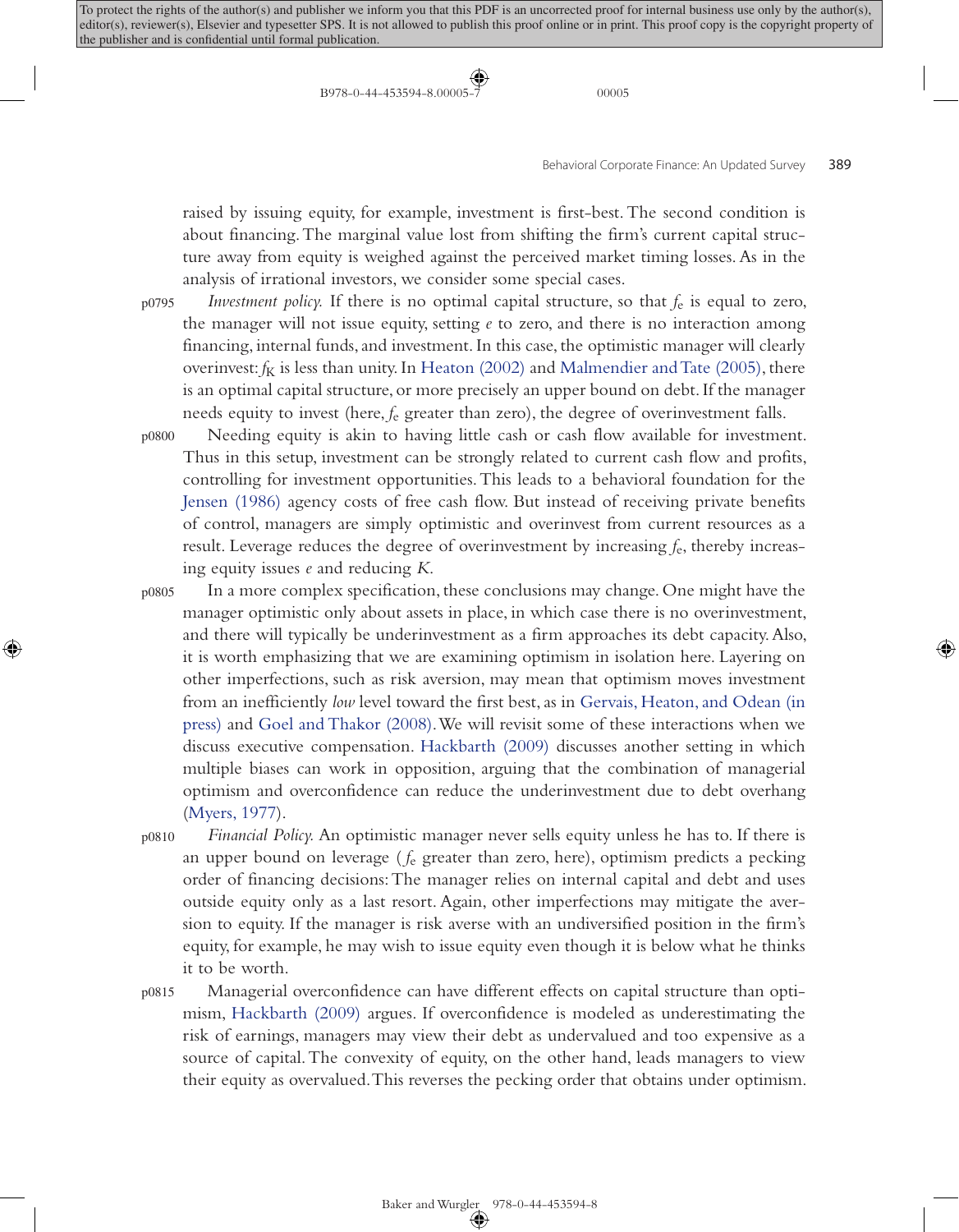B978-0-44-453594-8.00005-7

00005

Behavioral Corporate Finance: An Updated Survey 389

raised by issuing equity, for example, investment is first-best. The second condition is about financing. The marginal value lost from shifting the firm's current capital structure away from equity is weighed against the perceived market timing losses. As in the analysis of irrational investors, we consider some special cases.

- *Investment policy.* If there is no optimal capital structure, so that *f*e is equal to zero, the manager will not issue equity, setting *e* to zero, and there is no interaction among financing, internal funds, and investment. In this case, the optimistic manager will clearly overinvest:  $f<sub>K</sub>$  is less than unity. In [Heaton \(2002\)](#page-61-16) and [Malmendier and Tate \(2005\)](#page-63-19), there is an optimal capital structure, or more precisely an upper bound on debt. If the manager needs equity to invest (here, *f*e greater than zero), the degree of overinvestment falls. p0795
- Needing equity is akin to having little cash or cash flow available for investment. Thus in this setup, investment can be strongly related to current cash flow and profits, controlling for investment opportunities. This leads to a behavioral foundation for the [Jensen \(1986\)](#page-62-21) agency costs of free cash flow. But instead of receiving private benefits of control, managers are simply optimistic and overinvest from current resources as a result. Leverage reduces the degree of overinvestment by increasing *f*e, thereby increasing equity issues *e* and reducing *K*. p0800
- In a more complex specification, these conclusions may change. One might have the manager optimistic only about assets in place, in which case there is no overinvestment, and there will typically be underinvestment as a firm approaches its debt capacity. Also, it is worth emphasizing that we are examining optimism in isolation here. Layering on other imperfections, such as risk aversion, may mean that optimism moves investment from an inefficiently *low* level toward the first best, as in [Gervais, Heaton, and Odean \(in](#page-60-21) [press\)](#page-60-21) and [Goel and Thakor \(2008\).](#page-60-22) We will revisit some of these interactions when we discuss executive compensation. [Hackbarth \(2009\)](#page-61-17) discusses another setting in which multiple biases can work in opposition, arguing that the combination of managerial optimism and overconfidence can reduce the underinvestment due to debt overhang [\(Myers, 1977\)](#page-64-23). p0805

⊕

- *Financial Policy.* An optimistic manager never sells equity unless he has to. If there is an upper bound on leverage ( $f_e$  greater than zero, here), optimism predicts a pecking order of financing decisions: The manager relies on internal capital and debt and uses outside equity only as a last resort. Again, other imperfections may mitigate the aversion to equity. If the manager is risk averse with an undiversified position in the firm's equity, for example, he may wish to issue equity even though it is below what he thinks it to be worth. p0810
- Managerial overconfidence can have different effects on capital structure than optimism, [Hackbarth \(2009\)](#page-61-17) argues. If overconfidence is modeled as underestimating the risk of earnings, managers may view their debt as undervalued and too expensive as a source of capital. The convexity of equity, on the other hand, leads managers to view their equity as overvalued. This reverses the pecking order that obtains under optimism. p0815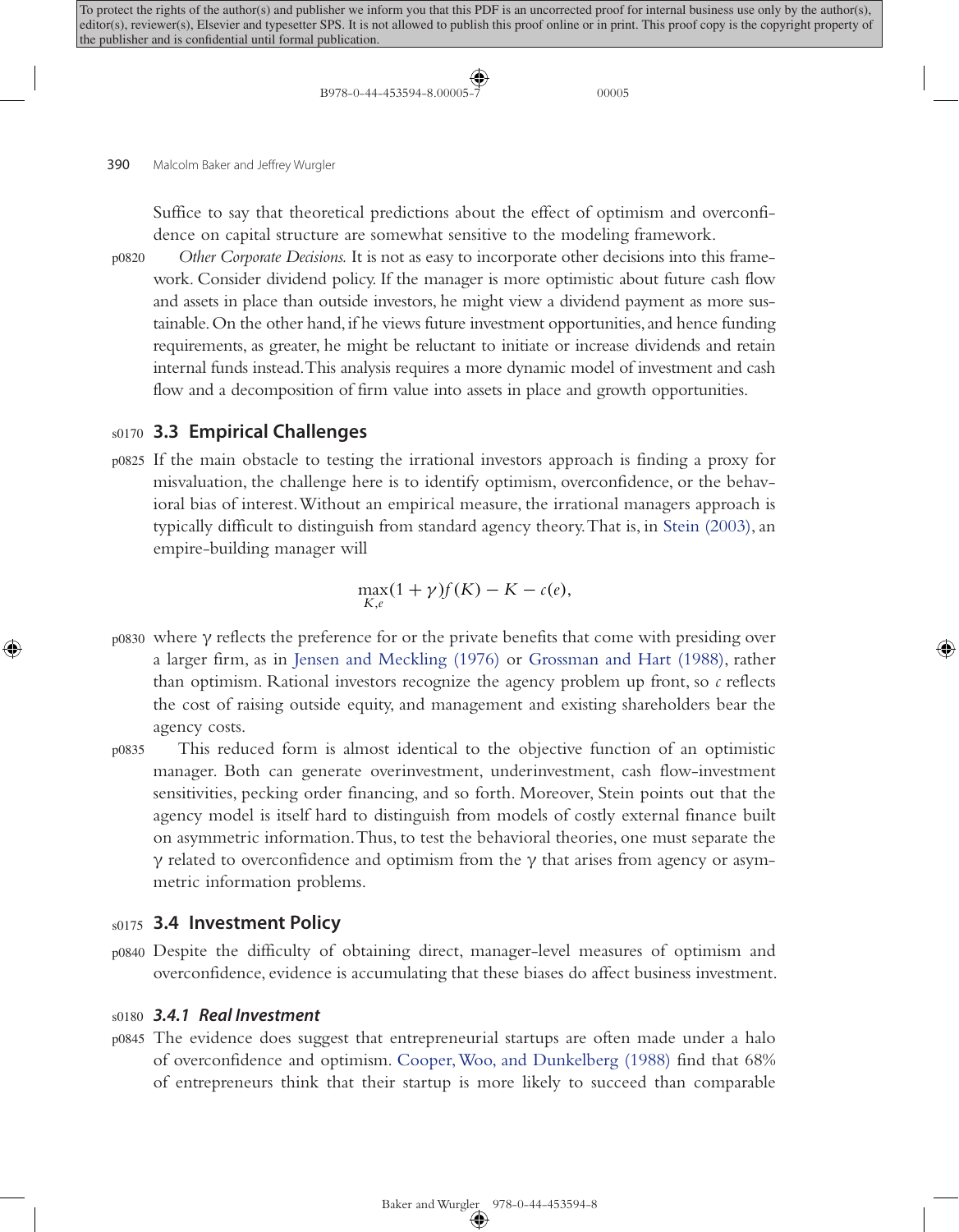B978-0-44-453594-8.00005-7

00005

⊕

<span id="page-39-0"></span>390 Malcolm Baker and Jeffrey Wurgler

Suffice to say that theoretical predictions about the effect of optimism and overconfidence on capital structure are somewhat sensitive to the modeling framework.

*Other Corporate Decisions.* It is not as easy to incorporate other decisions into this framework. Consider dividend policy. If the manager is more optimistic about future cash flow and assets in place than outside investors, he might view a dividend payment as more sustainable. On the other hand, if he views future investment opportunities, and hence funding requirements, as greater, he might be reluctant to initiate or increase dividends and retain internal funds instead. This analysis requires a more dynamic model of investment and cash flow and a decomposition of firm value into assets in place and growth opportunities. p0820

# **3.3 Empirical Challenges** s0170

p0825 If the main obstacle to testing the irrational investors approach is finding a proxy for misvaluation, the challenge here is to identify optimism, overconfidence, or the behavioral bias of interest. Without an empirical measure, the irrational managers approach is typically difficult to distinguish from standard agency theory. That is, in [Stein \(2003\)](#page-66-16), an empire-building manager will

$$
\max_{K,e}(1+\gamma)f(K)-K-c(e),
$$

- $_{p0830}$  where γ reflects the preference for or the private benefits that come with presiding over a larger firm, as in [Jensen and Meckling \(1976\)](#page-62-16) or [Grossman and Hart \(1988\),](#page-61-18) rather than optimism. Rational investors recognize the agency problem up front, so  $\epsilon$  reflects the cost of raising outside equity, and management and existing shareholders bear the agency costs.
- This reduced form is almost identical to the objective function of an optimistic manager. Both can generate overinvestment, underinvestment, cash flow-investment sensitivities, pecking order financing, and so forth. Moreover, Stein points out that the agency model is itself hard to distinguish from models of costly external finance built on asymmetric information. Thus, to test the behavioral theories, one must separate the γ related to overconfidence and optimism from the γ that arises from agency or asymmetric information problems. p0835

# **3.4 Investment Policy** s0175

⊕

Despite the difficulty of obtaining direct, manager-level measures of optimism and p0840 overconfidence, evidence is accumulating that these biases do affect business investment.

# *3.4.1 Real Investment* s0180

The evidence does suggest that entrepreneurial startups are often made under a halo p0845of overconfidence and optimism. [Cooper, Woo, and Dunkelberg \(1988\)](#page-58-20) find that 68% of entrepreneurs think that their startup is more likely to succeed than comparable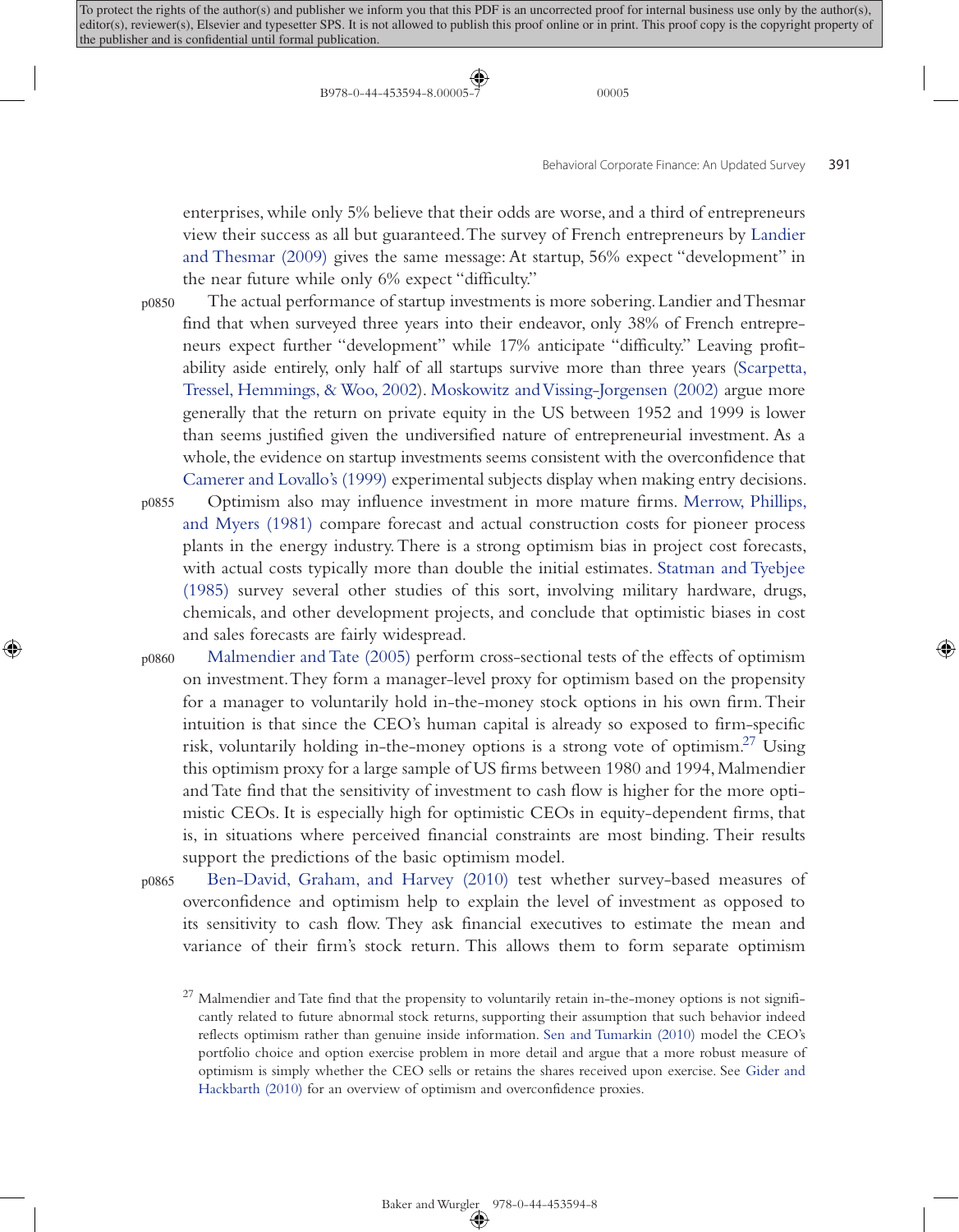B978-0-44-453594-8.00005-7

00005

Behavioral Corporate Finance: An Updated Survey 391

enterprises, while only 5% believe that their odds are worse, and a third of entrepreneurs view their success as all but guaranteed. The survey of French entrepreneurs by [Landier](#page-63-20) [and Thesmar \(2009\)](#page-63-20) gives the same message: At startup, 56% expect "development" in the near future while only 6% expect "difficulty."

- The actual performance of startup investments is more sobering. Landier and Thesmar find that when surveyed three years into their endeavor, only 38% of French entrepreneurs expect further "development" while 17% anticipate "difficulty." Leaving profitability aside entirely, only half of all startups survive more than three years [\(Scarpetta,](#page-65-21) [Tressel, Hemmings, & Woo, 2002](#page-65-21)). [Moskowitz and Vissing-Jorgensen \(2002\)](#page-64-24) argue more generally that the return on private equity in the US between 1952 and 1999 is lower than seems justified given the undiversified nature of entrepreneurial investment. As a whole, the evidence on startup investments seems consistent with the overconfidence that [Camerer and Lovallo's \(1999\)](#page-58-21) experimental subjects display when making entry decisions. p0850
- Optimism also may influence investment in more mature firms. [Merrow, Phillips,](#page-63-21)  [and Myers \(1981\)](#page-63-21) compare forecast and actual construction costs for pioneer process plants in the energy industry. There is a strong optimism bias in project cost forecasts, with actual costs typically more than double the initial estimates. [Statman and Tyebjee](#page-65-22)  [\(1985\)](#page-65-22) survey several other studies of this sort, involving military hardware, drugs, chemicals, and other development projects, and conclude that optimistic biases in cost and sales forecasts are fairly widespread. p0855

⊕

- [Malmendier and Tate \(2005\)](#page-63-19) perform cross-sectional tests of the effects of optimism on investment. They form a manager-level proxy for optimism based on the propensity for a manager to voluntarily hold in-the-money stock options in his own firm. Their intuition is that since the CEO's human capital is already so exposed to firm-specific risk, voluntarily holding in-the-money options is a strong vote of optimism.27 Using this optimism proxy for a large sample of US firms between 1980 and 1994, Malmendier and Tate find that the sensitivity of investment to cash flow is higher for the more optimistic CEOs. It is especially high for optimistic CEOs in equity-dependent firms, that is, in situations where perceived financial constraints are most binding. Their results support the predictions of the basic optimism model. p0860
- [Ben-David, Graham, and Harvey \(2010\)](#page-57-22) test whether survey-based measures of overconfidence and optimism help to explain the level of investment as opposed to its sensitivity to cash flow. They ask financial executives to estimate the mean and variance of their firm's stock return. This allows them to form separate optimism p0865

<sup>&</sup>lt;sup>27</sup> Malmendier and Tate find that the propensity to voluntarily retain in-the-money options is not significantly related to future abnormal stock returns, supporting their assumption that such behavior indeed reflects optimism rather than genuine inside information. [Sen and Tumarkin \(2010\)](#page-65-23) model the CEO's portfolio choice and option exercise problem in more detail and argue that a more robust measure of optimism is simply whether the CEO sells or retains the shares received upon exercise. See [Gider and](#page-60-0)  [Hackbarth \(2010\)](#page-60-0) for an overview of optimism and overconfidence proxies.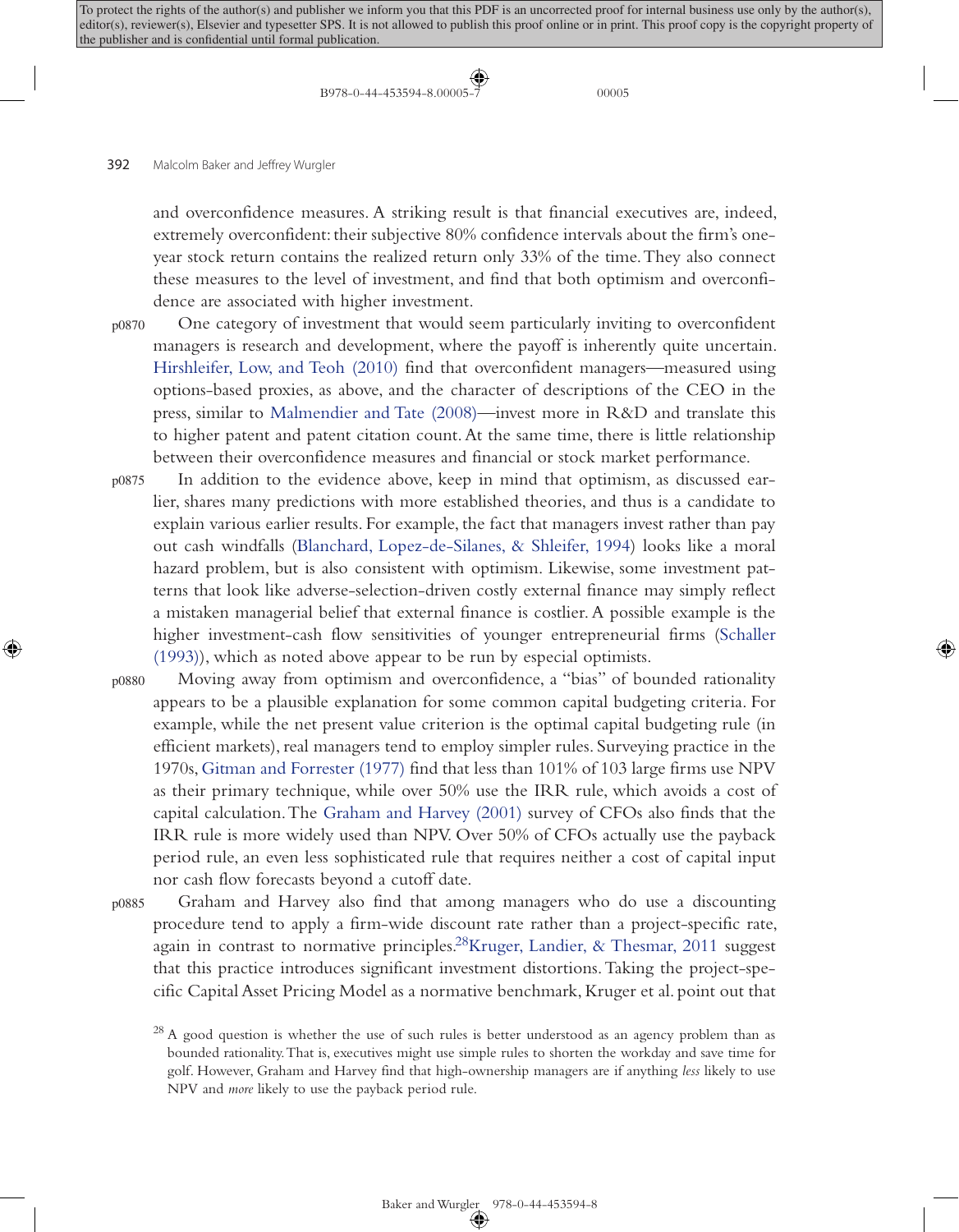B978-0-44-453594-8.0000

00005

#### 392 Malcolm Baker and Jeffrey Wurgler

⊕

and overconfidence measures. A striking result is that financial executives are, indeed, extremely overconfident: their subjective 80% confidence intervals about the firm's oneyear stock return contains the realized return only 33% of the time. They also connect these measures to the level of investment, and find that both optimism and overconfidence are associated with higher investment.

- One category of investment that would seem particularly inviting to overconfident managers is research and development, where the payoff is inherently quite uncertain. [Hirshleifer, Low, and Teoh \(2010\)](#page-61-19) find that overconfident managers—measured using options-based proxies, as above, and the character of descriptions of the CEO in the press, similar to [Malmendier and Tate \(2008\)—](#page-63-22)invest more in R&D and translate this to higher patent and patent citation count. At the same time, there is little relationship between their overconfidence measures and financial or stock market performance. p0870
- In addition to the evidence above, keep in mind that optimism, as discussed earlier, shares many predictions with more established theories, and thus is a candidate to explain various earlier results. For example, the fact that managers invest rather than pay out cash windfalls [\(Blanchard, Lopez-de-Silanes, & Shleifer, 1994\)](#page-58-22) looks like a moral hazard problem, but is also consistent with optimism. Likewise, some investment patterns that look like adverse-selection-driven costly external finance may simply reflect a mistaken managerial belief that external finance is costlier. A possible example is the higher investment-cash flow sensitivities of younger entrepreneurial firms [\(Schaller](#page-65-24) [\(1993\)](#page-65-24)), which as noted above appear to be run by especial optimists. p0875
- Moving away from optimism and overconfidence, a "bias" of bounded rationality appears to be a plausible explanation for some common capital budgeting criteria. For example, while the net present value criterion is the optimal capital budgeting rule (in efficient markets), real managers tend to employ simpler rules. Surveying practice in the 1970s, [Gitman and Forrester \(1977\)](#page-60-23) find that less than 101% of 103 large firms use NPV as their primary technique, while over 50% use the IRR rule, which avoids a cost of capital calculation. The [Graham and Harvey \(2001\)](#page-61-6) survey of CFOs also finds that the IRR rule is more widely used than NPV. Over 50% of CFOs actually use the payback period rule, an even less sophisticated rule that requires neither a cost of capital input nor cash flow forecasts beyond a cutoff date. p0880
- Graham and Harvey also find that among managers who do use a discounting procedure tend to apply a firm-wide discount rate rather than a project-specific rate, again in contrast to normative principles.<sup>28</sup>[Kruger, Landier, & Thesmar, 2011](#page-62-22) suggest that this practice introduces significant investment distortions. Taking the project-specific Capital Asset Pricing Model as a normative benchmark, Kruger et al. point out that p0885

 $^{28}$  A good question is whether the use of such rules is better understood as an agency problem than as bounded rationality. That is, executives might use simple rules to shorten the workday and save time for golf. However, Graham and Harvey find that high-ownership managers are if anything *less* likely to use NPV and *more* likely to use the payback period rule.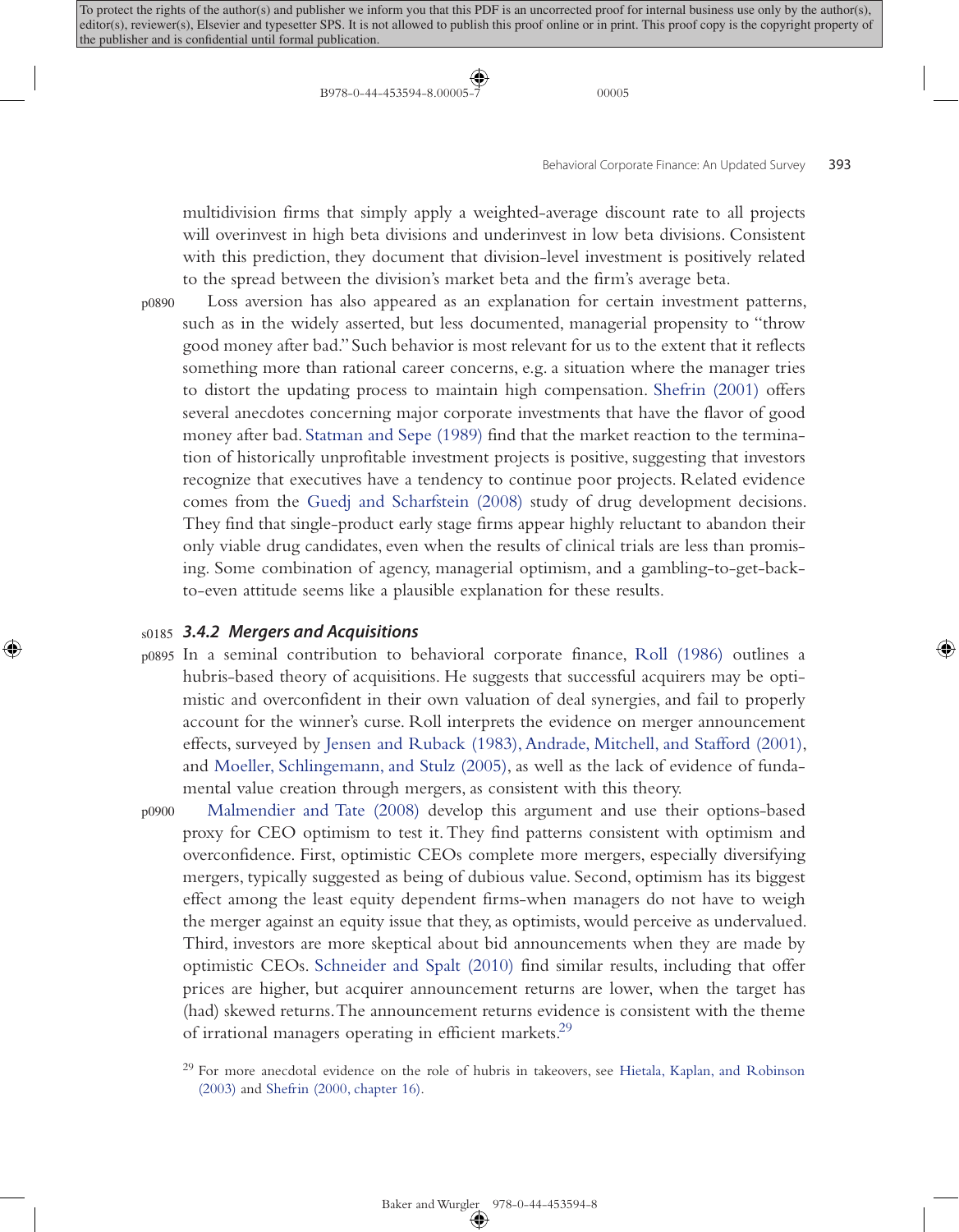B978-0-44-453594-8.00005-7

00005

Behavioral Corporate Finance: An Updated Survey 393

<span id="page-42-0"></span>multidivision firms that simply apply a weighted-average discount rate to all projects will overinvest in high beta divisions and underinvest in low beta divisions. Consistent with this prediction, they document that division-level investment is positively related to the spread between the division's market beta and the firm's average beta.

p0890

⊕

Loss aversion has also appeared as an explanation for certain investment patterns, such as in the widely asserted, but less documented, managerial propensity to "throw good money after bad." Such behavior is most relevant for us to the extent that it reflects something more than rational career concerns, e.g. a situation where the manager tries to distort the updating process to maintain high compensation. [Shefrin \(2001\)](#page-65-25) offers several anecdotes concerning major corporate investments that have the flavor of good money after bad. [Statman and Sepe \(1989\)](#page-65-26) find that the market reaction to the termination of historically unprofitable investment projects is positive, suggesting that investors recognize that executives have a tendency to continue poor projects. Related evidence comes from the [Guedj and Scharfstein \(2008\)](#page-61-20) study of drug development decisions. They find that single-product early stage firms appear highly reluctant to abandon their only viable drug candidates, even when the results of clinical trials are less than promising. Some combination of agency, managerial optimism, and a gambling-to-get-backto-even attitude seems like a plausible explanation for these results.

# *3.4.2 Mergers and Acquisitions* s0185

- p0895 In a seminal contribution to behavioral corporate finance, [Roll \(1986\)](#page-65-27) outlines a hubris-based theory of acquisitions. He suggests that successful acquirers may be optimistic and overconfident in their own valuation of deal synergies, and fail to properly account for the winner's curse. Roll interprets the evidence on merger announcement effects, surveyed by [Jensen and Ruback \(1983\), Andrade, Mitchell, and Stafford \(2001\)](#page-62-23), and [Moeller, Schlingemann, and Stulz \(2005\),](#page-64-25) as well as the lack of evidence of fundamental value creation through mergers, as consistent with this theory.
- [Malmendier and Tate \(2008\)](#page-63-22) develop this argument and use their options-based proxy for CEO optimism to test it. They find patterns consistent with optimism and overconfidence. First, optimistic CEOs complete more mergers, especially diversifying mergers, typically suggested as being of dubious value. Second, optimism has its biggest effect among the least equity dependent firms-when managers do not have to weigh the merger against an equity issue that they, as optimists, would perceive as undervalued. Third, investors are more skeptical about bid announcements when they are made by optimistic CEOs. [Schneider and Spalt \(2010\)](#page-65-28) find similar results, including that offer prices are higher, but acquirer announcement returns are lower, when the target has (had) skewed returns. The announcement returns evidence is consistent with the theme of irrational managers operating in efficient markets.29 p0900

 $29$  For more anecdotal evidence on the role of hubris in takeovers, see Hietala, Kaplan, and Robinson [\(2003\)](#page-61-21) and [Shefrin \(2000, chapter 16\)](#page-65-29).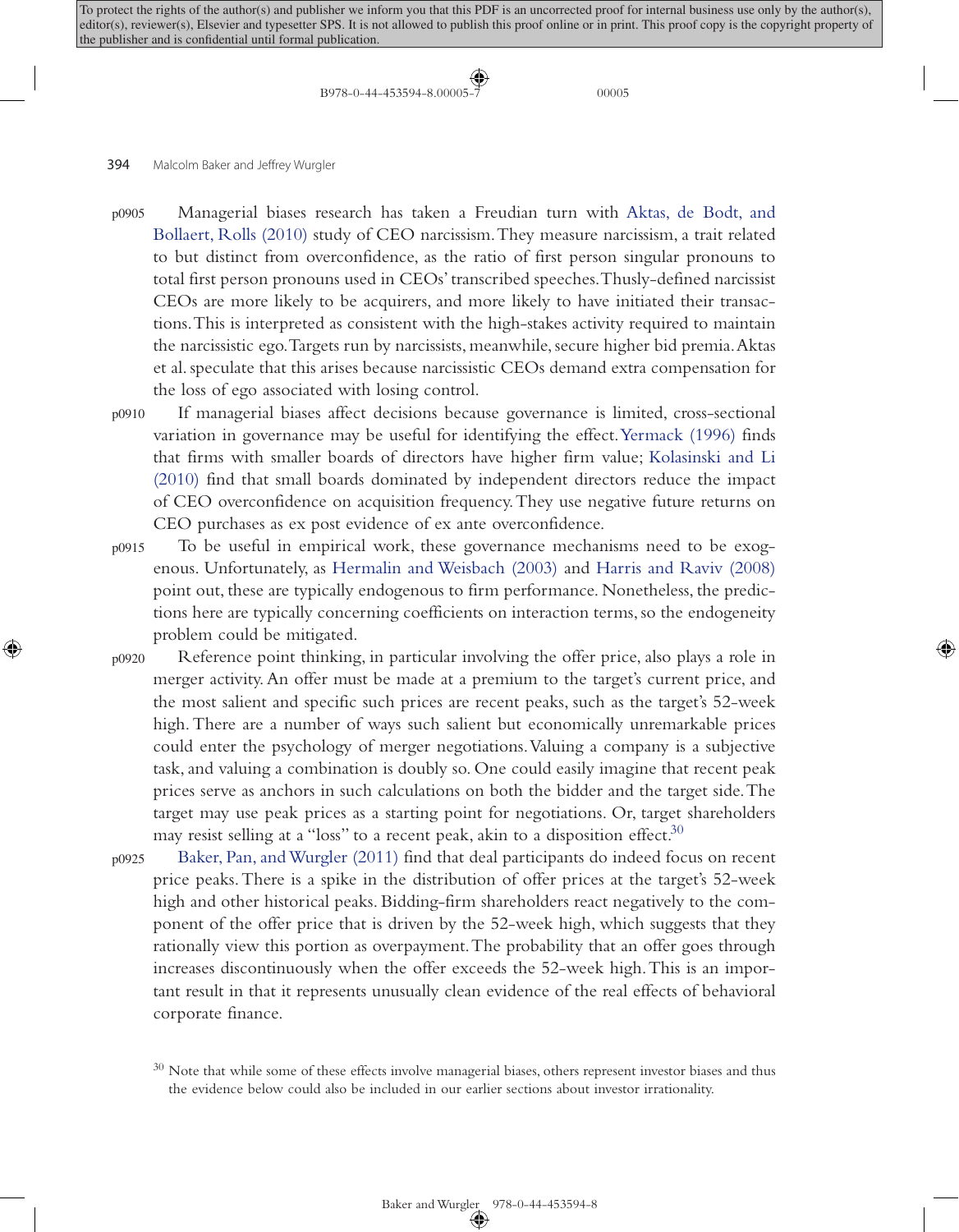B978-0-44-453594-8.00005

00005

394 Malcolm Baker and Jeffrey Wurgler

⊕

- Managerial biases research has taken a Freudian turn with [Aktas, de Bodt, and](#page-56-12)  [Bollaert, Rolls \(2010\)](#page-56-12) study of CEO narcissism. They measure narcissism, a trait related to but distinct from overconfidence, as the ratio of first person singular pronouns to total first person pronouns used in CEOs' transcribed speeches. Thusly-defined narcissist CEOs are more likely to be acquirers, and more likely to have initiated their transactions. This is interpreted as consistent with the high-stakes activity required to maintain the narcissistic ego. Targets run by narcissists, meanwhile, secure higher bid premia. Aktas et al. speculate that this arises because narcissistic CEOs demand extra compensation for the loss of ego associated with losing control. p0905
- If managerial biases affect decisions because governance is limited, cross-sectional variation in governance may be useful for identifying the effect. [Yermack \(1996\)](#page-66-17) finds that firms with smaller boards of directors have higher firm value; [Kolasinski and Li](#page-62-24)  [\(2010\)](#page-62-24) find that small boards dominated by independent directors reduce the impact of CEO overconfidence on acquisition frequency. They use negative future returns on CEO purchases as ex post evidence of ex ante overconfidence. p0910
- To be useful in empirical work, these governance mechanisms need to be exogenous. Unfortunately, as [Hermalin and Weisbach \(2003\)](#page-61-22) and [Harris and Raviv \(2008\)](#page-61-23) point out, these are typically endogenous to firm performance. Nonetheless, the predictions here are typically concerning coefficients on interaction terms, so the endogeneity problem could be mitigated. p0915
- Reference point thinking, in particular involving the offer price, also plays a role in merger activity. An offer must be made at a premium to the target's current price, and the most salient and specific such prices are recent peaks, such as the target's 52-week high. There are a number of ways such salient but economically unremarkable prices could enter the psychology of merger negotiations. Valuing a company is a subjective task, and valuing a combination is doubly so. One could easily imagine that recent peak prices serve as anchors in such calculations on both the bidder and the target side. The target may use peak prices as a starting point for negotiations. Or, target shareholders may resist selling at a "loss" to a recent peak, akin to a disposition effect.<sup>30</sup> p0920
- [Baker, Pan, and Wurgler \(2011\)](#page-57-23) find that deal participants do indeed focus on recent price peaks. There is a spike in the distribution of offer prices at the target's 52-week high and other historical peaks. Bidding-firm shareholders react negatively to the component of the offer price that is driven by the 52-week high, which suggests that they rationally view this portion as overpayment. The probability that an offer goes through increases discontinuously when the offer exceeds the 52-week high. This is an important result in that it represents unusually clean evidence of the real effects of behavioral corporate finance. p0925

<sup>&</sup>lt;sup>30</sup> Note that while some of these effects involve managerial biases, others represent investor biases and thus the evidence below could also be included in our earlier sections about investor irrationality.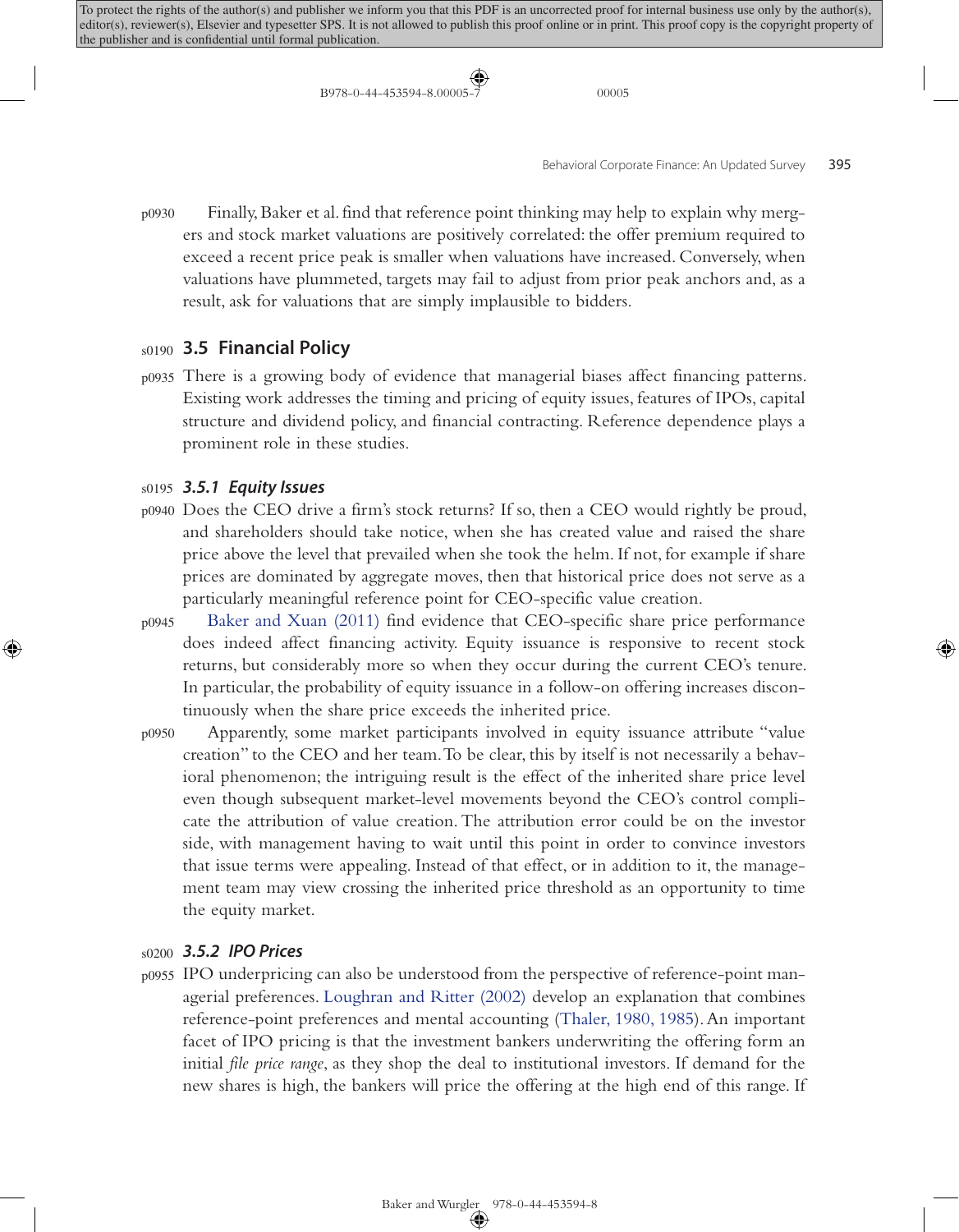B978-0-44-453594-8.00005-7

00005

Behavioral Corporate Finance: An Updated Survey 395

<span id="page-44-0"></span>Finally, Baker et al. find that reference point thinking may help to explain why mergers and stock market valuations are positively correlated: the offer premium required to exceed a recent price peak is smaller when valuations have increased. Conversely, when valuations have plummeted, targets may fail to adjust from prior peak anchors and, as a result, ask for valuations that are simply implausible to bidders. p0930

# **3.5 Financial Policy** s0190

There is a growing body of evidence that managerial biases affect financing patterns. p0935 Existing work addresses the timing and pricing of equity issues, features of IPOs, capital structure and dividend policy, and financial contracting. Reference dependence plays a prominent role in these studies.

# *3.5.1 Equity Issues* s0195

◈

- p0940 Does the CEO drive a firm's stock returns? If so, then a CEO would rightly be proud, and shareholders should take notice, when she has created value and raised the share price above the level that prevailed when she took the helm. If not, for example if share prices are dominated by aggregate moves, then that historical price does not serve as a particularly meaningful reference point for CEO-specific value creation.
- [Baker and Xuan \(2011\)](#page-57-24) find evidence that CEO-specific share price performance does indeed affect financing activity. Equity issuance is responsive to recent stock returns, but considerably more so when they occur during the current CEO's tenure. In particular, the probability of equity issuance in a follow-on offering increases discontinuously when the share price exceeds the inherited price. p0945
- Apparently, some market participants involved in equity issuance attribute "value creation" to the CEO and her team. To be clear, this by itself is not necessarily a behavioral phenomenon; the intriguing result is the effect of the inherited share price level even though subsequent market-level movements beyond the CEO's control complicate the attribution of value creation. The attribution error could be on the investor side, with management having to wait until this point in order to convince investors that issue terms were appealing. Instead of that effect, or in addition to it, the management team may view crossing the inherited price threshold as an opportunity to time the equity market. p0950

# *3.5.2 IPO Prices* s0200

p0955 IPO underpricing can also be understood from the perspective of reference-point managerial preferences. [Loughran and Ritter \(2002\)](#page-63-23) develop an explanation that combines reference-point preferences and mental accounting ([Thaler, 1980, 1985\)](#page-66-18). An important facet of IPO pricing is that the investment bankers underwriting the offering form an initial *file price range*, as they shop the deal to institutional investors. If demand for the new shares is high, the bankers will price the offering at the high end of this range. If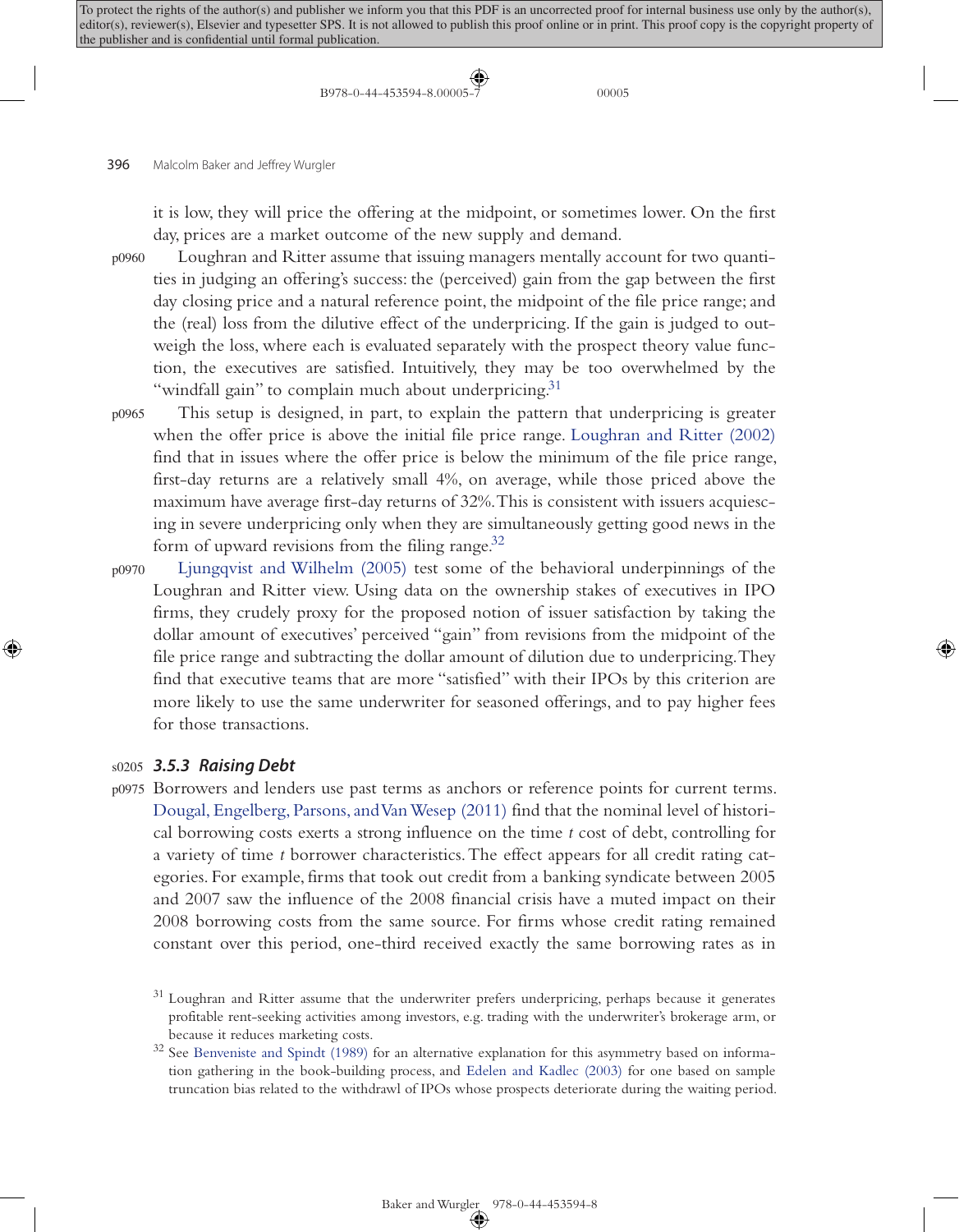B978-0-44-453594-8.00005-7

00005

<span id="page-45-0"></span>396 Malcolm Baker and Jeffrey Wurgler

it is low, they will price the offering at the midpoint, or sometimes lower. On the first day, prices are a market outcome of the new supply and demand.

- Loughran and Ritter assume that issuing managers mentally account for two quantities in judging an offering's success: the (perceived) gain from the gap between the first day closing price and a natural reference point, the midpoint of the file price range; and the (real) loss from the dilutive effect of the underpricing. If the gain is judged to outweigh the loss, where each is evaluated separately with the prospect theory value function, the executives are satisfied. Intuitively, they may be too overwhelmed by the "windfall gain" to complain much about underpricing. $31$ p0960
- This setup is designed, in part, to explain the pattern that underpricing is greater when the offer price is above the initial file price range. [Loughran and Ritter \(2002\)](#page-63-23) find that in issues where the offer price is below the minimum of the file price range, first-day returns are a relatively small 4%, on average, while those priced above the maximum have average first-day returns of 32%. This is consistent with issuers acquiescing in severe underpricing only when they are simultaneously getting good news in the form of upward revisions from the filing range. $32$ p0965
- [Ljungqvist and Wilhelm \(2005\)](#page-63-24) test some of the behavioral underpinnings of the Loughran and Ritter view. Using data on the ownership stakes of executives in IPO firms, they crudely proxy for the proposed notion of issuer satisfaction by taking the dollar amount of executives' perceived "gain" from revisions from the midpoint of the file price range and subtracting the dollar amount of dilution due to underpricing. They find that executive teams that are more "satisfied" with their IPOs by this criterion are more likely to use the same underwriter for seasoned offerings, and to pay higher fees for those transactions. p0970

# *3.5.3 Raising Debt* s0205

◈

p0975 Borrowers and lenders use past terms as anchors or reference points for current terms. [Dougal, Engelberg, Parsons, and Van Wesep \(2011\)](#page-59-20) find that the nominal level of historical borrowing costs exerts a strong influence on the time *t* cost of debt, controlling for a variety of time *t* borrower characteristics. The effect appears for all credit rating categories. For example, firms that took out credit from a banking syndicate between 2005 and 2007 saw the influence of the 2008 financial crisis have a muted impact on their 2008 borrowing costs from the same source. For firms whose credit rating remained constant over this period, one-third received exactly the same borrowing rates as in

<sup>&</sup>lt;sup>31</sup> Loughran and Ritter assume that the underwriter prefers underpricing, perhaps because it generates profitable rent-seeking activities among investors, e.g. trading with the underwriter's brokerage arm, or because it reduces marketing costs.

<sup>&</sup>lt;sup>32</sup> See [Benveniste and Spindt \(1989\)](#page-57-25) for an alternative explanation for this asymmetry based on information gathering in the book-building process, and [Edelen and Kadlec \(2003\)](#page-61-24) for one based on sample truncation bias related to the withdrawl of IPOs whose prospects deteriorate during the waiting period.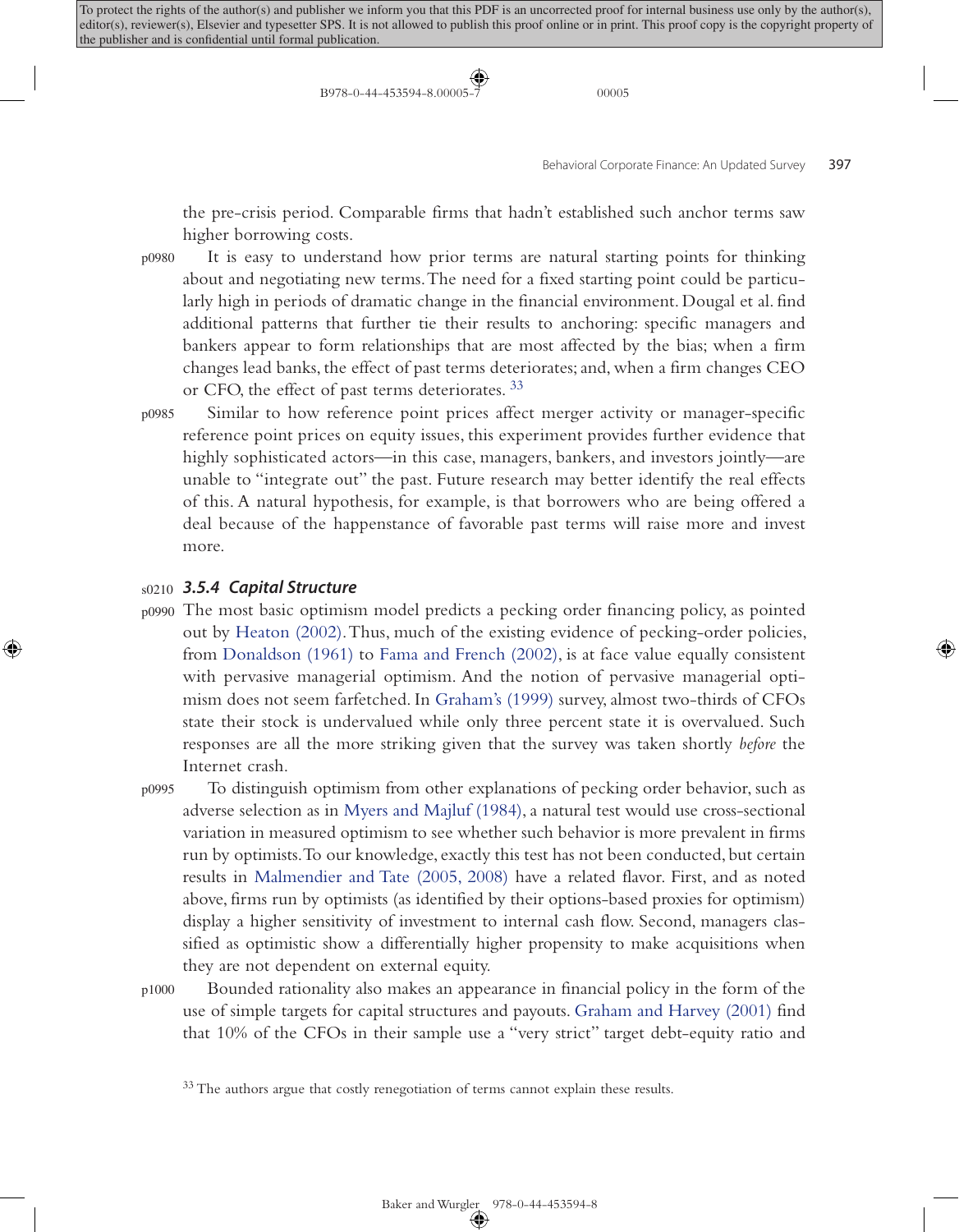B978-0-44-453594-8.00005-7

00005

Behavioral Corporate Finance: An Updated Survey 397

<span id="page-46-0"></span>the pre-crisis period. Comparable firms that hadn't established such anchor terms saw higher borrowing costs.

p0980

⊕

- It is easy to understand how prior terms are natural starting points for thinking about and negotiating new terms. The need for a fixed starting point could be particularly high in periods of dramatic change in the financial environment. Dougal et al. find additional patterns that further tie their results to anchoring: specific managers and bankers appear to form relationships that are most affected by the bias; when a firm changes lead banks, the effect of past terms deteriorates; and, when a firm changes CEO or CFO, the effect of past terms deteriorates. <sup>33</sup>
- Similar to how reference point prices affect merger activity or manager-specific reference point prices on equity issues, this experiment provides further evidence that highly sophisticated actors—in this case, managers, bankers, and investors jointly—are unable to "integrate out" the past. Future research may better identify the real effects of this. A natural hypothesis, for example, is that borrowers who are being offered a deal because of the happenstance of favorable past terms will raise more and invest more. p0985

# *3.5.4 Capital Structure* s0210

- The most basic optimism model predicts a pecking order financing policy, as pointed p0990 out by [Heaton \(2002\).](#page-61-16) Thus, much of the existing evidence of pecking-order policies, from [Donaldson \(1961\)](#page-59-21) to [Fama and French \(2002\),](#page-60-14) is at face value equally consistent with pervasive managerial optimism. And the notion of pervasive managerial optimism does not seem farfetched. In [Graham's \(1999\)](#page-60-24) survey, almost two-thirds of CFOs state their stock is undervalued while only three percent state it is overvalued. Such responses are all the more striking given that the survey was taken shortly *before* the Internet crash.
- To distinguish optimism from other explanations of pecking order behavior, such as adverse selection as in [Myers and Majluf \(1984\)](#page-64-6), a natural test would use cross-sectional variation in measured optimism to see whether such behavior is more prevalent in firms run by optimists. To our knowledge, exactly this test has not been conducted, but certain results in [Malmendier and Tate \(2005, 2008\)](#page-63-19) have a related flavor. First, and as noted above, firms run by optimists (as identified by their options-based proxies for optimism) display a higher sensitivity of investment to internal cash flow. Second, managers classified as optimistic show a differentially higher propensity to make acquisitions when they are not dependent on external equity. p0995
- Bounded rationality also makes an appearance in financial policy in the form of the use of simple targets for capital structures and payouts. [Graham and Harvey \(2001\)](#page-61-6) find that 10% of the CFOs in their sample use a "very strict" target debt-equity ratio and p1000

<sup>&</sup>lt;sup>33</sup> The authors argue that costly renegotiation of terms cannot explain these results.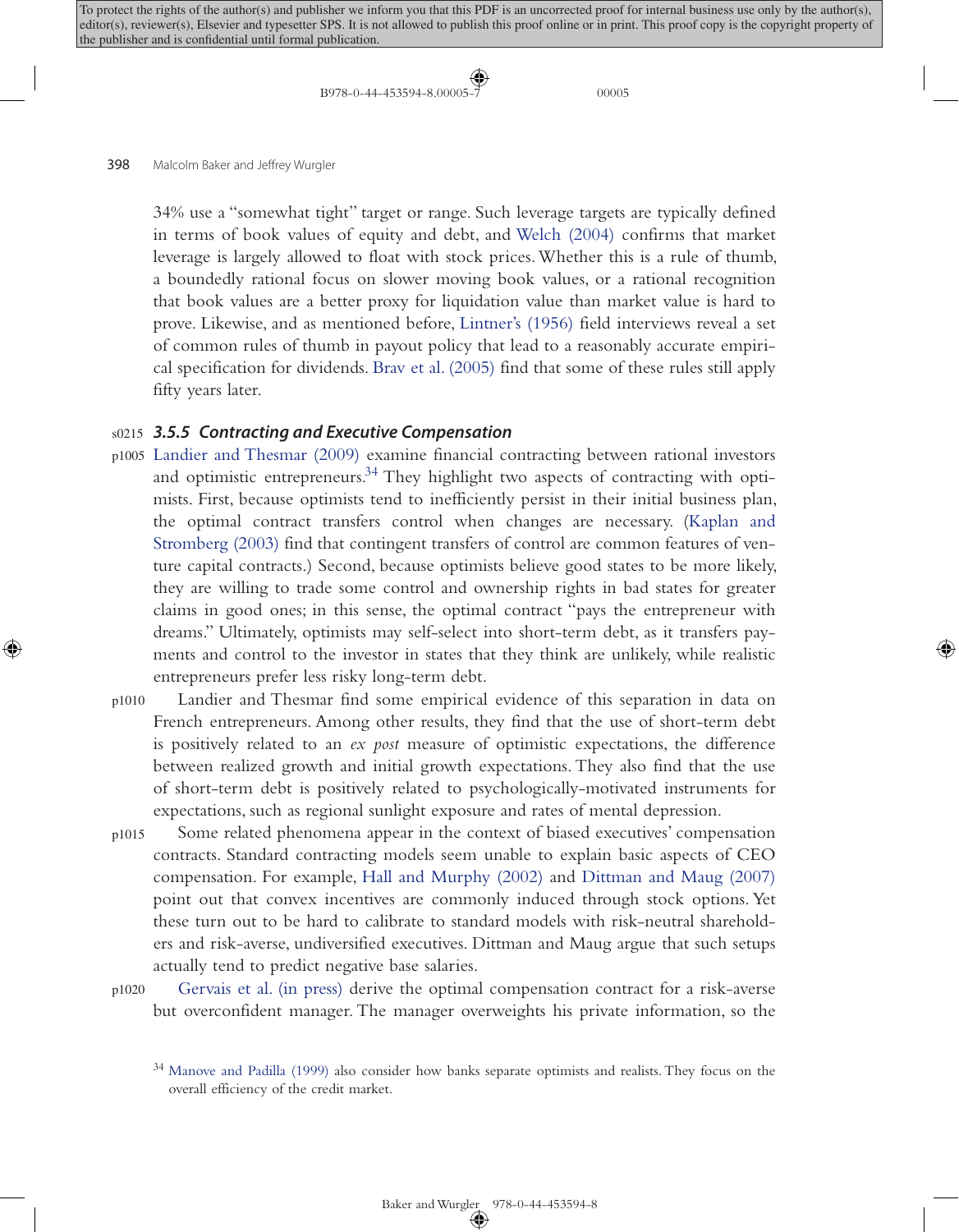B978-0-44-453594-8.00005-7

00005

<span id="page-47-0"></span>398 Malcolm Baker and Jeffrey Wurgler

◈

34% use a "somewhat tight" target or range. Such leverage targets are typically defined in terms of book values of equity and debt, and [Welch \(2004\)](#page-66-12) confirms that market leverage is largely allowed to float with stock prices. Whether this is a rule of thumb, a boundedly rational focus on slower moving book values, or a rational recognition that book values are a better proxy for liquidation value than market value is hard to prove. Likewise, and as mentioned before, [Lintner's \(1956\)](#page-63-25) field interviews reveal a set of common rules of thumb in payout policy that lead to a reasonably accurate empirical specification for dividends. [Brav et al. \(2005\)](#page-58-11) find that some of these rules still apply fifty years later.

# *3.5.5 Contracting and Executive Compensation* s0215

- [Landier and Thesmar \(2009\)](#page-63-20) examine financial contracting between rational investors p1005 and optimistic entrepreneurs.34 They highlight two aspects of contracting with optimists. First, because optimists tend to inefficiently persist in their initial business plan, the optimal contract transfers control when changes are necessary. [\(Kaplan and](#page-62-25)  [Stromberg \(2003\)](#page-62-25) find that contingent transfers of control are common features of venture capital contracts.) Second, because optimists believe good states to be more likely, they are willing to trade some control and ownership rights in bad states for greater claims in good ones; in this sense, the optimal contract "pays the entrepreneur with dreams." Ultimately, optimists may self-select into short-term debt, as it transfers payments and control to the investor in states that they think are unlikely, while realistic entrepreneurs prefer less risky long-term debt.
- Landier and Thesmar find some empirical evidence of this separation in data on French entrepreneurs. Among other results, they find that the use of short-term debt is positively related to an *ex post* measure of optimistic expectations, the difference between realized growth and initial growth expectations. They also find that the use of short-term debt is positively related to psychologically-motivated instruments for expectations, such as regional sunlight exposure and rates of mental depression. p1010
- Some related phenomena appear in the context of biased executives' compensation contracts. Standard contracting models seem unable to explain basic aspects of CEO compensation. For example, [Hall and Murphy \(2002\)](#page-61-25) and [Dittman and Maug \(2007\)](#page-59-22) point out that convex incentives are commonly induced through stock options. Yet these turn out to be hard to calibrate to standard models with risk-neutral shareholders and risk-averse, undiversified executives. Dittman and Maug argue that such setups actually tend to predict negative base salaries. p1015
- [Gervais et al. \(in press\)](#page-60-21) derive the optimal compensation contract for a risk-averse but overconfident manager. The manager overweights his private information, so the p1020

<sup>34</sup> [Manove and Padilla \(1999\)](#page-63-26) also consider how banks separate optimists and realists. They focus on the overall efficiency of the credit market.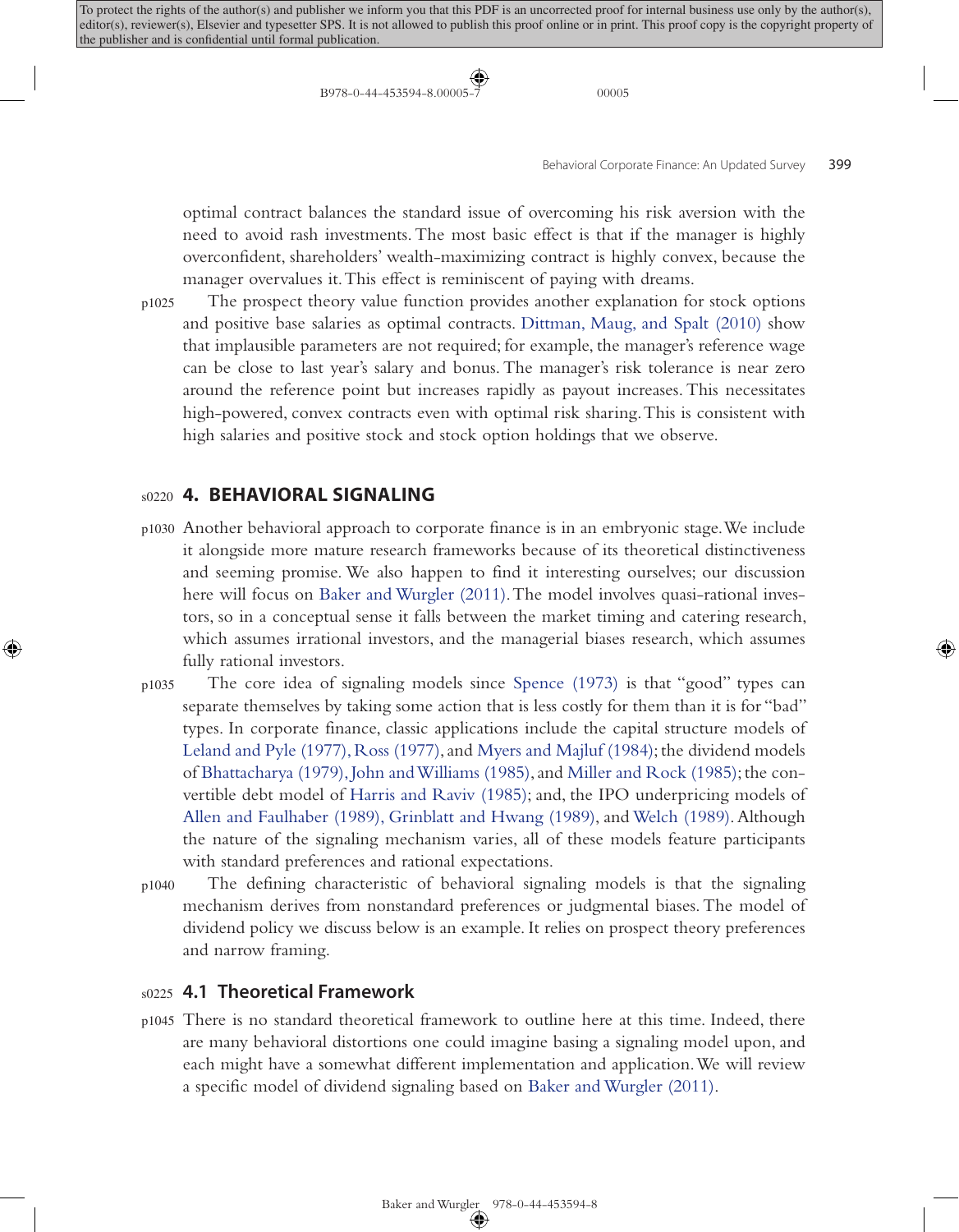B978-0-44-453594-8.00005-7

00005

Behavioral Corporate Finance: An Updated Survey 399

⊕

<span id="page-48-0"></span>optimal contract balances the standard issue of overcoming his risk aversion with the need to avoid rash investments. The most basic effect is that if the manager is highly overconfident, shareholders' wealth-maximizing contract is highly convex, because the manager overvalues it. This effect is reminiscent of paying with dreams.

The prospect theory value function provides another explanation for stock options and positive base salaries as optimal contracts. [Dittman, Maug, and Spalt \(2010\)](#page-59-23) show that implausible parameters are not required; for example, the manager's reference wage can be close to last year's salary and bonus. The manager's risk tolerance is near zero around the reference point but increases rapidly as payout increases. This necessitates high-powered, convex contracts even with optimal risk sharing. This is consistent with high salaries and positive stock and stock option holdings that we observe. p1025

# **4. BEHAVIORAL SIGNALING** s0220

⊕

- p1030 Another behavioral approach to corporate finance is in an embryonic stage. We include it alongside more mature research frameworks because of its theoretical distinctiveness and seeming promise. We also happen to find it interesting ourselves; our discussion here will focus on [Baker and Wurgler \(2011\)](#page-57-26). The model involves quasi-rational investors, so in a conceptual sense it falls between the market timing and catering research, which assumes irrational investors, and the managerial biases research, which assumes fully rational investors.
- The core idea of signaling models since [Spence \(1973\)](#page-65-30) is that "good" types can separate themselves by taking some action that is less costly for them than it is for "bad" types. In corporate finance, classic applications include the capital structure models of [Leland and Pyle \(1977\), Ross \(1977\)](#page-63-27), and [Myers and Majluf \(1984\);](#page-64-6) the dividend models of [Bhattacharya \(1979\), John and Williams \(1985\)](#page-57-27), and [Miller and Rock \(1985\);](#page-64-26) the convertible debt model of [Harris and Raviv \(1985\)](#page-61-26); and, the IPO underpricing models of [Allen and Faulhaber \(1989\), Grinblatt and Hwang \(1989\)](#page-56-13), and [Welch \(1989\)](#page-66-19). Although the nature of the signaling mechanism varies, all of these models feature participants with standard preferences and rational expectations. p1035
- The defining characteristic of behavioral signaling models is that the signaling mechanism derives from nonstandard preferences or judgmental biases. The model of dividend policy we discuss below is an example. It relies on prospect theory preferences and narrow framing. p1040

# **4.1 Theoretical Framework** s0225

There is no standard theoretical framework to outline here at this time. Indeed, there p1045are many behavioral distortions one could imagine basing a signaling model upon, and each might have a somewhat different implementation and application. We will review a specific model of dividend signaling based on [Baker and Wurgler \(2011\).](#page-57-26)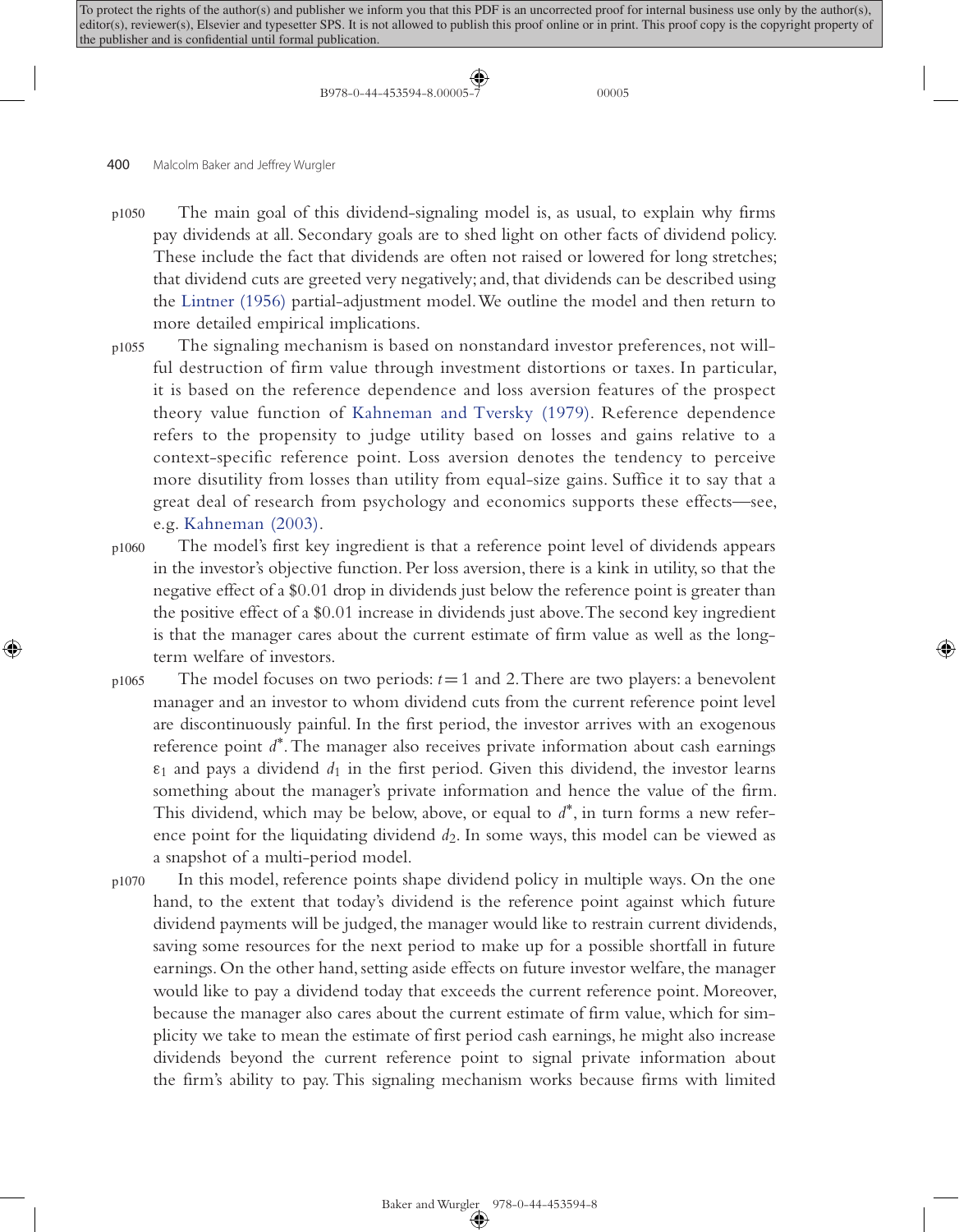B978-0-44-453594-8.00005-7

00005

400 Malcolm Baker and Jeffrey Wurgler

⊕

- The main goal of this dividend-signaling model is, as usual, to explain why firms pay dividends at all. Secondary goals are to shed light on other facts of dividend policy. These include the fact that dividends are often not raised or lowered for long stretches; that dividend cuts are greeted very negatively; and, that dividends can be described using the [Lintner \(1956\)](#page-63-25) partial-adjustment model. We outline the model and then return to more detailed empirical implications. p1050
- The signaling mechanism is based on nonstandard investor preferences, not willful destruction of firm value through investment distortions or taxes. In particular, it is based on the reference dependence and loss aversion features of the prospect theory value function of [Kahneman and Tversky \(1979\)](#page-62-1). Reference dependence refers to the propensity to judge utility based on losses and gains relative to a context-specific reference point. Loss aversion denotes the tendency to perceive more disutility from losses than utility from equal-size gains. Suffice it to say that a great deal of research from psychology and economics supports these effects—see, e.g. [Kahneman \(2003\).](#page-62-26) p1055
- The model's first key ingredient is that a reference point level of dividends appears in the investor's objective function. Per loss aversion, there is a kink in utility, so that the negative effect of a \$0.01 drop in dividends just below the reference point is greater than the positive effect of a \$0.01 increase in dividends just above. The second key ingredient is that the manager cares about the current estimate of firm value as well as the longterm welfare of investors. p1060
- The model focuses on two periods:  $t=1$  and 2. There are two players: a benevolent manager and an investor to whom dividend cuts from the current reference point level are discontinuously painful. In the first period, the investor arrives with an exogenous reference point *d*\*. The manager also receives private information about cash earnings  $\varepsilon_1$  and pays a dividend  $d_1$  in the first period. Given this dividend, the investor learns something about the manager's private information and hence the value of the firm. This dividend, which may be below, above, or equal to *d*\*, in turn forms a new reference point for the liquidating dividend  $d_2$ . In some ways, this model can be viewed as a snapshot of a multi-period model. p1065
- In this model, reference points shape dividend policy in multiple ways. On the one hand, to the extent that today's dividend is the reference point against which future dividend payments will be judged, the manager would like to restrain current dividends, saving some resources for the next period to make up for a possible shortfall in future earnings. On the other hand, setting aside effects on future investor welfare, the manager would like to pay a dividend today that exceeds the current reference point. Moreover, because the manager also cares about the current estimate of firm value, which for simplicity we take to mean the estimate of first period cash earnings, he might also increase dividends beyond the current reference point to signal private information about the firm's ability to pay. This signaling mechanism works because firms with limited p1070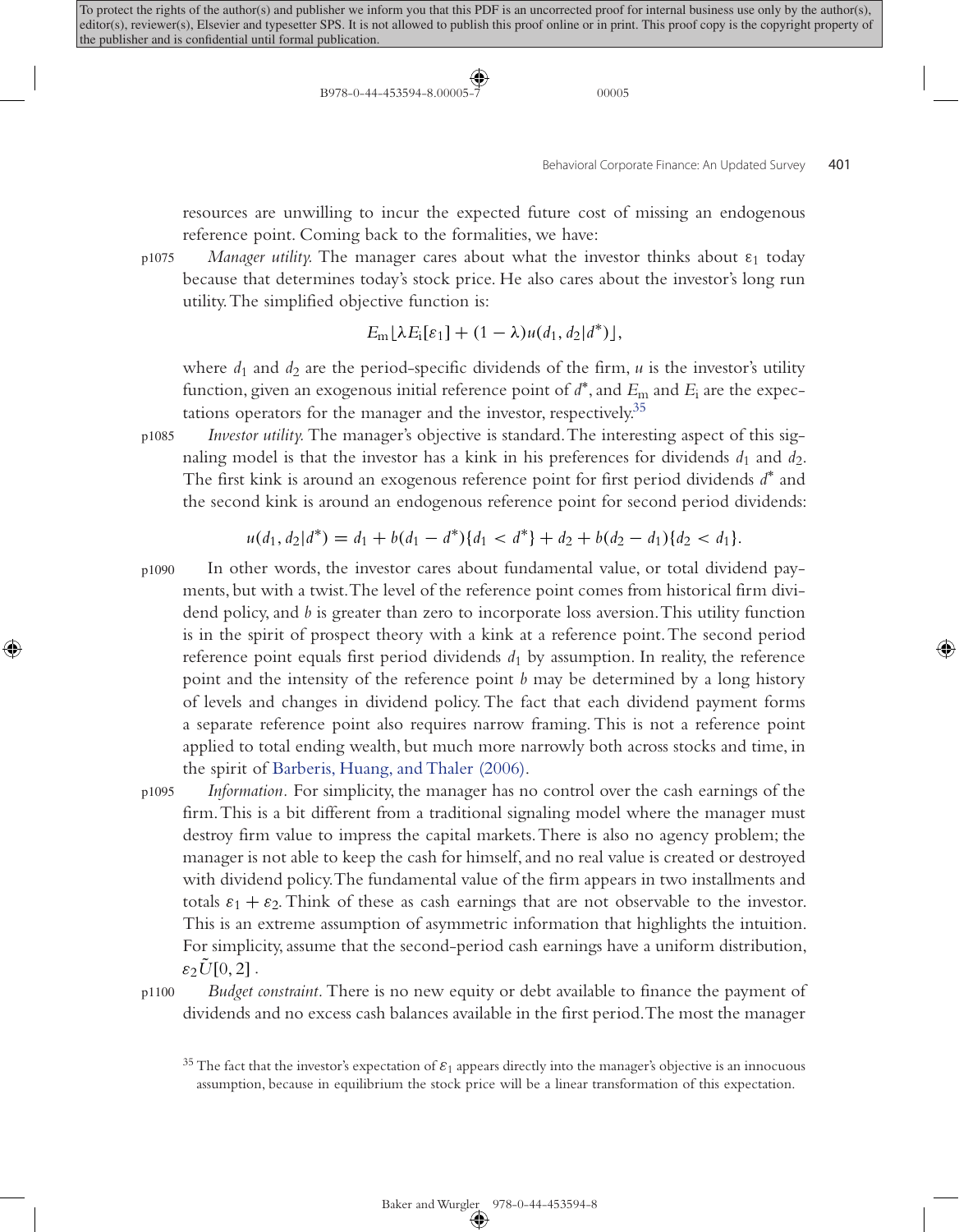B978-0-44-453594-8.00005-7

00005

Behavioral Corporate Finance: An Updated Survey 401

resources are unwilling to incur the expected future cost of missing an endogenous reference point. Coming back to the formalities, we have:

p1075

*Manager utility.* The manager cares about what the investor thinks about  $\epsilon_1$  today because that determines today's stock price. He also cares about the investor's long run utility. The simplified objective function is:

 $E_{\text{m}}[\lambda E_{\text{i}}[\varepsilon_1] + (1 - \lambda)u(d_1, d_2|d^*)],$ 

where  $d_1$  and  $d_2$  are the period-specific dividends of the firm,  $u$  is the investor's utility function, given an exogenous initial reference point of  $d^*$ , and  $E_m$  and  $E_i$  are the expectations operators for the manager and the investor, respectively.<sup>35</sup>

*Investor utility.* The manager's objective is standard. The interesting aspect of this signaling model is that the investor has a kink in his preferences for dividends  $d_1$  and  $d_2$ . The first kink is around an exogenous reference point for first period dividends *d*\* and the second kink is around an endogenous reference point for second period dividends: p1085

$$
u(d_1, d_2|d^*) = d_1 + b(d_1 - d^*)\{d_1 < d^*\} + d_2 + b(d_2 - d_1)\{d_2 < d_1\}.
$$

p1090

⊕

In other words, the investor cares about fundamental value, or total dividend payments, but with a twist. The level of the reference point comes from historical firm dividend policy, and *b* is greater than zero to incorporate loss aversion. This utility function is in the spirit of prospect theory with a kink at a reference point. The second period reference point equals first period dividends  $d_1$  by assumption. In reality, the reference point and the intensity of the reference point *b* may be determined by a long history of levels and changes in dividend policy. The fact that each dividend payment forms a separate reference point also requires narrow framing. This is not a reference point applied to total ending wealth, but much more narrowly both across stocks and time, in the spirit of [Barberis, Huang, and Thaler \(2006\).](#page-57-28)

- *Information.* For simplicity, the manager has no control over the cash earnings of the firm. This is a bit different from a traditional signaling model where the manager must destroy firm value to impress the capital markets. There is also no agency problem; the manager is not able to keep the cash for himself, and no real value is created or destroyed with dividend policy. The fundamental value of the firm appears in two installments and totals  $\varepsilon_1 + \varepsilon_2$ . Think of these as cash earnings that are not observable to the investor. This is an extreme assumption of asymmetric information that highlights the intuition. For simplicity, assume that the second-period cash earnings have a uniform distribution,  $\varepsilon_2 U[0, 2]$ . p1095
- *Budget constraint.* There is no new equity or debt available to finance the payment of dividends and no excess cash balances available in the first period. The most the manager p1100

<sup>&</sup>lt;sup>35</sup> The fact that the investor's expectation of  $\varepsilon_1$  appears directly into the manager's objective is an innocuous assumption, because in equilibrium the stock price will be a linear transformation of this expectation.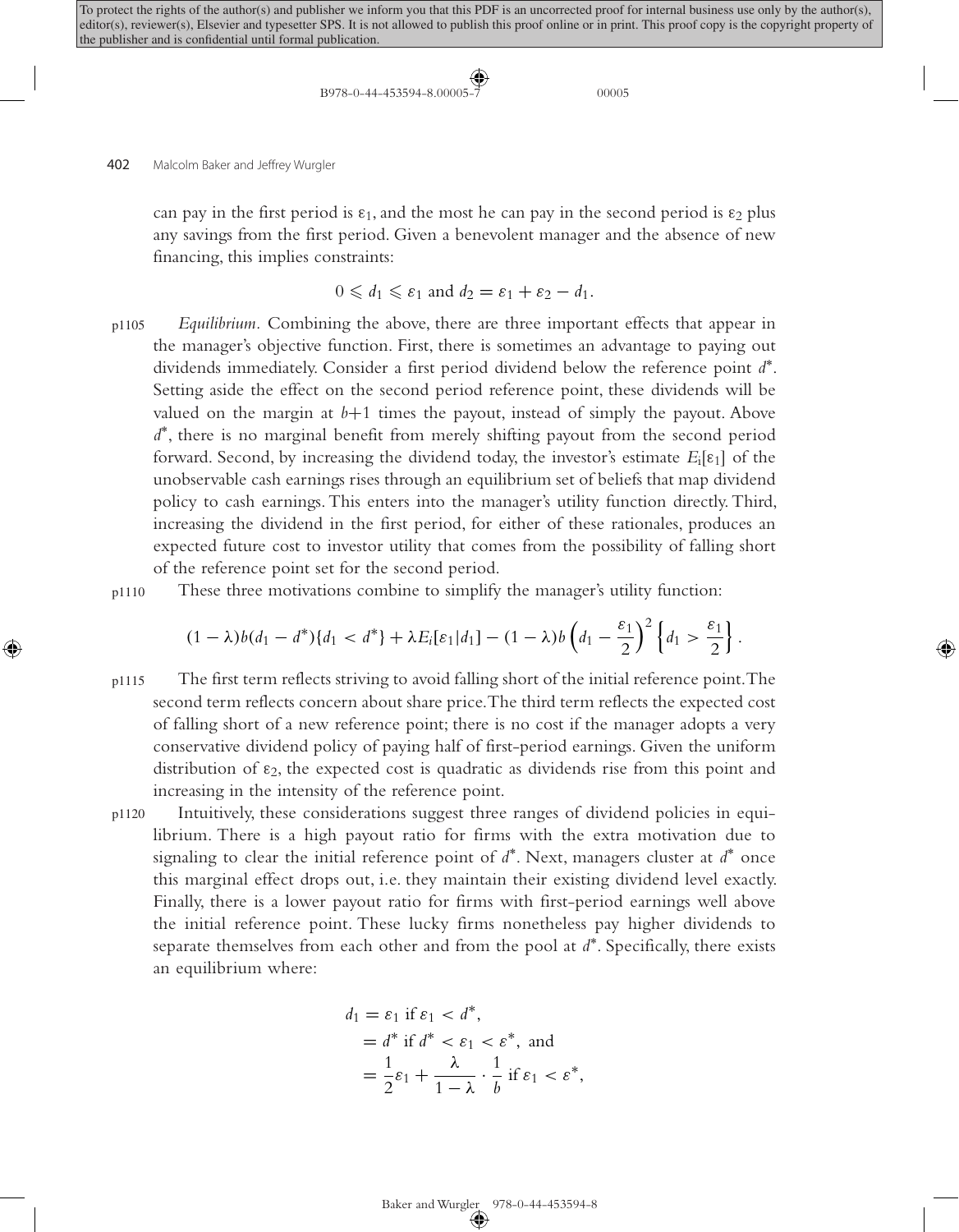B978-0-44-453594-8.00005-7

00005

#### 402 Malcolm Baker and Jeffrey Wurgler

⊕

can pay in the first period is  $\varepsilon_1$ , and the most he can pay in the second period is  $\varepsilon_2$  plus any savings from the first period. Given a benevolent manager and the absence of new financing, this implies constraints:

$$
0 \leq d_1 \leq \varepsilon_1
$$
 and  $d_2 = \varepsilon_1 + \varepsilon_2 - d_1$ .

*Equilibrium.* Combining the above, there are three important effects that appear in the manager's objective function. First, there is sometimes an advantage to paying out dividends immediately. Consider a first period dividend below the reference point *d*\*. Setting aside the effect on the second period reference point, these dividends will be valued on the margin at  $b+1$  times the payout, instead of simply the payout. Above *d*\*, there is no marginal benefit from merely shifting payout from the second period forward. Second, by increasing the dividend today, the investor's estimate  $E_i[\epsilon_1]$  of the unobservable cash earnings rises through an equilibrium set of beliefs that map dividend policy to cash earnings. This enters into the manager's utility function directly. Third, increasing the dividend in the first period, for either of these rationales, produces an expected future cost to investor utility that comes from the possibility of falling short of the reference point set for the second period. p1105

These three motivations combine to simplify the manager's utility function: p1110

$$
(1-\lambda)b(d_1-d^*)\{d_1 < d^*\} + \lambda E_i[\varepsilon_1|d_1] - (1-\lambda)b\left(d_1-\frac{\varepsilon_1}{2}\right)^2\left\{d_1 > \frac{\varepsilon_1}{2}\right\}.
$$

The first term reflects striving to avoid falling short of the initial reference point. The second term reflects concern about share price. The third term reflects the expected cost of falling short of a new reference point; there is no cost if the manager adopts a very conservative dividend policy of paying half of first-period earnings. Given the uniform distribution of  $\varepsilon_2$ , the expected cost is quadratic as dividends rise from this point and increasing in the intensity of the reference point. p1115

Intuitively, these considerations suggest three ranges of dividend policies in equilibrium. There is a high payout ratio for firms with the extra motivation due to signaling to clear the initial reference point of *d*\*. Next, managers cluster at *d*\* once this marginal effect drops out, i.e. they maintain their existing dividend level exactly. Finally, there is a lower payout ratio for firms with first-period earnings well above the initial reference point. These lucky firms nonetheless pay higher dividends to separate themselves from each other and from the pool at *d*\*. Specifically, there exists an equilibrium where: p1120

$$
d_1 = \varepsilon_1 \text{ if } \varepsilon_1 < d^*,
$$
\n
$$
= d^* \text{ if } d^* < \varepsilon_1 < \varepsilon^*, \text{ and}
$$
\n
$$
= \frac{1}{2}\varepsilon_1 + \frac{\lambda}{1-\lambda} \cdot \frac{1}{b} \text{ if } \varepsilon_1 < \varepsilon^*,
$$

Baker and Wurgler 978-0-44-453594-8 ⊕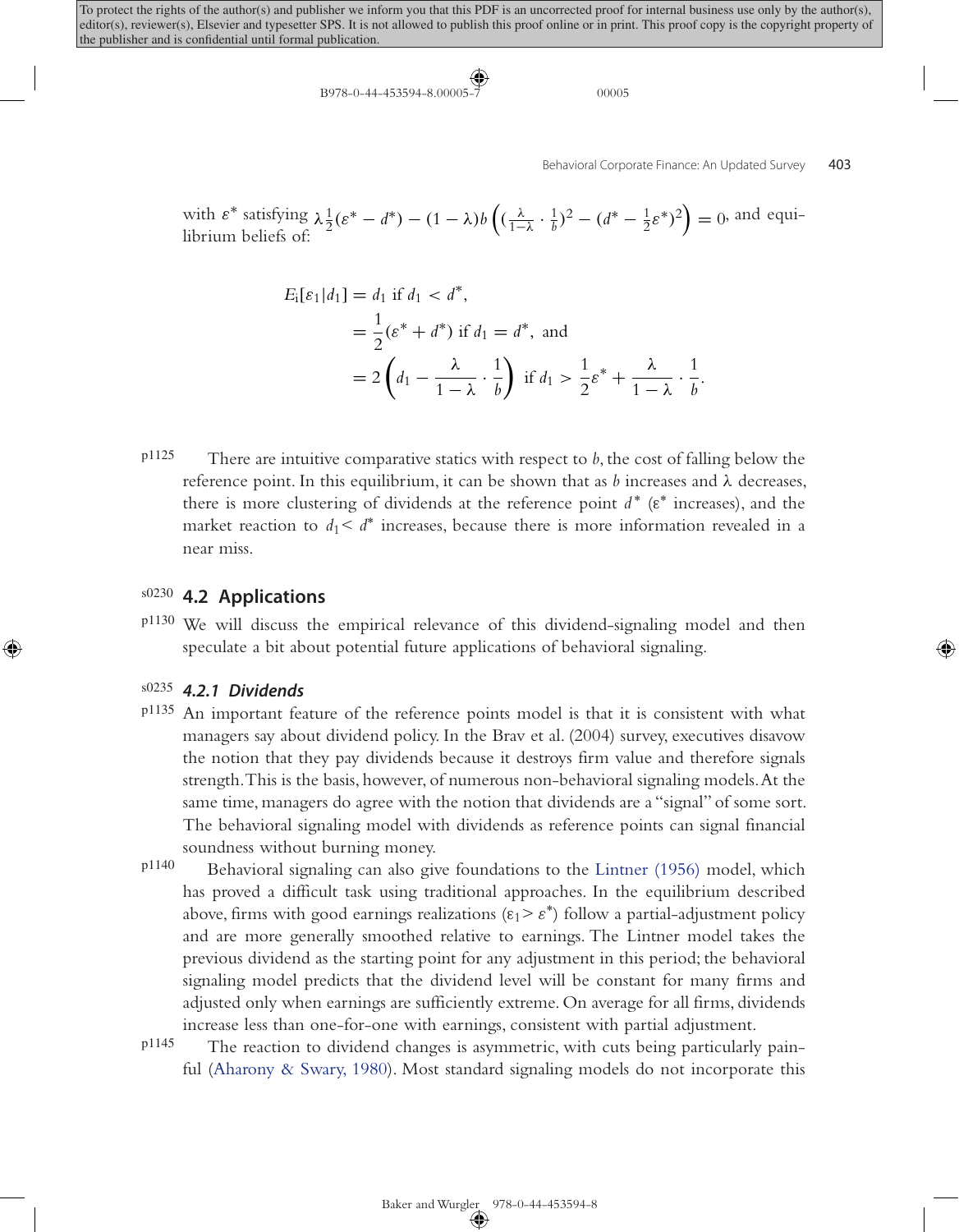B978-0-44-453594-8.00005-7

00005

Behavioral Corporate Finance: An Updated Survey 403

⊕

<span id="page-52-0"></span>with  $\varepsilon^*$  satisfying  $\lambda \frac{1}{2} (\varepsilon^* - d^*) - (1 - \lambda) b \left( (\frac{\lambda}{1 - \lambda} \cdot \frac{1}{b})^2 - (d^* - \frac{1}{2} \varepsilon^*)^2 \right) = 0$ , and equilibrium beliefs of:

$$
E_{i}[\varepsilon_{1}|d_{1}] = d_{1} \text{ if } d_{1} < d^{*},
$$
  
=  $\frac{1}{2}(\varepsilon^{*} + d^{*}) \text{ if } d_{1} = d^{*}, \text{ and}$   
=  $2\left(d_{1} - \frac{\lambda}{1-\lambda} \cdot \frac{1}{b}\right) \text{ if } d_{1} > \frac{1}{2}\varepsilon^{*} + \frac{\lambda}{1-\lambda} \cdot \frac{1}{b}.$ 

There are intuitive comparative statics with respect to *b*, the cost of falling below the reference point. In this equilibrium, it can be shown that as *b* increases and *λ* decreases, there is more clustering of dividends at the reference point  $d^*$  ( $\varepsilon^*$  increases), and the market reaction to  $d_1 < d^*$  increases, because there is more information revealed in a near miss. p1125

# **4.2 Applications** s0230

p<sup>1130</sup> We will discuss the empirical relevance of this dividend-signaling model and then speculate a bit about potential future applications of behavioral signaling.

# *4.2.1 Dividends* s0235

⊕

- p1135 An important feature of the reference points model is that it is consistent with what managers say about dividend policy. In the Brav et al. (2004) survey, executives disavow the notion that they pay dividends because it destroys firm value and therefore signals strength. This is the basis, however, of numerous non-behavioral signaling models. At the same time, managers do agree with the notion that dividends are a "signal" of some sort. The behavioral signaling model with dividends as reference points can signal financial soundness without burning money.
- Behavioral signaling can also give foundations to the [Lintner \(1956\)](#page-63-25) model, which has proved a difficult task using traditional approaches. In the equilibrium described above, firms with good earnings realizations  $(\epsilon_1 > \epsilon^*)$  follow a partial-adjustment policy and are more generally smoothed relative to earnings. The Lintner model takes the previous dividend as the starting point for any adjustment in this period; the behavioral signaling model predicts that the dividend level will be constant for many firms and adjusted only when earnings are sufficiently extreme. On average for all firms, dividends increase less than one-for-one with earnings, consistent with partial adjustment. p1140
- The reaction to dividend changes is asymmetric, with cuts being particularly painful ([Aharony & Swary, 1980](#page-56-14)). Most standard signaling models do not incorporate this p1145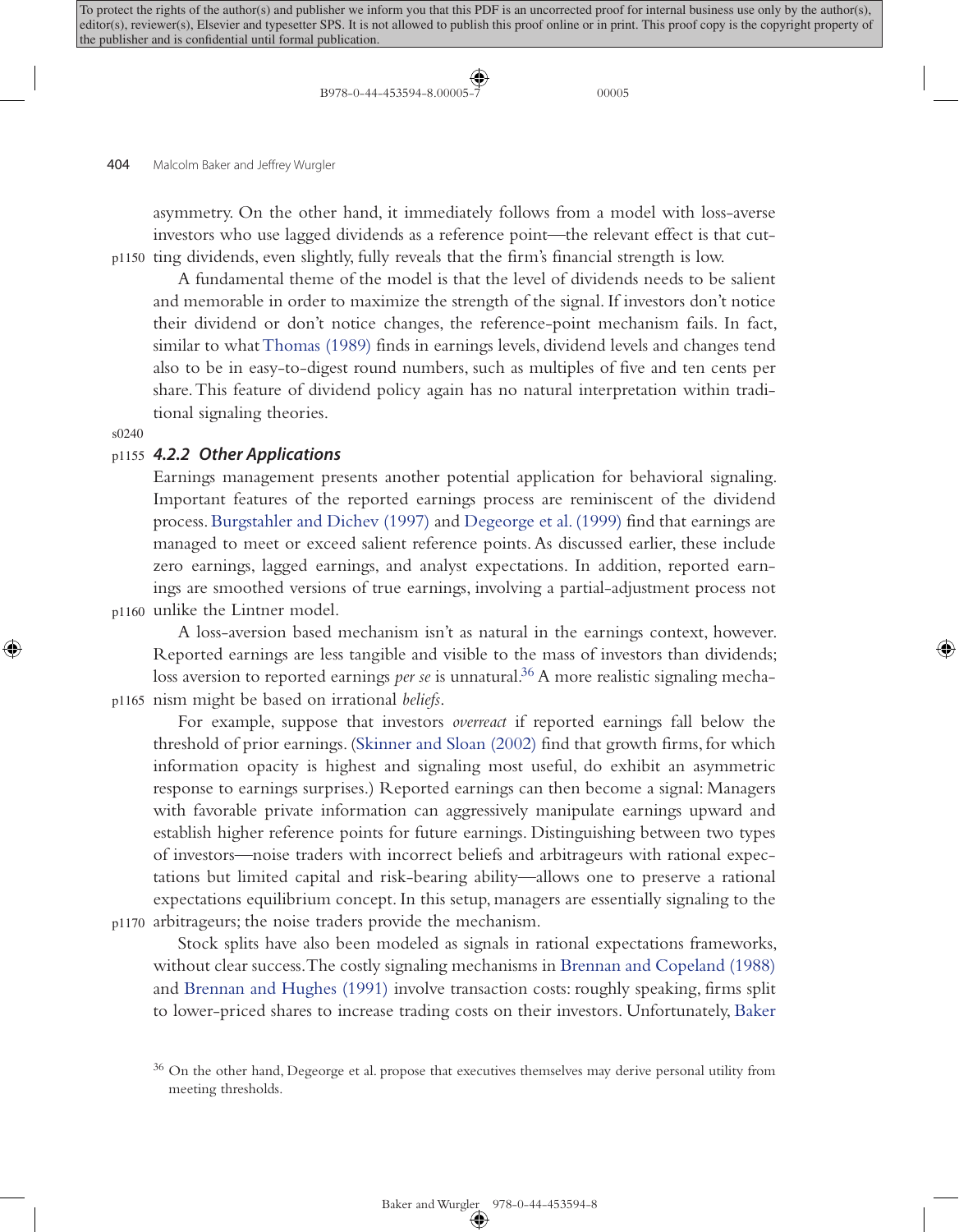B978-0-44-453594-8.00005-7

00005

<span id="page-53-0"></span>404 Malcolm Baker and Jeffrey Wurgler

asymmetry. On the other hand, it immediately follows from a model with loss-averse investors who use lagged dividends as a reference point—the relevant effect is that cutp1150 ting dividends, even slightly, fully reveals that the firm's financial strength is low.

A fundamental theme of the model is that the level of dividends needs to be salient and memorable in order to maximize the strength of the signal. If investors don't notice their dividend or don't notice changes, the reference-point mechanism fails. In fact, similar to what [Thomas \(1989\)](#page-66-20) finds in earnings levels, dividend levels and changes tend also to be in easy-to-digest round numbers, such as multiples of five and ten cents per share. This feature of dividend policy again has no natural interpretation within traditional signaling theories.

s0240

⊕

# *4.2.2 Other Applications* p1155

Earnings management presents another potential application for behavioral signaling. Important features of the reported earnings process are reminiscent of the dividend process. [Burgstahler and Dichev \(1997\)](#page-58-23) and [Degeorge et al. \(1999\)](#page-59-16) find that earnings are managed to meet or exceed salient reference points. As discussed earlier, these include zero earnings, lagged earnings, and analyst expectations. In addition, reported earnings are smoothed versions of true earnings, involving a partial-adjustment process not p1160 unlike the Lintner model.

A loss-aversion based mechanism isn't as natural in the earnings context, however. Reported earnings are less tangible and visible to the mass of investors than dividends; loss aversion to reported earnings *per se* is unnatural.<sup>36</sup> A more realistic signaling mechap1165 nism might be based on irrational *beliefs*.

For example, suppose that investors *overreact* if reported earnings fall below the threshold of prior earnings. [\(Skinner and Sloan \(2002\)](#page-65-31) find that growth firms, for which information opacity is highest and signaling most useful, do exhibit an asymmetric response to earnings surprises.) Reported earnings can then become a signal: Managers with favorable private information can aggressively manipulate earnings upward and establish higher reference points for future earnings. Distinguishing between two types of investors—noise traders with incorrect beliefs and arbitrageurs with rational expectations but limited capital and risk-bearing ability—allows one to preserve a rational expectations equilibrium concept. In this setup, managers are essentially signaling to the p1170 arbitrageurs; the noise traders provide the mechanism.

Stock splits have also been modeled as signals in rational expectations frameworks, without clear success. The costly signaling mechanisms in [Brennan and Copeland \(1988\)](#page-58-24) and [Brennan and Hughes \(1991\)](#page-58-25) involve transaction costs: roughly speaking, firms split to lower-priced shares to increase trading costs on their investors. Unfortunately, [Baker](#page-56-15)

<sup>&</sup>lt;sup>36</sup> On the other hand, Degeorge et al. propose that executives themselves may derive personal utility from meeting thresholds.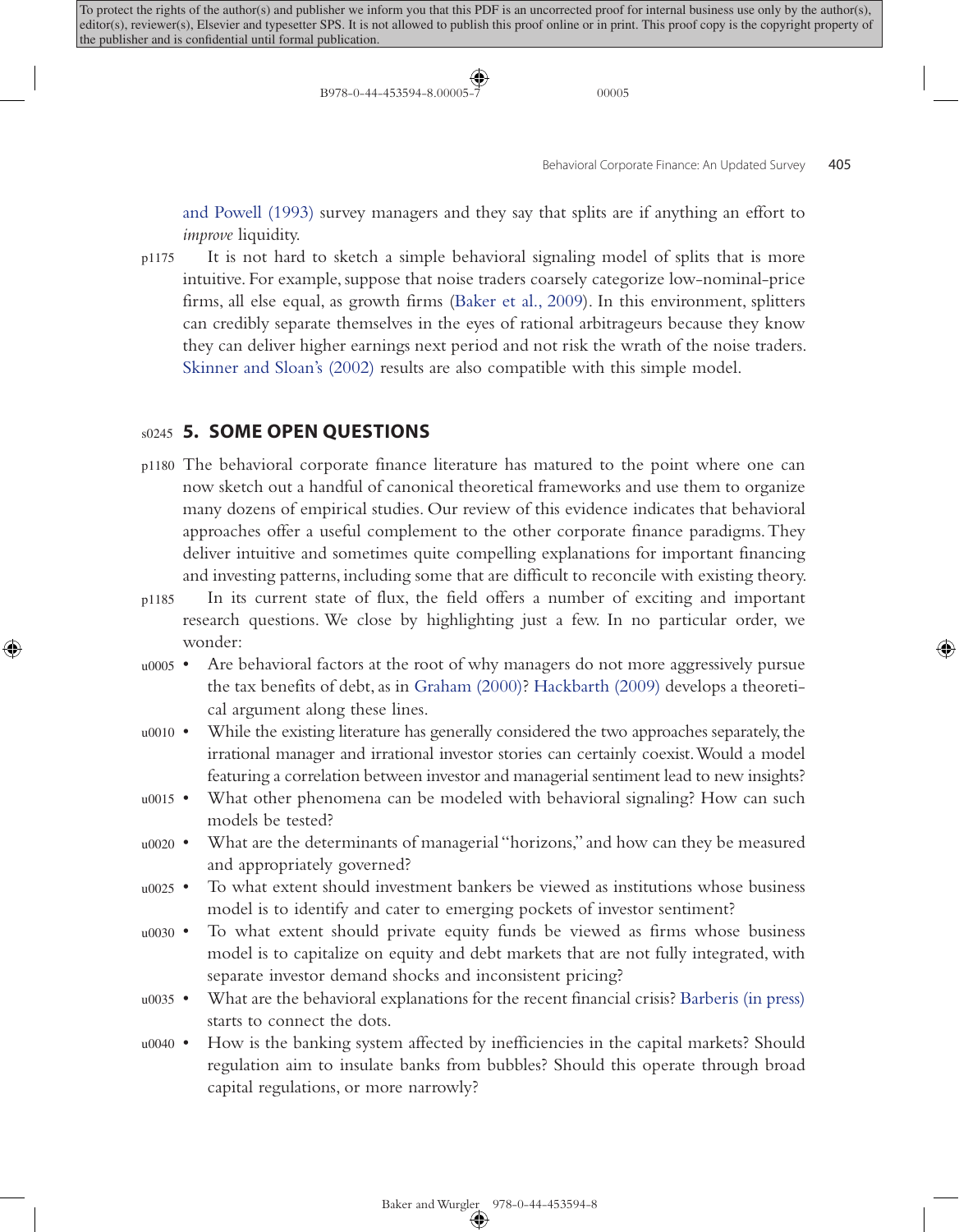B978-0-44-453594-8.00005-7

00005

Behavioral Corporate Finance: An Updated Survey 405

<span id="page-54-0"></span>[and Powell \(1993\)](#page-56-15) survey managers and they say that splits are if anything an effort to *improve* liquidity.

It is not hard to sketch a simple behavioral signaling model of splits that is more intuitive. For example, suppose that noise traders coarsely categorize low-nominal-price firms, all else equal, as growth firms [\(Baker et al., 2009\)](#page-57-18). In this environment, splitters can credibly separate themselves in the eyes of rational arbitrageurs because they know they can deliver higher earnings next period and not risk the wrath of the noise traders. [Skinner and Sloan's \(2002\)](#page-65-31) results are also compatible with this simple model. p1175

# **5. SOME OPEN QUESTIONS** s0245

◈

- p1180 The behavioral corporate finance literature has matured to the point where one can now sketch out a handful of canonical theoretical frameworks and use them to organize many dozens of empirical studies. Our review of this evidence indicates that behavioral approaches offer a useful complement to the other corporate finance paradigms. They deliver intuitive and sometimes quite compelling explanations for important financing and investing patterns, including some that are difficult to reconcile with existing theory.
- In its current state of flux, the field offers a number of exciting and important research questions. We close by highlighting just a few. In no particular order, we wonder: p1185
- u0005 Are behavioral factors at the root of why managers do not more aggressively pursue the tax benefits of debt, as in [Graham \(2000\)](#page-61-27)? [Hackbarth \(2009\)](#page-61-17) develops a theoretical argument along these lines.
- While the existing literature has generally considered the two approaches separately, the irrational manager and irrational investor stories can certainly coexist. Would a model featuring a correlation between investor and managerial sentiment lead to new insights?  $u(0010 \cdot$
- What other phenomena can be modeled with behavioral signaling? How can such models be tested?  $u$ 0015 $\bullet$
- What are the determinants of managerial "horizons," and how can they be measured and appropriately governed?  $u0020$   $\bullet$
- To what extent should investment bankers be viewed as institutions whose business model is to identify and cater to emerging pockets of investor sentiment?  $u0025$   $\bullet$
- To what extent should private equity funds be viewed as firms whose business model is to capitalize on equity and debt markets that are not fully integrated, with separate investor demand shocks and inconsistent pricing?  $u0030$   $\bullet$
- What are the behavioral explanations for the recent financial crisis? [Barberis \(in press\)](#page-57-14) starts to connect the dots.  $110035$   $\bullet$
- How is the banking system affected by inefficiencies in the capital markets? Should regulation aim to insulate banks from bubbles? Should this operate through broad capital regulations, or more narrowly?  $u0040$   $\bullet$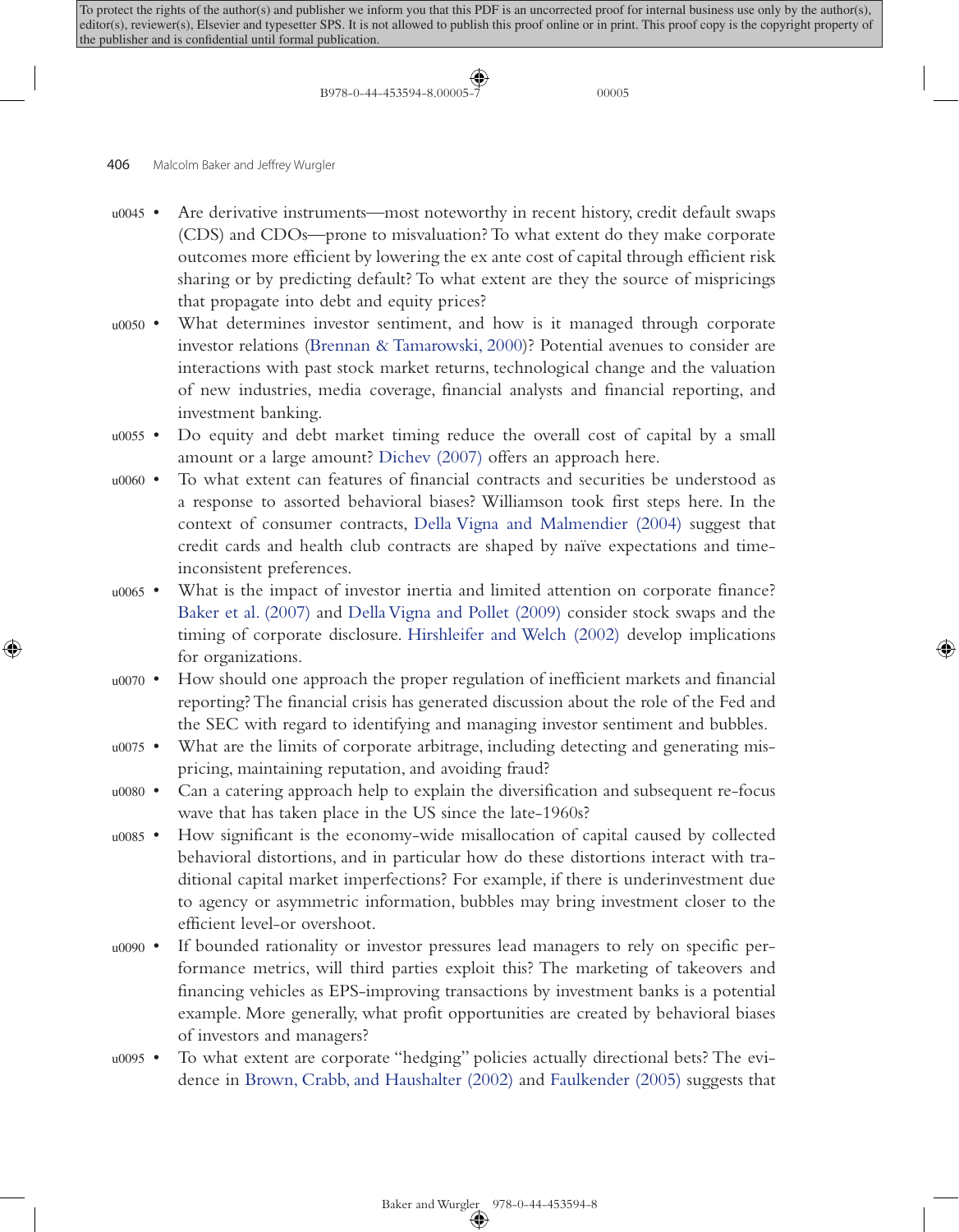B978-0-44-453594-8.00005

00005

406 Malcolm Baker and Jeffrey Wurgler

⊕

- Are derivative instruments—most noteworthy in recent history, credit default swaps (CDS) and CDOs—prone to misvaluation? To what extent do they make corporate outcomes more efficient by lowering the ex ante cost of capital through efficient risk sharing or by predicting default? To what extent are they the source of mispricings that propagate into debt and equity prices?  $u0045$   $\bullet$
- What determines investor sentiment, and how is it managed through corporate investor relations [\(Brennan & Tamarowski, 2000](#page-58-26))? Potential avenues to consider are interactions with past stock market returns, technological change and the valuation of new industries, media coverage, financial analysts and financial reporting, and investment banking.  $u0050$   $\bullet$
- Do equity and debt market timing reduce the overall cost of capital by a small amount or a large amount? [Dichev \(2007\)](#page-59-14) offers an approach here.  $u0055$   $\bullet$
- To what extent can features of financial contracts and securities be understood as a response to assorted behavioral biases? Williamson took first steps here. In the context of consumer contracts, [Della Vigna and Malmendier \(2004\)](#page-59-24) suggest that credit cards and health club contracts are shaped by naïve expectations and timeinconsistent preferences.  $110060$   $\bullet$
- What is the impact of investor inertia and limited attention on corporate finance? [Baker et al. \(2007\)](#page-56-5) and [Della Vigna and Pollet \(2009\)](#page-59-6) consider stock swaps and the timing of corporate disclosure. [Hirshleifer and Welch \(2002\)](#page-61-28) develop implications for organizations.  $u0065$   $\bullet$
- How should one approach the proper regulation of inefficient markets and financial reporting? The financial crisis has generated discussion about the role of the Fed and the SEC with regard to identifying and managing investor sentiment and bubbles.  $u0070$   $\bullet$
- What are the limits of corporate arbitrage, including detecting and generating mispricing, maintaining reputation, and avoiding fraud?  $u0075$   $\bullet$
- Can a catering approach help to explain the diversification and subsequent re-focus wave that has taken place in the US since the late-1960s?  $u0080$   $\bullet$
- How significant is the economy-wide misallocation of capital caused by collected behavioral distortions, and in particular how do these distortions interact with traditional capital market imperfections? For example, if there is underinvestment due to agency or asymmetric information, bubbles may bring investment closer to the efficient level-or overshoot.  $u0085$   $\bullet$
- If bounded rationality or investor pressures lead managers to rely on specific performance metrics, will third parties exploit this? The marketing of takeovers and financing vehicles as EPS-improving transactions by investment banks is a potential example. More generally, what profit opportunities are created by behavioral biases of investors and managers?  $110090$   $\bullet$
- To what extent are corporate "hedging" policies actually directional bets? The evidence in [Brown, Crabb, and Haushalter \(2002\)](#page-58-27) and [Faulkender \(2005\)](#page-60-25) suggests that  $u0095$   $\bullet$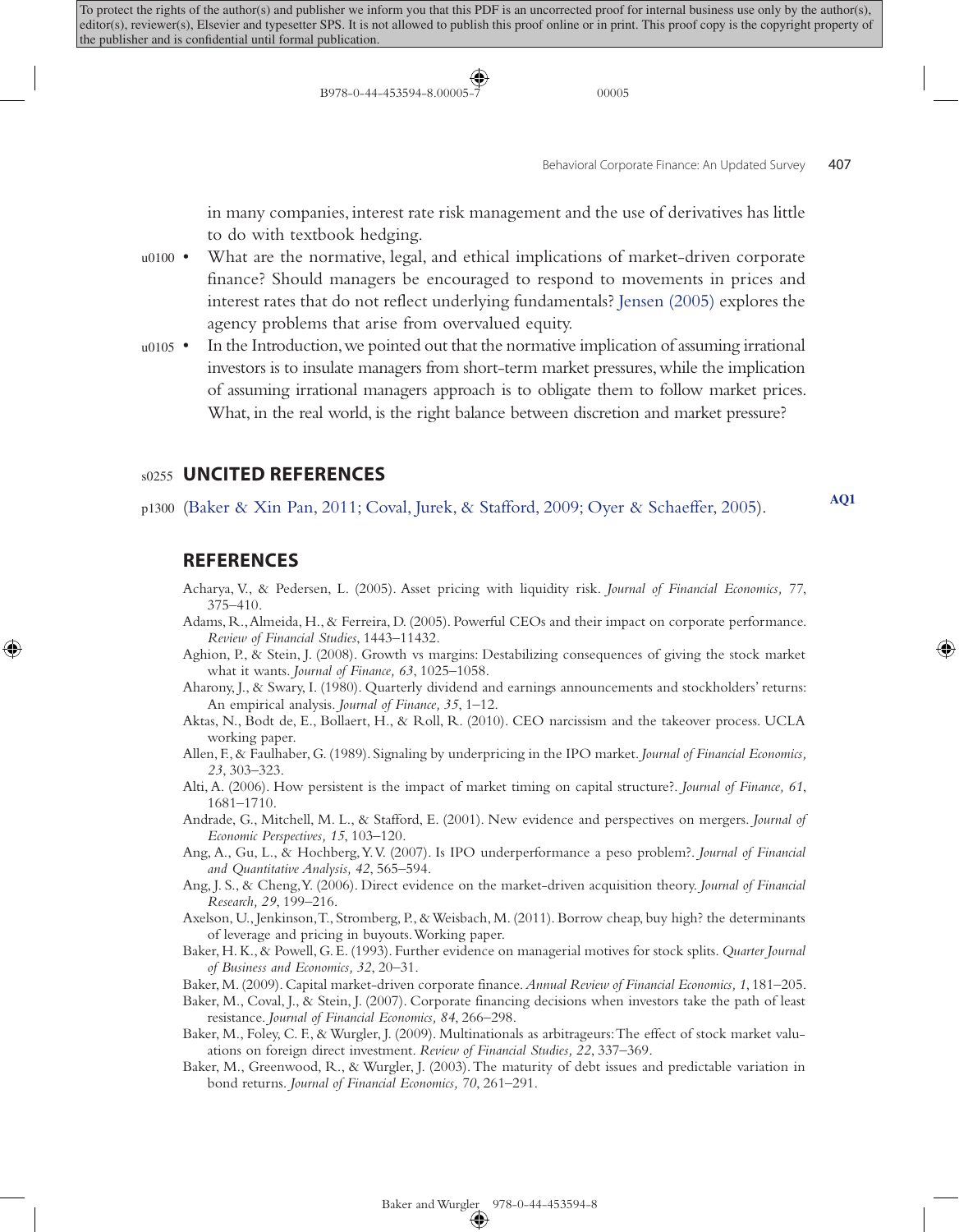B978-0-44-453594-8.0000

00005

Behavioral Corporate Finance: An Updated Survey 407

in many companies, interest rate risk management and the use of derivatives has little to do with textbook hedging.

- <span id="page-56-0"></span>What are the normative, legal, and ethical implications of market-driven corporate finance? Should managers be encouraged to respond to movements in prices and interest rates that do not reflect underlying fundamentals? [Jensen \(2005\)](#page-62-19) explores the agency problems that arise from overvalued equity.  $u(0100 \bullet$
- In the Introduction, we pointed out that the normative implication of assuming irrational investors is to insulate managers from short-term market pressures, while the implication of assuming irrational managers approach is to obligate them to follow market prices. What, in the real world, is the right balance between discretion and market pressure?  $u0105$   $\bullet$

# **UNCITED REFERENCES** s0255

<span id="page-56-16"></span>[\(Baker & Xin Pan, 2011; Coval, Jurek, & Stafford, 2009; Oyer & Schaeffer, 2005](#page-56-1)). p1300

**[AQ1](#page-68-3)**

⊕

# **REFERENCES**

◈

- <span id="page-56-1"></span>Acharya, V., & Pedersen, L. (2005). Asset pricing with liquidity risk. *Journal of Financial Economics, 77*, 375–410.
- <span id="page-56-11"></span>Adams, R., Almeida, H., & Ferreira, D. (2005). Powerful CEOs and their impact on corporate performance. *Review of Financial Studies*, 1443–11432.
- <span id="page-56-2"></span>Aghion, P., & Stein, J. (2008). Growth vs margins: Destabilizing consequences of giving the stock market what it wants. *Journal of Finance, 63*, 1025–1058.
- <span id="page-56-14"></span>Aharony, J., & Swary, I. (1980). Quarterly dividend and earnings announcements and stockholders' returns: An empirical analysis. *Journal of Finance, 35*, 1–12.
- <span id="page-56-12"></span>Aktas, N., Bodt de, E., Bollaert, H., & Roll, R. (2010). CEO narcissism and the takeover process. UCLA working paper.
- <span id="page-56-13"></span>Allen, F., & Faulhaber, G. (1989). Signaling by underpricing in the IPO market. *Journal of Financial Economics, 23*, 303–323.
- <span id="page-56-10"></span>Alti, A. (2006). How persistent is the impact of market timing on capital structure?. *Journal of Finance, 61*, 1681–1710.
- Andrade, G., Mitchell, M. L., & Stafford, E. (2001). New evidence and perspectives on mergers. *Journal of Economic Perspectives, 15*, 103–120.
- <span id="page-56-7"></span>Ang, A., Gu, L., & Hochberg, Y. V. (2007). Is IPO underperformance a peso problem?. *Journal of Financial and Quantitative Analysis, 42*, 565–594.
- <span id="page-56-3"></span>Ang, J. S., & Cheng, Y. (2006). Direct evidence on the market-driven acquisition theory. *Journal of Financial Research, 29*, 199–216.

<span id="page-56-9"></span>Axelson, U., Jenkinson, T., Stromberg, P., & Weisbach, M. (2011). Borrow cheap, buy high? the determinants of leverage and pricing in buyouts. Working paper.

<span id="page-56-15"></span>Baker, H. K., & Powell, G. E. (1993). Further evidence on managerial motives for stock splits. *Quarter Journal of Business and Economics, 32*, 20–31.

<span id="page-56-4"></span>Baker, M. (2009). Capital market-driven corporate finance. *Annual Review of Financial Economics, 1*, 181–205.

<span id="page-56-5"></span>Baker, M., Coval, J., & Stein, J. (2007). Corporate financing decisions when investors take the path of least resistance. *Journal of Financial Economics, 84*, 266–298.

- <span id="page-56-6"></span>Baker, M., Foley, C. F., & Wurgler, J. (2009). Multinationals as arbitrageurs: The effect of stock market valuations on foreign direct investment. *Review of Financial Studies, 22*, 337–369.
- <span id="page-56-8"></span>Baker, M., Greenwood, R., & Wurgler, J. (2003). The maturity of debt issues and predictable variation in bond returns. *Journal of Financial Economics, 70*, 261–291.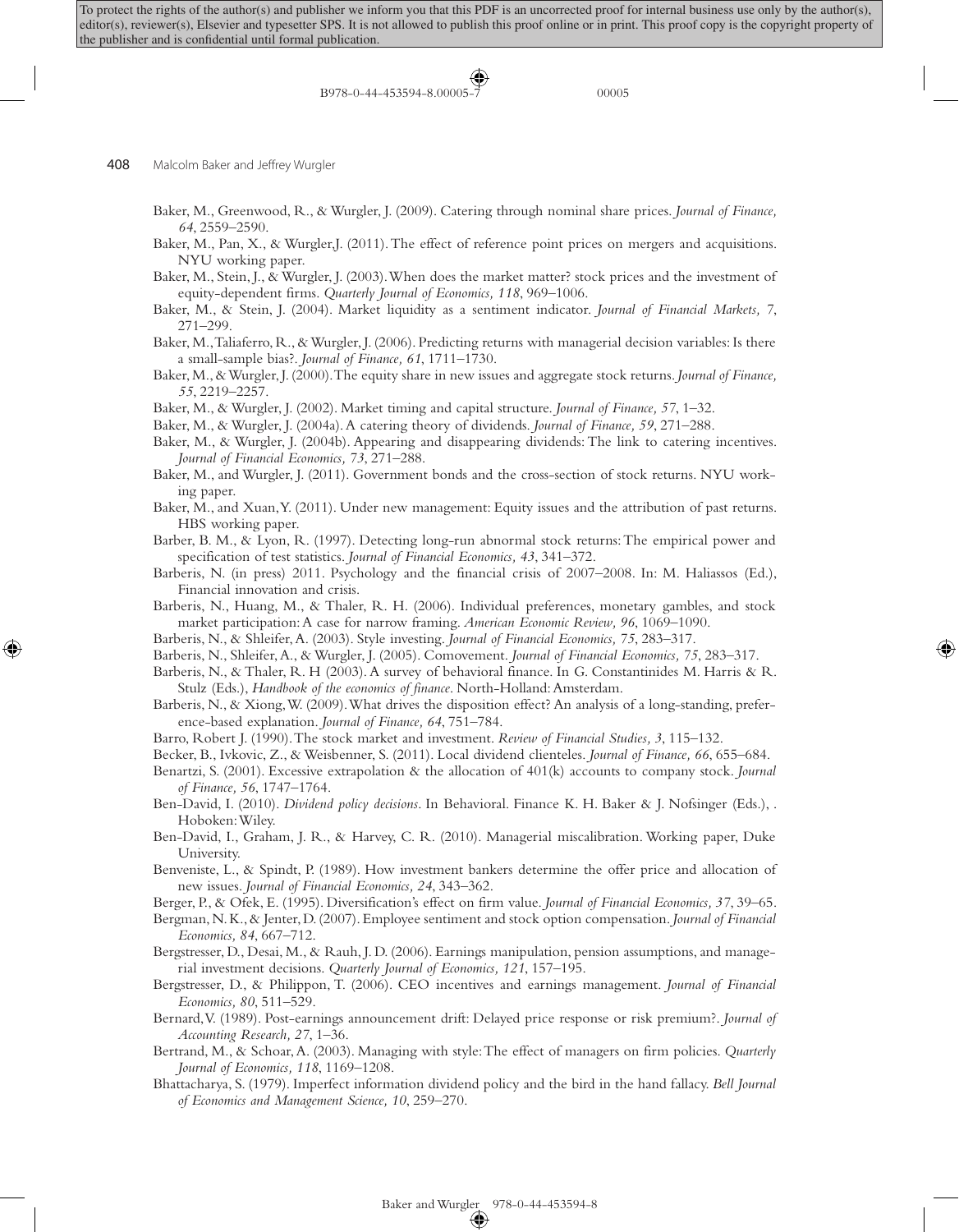B978-0-44-453594-8.00005-7

00005

⊕

408 Malcolm Baker and Jeffrey Wurgler

⊕

- <span id="page-57-18"></span>Baker, M., Greenwood, R., & Wurgler, J. (2009). Catering through nominal share prices. *Journal of Finance, 64*, 2559–2590.
- <span id="page-57-23"></span>Baker, M., Pan, X., & Wurgler,J. (2011). The effect of reference point prices on mergers and acquisitions. NYU working paper.
- <span id="page-57-6"></span>Baker, M., Stein, J., & Wurgler, J. (2003). When does the market matter? stock prices and the investment of equity-dependent firms. *Quarterly Journal of Economics, 118*, 969–1006.
- <span id="page-57-5"></span>Baker, M., & Stein, J. (2004). Market liquidity as a sentiment indicator. *Journal of Financial Markets, 7*, 271–299.
- <span id="page-57-13"></span>Baker, M., Taliaferro, R., & Wurgler, J. (2006). Predicting returns with managerial decision variables: Is there a small-sample bias?. *Journal of Finance, 61*, 1711–1730.
- <span id="page-57-12"></span>Baker, M., & Wurgler, J. (2000). The equity share in new issues and aggregate stock returns. *Journal of Finance, 55*, 2219–2257.
- <span id="page-57-15"></span>Baker, M., & Wurgler, J. (2002). Market timing and capital structure. *Journal of Finance, 57*, 1–32.
- <span id="page-57-7"></span>Baker, M., & Wurgler, J. (2004a). A catering theory of dividends. *Journal of Finance, 59*, 271–288.
- <span id="page-57-16"></span>Baker, M., & Wurgler, J. (2004b). Appearing and disappearing dividends: The link to catering incentives. *Journal of Financial Economics, 73*, 271–288.
- <span id="page-57-26"></span>Baker, M., and Wurgler, J. (2011). Government bonds and the cross-section of stock returns. NYU working paper.
- <span id="page-57-24"></span>Baker, M., and Xuan, Y. (2011). Under new management: Equity issues and the attribution of past returns. HBS working paper.
- <span id="page-57-8"></span>Barber, B. M., & Lyon, R. (1997). Detecting long-run abnormal stock returns: The empirical power and specification of test statistics. *Journal of Financial Economics, 43*, 341–372.
- <span id="page-57-14"></span>Barberis, N. (in press) 2011. Psychology and the financial crisis of 2007–2008. In: M. Haliassos (Ed.), Financial innovation and crisis.
- <span id="page-57-28"></span>Barberis, N., Huang, M., & Thaler, R. H. (2006). Individual preferences, monetary gambles, and stock market participation: A case for narrow framing. *American Economic Review, 96*, 1069–1090.
- <span id="page-57-2"></span>Barberis, N., & Shleifer, A. (2003). Style investing. *Journal of Financial Economics, 75*, 283–317.
- <span id="page-57-3"></span>Barberis, N., Shleifer, A., & Wurgler, J. (2005). Comovement. *Journal of Financial Economics, 75*, 283–317.
- <span id="page-57-1"></span>Barberis, N., & Thaler, R. H (2003). A survey of behavioral finance. In G. Constantinides M. Harris & R. Stulz (Eds.), *Handbook of the economics of finance*. North-Holland: Amsterdam.
- <span id="page-57-4"></span>Barberis, N., & Xiong, W. (2009). What drives the disposition effect? An analysis of a long-standing, preference-based explanation. *Journal of Finance, 64*, 751–784.
- <span id="page-57-11"></span>Barro, Robert J. (1990). The stock market and investment. *Review of Financial Studies, 3*, 115–132.
- <span id="page-57-9"></span>Becker, B., Ivkovic, Z., & Weisbenner, S. (2011). Local dividend clienteles. *Journal of Finance, 66*, 655–684.
- <span id="page-57-20"></span>Benartzi, S. (2001). Excessive extrapolation & the allocation of 401(k) accounts to company stock. *Journal of Finance, 56*, 1747–1764.
- <span id="page-57-0"></span>Ben-David, I. (2010). *Dividend policy decisions*. In Behavioral. Finance K. H. Baker & J. Nofsinger (Eds.), . Hoboken: Wiley.
- <span id="page-57-22"></span>Ben-David, I., Graham, J. R., & Harvey, C. R. (2010). Managerial miscalibration. Working paper, Duke University.
- <span id="page-57-25"></span>Benveniste, L., & Spindt, P. (1989). How investment bankers determine the offer price and allocation of new issues. *Journal of Financial Economics, 24*, 343–362.
- Berger, P., & Ofek, E. (1995). Diversification's effect on firm value. *Journal of Financial Economics, 37*, 39–65.
- <span id="page-57-19"></span>Bergman, N. K., & Jenter, D. (2007). Employee sentiment and stock option compensation. *Journal of Financial Economics, 84*, 667–712.
- Bergstresser, D., Desai, M., & Rauh, J. D. (2006). Earnings manipulation, pension assumptions, and managerial investment decisions. *Quarterly Journal of Economics, 121*, 157–195.
- <span id="page-57-10"></span>Bergstresser, D., & Philippon, T. (2006). CEO incentives and earnings management. *Journal of Financial Economics, 80*, 511–529.
- <span id="page-57-17"></span>Bernard, V. (1989). Post-earnings announcement drift: Delayed price response or risk premium?. *Journal of Accounting Research, 27*, 1–36.
- <span id="page-57-21"></span>Bertrand, M., & Schoar, A. (2003). Managing with style: The effect of managers on firm policies. *Quarterly Journal of Economics, 118*, 1169–1208.
- <span id="page-57-27"></span>Bhattacharya, S. (1979). Imperfect information dividend policy and the bird in the hand fallacy. *Bell Journal of Economics and Management Science, 10*, 259–270.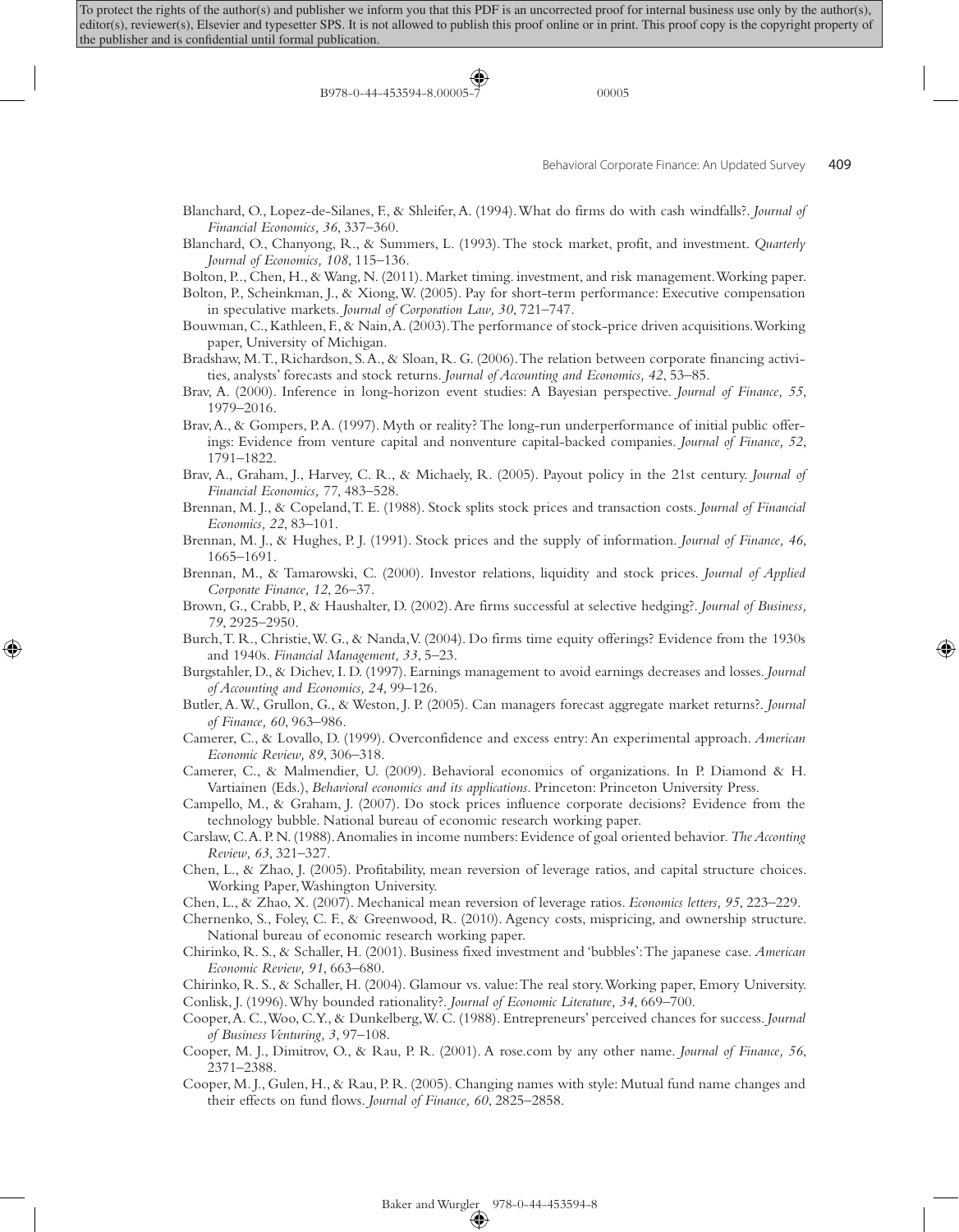B978-0-44-453594-8.0000

00005

Behavioral Corporate Finance: An Updated Survey 409

⊕

<span id="page-58-22"></span>Blanchard, O., Lopez-de-Silanes, F., & Shleifer, A. (1994). What do firms do with cash windfalls?. *Journal of Financial Economics, 36*, 337–360.

- <span id="page-58-1"></span>Blanchard, O., Chanyong, R., & Summers, L. (1993). The stock market, profit, and investment. *Quarterly Journal of Economics, 108*, 115–136.
- <span id="page-58-17"></span><span id="page-58-2"></span>Bolton, P.., Chen, H., & Wang, N. (2011). Market timing. investment, and risk management. Working paper. Bolton, P., Scheinkman, J., & Xiong, W. (2005). Pay for short-term performance: Executive compensation

in speculative markets. *Journal of Corporation Law, 30*, 721–747.

<span id="page-58-6"></span>Bouwman, C., Kathleen, F., & Nain, A. (2003). The performance of stock-price driven acquisitions. Working paper, University of Michigan.

<span id="page-58-0"></span>Bradshaw, M. T., Richardson, S. A., & Sloan, R. G. (2006). The relation between corporate financing activities, analysts' forecasts and stock returns. *Journal of Accounting and Economics, 42*, 53–85.

- <span id="page-58-3"></span>Brav, A. (2000). Inference in long-horizon event studies: A Bayesian perspective. *Journal of Finance, 55*, 1979–2016.
- <span id="page-58-7"></span>Brav, A., & Gompers, P. A. (1997). Myth or reality? The long-run underperformance of initial public offerings: Evidence from venture capital and nonventure capital-backed companies. *Journal of Finance, 52*, 1791–1822.
- <span id="page-58-11"></span>Brav, A., Graham, J., Harvey, C. R., & Michaely, R. (2005). Payout policy in the 21st century. *Journal of Financial Economics, 77*, 483–528.
- <span id="page-58-24"></span>Brennan, M. J., & Copeland, T. E. (1988). Stock splits stock prices and transaction costs. *Journal of Financial Economics, 22*, 83–101.
- <span id="page-58-25"></span>Brennan, M. J., & Hughes, P. J. (1991). Stock prices and the supply of information. *Journal of Finance, 46*, 1665–1691.
- <span id="page-58-26"></span>Brennan, M., & Tamarowski, C. (2000). Investor relations, liquidity and stock prices. *Journal of Applied Corporate Finance, 12*, 26–37.
- <span id="page-58-27"></span>Brown, G., Crabb, P., & Haushalter, D. (2002). Are firms successful at selective hedging?. *Journal of Business, 79*, 2925–2950.

<span id="page-58-8"></span>Burch, T. R., Christie, W. G., & Nanda, V. (2004). Do firms time equity offerings? Evidence from the 1930s and 1940s. *Financial Management, 33*, 5–23.

⊕

- <span id="page-58-23"></span>Burgstahler, D., & Dichev, I. D. (1997). Earnings management to avoid earnings decreases and losses. *Journal of Accounting and Economics, 24*, 99–126.
- <span id="page-58-10"></span>Butler, A. W., Grullon, G., & Weston, J. P. (2005). Can managers forecast aggregate market returns?. *Journal of Finance, 60*, 963–986.
- <span id="page-58-21"></span>Camerer, C., & Lovallo, D. (1999). Overconfidence and excess entry: An experimental approach. *American Economic Review, 89*, 306–318.

<span id="page-58-18"></span>Camerer, C., & Malmendier, U. (2009). Behavioral economics of organizations. In P. Diamond & H. Vartiainen (Eds.), *Behavioral economics and its applications*. Princeton: Princeton University Press.

<span id="page-58-5"></span>Campello, M., & Graham, J. (2007). Do stock prices influence corporate decisions? Evidence from the technology bubble. National bureau of economic research working paper.

- <span id="page-58-14"></span>Carslaw, C. A. P. N. (1988). Anomalies in income numbers: Evidence of goal oriented behavior. *The Acconting Review, 63*, 321–327.
- <span id="page-58-13"></span>Chen, L., & Zhao, J. (2005). Profitability, mean reversion of leverage ratios, and capital structure choices. Working Paper, Washington University.

<span id="page-58-12"></span>Chen, L., & Zhao, X. (2007). Mechanical mean reversion of leverage ratios. *Economics letters, 95*, 223–229.

<span id="page-58-9"></span>Chernenko, S., Foley, C. F., & Greenwood, R. (2010). Agency costs, mispricing, and ownership structure. National bureau of economic research working paper.

<span id="page-58-4"></span>Chirinko, R. S., & Schaller, H. (2001). Business fixed investment and 'bubbles': The japanese case. *American Economic Review, 91*, 663–680.

<span id="page-58-19"></span>Chirinko, R. S., & Schaller, H. (2004). Glamour vs. value: The real story. Working paper, Emory University. Conlisk, J. (1996). Why bounded rationality?. *Journal of Economic Literature, 34*, 669–700.

- <span id="page-58-20"></span>Cooper, A. C., Woo, C. Y., & Dunkelberg, W. C. (1988). Entrepreneurs' perceived chances for success. *Journal of Business Venturing, 3*, 97–108.
- <span id="page-58-15"></span>Cooper, M. J., Dimitrov, O., & Rau, P. R. (2001). A rose.com by any other name. *Journal of Finance, 56*, 2371–2388.

<span id="page-58-16"></span>Cooper, M. J., Gulen, H., & Rau, P. R. (2005). Changing names with style: Mutual fund name changes and their effects on fund flows. *Journal of Finance, 60*, 2825–2858.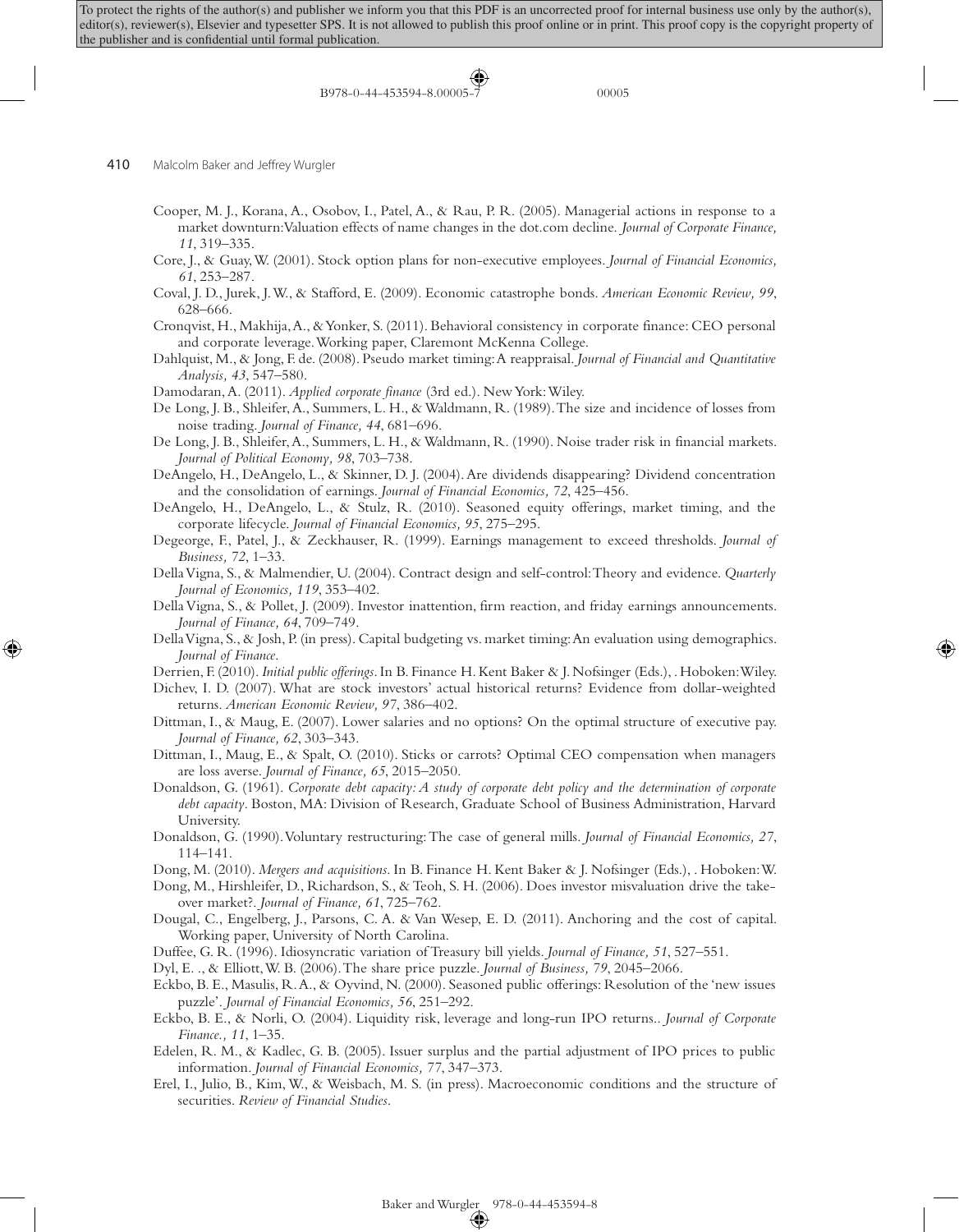B978-0-44-453594-8.00005

00005

⊕

410 Malcolm Baker and Jeffrey Wurgler

⊕

- Cooper, M. J., Korana, A., Osobov, I., Patel, A., & Rau, P. R. (2005). Managerial actions in response to a market downturn: Valuation effects of name changes in the dot.com decline. *Journal of Corporate Finance, 11*, 319–335.
- <span id="page-59-18"></span>Core, J., & Guay, W. (2001). Stock option plans for non-executive employees. *Journal of Financial Economics, 61*, 253–287.
- Coval, J. D., Jurek, J. W., & Stafford, E. (2009). Economic catastrophe bonds. *American Economic Review, 99*, 628–666.

<span id="page-59-19"></span>Cronqvist, H., Makhija, A., & Yonker, S. (2011). Behavioral consistency in corporate finance: CEO personal and corporate leverage. Working paper, Claremont McKenna College.

<span id="page-59-11"></span>Dahlquist, M., & Jong, F. de. (2008). Pseudo market timing: A reappraisal. *Journal of Financial and Quantitative Analysis, 43*, 547–580.

<span id="page-59-0"></span>Damodaran, A. (2011). *Applied corporate finance* (3rd ed.). New York: Wiley.

De Long, J. B., Shleifer, A., Summers, L. H., & Waldmann, R. (1989). The size and incidence of losses from noise trading. *Journal of Finance, 44*, 681–696.

<span id="page-59-3"></span>De Long, J. B., Shleifer, A., Summers, L. H., & Waldmann, R. (1990). Noise trader risk in financial markets. *Journal of Political Economy, 98*, 703–738.

<span id="page-59-15"></span>DeAngelo, H., DeAngelo, L., & Skinner, D. J. (2004). Are dividends disappearing? Dividend concentration and the consolidation of earnings. *Journal of Financial Economics, 72*, 425–456.

<span id="page-59-13"></span>DeAngelo, H., DeAngelo, L., & Stulz, R. (2010). Seasoned equity offerings, market timing, and the corporate lifecycle. *Journal of Financial Economics, 95*, 275–295.

<span id="page-59-16"></span>Degeorge, F., Patel, J., & Zeckhauser, R. (1999). Earnings management to exceed thresholds. *Journal of Business, 72*, 1–33.

- <span id="page-59-24"></span>Della Vigna, S., & Malmendier, U. (2004). Contract design and self-control: Theory and evidence. *Quarterly Journal of Economics, 119*, 353–402.
- <span id="page-59-6"></span>Della Vigna, S., & Pollet, J. (2009). Investor inattention, firm reaction, and friday earnings announcements. *Journal of Finance, 64*, 709–749.
- <span id="page-59-12"></span>Della Vigna, S., & Josh, P. (in press). Capital budgeting vs. market timing: An evaluation using demographics. *Journal of Finance*.

<span id="page-59-1"></span>Derrien, F. (2010). *Initial public offerings*. In B. Finance H. Kent Baker & J. Nofsinger (Eds.), . Hoboken: Wiley.

<span id="page-59-14"></span>Dichev, I. D. (2007). What are stock investors' actual historical returns? Evidence from dollar-weighted returns. *American Economic Review, 97*, 386–402.

<span id="page-59-22"></span>Dittman, I., & Maug, E. (2007). Lower salaries and no options? On the optimal structure of executive pay. *Journal of Finance, 62*, 303–343.

<span id="page-59-23"></span>Dittman, I., Maug, E., & Spalt, O. (2010). Sticks or carrots? Optimal CEO compensation when managers are loss averse. *Journal of Finance, 65*, 2015–2050.

<span id="page-59-21"></span>Donaldson, G. (1961). *Corporate debt capacity: A study of corporate debt policy and the determination of corporate debt capacity*. Boston, MA: Division of Research, Graduate School of Business Administration, Harvard University.

<span id="page-59-7"></span>Donaldson, G. (1990). Voluntary restructuring: The case of general mills. *Journal of Financial Economics, 27*, 114–141.

<span id="page-59-2"></span>Dong, M. (2010). *Mergers and acquisitions*. In B. Finance H. Kent Baker & J. Nofsinger (Eds.), . Hoboken: W.

<span id="page-59-5"></span>Dong, M., Hirshleifer, D., Richardson, S., & Teoh, S. H. (2006). Does investor misvaluation drive the takeover market?. *Journal of Finance, 61*, 725–762.

<span id="page-59-20"></span>Dougal, C., Engelberg, J., Parsons, C. A. & Van Wesep, E. D. (2011). Anchoring and the cost of capital. Working paper, University of North Carolina.

<span id="page-59-4"></span>Duffee, G. R. (1996). Idiosyncratic variation of Treasury bill yields. *Journal of Finance, 51*, 527–551.

<span id="page-59-17"></span>Dyl, E. ., & Elliott, W. B. (2006). The share price puzzle. *Journal of Business, 79*, 2045–2066.

<span id="page-59-9"></span>Eckbo, B. E., Masulis, R. A., & Oyvind, N. (2000). Seasoned public offerings: Resolution of the 'new issues puzzle'. *Journal of Financial Economics, 56*, 251–292.

<span id="page-59-10"></span>Eckbo, B. E., & Norli, O. (2004). Liquidity risk, leverage and long-run IPO returns.. *Journal of Corporate Finance., 11*, 1–35.

Edelen, R. M., & Kadlec, G. B. (2005). Issuer surplus and the partial adjustment of IPO prices to public information. *Journal of Financial Economics, 77*, 347–373.

<span id="page-59-8"></span>Erel, I., Julio, B., Kim, W., & Weisbach, M. S. (in press). Macroeconomic conditions and the structure of securities. *Review of Financial Studies*.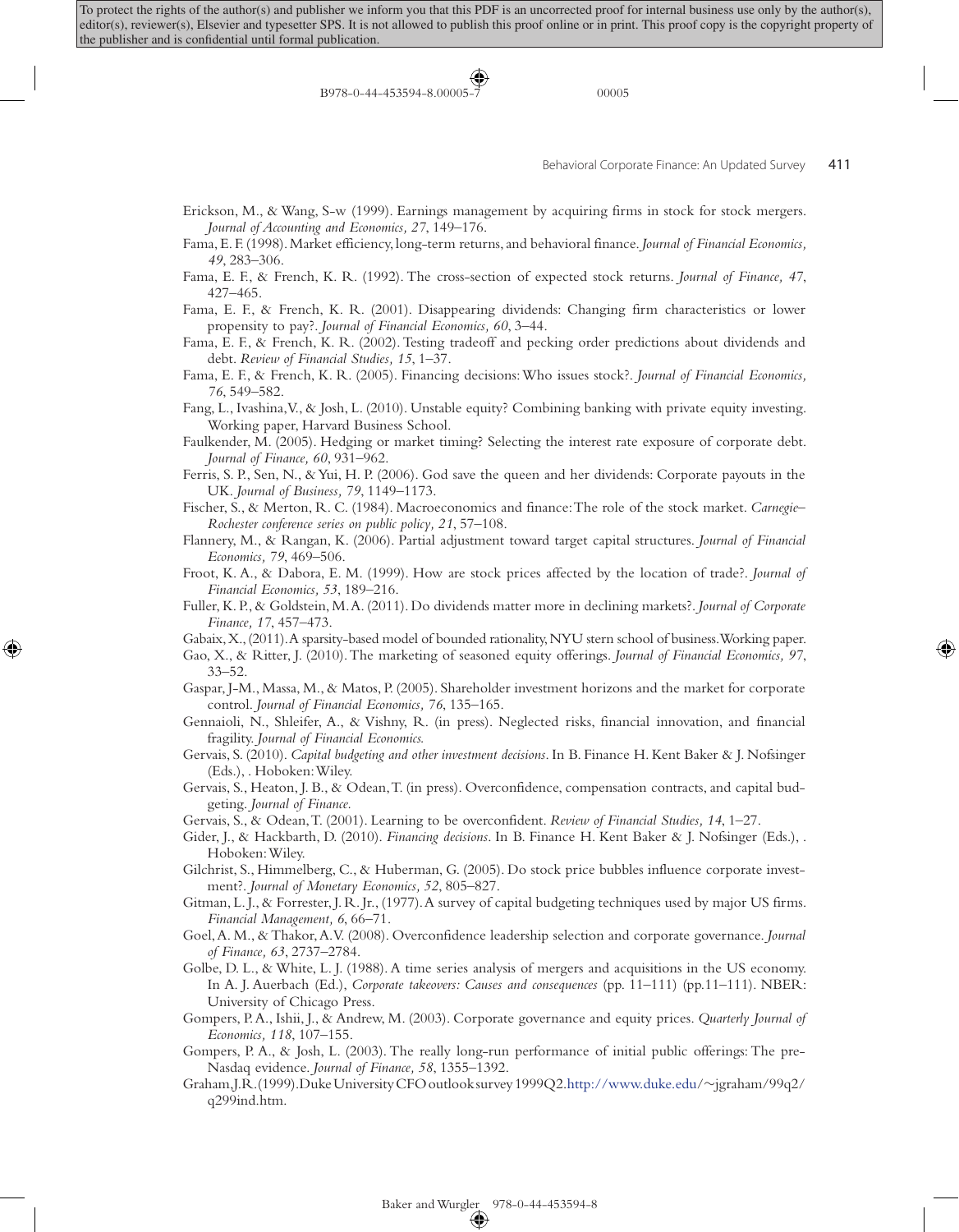B978-0-44-453594-8.0000

00005

Behavioral Corporate Finance: An Updated Survey 411

⊕

- Erickson, M., & Wang, S-w (1999). Earnings management by acquiring firms in stock for stock mergers. *Journal of Accounting and Economics, 27*, 149–176.
- <span id="page-60-6"></span>Fama, E. F. (1998). Market efficiency, long-term returns, and behavioral finance. *Journal of Financial Economics, 49*, 283–306.
- <span id="page-60-5"></span>Fama, E. F., & French, K. R. (1992). The cross-section of expected stock returns. *Journal of Finance, 47*, 427–465.

<span id="page-60-15"></span>Fama, E. F., & French, K. R. (2001). Disappearing dividends: Changing firm characteristics or lower propensity to pay?. *Journal of Financial Economics, 60*, 3–44.

<span id="page-60-14"></span>Fama, E. F., & French, K. R. (2002). Testing tradeoff and pecking order predictions about dividends and debt. *Review of Financial Studies, 15*, 1–37.

<span id="page-60-9"></span>Fama, E. F., & French, K. R. (2005). Financing decisions: Who issues stock?. *Journal of Financial Economics, 76*, 549–582.

<span id="page-60-12"></span>Fang, L., Ivashina, V., & Josh, L. (2010). Unstable equity? Combining banking with private equity investing. Working paper, Harvard Business School.

<span id="page-60-25"></span>Faulkender, M. (2005). Hedging or market timing? Selecting the interest rate exposure of corporate debt. *Journal of Finance, 60*, 931–962.

<span id="page-60-16"></span>Ferris, S. P., Sen, N., & Yui, H. P. (2006). God save the queen and her dividends: Corporate payouts in the UK. *Journal of Business, 79*, 1149–1173.

<span id="page-60-3"></span>Fischer, S., & Merton, R. C. (1984). Macroeconomics and finance: The role of the stock market. *Carnegie– Rochester conference series on public policy, 21*, 57–108.

- Flannery, M., & Rangan, K. (2006). Partial adjustment toward target capital structures. *Journal of Financial Economics, 79*, 469–506.
- <span id="page-60-11"></span>Froot, K. A., & Dabora, E. M. (1999). How are stock prices affected by the location of trade?. *Journal of Financial Economics, 53*, 189–216.
- <span id="page-60-17"></span>Fuller, K. P., & Goldstein, M. A. (2011). Do dividends matter more in declining markets?. *Journal of Corporate Finance, 17*, 457–473.

<span id="page-60-19"></span>Gabaix, X., (2011). A sparsity-based model of bounded rationality, NYU stern school of business. Working paper.

⊕

- <span id="page-60-2"></span>Gao, X., & Ritter, J. (2010). The marketing of seasoned equity offerings. *Journal of Financial Economics, 97*, 33–52.
- <span id="page-60-7"></span>Gaspar, J-M., Massa, M., & Matos, P. (2005). Shareholder investment horizons and the market for corporate control. *Journal of Financial Economics, 76*, 135–165.
- <span id="page-60-13"></span>Gennaioli, N., Shleifer, A., & Vishny, R. (in press). Neglected risks, financial innovation, and financial fragility. *Journal of Financial Economics.*
- <span id="page-60-1"></span>Gervais, S. (2010). *Capital budgeting and other investment decisions*. In B. Finance H. Kent Baker & J. Nofsinger (Eds.), . Hoboken: Wiley.

<span id="page-60-21"></span>Gervais, S., Heaton, J. B., & Odean, T. (in press). Overconfidence, compensation contracts, and capital budgeting. *Journal of Finance.*

- <span id="page-60-20"></span>Gervais, S., & Odean, T. (2001). Learning to be overconfident. *Review of Financial Studies, 14*, 1–27.
- <span id="page-60-0"></span>Gider, J., & Hackbarth, D. (2010). *Financing decisions*. In B. Finance H. Kent Baker & J. Nofsinger (Eds.), . Hoboken: Wiley.

<span id="page-60-4"></span>Gilchrist, S., Himmelberg, C., & Huberman, G. (2005). Do stock price bubbles influence corporate investment?. *Journal of Monetary Economics, 52*, 805–827.

- <span id="page-60-23"></span>Gitman, L. J., & Forrester, J. R. Jr., (1977). A survey of capital budgeting techniques used by major US firms. *Financial Management, 6*, 66–71.
- <span id="page-60-22"></span>Goel, A. M., & Thakor, A. V. (2008). Overconfidence leadership selection and corporate governance. *Journal of Finance, 63*, 2737–2784.
- <span id="page-60-8"></span>Golbe, D. L., & White, L. J. (1988). A time series analysis of mergers and acquisitions in the US economy. In A. J. Auerbach (Ed.), *Corporate takeovers: Causes and consequences* (pp. 11–111) (pp.11–111). NBER: University of Chicago Press.
- <span id="page-60-18"></span>Gompers, P. A., Ishii, J., & Andrew, M. (2003). Corporate governance and equity prices. *Quarterly Journal of Economics, 118*, 107–155.
- <span id="page-60-10"></span>Gompers, P. A., & Josh, L. (2003). The really long-run performance of initial public offerings: The pre-Nasdaq evidence. *Journal of Finance, 58*, 1355–1392.
- <span id="page-60-24"></span>Graham, J. R. (1999). Duke University CFO outlook survey 1999Q2[. http://www.duke.edu](http://www.duke.edu)/∼jgraham/99q2/ q299ind.htm.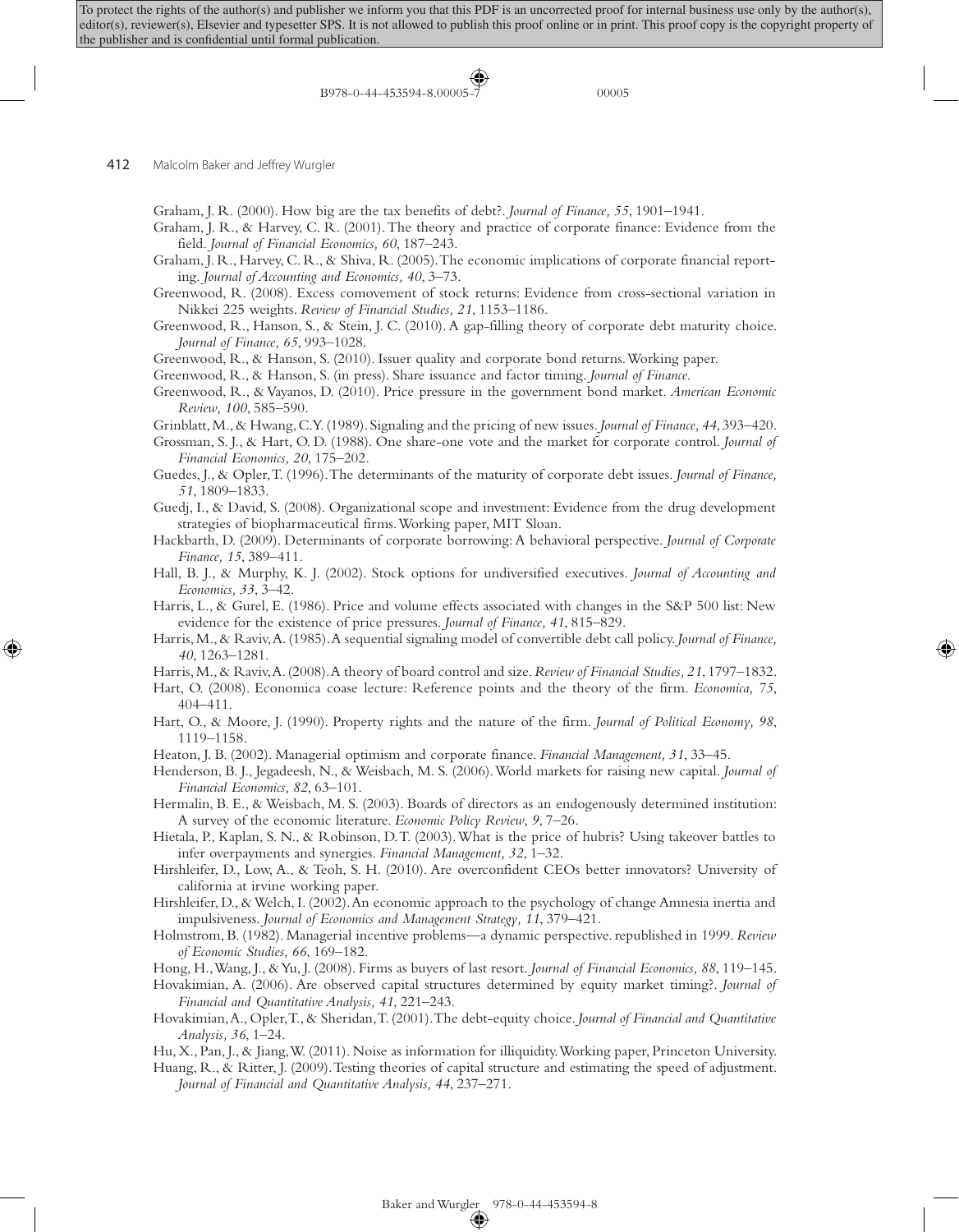B978-0-44-453594-8.00005

00005

⊕

412 Malcolm Baker and Jeffrey Wurgler

⊕

<span id="page-61-27"></span>Graham, J. R. (2000). How big are the tax benefits of debt?. *Journal of Finance, 55*, 1901–1941.

- <span id="page-61-6"></span>Graham, J. R., & Harvey, C. R. (2001). The theory and practice of corporate finance: Evidence from the field. *Journal of Financial Economics, 60*, 187–243.
- <span id="page-61-13"></span>Graham, J. R., Harvey, C. R., & Shiva, R. (2005). The economic implications of corporate financial reporting. *Journal of Accounting and Economics, 40*, 3–73.

<span id="page-61-24"></span>Greenwood, R. (2008). Excess comovement of stock returns: Evidence from cross-sectional variation in Nikkei 225 weights. *Review of Financial Studies, 21*, 1153–1186.

<span id="page-61-4"></span>Greenwood, R., Hanson, S., & Stein, J. C. (2010). A gap-filling theory of corporate debt maturity choice. *Journal of Finance, 65*, 993–1028.

<span id="page-61-10"></span>Greenwood, R., & Hanson, S. (2010). Issuer quality and corporate bond returns. Working paper.

<span id="page-61-7"></span>Greenwood, R., & Hanson, S. (in press). Share issuance and factor timing. *Journal of Finance*.

<span id="page-61-2"></span>Greenwood, R., & Vayanos, D. (2010). Price pressure in the government bond market. *American Economic Review, 100*, 585–590.

Grinblatt, M., & Hwang, C.Y. (1989). Signaling and the pricing of new issues. *Journal of Finance*, 44, 393–420.

<span id="page-61-18"></span>Grossman, S. J., & Hart, O. D. (1988). One share-one vote and the market for corporate control. *Journal of Financial Economics, 20*, 175–202.

<span id="page-61-9"></span>Guedes, J., & Opler, T. (1996). The determinants of the maturity of corporate debt issues. *Journal of Finance, 51*, 1809–1833.

<span id="page-61-20"></span>Guedj, I., & David, S. (2008). Organizational scope and investment: Evidence from the drug development strategies of biopharmaceutical firms. Working paper, MIT Sloan.

<span id="page-61-17"></span>Hackbarth, D. (2009). Determinants of corporate borrowing: A behavioral perspective. *Journal of Corporate Finance, 15*, 389–411.

- <span id="page-61-25"></span>Hall, B. J., & Murphy, K. J. (2002). Stock options for undiversified executives. *Journal of Accounting and Economics, 33*, 3–42.
- <span id="page-61-0"></span>Harris, L., & Gurel, E. (1986). Price and volume effects associated with changes in the S&P 500 list: New evidence for the existence of price pressures. *Journal of Finance, 41*, 815–829.
- <span id="page-61-26"></span>Harris, M., & Raviv, A. (1985). A sequential signaling model of convertible debt call policy. *Journal of Finance, 40*, 1263–1281.

<span id="page-61-23"></span>Harris, M., & Raviv, A. (2008). A theory of board control and size. *Review of Financial Studies, 21*, 1797–1832.

<span id="page-61-14"></span>Hart, O. (2008). Economica coase lecture: Reference points and the theory of the firm. *Economica, 75*, 404–411.

- <span id="page-61-15"></span>Hart, O., & Moore, J. (1990). Property rights and the nature of the firm. *Journal of Political Economy, 98*, 1119–1158.
- <span id="page-61-16"></span>Heaton, J. B. (2002). Managerial optimism and corporate finance. *Financial Management, 31*, 33–45.
- <span id="page-61-8"></span>Henderson, B. J., Jegadeesh, N., & Weisbach, M. S. (2006). World markets for raising new capital. *Journal of Financial Economics, 82*, 63–101.

<span id="page-61-22"></span>Hermalin, B. E., & Weisbach, M. S. (2003). Boards of directors as an endogenously determined institution: A survey of the economic literature. *Economic Policy Review, 9*, 7–26.

<span id="page-61-21"></span>Hietala, P., Kaplan, S. N., & Robinson, D. T. (2003). What is the price of hubris? Using takeover battles to infer overpayments and synergies. *Financial Management, 32*, 1–32.

<span id="page-61-19"></span>Hirshleifer, D., Low, A., & Teoh, S. H. (2010). Are overconfident CEOs better innovators? University of california at irvine working paper.

<span id="page-61-28"></span>Hirshleifer, D., & Welch, I. (2002). An economic approach to the psychology of change Amnesia inertia and impulsiveness. *Journal of Economics and Management Strategy, 11*, 379–421.

<span id="page-61-5"></span>Holmstrom, B. (1982). Managerial incentive problems—a dynamic perspective. republished in 1999. *Review of Economic Studies, 66*, 169–182.

<span id="page-61-3"></span>Hong, H., Wang, J., & Yu, J. (2008). Firms as buyers of last resort. *Journal of Financial Economics, 88*, 119–145.

<span id="page-61-11"></span>Hovakimian, A. (2006). Are observed capital structures determined by equity market timing?. *Journal of Financial and Quantitative Analysis, 41*, 221–243.

- Hovakimian, A., Opler, T., & Sheridan, T. (2001). The debt-equity choice. *Journal of Financial and Quantitative Analysis, 36*, 1–24.
- <span id="page-61-1"></span>Hu, X., Pan, J., & Jiang, W. (2011). Noise as information for illiquidity. Working paper, Princeton University.
- <span id="page-61-12"></span>Huang, R., & Ritter, J. (2009). Testing theories of capital structure and estimating the speed of adjustment. *Journal of Financial and Quantitative Analysis, 44*, 237–271.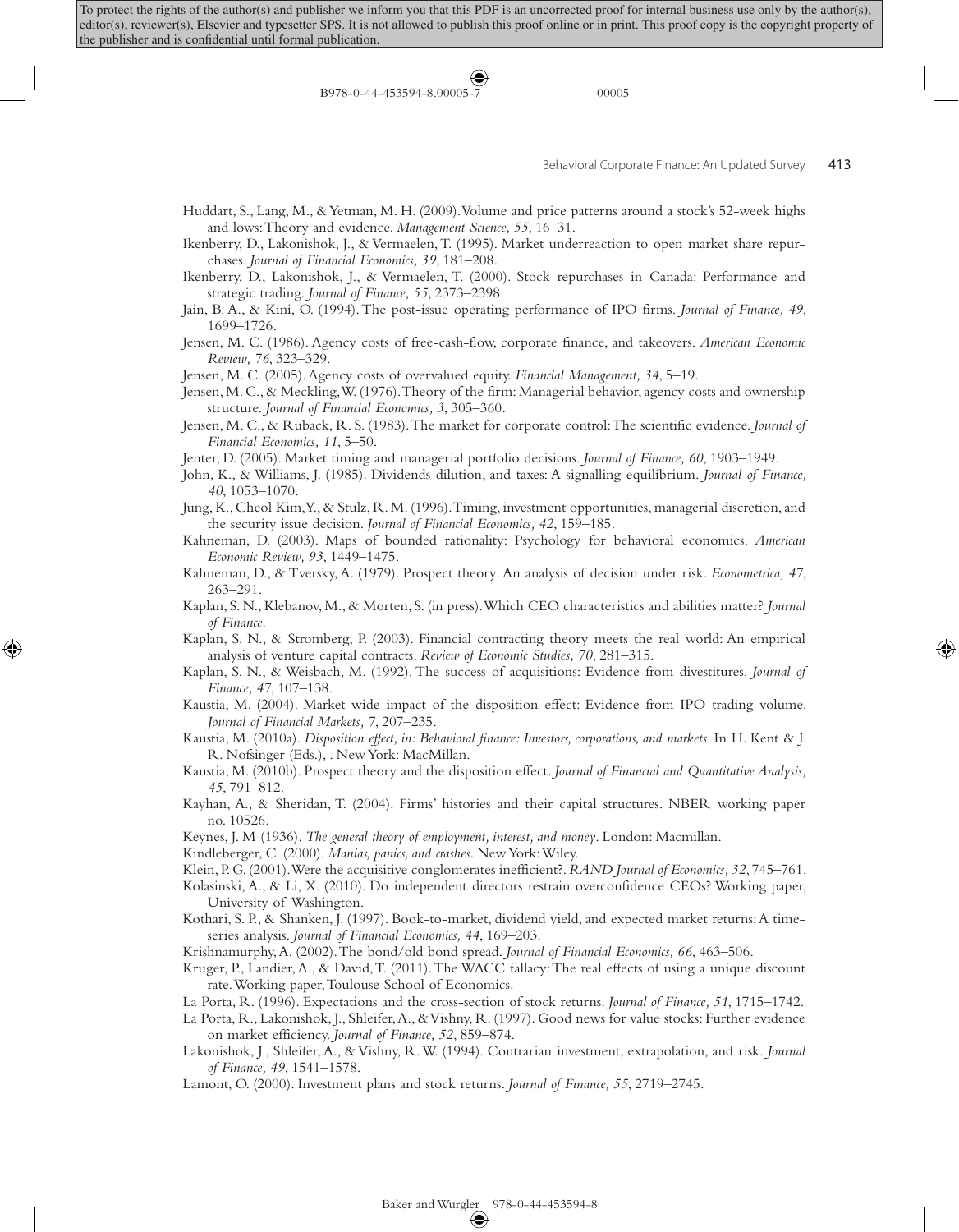B978-0-44-453594-8.0000

00005

Behavioral Corporate Finance: An Updated Survey 413

⊕

<span id="page-62-2"></span>Huddart, S., Lang, M., & Yetman, M. H. (2009). Volume and price patterns around a stock's 52-week highs and lows: Theory and evidence. *Management Science, 55*, 16–31.

- <span id="page-62-17"></span>Ikenberry, D., Lakonishok, J., & Vermaelen, T. (1995). Market underreaction to open market share repurchases. *Journal of Financial Economics, 39*, 181–208.
- <span id="page-62-18"></span>Ikenberry, D., Lakonishok, J., & Vermaelen, T. (2000). Stock repurchases in Canada: Performance and strategic trading. *Journal of Finance, 55*, 2373–2398.
- <span id="page-62-14"></span>Jain, B. A., & Kini, O. (1994). The post-issue operating performance of IPO firms. *Journal of Finance, 49*, 1699–1726.
- <span id="page-62-21"></span>Jensen, M. C. (1986). Agency costs of free-cash-flow, corporate finance, and takeovers. *American Economic Review, 76*, 323–329.

<span id="page-62-19"></span>Jensen, M. C. (2005). Agency costs of overvalued equity. *Financial Management, 34*, 5–19.

- <span id="page-62-16"></span>Jensen, M. C., & Meckling, W. (1976). Theory of the firm: Managerial behavior, agency costs and ownership structure. *Journal of Financial Economics, 3*, 305–360.
- <span id="page-62-23"></span>Jensen, M. C., & Ruback, R. S. (1983). The market for corporate control: The scientific evidence. *Journal of Financial Economics, 11*, 5–50.
- <span id="page-62-15"></span>Jenter, D. (2005). Market timing and managerial portfolio decisions. *Journal of Finance, 60*, 1903–1949.
- John, K., & Williams, J. (1985). Dividends dilution, and taxes: A signalling equilibrium. *Journal of Finance, 40*, 1053–1070.
- <span id="page-62-13"></span>Jung, K., Cheol Kim, Y., & Stulz, R. M. (1996). Timing, investment opportunities, managerial discretion, and the security issue decision. *Journal of Financial Economics, 42*, 159–185.
- <span id="page-62-26"></span>Kahneman, D. (2003). Maps of bounded rationality: Psychology for behavioral economics. *American Economic Review, 93*, 1449–1475.
- <span id="page-62-1"></span>Kahneman, D., & Tversky, A. (1979). Prospect theory: An analysis of decision under risk. *Econometrica, 47*, 263–291.
- <span id="page-62-20"></span>Kaplan, S. N., Klebanov, M., & Morten, S. (in press). Which CEO characteristics and abilities matter? *Journal of Finance*.

<span id="page-62-25"></span>Kaplan, S. N., & Stromberg, P. (2003). Financial contracting theory meets the real world: An empirical analysis of venture capital contracts. *Review of Economic Studies, 70*, 281–315.

- Kaplan, S. N., & Weisbach, M. (1992). The success of acquisitions: Evidence from divestitures. *Journal of Finance, 47*, 107–138.
- <span id="page-62-3"></span>Kaustia, M. (2004). Market-wide impact of the disposition effect: Evidence from IPO trading volume. *Journal of Financial Markets, 7*, 207–235.
- <span id="page-62-5"></span>Kaustia, M. (2010a). *Disposition effect, in: Behavioral finance: Investors, corporations, and markets*. In H. Kent & J. R. Nofsinger (Eds.), . New York: MacMillan.
- <span id="page-62-4"></span>Kaustia, M. (2010b). Prospect theory and the disposition effect. *Journal of Financial and Quantitative Analysis, 45*, 791–812.
- Kayhan, A., & Sheridan, T. (2004). Firms' histories and their capital structures. NBER working paper no. 10526.
- <span id="page-62-9"></span>Keynes, J. M (1936). *The general theory of employment, interest, and money*. London: Macmillan.

<span id="page-62-10"></span>Kindleberger, C. (2000). *Manias, panics, and crashes*. New York: Wiley.

⊕

<span id="page-62-12"></span>Klein, P. G. (2001). Were the acquisitive conglomerates inefficient?. *RAND Journal of Economics, 32*, 745–761.

<span id="page-62-24"></span>Kolasinski, A., & Li, X. (2010). Do independent directors restrain overconfidence CEOs? Working paper, University of Washington.

<span id="page-62-6"></span>Kothari, S. P., & Shanken, J. (1997). Book-to-market, dividend yield, and expected market returns: A timeseries analysis. *Journal of Financial Economics, 44*, 169–203.

<span id="page-62-0"></span>Krishnamurphy, A. (2002). The bond/old bond spread. *Journal of Financial Economics, 66*, 463–506.

<span id="page-62-22"></span>Kruger, P., Landier, A., & David, T. (2011). The WACC fallacy: The real effects of using a unique discount rate. Working paper, Toulouse School of Economics.

La Porta, R. (1996). Expectations and the cross-section of stock returns. *Journal of Finance, 51*, 1715–1742.

<span id="page-62-8"></span>La Porta, R., Lakonishok, J., Shleifer, A., & Vishny, R. (1997). Good news for value stocks: Further evidence on market efficiency. *Journal of Finance, 52*, 859–874.

- <span id="page-62-7"></span>Lakonishok, J., Shleifer, A., & Vishny, R. W. (1994). Contrarian investment, extrapolation, and risk. *Journal of Finance, 49*, 1541–1578.
- <span id="page-62-11"></span>Lamont, O. (2000). Investment plans and stock returns. *Journal of Finance, 55*, 2719–2745.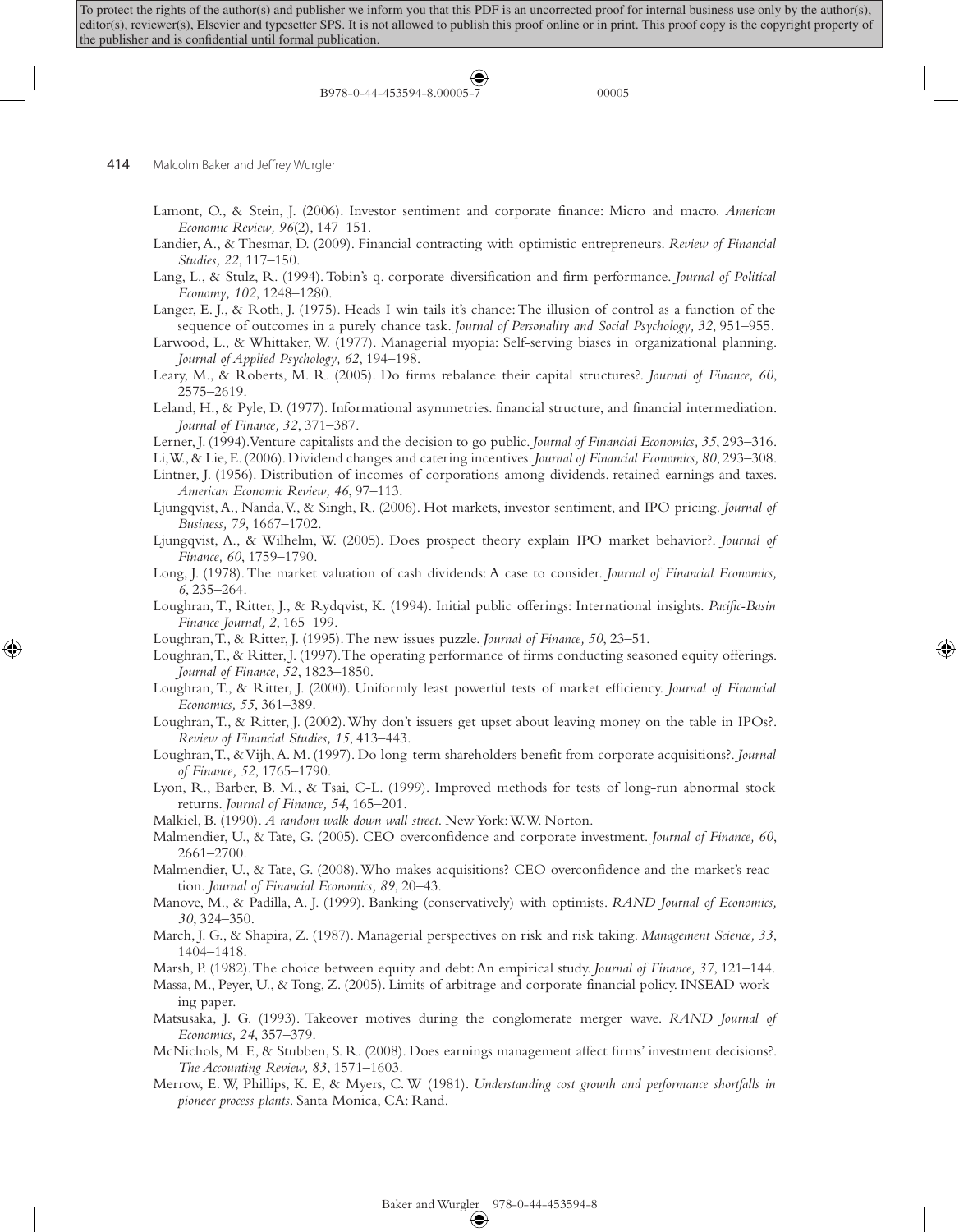B978-0-44-453594-8.0000

00005

⊕

414 Malcolm Baker and Jeffrey Wurgler

⊕

<span id="page-63-4"></span>Lamont, O., & Stein, J. (2006). Investor sentiment and corporate finance: Micro and macro. *American Economic Review, 96*(2), 147–151.

<span id="page-63-20"></span>Landier, A., & Thesmar, D. (2009). Financial contracting with optimistic entrepreneurs. *Review of Financial Studies, 22*, 117–150.

<span id="page-63-8"></span>Lang, L., & Stulz, R. (1994). Tobin's q. corporate diversification and firm performance. *Journal of Political Economy, 102*, 1248–1280.

<span id="page-63-18"></span>Langer, E. J., & Roth, J. (1975). Heads I win tails it's chance: The illusion of control as a function of the sequence of outcomes in a purely chance task. *Journal of Personality and Social Psychology, 32*, 951–955.

Larwood, L., & Whittaker, W. (1977). Managerial myopia: Self-serving biases in organizational planning. *Journal of Applied Psychology, 62*, 194–198.

<span id="page-63-14"></span>Leary, M., & Roberts, M. R. (2005). Do firms rebalance their capital structures?. *Journal of Finance, 60*, 2575–2619.

<span id="page-63-27"></span>Leland, H., & Pyle, D. (1977). Informational asymmetries. financial structure, and financial intermediation. *Journal of Finance, 32*, 371–387.

<span id="page-63-9"></span>Lerner, J. (1994). Venture capitalists and the decision to go public. *Journal of Financial Economics, 35*, 293–316.

<span id="page-63-16"></span>Li, W., & Lie, E. (2006). Dividend changes and catering incentives. *Journal of Financial Economics, 80*, 293–308.

<span id="page-63-25"></span>Lintner, J. (1956). Distribution of incomes of corporations among dividends. retained earnings and taxes. *American Economic Review, 46*, 97–113.

<span id="page-63-0"></span>Ljungqvist, A., Nanda, V., & Singh, R. (2006). Hot markets, investor sentiment, and IPO pricing. *Journal of Business, 79*, 1667–1702.

- <span id="page-63-24"></span>Ljungqvist, A., & Wilhelm, W. (2005). Does prospect theory explain IPO market behavior?. *Journal of Finance, 60*, 1759–1790.
- <span id="page-63-15"></span>Long, J. (1978). The market valuation of cash dividends: A case to consider. *Journal of Financial Economics, 6*, 235–264.
- <span id="page-63-10"></span>Loughran, T., Ritter, J., & Rydqvist, K. (1994). Initial public offerings: International insights. *Pacific-Basin Finance Journal, 2*, 165–199.

<span id="page-63-12"></span>Loughran, T., & Ritter, J. (1995). The new issues puzzle. *Journal of Finance, 50*, 23–51.

- <span id="page-63-13"></span>Loughran, T., & Ritter, J. (1997). The operating performance of firms conducting seasoned equity offerings. *Journal of Finance, 52*, 1823–1850.
- <span id="page-63-2"></span>Loughran, T., & Ritter, J. (2000). Uniformly least powerful tests of market efficiency. *Journal of Financial Economics, 55*, 361–389.

<span id="page-63-23"></span>Loughran, T., & Ritter, J. (2002). Why don't issuers get upset about leaving money on the table in IPOs?. *Review of Financial Studies, 15*, 413–443.

<span id="page-63-6"></span>Loughran, T., & Vijh, A. M. (1997). Do long-term shareholders benefit from corporate acquisitions?. *Journal of Finance, 52*, 1765–1790.

<span id="page-63-1"></span>Lyon, R., Barber, B. M., & Tsai, C-L. (1999). Improved methods for tests of long-run abnormal stock returns. *Journal of Finance, 54*, 165–201.

<span id="page-63-5"></span>Malkiel, B. (1990). *A random walk down wall street*. New York: W.W. Norton.

<span id="page-63-19"></span>Malmendier, U., & Tate, G. (2005). CEO overconfidence and corporate investment. *Journal of Finance, 60*, 2661–2700.

<span id="page-63-22"></span>Malmendier, U., & Tate, G. (2008). Who makes acquisitions? CEO overconfidence and the market's reaction. *Journal of Financial Economics, 89*, 20–43.

March, J. G., & Shapira, Z. (1987). Managerial perspectives on risk and risk taking. *Management Science, 33*, 1404–1418.

<span id="page-63-11"></span>Marsh, P. (1982). The choice between equity and debt: An empirical study. *Journal of Finance, 37*, 121–144.

<span id="page-63-3"></span>Massa, M., Peyer, U., & Tong, Z. (2005). Limits of arbitrage and corporate financial policy. INSEAD working paper.

<span id="page-63-7"></span>Matsusaka, J. G. (1993). Takeover motives during the conglomerate merger wave. *RAND Journal of Economics, 24*, 357–379.

- <span id="page-63-17"></span>McNichols, M. F., & Stubben, S. R. (2008). Does earnings management affect firms' investment decisions?. *The Accounting Review, 83*, 1571–1603.
- <span id="page-63-21"></span>Merrow, E. W, Phillips, K. E, & Myers, C. W (1981). *Understanding cost growth and performance shortfalls in pioneer process plants*. Santa Monica, CA: Rand.

<span id="page-63-26"></span>Manove, M., & Padilla, A. J. (1999). Banking (conservatively) with optimists. *RAND Journal of Economics, 30*, 324–350.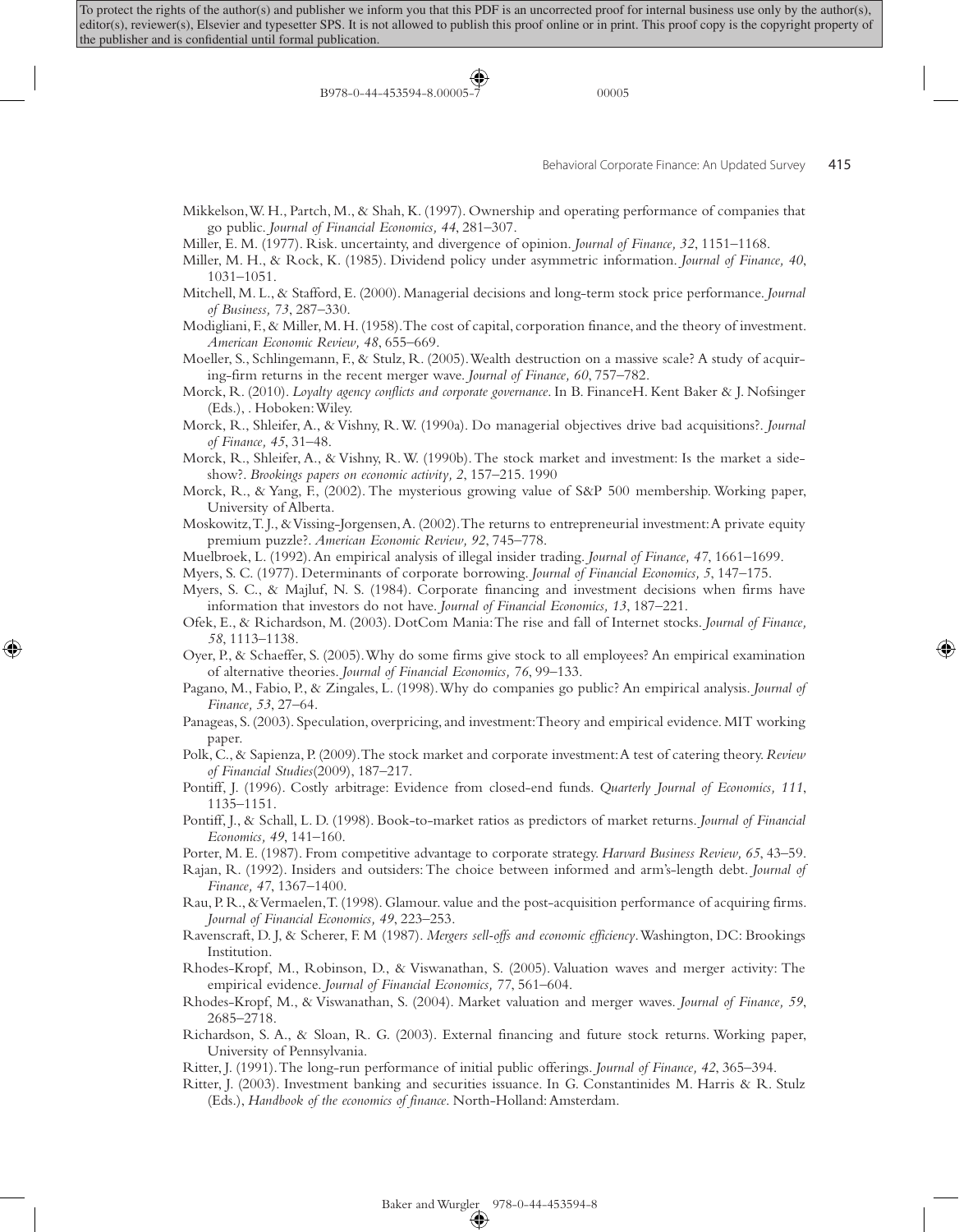B978-0-44-453594-8.0000

00005

Behavioral Corporate Finance: An Updated Survey 415

⊕

Mikkelson, W. H., Partch, M., & Shah, K. (1997). Ownership and operating performance of companies that go public. *Journal of Financial Economics, 44*, 281–307.

- <span id="page-64-1"></span>Miller, E. M. (1977). Risk. uncertainty, and divergence of opinion. *Journal of Finance, 32*, 1151–1168.
- <span id="page-64-26"></span>Miller, M. H., & Rock, K. (1985). Dividend policy under asymmetric information. *Journal of Finance, 40*, 1031–1051.
- <span id="page-64-9"></span>Mitchell, M. L., & Stafford, E. (2000). Managerial decisions and long-term stock price performance. *Journal of Business, 73*, 287–330.
- <span id="page-64-5"></span>Modigliani, F., & Miller, M. H. (1958). The cost of capital, corporation finance, and the theory of investment. *American Economic Review, 48*, 655–669.

<span id="page-64-25"></span>Moeller, S., Schlingemann, F., & Stulz, R. (2005). Wealth destruction on a massive scale? A study of acquiring-firm returns in the recent merger wave. *Journal of Finance, 60*, 757–782.

- <span id="page-64-0"></span>Morck, R. (2010). *Loyalty agency conflicts and corporate governance*. In B. FinanceH. Kent Baker & J. Nofsinger (Eds.), . Hoboken: Wiley.
- <span id="page-64-16"></span>Morck, R., Shleifer, A., & Vishny, R. W. (1990a). Do managerial objectives drive bad acquisitions?. *Journal of Finance, 45*, 31–48.

<span id="page-64-11"></span>Morck, R., Shleifer, A., & Vishny, R. W. (1990b). The stock market and investment: Is the market a sideshow?. *Brookings papers on economic activity, 2*, 157–215. 1990

<span id="page-64-3"></span>Morck, R., & Yang, F., (2002). The mysterious growing value of S&P 500 membership. Working paper, University of Alberta.

<span id="page-64-24"></span>Moskowitz, T. J., & Vissing-Jorgensen, A. (2002). The returns to entrepreneurial investment: A private equity premium puzzle?. *American Economic Review, 92*, 745–778.

<span id="page-64-4"></span>Muelbroek, L. (1992). An empirical analysis of illegal insider trading. *Journal of Finance, 47*, 1661–1699.

<span id="page-64-23"></span>Myers, S. C. (1977). Determinants of corporate borrowing. *Journal of Financial Economics, 5*, 147–175.

⊕

- <span id="page-64-6"></span>Myers, S. C., & Majluf, N. S. (1984). Corporate financing and investment decisions when firms have information that investors do not have. *Journal of Financial Economics, 13*, 187–221.
- <span id="page-64-10"></span>Ofek, E., & Richardson, M. (2003). DotCom Mania: The rise and fall of Internet stocks. *Journal of Finance, 58*, 1113–1138.

Oyer, P., & Schaeffer, S. (2005). Why do some firms give stock to all employees? An empirical examination of alternative theories. *Journal of Financial Economics, 76*, 99–133.

- <span id="page-64-18"></span>Pagano, M., Fabio, P., & Zingales, L. (1998). Why do companies go public? An empirical analysis. *Journal of Finance, 53*, 27–64.
- Panageas, S. (2003). Speculation, overpricing, and investment: Theory and empirical evidence. MIT working paper.
- <span id="page-64-7"></span>Polk, C., & Sapienza, P. (2009). The stock market and corporate investment: A test of catering theory. *Review of Financial Studies*(2009), 187–217.
- <span id="page-64-2"></span>Pontiff, J. (1996). Costly arbitrage: Evidence from closed-end funds. *Quarterly Journal of Economics, 111*, 1135–1151.
- <span id="page-64-8"></span>Pontiff, J., & Schall, L. D. (1998). Book-to-market ratios as predictors of market returns. *Journal of Financial Economics, 49*, 141–160.
- <span id="page-64-17"></span>Porter, M. E. (1987). From competitive advantage to corporate strategy. *Harvard Business Review, 65*, 43–59.

<span id="page-64-22"></span>Rajan, R. (1992). Insiders and outsiders: The choice between informed and arm's-length debt. *Journal of Finance, 47*, 1367–1400.

<span id="page-64-12"></span>Rau, P. R., & Vermaelen, T. (1998). Glamour. value and the post-acquisition performance of acquiring firms. *Journal of Financial Economics, 49*, 223–253.

<span id="page-64-15"></span>Ravenscraft, D. J, & Scherer, F. M (1987). *Mergers sell-offs and economic efficiency*. Washington, DC: Brookings Institution.

<span id="page-64-14"></span>Rhodes-Kropf, M., Robinson, D., & Viswanathan, S. (2005). Valuation waves and merger activity: The empirical evidence. *Journal of Financial Economics, 77*, 561–604.

- <span id="page-64-13"></span>Rhodes-Kropf, M., & Viswanathan, S. (2004). Market valuation and merger waves. *Journal of Finance, 59*, 2685–2718.
- <span id="page-64-21"></span>Richardson, S. A., & Sloan, R. G. (2003). External financing and future stock returns. Working paper, University of Pennsylvania.
- <span id="page-64-19"></span>Ritter, J. (1991). The long-run performance of initial public offerings. *Journal of Finance, 42*, 365–394.
- <span id="page-64-20"></span>Ritter, J. (2003). Investment banking and securities issuance. In G. Constantinides M. Harris & R. Stulz (Eds.), *Handbook of the economics of finance*. North-Holland: Amsterdam.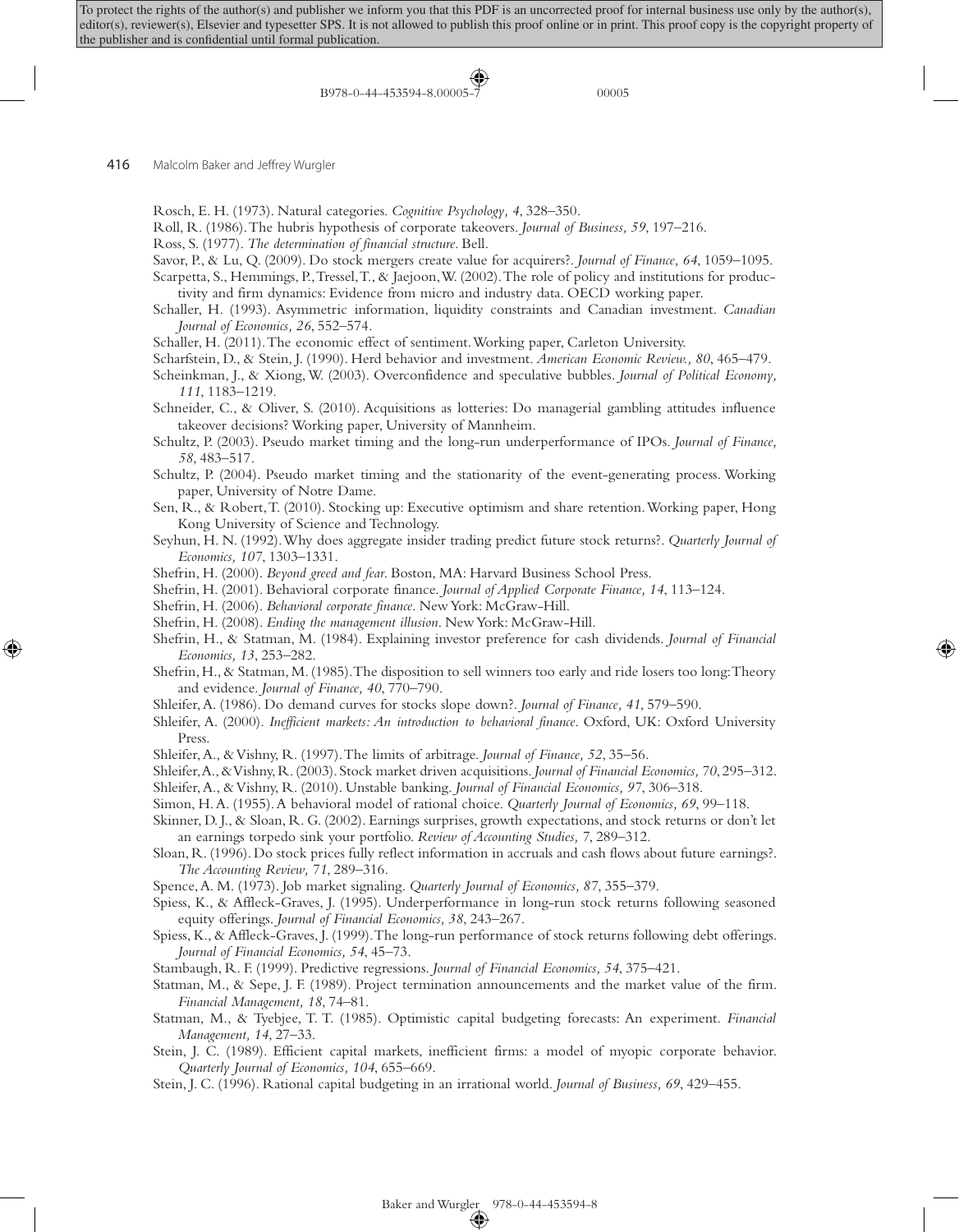B978-0-44-453594-8.00005

00005

⊕

416 Malcolm Baker and Jeffrey Wurgler

⊕

<span id="page-65-3"></span>Rosch, E. H. (1973). Natural categories. *Cognitive Psychology, 4*, 328–350.

- <span id="page-65-27"></span>Roll, R. (1986). The hubris hypothesis of corporate takeovers. *Journal of Business, 59*, 197–216.
- Ross, S. (1977). *The determination of financial structure*. Bell.

<span id="page-65-13"></span>Savor, P., & Lu, Q. (2009). Do stock mergers create value for acquirers?. *Journal of Finance, 64*, 1059–1095.

<span id="page-65-21"></span>Scarpetta, S., Hemmings, P., Tressel, T., & Jaejoon, W. (2002). The role of policy and institutions for productivity and firm dynamics: Evidence from micro and industry data. OECD working paper.

<span id="page-65-24"></span>Schaller, H. (1993). Asymmetric information, liquidity constraints and Canadian investment. *Canadian Journal of Economics, 26*, 552–574.

<span id="page-65-11"></span>Schaller, H. (2011). The economic effect of sentiment. Working paper, Carleton University.

<span id="page-65-8"></span>Scharfstein, D., & Stein, J. (1990). Herd behavior and investment. *American Economic Review., 80*, 465–479.

<span id="page-65-19"></span>Scheinkman, J., & Xiong, W. (2003). Overconfidence and speculative bubbles. *Journal of Political Economy, 111*, 1183–1219.

<span id="page-65-28"></span>Schneider, C., & Oliver, S. (2010). Acquisitions as lotteries: Do managerial gambling attitudes influence takeover decisions? Working paper, University of Mannheim.

<span id="page-65-9"></span>Schultz, P. (2003). Pseudo market timing and the long-run underperformance of IPOs. *Journal of Finance, 58*, 483–517.

Schultz, P. (2004). Pseudo market timing and the stationarity of the event-generating process. Working paper, University of Notre Dame.

<span id="page-65-23"></span>Sen, R., & Robert, T. (2010). Stocking up: Executive optimism and share retention. Working paper, Hong Kong University of Science and Technology.

<span id="page-65-5"></span>Seyhun, H. N. (1992). Why does aggregate insider trading predict future stock returns?. *Quarterly Journal of Economics, 107*, 1303–1331.

<span id="page-65-29"></span>Shefrin, H. (2000). *Beyond greed and fear*. Boston, MA: Harvard Business School Press.

<span id="page-65-25"></span>Shefrin, H. (2001). Behavioral corporate finance. *Journal of Applied Corporate Finance, 14*, 113–124.

Shefrin, H. (2006). *Behavioral corporate finance*. New York: McGraw-Hill.

- Shefrin, H. (2008). *Ending the management illusion*. New York: McGraw-Hill.
- <span id="page-65-17"></span>Shefrin, H., & Statman, M. (1984). Explaining investor preference for cash dividends. *Journal of Financial Economics, 13*, 253–282.
- <span id="page-65-4"></span>Shefrin, H., & Statman, M. (1985). The disposition to sell winners too early and ride losers too long: Theory and evidence. *Journal of Finance, 40*, 770–790.

<span id="page-65-0"></span>Shleifer, A. (1986). Do demand curves for stocks slope down?. *Journal of Finance, 41*, 579–590.

- <span id="page-65-2"></span>Shleifer, A. (2000). *Inefficient markets: An introduction to behavioral finance*. Oxford, UK: Oxford University Press.
- <span id="page-65-1"></span>Shleifer, A., & Vishny, R. (1997). The limits of arbitrage. *Journal of Finance, 52*, 35–56.

<span id="page-65-12"></span>Shleifer, A., & Vishny, R. (2003). Stock market driven acquisitions. *Journal of Financial Economics, 70*, 295–312.

- <span id="page-65-16"></span>Shleifer, A., & Vishny, R. (2010). Unstable banking. *Journal of Financial Economics, 97*, 306–318.
- <span id="page-65-20"></span>Simon, H. A. (1955). A behavioral model of rational choice. *Quarterly Journal of Economics, 69*, 99–118.

<span id="page-65-31"></span>Skinner, D. J., & Sloan, R. G. (2002). Earnings surprises, growth expectations, and stock returns or don't let an earnings torpedo sink your portfolio. *Review of Accounting Studies, 7*, 289–312.

<span id="page-65-18"></span>Sloan, R. (1996). Do stock prices fully reflect information in accruals and cash flows about future earnings?. *The Accounting Review, 71*, 289–316.

<span id="page-65-30"></span>Spence, A. M. (1973). Job market signaling. *Quarterly Journal of Economics, 87*, 355–379.

<span id="page-65-14"></span>Spiess, K., & Affleck-Graves, J. (1995). Underperformance in long-run stock returns following seasoned equity offerings. *Journal of Financial Economics, 38*, 243–267.

<span id="page-65-15"></span>Spiess, K., & Affleck-Graves, J. (1999). The long-run performance of stock returns following debt offerings. *Journal of Financial Economics, 54*, 45–73.

<span id="page-65-10"></span>Stambaugh, R. F. (1999). Predictive regressions. *Journal of Financial Economics, 54*, 375–421.

<span id="page-65-26"></span>Statman, M., & Sepe, J. F. (1989). Project termination announcements and the market value of the firm. *Financial Management, 18*, 74–81.

- <span id="page-65-22"></span>Statman, M., & Tyebjee, T. T. (1985). Optimistic capital budgeting forecasts: An experiment. *Financial Management, 14*, 27–33.
- <span id="page-65-7"></span>Stein, J. C. (1989). Efficient capital markets, inefficient firms: a model of myopic corporate behavior. *Quarterly Journal of Economics, 104*, 655–669.
- <span id="page-65-6"></span>Stein, J. C. (1996). Rational capital budgeting in an irrational world. *Journal of Business, 69*, 429–455.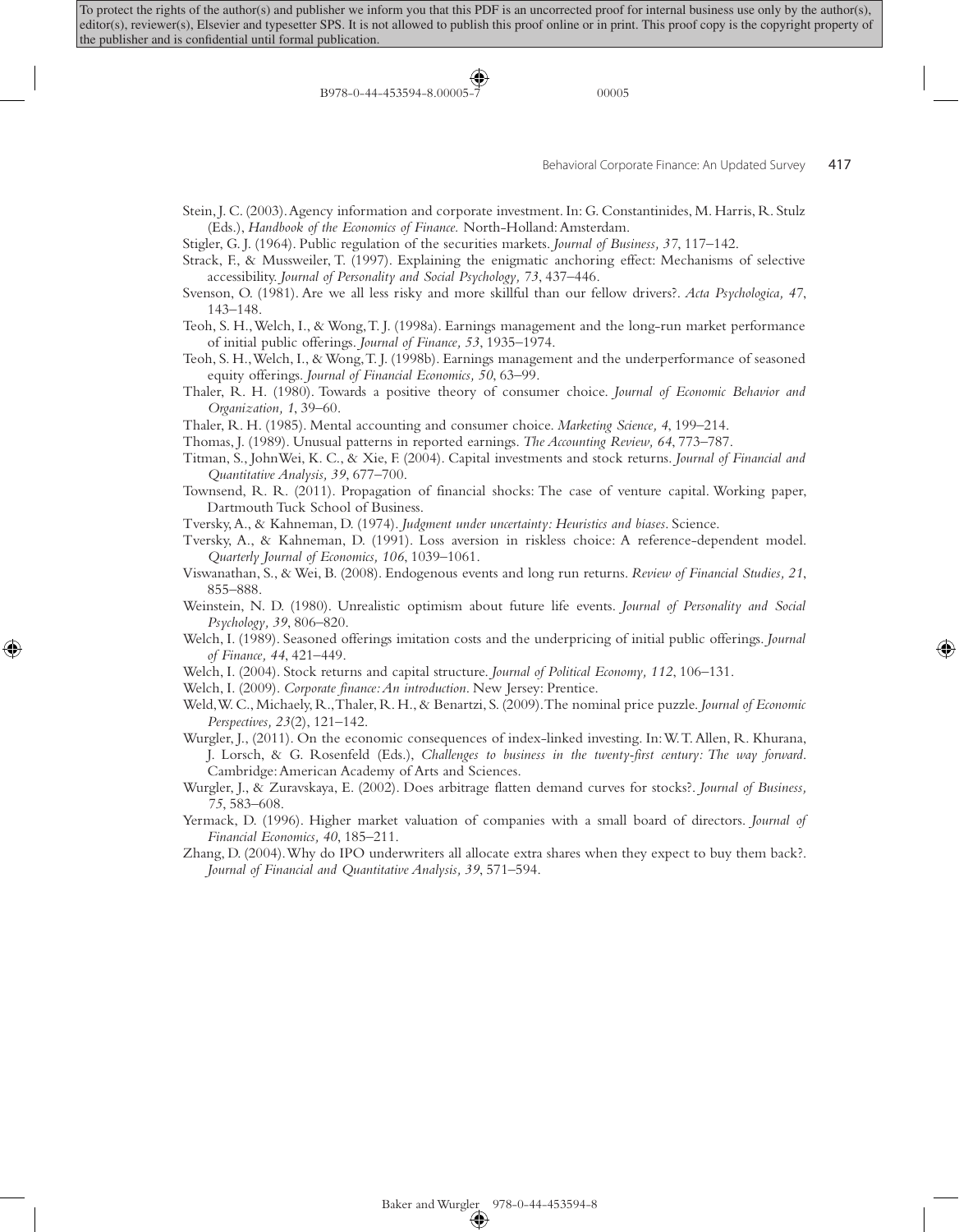B978-0-44-453594-8.00005

00005

Behavioral Corporate Finance: An Updated Survey 417

⊕

<span id="page-66-16"></span>Stein, J. C. (2003). Agency information and corporate investment. In: G. Constantinides, M. Harris, R. Stulz (Eds.), *Handbook of the Economics of Finance.* North-Holland: Amsterdam.

- <span id="page-66-8"></span>Stigler, G. J. (1964). Public regulation of the securities markets. *Journal of Business, 37*, 117–142.
- <span id="page-66-5"></span>Strack, F., & Mussweiler, T. (1997). Explaining the enigmatic anchoring effect: Mechanisms of selective accessibility. *Journal of Personality and Social Psychology, 73*, 437–446.
- <span id="page-66-15"></span>Svenson, O. (1981). Are we all less risky and more skillful than our fellow drivers?. *Acta Psychologica, 47*, 143–148.
- <span id="page-66-10"></span>Teoh, S. H., Welch, I., & Wong, T. J. (1998a). Earnings management and the long-run market performance of initial public offerings. *Journal of Finance, 53*, 1935–1974.
- Teoh, S. H., Welch, I., & Wong, T. J. (1998b). Earnings management and the underperformance of seasoned equity offerings. *Journal of Financial Economics, 50*, 63–99.
- <span id="page-66-18"></span>Thaler, R. H. (1980). Towards a positive theory of consumer choice. *Journal of Economic Behavior and Organization, 1*, 39–60.

Thaler, R. H. (1985). Mental accounting and consumer choice. *Marketing Science, 4*, 199–214.

<span id="page-66-20"></span>Thomas, J. (1989). Unusual patterns in reported earnings. *The Accounting Review, 64*, 773–787.

<span id="page-66-7"></span>Titman, S., JohnWei, K. C., & Xie, F. (2004). Capital investments and stock returns. *Journal of Financial and Quantitative Analysis, 39*, 677–700.

- <span id="page-66-11"></span>Townsend, R. R. (2011). Propagation of financial shocks: The case of venture capital. Working paper, Dartmouth Tuck School of Business.
- <span id="page-66-4"></span>Tversky, A., & Kahneman, D. (1974). *Judgment under uncertainty: Heuristics and biases*. Science.

<span id="page-66-3"></span>Tversky, A., & Kahneman, D. (1991). Loss aversion in riskless choice: A reference-dependent model. *Quarterly Journal of Economics, 106*, 1039–1061.

- <span id="page-66-9"></span>Viswanathan, S., & Wei, B. (2008). Endogenous events and long run returns. *Review of Financial Studies, 21*, 855–888.
- <span id="page-66-14"></span>Weinstein, N. D. (1980). Unrealistic optimism about future life events. *Journal of Personality and Social Psychology, 39*, 806–820.
- <span id="page-66-19"></span>Welch, I. (1989). Seasoned offerings imitation costs and the underpricing of initial public offerings. *Journal of Finance, 44*, 421–449.

<span id="page-66-12"></span>Welch, I. (2004). Stock returns and capital structure. *Journal of Political Economy, 112*, 106–131.

<span id="page-66-0"></span>Welch, I. (2009). *Corporate finance: An introduction*. New Jersey: Prentice.

⊕

- <span id="page-66-13"></span>Weld, W. C., Michaely, R., Thaler, R. H., & Benartzi, S. (2009). The nominal price puzzle. *Journal of Economic Perspectives, 23*(2), 121–142.
- <span id="page-66-2"></span>Wurgler, J., (2011). On the economic consequences of index-linked investing. In: W. T. Allen, R. Khurana, J. Lorsch, & G. Rosenfeld (Eds.), *Challenges to business in the twenty-first century: The way forward*. Cambridge: American Academy of Arts and Sciences.
- <span id="page-66-1"></span>Wurgler, J., & Zuravskaya, E. (2002). Does arbitrage flatten demand curves for stocks?. *Journal of Business, 75*, 583–608.
- <span id="page-66-17"></span>Yermack, D. (1996). Higher market valuation of companies with a small board of directors. *Journal of Financial Economics, 40*, 185–211.
- <span id="page-66-6"></span>Zhang, D. (2004). Why do IPO underwriters all allocate extra shares when they expect to buy them back?. *Journal of Financial and Quantitative Analysis, 39*, 571–594.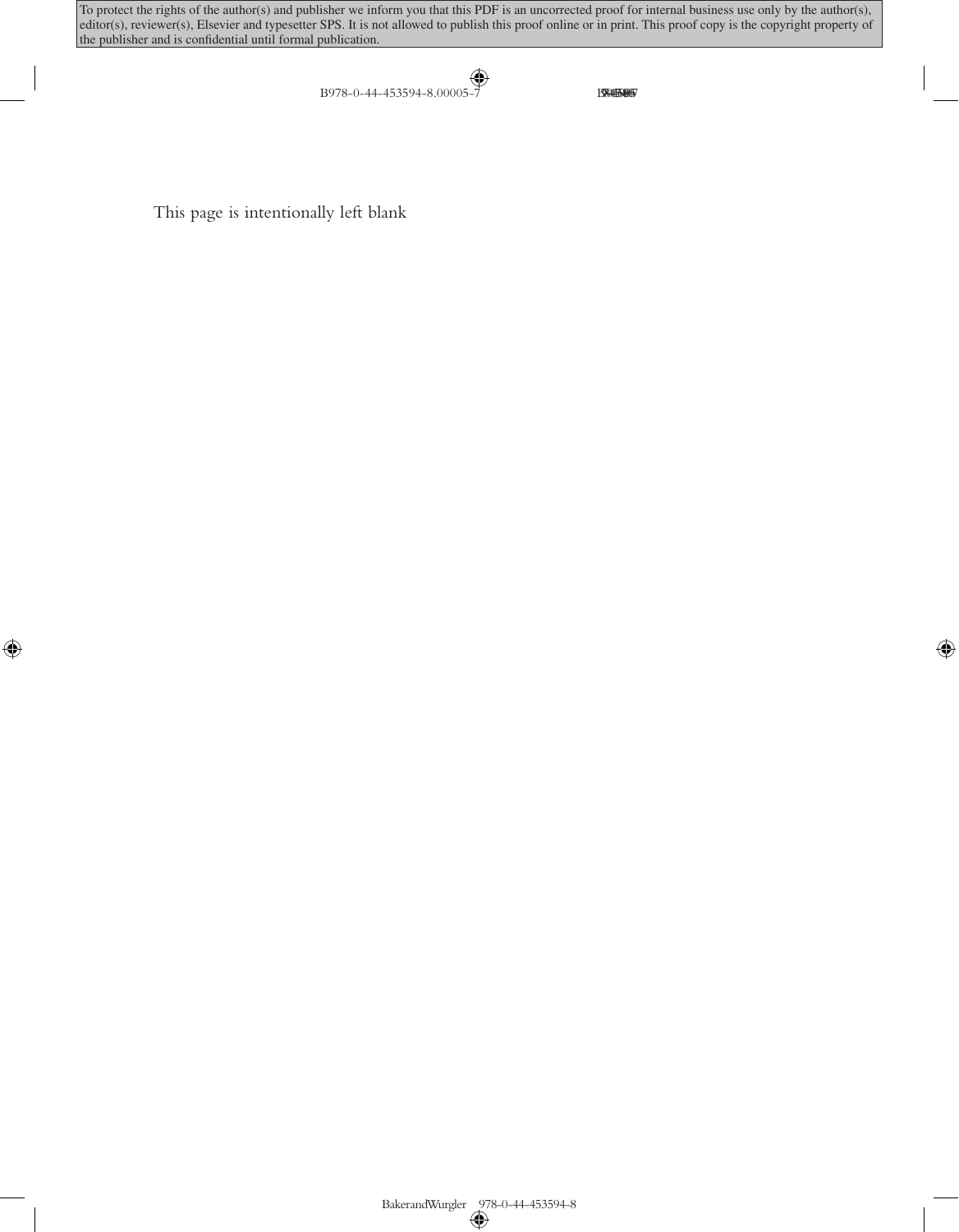B978-0-44-453594-8.00005-7

158455005

 $\bigoplus$ 

This page is intentionally left blank

 $\bigoplus$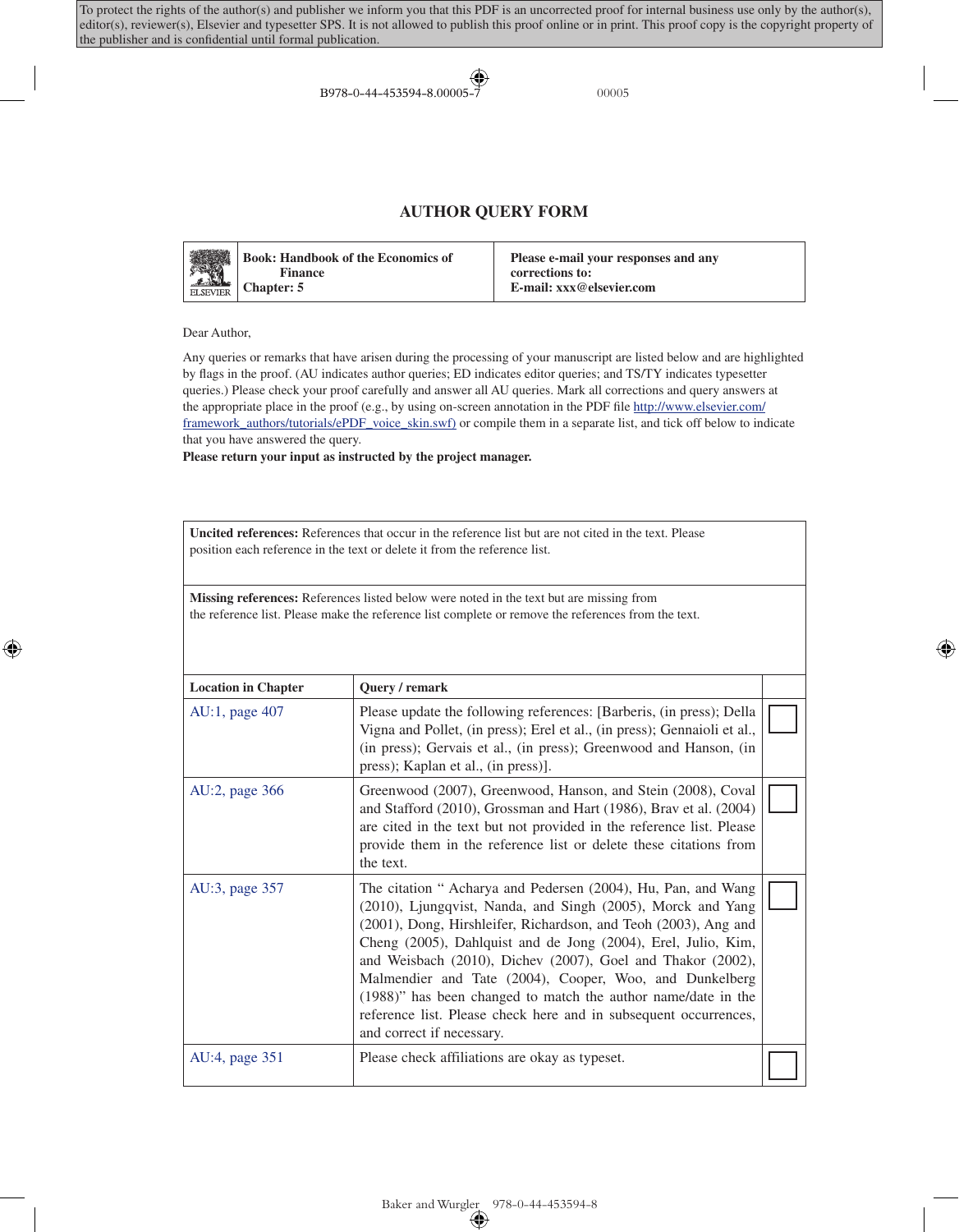B978-0-44-453594-8.00005

00005

#### **AUTHOR QUERY FORM**

|                 | Book: Handbook of the Economics of<br>Finance<br>Chanter: 5 | Please e-mail your responses and any<br>corrections to: |
|-----------------|-------------------------------------------------------------|---------------------------------------------------------|
| <b>ELSEVIER</b> | $\blacksquare$ Chapter: 5                                   | E-mail: xxx@elsevier.com                                |

Dear Author,

⊕

Any queries or remarks that have arisen during the processing of your manuscript are listed below and are highlighted by flags in the proof. (AU indicates author queries; ED indicates editor queries; and TS/TY indicates typesetter queries.) Please check your proof carefully and answer all AU queries. Mark all corrections and query answers at the appropriate place in the proof (e.g., by using on-screen annotation in the PDF file http://www.elsevier.com/ framework\_authors/tutorials/ePDF\_voice\_skin.swf) or compile them in a separate list, and tick off below to indicate that you have answered the query.

**Please return your input as instructed by the project manager.**

**Uncited references:** References that occur in the reference list but are not cited in the text. Please position each reference in the text or delete it from the reference list.

**Missing references:** References listed below were noted in the text but are missing from the reference list. Please make the reference list complete or remove the references from the text.

<span id="page-68-3"></span><span id="page-68-2"></span><span id="page-68-1"></span><span id="page-68-0"></span>

| <b>Location in Chapter</b> | Query / remark                                                                                                                                                                                                                                                                                                                                                                                                                                                                                                                                                       |  |  |  |  |
|----------------------------|----------------------------------------------------------------------------------------------------------------------------------------------------------------------------------------------------------------------------------------------------------------------------------------------------------------------------------------------------------------------------------------------------------------------------------------------------------------------------------------------------------------------------------------------------------------------|--|--|--|--|
| $AU:1$ , page $407$        | Please update the following references: [Barberis, (in press); Della<br>Vigna and Pollet, (in press); Erel et al., (in press); Gennaioli et al.,<br>(in press); Gervais et al., (in press); Greenwood and Hanson, (in<br>press); Kaplan et al., (in press)].                                                                                                                                                                                                                                                                                                         |  |  |  |  |
| AU:2, page 366             | Greenwood (2007), Greenwood, Hanson, and Stein (2008), Coval<br>and Stafford (2010), Grossman and Hart (1986), Brav et al. (2004)<br>are cited in the text but not provided in the reference list. Please<br>provide them in the reference list or delete these citations from<br>the text.                                                                                                                                                                                                                                                                          |  |  |  |  |
| AU:3, page 357             | The citation "Acharya and Pedersen (2004), Hu, Pan, and Wang<br>(2010), Ljungqvist, Nanda, and Singh (2005), Morck and Yang<br>(2001), Dong, Hirshleifer, Richardson, and Teoh (2003), Ang and<br>Cheng (2005), Dahlquist and de Jong (2004), Erel, Julio, Kim,<br>and Weisbach $(2010)$ , Dichev $(2007)$ , Goel and Thakor $(2002)$ ,<br>Malmendier and Tate (2004), Cooper, Woo, and Dunkelberg<br>(1988)" has been changed to match the author name/date in the<br>reference list. Please check here and in subsequent occurrences,<br>and correct if necessary. |  |  |  |  |
| AU:4, page 351             | Please check affiliations are okay as typeset.                                                                                                                                                                                                                                                                                                                                                                                                                                                                                                                       |  |  |  |  |

◈